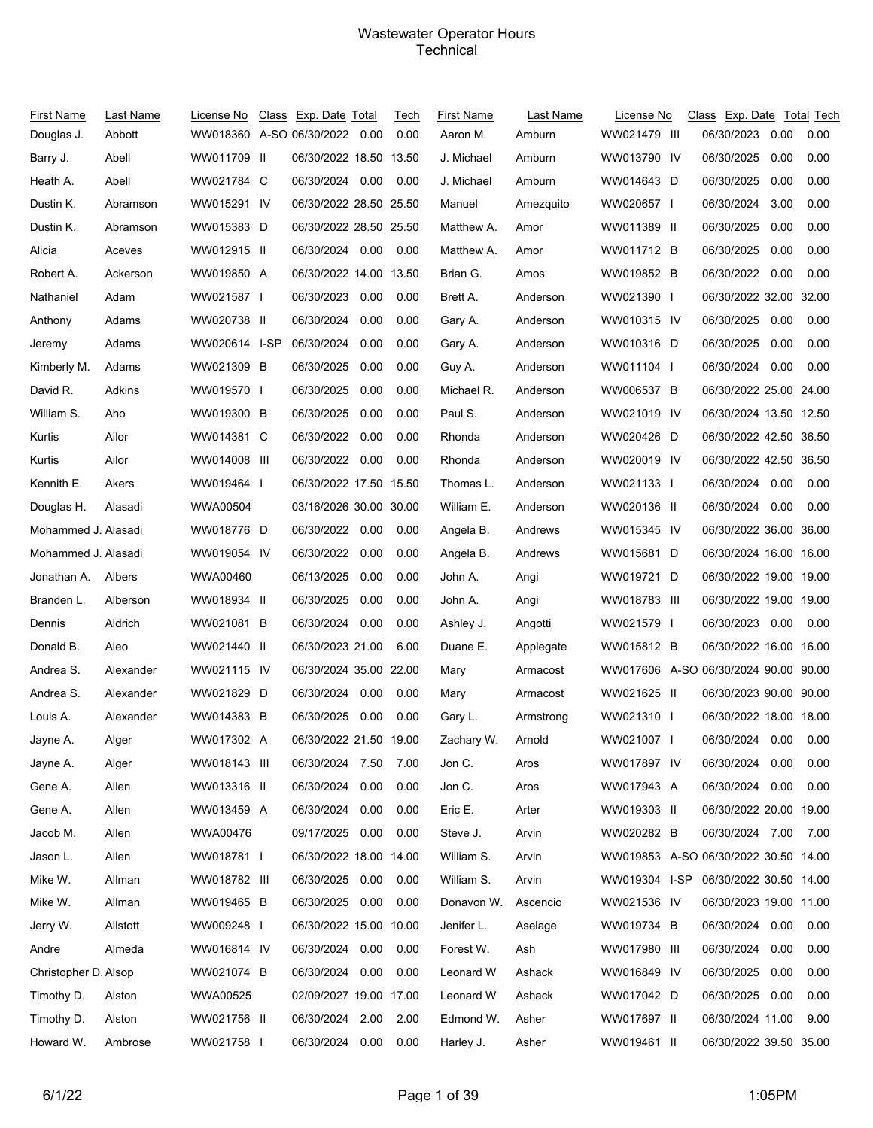## Wastewater Operator Hours **Technical**

| First Name<br>Douglas J. | Last Name<br>Abbott | License No<br>WW018360 A-SO 06/30/2022 0.00 | Class Exp. Date Total  |      | Tech<br>0.00 | <b>First Name</b><br>Aaron M. | Last Name<br>Amburn | License No<br>WW021479 III           | Class Exp. Date Total Tech<br>06/30/2023 | 0.00 | 0.00 |
|--------------------------|---------------------|---------------------------------------------|------------------------|------|--------------|-------------------------------|---------------------|--------------------------------------|------------------------------------------|------|------|
| Barry J.                 | Abell               | WW011709 II                                 | 06/30/2022 18.50 13.50 |      |              | J. Michael                    | Amburn              | WW013790 IV                          | 06/30/2025                               | 0.00 | 0.00 |
| Heath A.                 | Abell               | WW021784 C                                  | 06/30/2024 0.00        |      | 0.00         | J. Michael                    | Amburn              | WW014643 D                           | 06/30/2025                               | 0.00 | 0.00 |
| Dustin K.                | Abramson            | WW015291 IV                                 | 06/30/2022 28.50 25.50 |      |              | Manuel                        | Amezquito           | WW020657 I                           | 06/30/2024                               | 3.00 | 0.00 |
| Dustin K.                | Abramson            | WW015383 D                                  | 06/30/2022 28.50 25.50 |      |              | Matthew A.                    | Amor                | WW011389 II                          | 06/30/2025                               | 0.00 | 0.00 |
| Alicia                   | Aceves              | WW012915 II                                 | 06/30/2024 0.00 0.00   |      |              | Matthew A.                    | Amor                | WW011712 B                           | 06/30/2025                               | 0.00 | 0.00 |
| Robert A.                | Ackerson            | WW019850 A                                  | 06/30/2022 14.00 13.50 |      |              | Brian G.                      | Amos                | WW019852 B                           | 06/30/2022                               | 0.00 | 0.00 |
| Nathaniel                | Adam                | WW021587                                    | 06/30/2023             | 0.00 | 0.00         | Brett A.                      | Anderson            | WW021390 I                           | 06/30/2022 32.00 32.00                   |      |      |
| Anthony                  | Adams               | WW020738 II                                 | 06/30/2024             | 0.00 | 0.00         | Gary A.                       | Anderson            | WW010315 IV                          | 06/30/2025                               | 0.00 | 0.00 |
| Jeremy                   | Adams               | WW020614 I-SP                               | 06/30/2024             | 0.00 | 0.00         | Gary A.                       | Anderson            | WW010316 D                           | 06/30/2025                               | 0.00 | 0.00 |
| Kimberly M.              | Adams               | WW021309 B                                  | 06/30/2025             | 0.00 | 0.00         | Guy A.                        | Anderson            | WW011104 I                           | 06/30/2024                               | 0.00 | 0.00 |
| David R.                 | Adkins              | WW019570 I                                  | 06/30/2025             | 0.00 | 0.00         | Michael R.                    | Anderson            | WW006537 B                           | 06/30/2022 25.00 24.00                   |      |      |
| William S.               | Aho                 | WW019300 B                                  | 06/30/2025             | 0.00 | 0.00         | Paul S.                       | Anderson            | WW021019 IV                          | 06/30/2024 13.50 12.50                   |      |      |
| Kurtis                   | Ailor               | WW014381 C                                  | 06/30/2022             | 0.00 | 0.00         | Rhonda                        | Anderson            | WW020426 D                           | 06/30/2022 42.50 36.50                   |      |      |
| Kurtis                   | Ailor               | WW014008 III                                | 06/30/2022 0.00        |      | 0.00         | Rhonda                        | Anderson            | WW020019 IV                          | 06/30/2022 42.50 36.50                   |      |      |
| Kennith E.               | Akers               | WW019464 I                                  | 06/30/2022 17.50 15.50 |      |              | Thomas L.                     | Anderson            | WW021133 I                           | 06/30/2024 0.00                          |      | 0.00 |
| Douglas H.               | Alasadi             | WWA00504                                    | 03/16/2026 30.00 30.00 |      |              | William E.                    | Anderson            | WW020136 II                          | 06/30/2024 0.00                          |      | 0.00 |
| Mohammed J. Alasadi      |                     | WW018776 D                                  | 06/30/2022 0.00        |      | 0.00         | Angela B.                     | Andrews             | WW015345 IV                          | 06/30/2022 36.00 36.00                   |      |      |
| Mohammed J. Alasadi      |                     | WW019054 IV                                 | 06/30/2022 0.00        |      | 0.00         | Angela B.                     | Andrews             | WW015681 D                           | 06/30/2024 16.00 16.00                   |      |      |
| Jonathan A.              | Albers              | WWA00460                                    | 06/13/2025             | 0.00 | 0.00         | John A.                       | Angi                | WW019721 D                           | 06/30/2022 19.00 19.00                   |      |      |
| Branden L.               | Alberson            | WW018934 II                                 | 06/30/2025             | 0.00 | 0.00         | John A.                       | Angi                | WW018783 III                         | 06/30/2022 19.00 19.00                   |      |      |
| Dennis                   | Aldrich             | WW021081 B                                  | 06/30/2024             | 0.00 | 0.00         | Ashley J.                     | Angotti             | WW021579 I                           | 06/30/2023 0.00                          |      | 0.00 |
| Donald B.                | Aleo                | WW021440 II                                 | 06/30/2023 21.00       |      | 6.00         | Duane E.                      | Applegate           | WW015812 B                           | 06/30/2022 16.00 16.00                   |      |      |
| Andrea S.                | Alexander           | WW021115 IV                                 | 06/30/2024 35.00 22.00 |      |              | Mary                          | Armacost            | WW017606 A-SO 06/30/2024 90.00 90.00 |                                          |      |      |
| Andrea S.                | Alexander           | WW021829 D                                  | 06/30/2024 0.00        |      | 0.00         | Mary                          | Armacost            | WW021625 II                          | 06/30/2023 90.00 90.00                   |      |      |
| Louis A.                 | Alexander           | WW014383 B                                  | 06/30/2025 0.00        |      | 0.00         | Gary L.                       | Armstrong           | WW021310                             | 06/30/2022 18.00 18.00                   |      |      |
| Jayne A.                 | Alger               | WW017302 A                                  | 06/30/2022 21.50 19.00 |      |              | Zachary W.                    | Arnold              | WW021007                             | 06/30/2024 0.00                          |      | 0.00 |
| Jayne A.                 | Alger               | WW018143 III                                | 06/30/2024 7.50        |      | 7.00         | Jon C.                        | Aros                | WW017897 IV                          | 06/30/2024 0.00                          |      | 0.00 |
| Gene A.                  | Allen               | WW013316 II                                 | 06/30/2024             | 0.00 | 0.00         | Jon C.                        | Aros                | WW017943 A                           | 06/30/2024 0.00                          |      | 0.00 |
| Gene A.                  | Allen               | WW013459 A                                  | 06/30/2024 0.00        |      | 0.00         | Eric E.                       | Arter               | WW019303 II                          | 06/30/2022 20.00 19.00                   |      |      |
| Jacob M.                 | Allen               | WWA00476                                    | 09/17/2025 0.00        |      | 0.00         | Steve J.                      | Arvin               | WW020282 B                           | 06/30/2024 7.00                          |      | 7.00 |
| Jason L.                 | Allen               | WW018781 I                                  | 06/30/2022 18.00 14.00 |      |              | William S.                    | Arvin               | WW019853 A-SO 06/30/2022 30.50 14.00 |                                          |      |      |
| Mike W.                  | Allman              | WW018782 III                                | 06/30/2025 0.00        |      | 0.00         | William S.                    | Arvin               | WW019304 I-SP                        | 06/30/2022 30.50 14.00                   |      |      |
| Mike W.                  | Allman              | WW019465 B                                  | 06/30/2025 0.00        |      | 0.00         | Donavon W.                    | Ascencio            | WW021536 IV                          | 06/30/2023 19.00 11.00                   |      |      |
| Jerry W.                 | Allstott            | WW009248 I                                  | 06/30/2022 15.00 10.00 |      |              | Jenifer L.                    | Aselage             | WW019734 B                           | 06/30/2024 0.00                          |      | 0.00 |
| Andre                    | Almeda              | WW016814 IV                                 | 06/30/2024 0.00        |      | 0.00         | Forest W.                     | Ash                 | WW017980 III                         | 06/30/2024                               | 0.00 | 0.00 |
| Christopher D. Alsop     |                     | WW021074 B                                  | 06/30/2024 0.00        |      | 0.00         | Leonard W                     | Ashack              | WW016849 IV                          | 06/30/2025                               | 0.00 | 0.00 |
| Timothy D.               | Alston              | WWA00525                                    | 02/09/2027 19.00 17.00 |      |              | Leonard W                     | Ashack              | WW017042 D                           | 06/30/2025                               | 0.00 | 0.00 |
| Timothy D.               | Alston              | WW021756 II                                 | 06/30/2024 2.00        |      | 2.00         | Edmond W.                     | Asher               | WW017697 II                          | 06/30/2024 11.00                         |      | 9.00 |
| Howard W.                | Ambrose             | WW021758 I                                  | 06/30/2024 0.00        |      | 0.00         | Harley J.                     | Asher               | WW019461 II                          | 06/30/2022 39.50 35.00                   |      |      |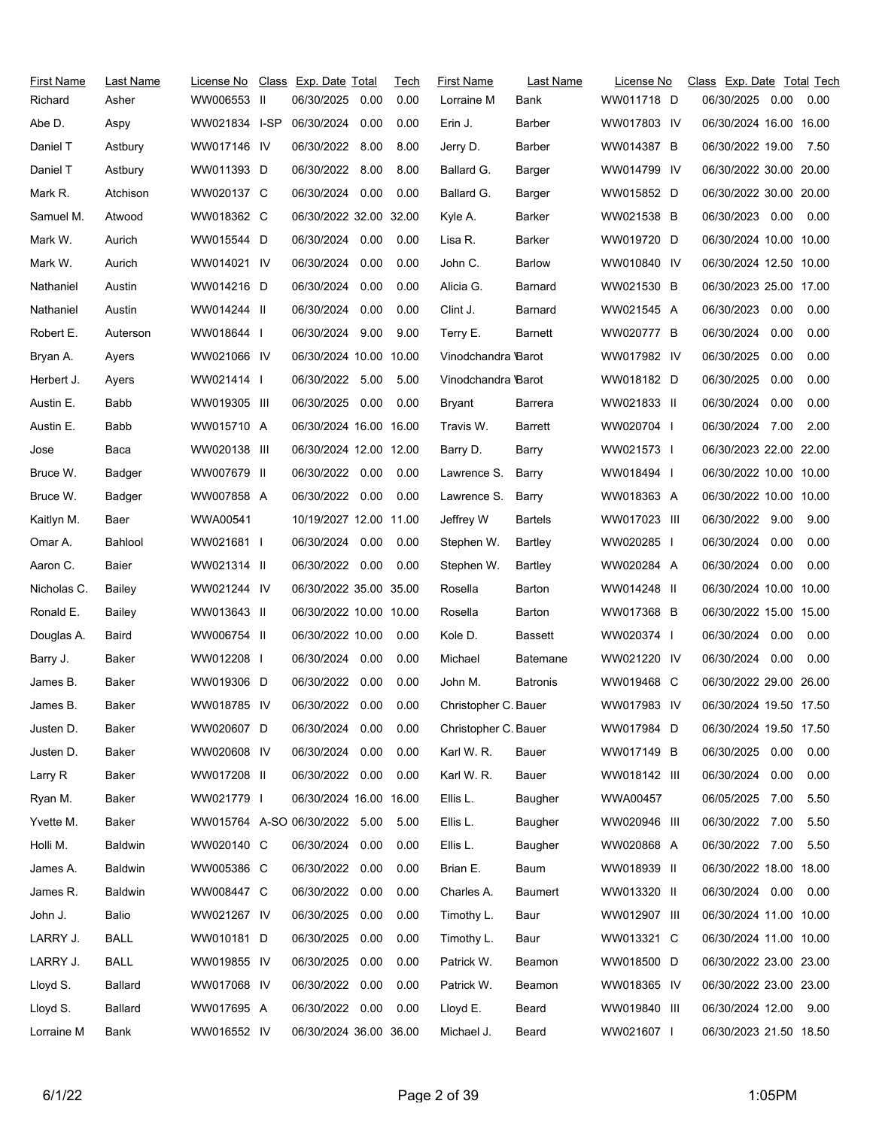| First Name  | Last Name      | License No                    | Class Exp. Date Total  |      | Tech | <b>First Name</b>    | Last Name       | License No      | Class Exp. Date Total Tech |      |      |
|-------------|----------------|-------------------------------|------------------------|------|------|----------------------|-----------------|-----------------|----------------------------|------|------|
| Richard     | Asher          | WW006553 II                   | 06/30/2025             | 0.00 | 0.00 | Lorraine M           | Bank            | WW011718 D      | 06/30/2025 0.00            |      | 0.00 |
| Abe D.      | Aspy           | WW021834 I-SP                 | 06/30/2024             | 0.00 | 0.00 | Erin J.              | <b>Barber</b>   | WW017803 IV     | 06/30/2024 16.00 16.00     |      |      |
| Daniel T    | Astbury        | WW017146 IV                   | 06/30/2022             | 8.00 | 8.00 | Jerry D.             | <b>Barber</b>   | WW014387 B      | 06/30/2022 19.00           |      | 7.50 |
| Daniel T    | Astbury        | WW011393 D                    | 06/30/2022 8.00        |      | 8.00 | Ballard G.           | Barger          | WW014799 IV     | 06/30/2022 30.00 20.00     |      |      |
| Mark R.     | Atchison       | WW020137 C                    | 06/30/2024             | 0.00 | 0.00 | Ballard G.           | Barger          | WW015852 D      | 06/30/2022 30.00 20.00     |      |      |
| Samuel M.   | Atwood         | WW018362 C                    | 06/30/2022 32.00 32.00 |      |      | Kyle A.              | Barker          | WW021538 B      | 06/30/2023 0.00            |      | 0.00 |
| Mark W.     | Aurich         | WW015544 D                    | 06/30/2024 0.00        |      | 0.00 | Lisa R.              | Barker          | WW019720 D      | 06/30/2024 10.00 10.00     |      |      |
| Mark W.     | Aurich         | WW014021 IV                   | 06/30/2024             | 0.00 | 0.00 | John C.              | <b>Barlow</b>   | WW010840 IV     | 06/30/2024 12.50 10.00     |      |      |
| Nathaniel   | Austin         | WW014216 D                    | 06/30/2024 0.00        |      | 0.00 | Alicia G.            | Barnard         | WW021530 B      | 06/30/2023 25.00 17.00     |      |      |
| Nathaniel   | Austin         | WW014244 II                   | 06/30/2024             | 0.00 | 0.00 | Clint J.             | Barnard         | WW021545 A      | 06/30/2023                 | 0.00 | 0.00 |
| Robert E.   | Auterson       | WW018644 I                    | 06/30/2024 9.00        |      | 9.00 | Terry E.             | Barnett         | WW020777 B      | 06/30/2024                 | 0.00 | 0.00 |
| Bryan A.    | Ayers          | WW021066 IV                   | 06/30/2024 10.00 10.00 |      |      | Vinodchandra Barot   |                 | WW017982 IV     | 06/30/2025                 | 0.00 | 0.00 |
| Herbert J.  | Ayers          | WW021414                      | 06/30/2022 5.00        |      | 5.00 | Vinodchandra Barot   |                 | WW018182 D      | 06/30/2025                 | 0.00 | 0.00 |
| Austin E.   | Babb           | WW019305 III                  | 06/30/2025             | 0.00 | 0.00 | Bryant               | Barrera         | WW021833 II     | 06/30/2024                 | 0.00 | 0.00 |
| Austin E.   | Babb           | WW015710 A                    | 06/30/2024 16.00 16.00 |      |      | Travis W.            | Barrett         | WW020704        | 06/30/2024 7.00            |      | 2.00 |
| Jose        | Baca           | WW020138 III                  | 06/30/2024 12.00 12.00 |      |      | Barry D.             | Barry           | WW021573 I      | 06/30/2023 22.00 22.00     |      |      |
| Bruce W.    | Badger         | WW007679 II                   | 06/30/2022 0.00        |      | 0.00 | Lawrence S.          | Barry           | WW018494 I      | 06/30/2022 10.00 10.00     |      |      |
| Bruce W.    | Badger         | WW007858 A                    | 06/30/2022 0.00        |      | 0.00 | Lawrence S.          | Barry           | WW018363 A      | 06/30/2022 10.00 10.00     |      |      |
| Kaitlyn M.  | Baer           | WWA00541                      | 10/19/2027 12.00 11.00 |      |      | Jeffrey W            | <b>Bartels</b>  | WW017023 III    | 06/30/2022 9.00            |      | 9.00 |
| Omar A.     | Bahlool        | WW021681 I                    | 06/30/2024 0.00        |      | 0.00 | Stephen W.           | Bartley         | WW020285 I      | 06/30/2024                 | 0.00 | 0.00 |
| Aaron C.    | Baier          | WW021314 II                   | 06/30/2022 0.00        |      | 0.00 | Stephen W.           | Bartley         | WW020284 A      | 06/30/2024                 | 0.00 | 0.00 |
| Nicholas C. | Bailey         | WW021244 IV                   | 06/30/2022 35.00 35.00 |      |      | Rosella              | Barton          | WW014248 II     | 06/30/2024 10.00 10.00     |      |      |
| Ronald E.   | Bailey         | WW013643 II                   | 06/30/2022 10.00 10.00 |      |      | Rosella              | Barton          | WW017368 B      | 06/30/2022 15.00 15.00     |      |      |
| Douglas A.  | Baird          | WW006754 II                   | 06/30/2022 10.00       |      | 0.00 | Kole D.              | Bassett         | WW020374 I      | 06/30/2024 0.00            |      | 0.00 |
| Barry J.    | Baker          | WW012208 I                    | 06/30/2024             | 0.00 | 0.00 | Michael              | <b>Batemane</b> | WW021220 IV     | 06/30/2024                 | 0.00 | 0.00 |
| James B.    | Baker          | WW019306 D                    | 06/30/2022             | 0.00 | 0.00 | John M.              | <b>Batronis</b> | WW019468 C      | 06/30/2022 29.00 26.00     |      |      |
| James B.    | Baker          | WW018785 IV                   | 06/30/2022 0.00        |      | 0.00 | Christopher C. Bauer |                 | WW017983 IV     | 06/30/2024 19.50 17.50     |      |      |
| Justen D.   | Baker          | WW020607 D                    | 06/30/2024 0.00        |      | 0.00 | Christopher C. Bauer |                 | WW017984 D      | 06/30/2024 19.50 17.50     |      |      |
| Justen D.   | Baker          | WW020608 IV                   | 06/30/2024             | 0.00 | 0.00 | Karl W. R.           | Bauer           | WW017149 B      | 06/30/2025 0.00            |      | 0.00 |
| Larry R     | Baker          | WW017208 II                   | 06/30/2022 0.00        |      | 0.00 | Karl W. R.           | Bauer           | WW018142 III    | 06/30/2024                 | 0.00 | 0.00 |
| Ryan M.     | Baker          | WW021779 I                    | 06/30/2024 16.00 16.00 |      |      | Ellis L.             | Baugher         | <b>WWA00457</b> | 06/05/2025                 | 7.00 | 5.50 |
| Yvette M.   | Baker          | WW015764 A-SO 06/30/2022 5.00 |                        |      | 5.00 | Ellis L.             | Baugher         | WW020946 III    | 06/30/2022 7.00            |      | 5.50 |
| Holli M.    | <b>Baldwin</b> | WW020140 C                    | 06/30/2024 0.00        |      | 0.00 | Ellis L.             | Baugher         | WW020868 A      | 06/30/2022 7.00            |      | 5.50 |
| James A.    | <b>Baldwin</b> | WW005386 C                    | 06/30/2022             | 0.00 | 0.00 | Brian E.             | Baum            | WW018939 II     | 06/30/2022 18.00 18.00     |      |      |
| James R.    | <b>Baldwin</b> | WW008447 C                    | 06/30/2022             | 0.00 | 0.00 | Charles A.           | Baumert         | WW013320 II     | 06/30/2024 0.00            |      | 0.00 |
| John J.     | Balio          | WW021267 IV                   | 06/30/2025             | 0.00 | 0.00 | Timothy L.           | Baur            | WW012907 III    | 06/30/2024 11.00 10.00     |      |      |
| LARRY J.    | <b>BALL</b>    | WW010181 D                    | 06/30/2025             | 0.00 | 0.00 | Timothy L.           | Baur            | WW013321 C      | 06/30/2024 11.00 10.00     |      |      |
| LARRY J.    | <b>BALL</b>    | WW019855 IV                   | 06/30/2025             | 0.00 | 0.00 | Patrick W.           | Beamon          | WW018500 D      | 06/30/2022 23.00 23.00     |      |      |
| Lloyd S.    | Ballard        | WW017068 IV                   | 06/30/2022             | 0.00 | 0.00 | Patrick W.           | Beamon          | WW018365 IV     | 06/30/2022 23.00 23.00     |      |      |
| Lloyd S.    | Ballard        | WW017695 A                    | 06/30/2022 0.00        |      | 0.00 | Lloyd E.             | Beard           | WW019840 III    | 06/30/2024 12.00           |      | 9.00 |
| Lorraine M  | Bank           | WW016552 IV                   | 06/30/2024 36.00 36.00 |      |      | Michael J.           | Beard           | WW021607        | 06/30/2023 21.50 18.50     |      |      |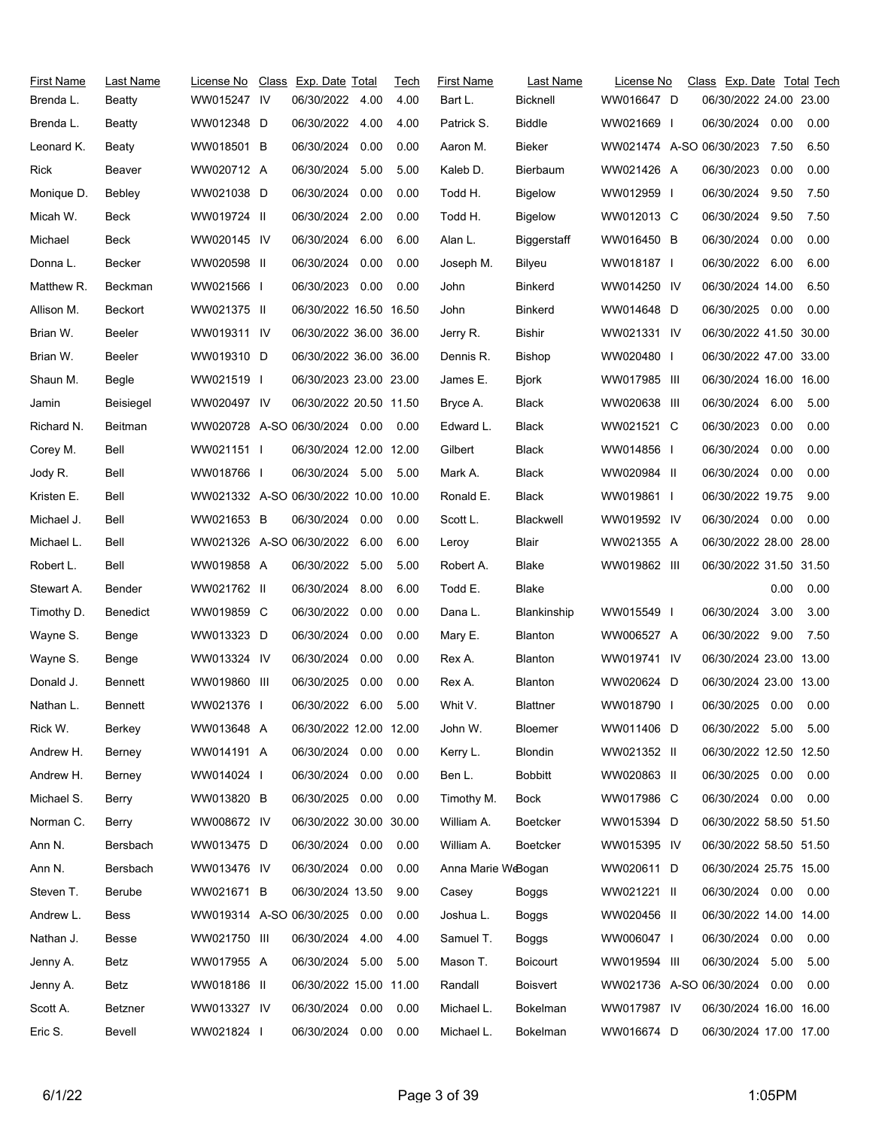| First Name | Last Name      | License No                           | Class Exp. Date Total  |      | Tech | <b>First Name</b>  | Last Name       | License No               | Class Exp. Date Total Tech |      |       |
|------------|----------------|--------------------------------------|------------------------|------|------|--------------------|-----------------|--------------------------|----------------------------|------|-------|
| Brenda L.  | Beatty         | WW015247 IV                          | 06/30/2022             | 4.00 | 4.00 | Bart L.            | Bicknell        | WW016647 D               | 06/30/2022 24.00 23.00     |      |       |
| Brenda L.  | Beatty         | WW012348 D                           | 06/30/2022 4.00        |      | 4.00 | Patrick S.         | Biddle          | WW021669 I               | 06/30/2024 0.00            |      | 0.00  |
| Leonard K. | Beaty          | WW018501 B                           | 06/30/2024             | 0.00 | 0.00 | Aaron M.           | Bieker          | WW021474 A-SO 06/30/2023 |                            | 7.50 | 6.50  |
| Rick       | Beaver         | WW020712 A                           | 06/30/2024             | 5.00 | 5.00 | Kaleb D.           | Bierbaum        | WW021426 A               | 06/30/2023                 | 0.00 | 0.00  |
| Monique D. | Bebley         | WW021038 D                           | 06/30/2024             | 0.00 | 0.00 | Todd H.            | <b>Bigelow</b>  | WW012959 I               | 06/30/2024                 | 9.50 | 7.50  |
| Micah W.   | Beck           | WW019724 II                          | 06/30/2024             | 2.00 | 0.00 | Todd H.            | <b>Bigelow</b>  | WW012013 C               | 06/30/2024                 | 9.50 | 7.50  |
| Michael    | Beck           | WW020145 IV                          | 06/30/2024             | 6.00 | 6.00 | Alan L.            | Biggerstaff     | WW016450 B               | 06/30/2024                 | 0.00 | 0.00  |
| Donna L.   | Becker         | WW020598 II                          | 06/30/2024             | 0.00 | 0.00 | Joseph M.          | Bilyeu          | WW018187 I               | 06/30/2022                 | 6.00 | 6.00  |
| Matthew R. | Beckman        | WW021566 I                           | 06/30/2023             | 0.00 | 0.00 | John               | Binkerd         | WW014250 IV              | 06/30/2024 14.00           |      | 6.50  |
| Allison M. | Beckort        | WW021375 II                          | 06/30/2022 16.50 16.50 |      |      | John               | <b>Binkerd</b>  | WW014648 D               | 06/30/2025                 | 0.00 | 0.00  |
| Brian W.   | Beeler         | WW019311 IV                          | 06/30/2022 36.00 36.00 |      |      | Jerry R.           | Bishir          | WW021331 IV              | 06/30/2022 41.50 30.00     |      |       |
| Brian W.   | Beeler         | WW019310 D                           | 06/30/2022 36.00 36.00 |      |      | Dennis R.          | <b>Bishop</b>   | WW020480 I               | 06/30/2022 47.00 33.00     |      |       |
| Shaun M.   | Begle          | WW021519 I                           | 06/30/2023 23.00 23.00 |      |      | James E.           | <b>Bjork</b>    | WW017985 III             | 06/30/2024 16.00 16.00     |      |       |
| Jamin      | Beisiegel      | WW020497 IV                          | 06/30/2022 20.50 11.50 |      |      | Bryce A.           | Black           | WW020638 III             | 06/30/2024                 | 6.00 | 5.00  |
| Richard N. | Beitman        | WW020728 A-SO 06/30/2024 0.00        |                        |      | 0.00 | Edward L.          | Black           | WW021521 C               | 06/30/2023                 | 0.00 | 0.00  |
| Corey M.   | Bell           | WW021151                             | 06/30/2024 12.00 12.00 |      |      | Gilbert            | Black           | WW014856 I               | 06/30/2024                 | 0.00 | 0.00  |
| Jody R.    | Bell           | WW018766 I                           | 06/30/2024 5.00        |      | 5.00 | Mark A.            | Black           | WW020984 II              | 06/30/2024                 | 0.00 | 0.00  |
| Kristen E. | Bell           | WW021332 A-SO 06/30/2022 10.00 10.00 |                        |      |      | Ronald E.          | Black           | WW019861 I               | 06/30/2022 19.75           |      | 9.00  |
| Michael J. | Bell           | WW021653 B                           | 06/30/2024             | 0.00 | 0.00 | Scott L.           | Blackwell       | WW019592 IV              | 06/30/2024 0.00            |      | 0.00  |
| Michael L. | Bell           | WW021326 A-SO 06/30/2022 6.00        |                        |      | 6.00 | Leroy              | Blair           | WW021355 A               | 06/30/2022 28.00 28.00     |      |       |
| Robert L.  | Bell           | WW019858 A                           | 06/30/2022 5.00        |      | 5.00 | Robert A.          | Blake           | WW019862 III             | 06/30/2022 31.50 31.50     |      |       |
| Stewart A. | Bender         | WW021762 II                          | 06/30/2024             | 8.00 | 6.00 | Todd E.            | Blake           |                          |                            | 0.00 | 0.00  |
| Timothy D. | Benedict       | WW019859 C                           | 06/30/2022             | 0.00 | 0.00 | Dana L.            | Blankinship     | WW015549 I               | 06/30/2024                 | 3.00 | 3.00  |
| Wayne S.   | Benge          | WW013323 D                           | 06/30/2024             | 0.00 | 0.00 | Mary E.            | <b>Blanton</b>  | WW006527 A               | 06/30/2022 9.00            |      | 7.50  |
| Wayne S.   | Benge          | WW013324 IV                          | 06/30/2024             | 0.00 | 0.00 | Rex A.             | <b>Blanton</b>  | WW019741 IV              | 06/30/2024 23.00 13.00     |      |       |
| Donald J.  | <b>Bennett</b> | WW019860 III                         | 06/30/2025             | 0.00 | 0.00 | Rex A.             | <b>Blanton</b>  | WW020624 D               | 06/30/2024 23.00 13.00     |      |       |
| Nathan L.  | Bennett        | WW021376 I                           | 06/30/2022             | 6.00 | 5.00 | Whit V.            | <b>Blattner</b> | WW018790 I               | 06/30/2025                 | 0.00 | 0.00  |
| Rick W.    | Berkey         | WW013648 A                           | 06/30/2022 12.00 12.00 |      |      | John W.            | Bloemer         | WW011406 D               | 06/30/2022 5.00            |      | -5.00 |
| Andrew H.  | Berney         | WW014191 A                           | 06/30/2024 0.00        |      | 0.00 | Kerry L.           | <b>Blondin</b>  | WW021352 II              | 06/30/2022 12.50 12.50     |      |       |
| Andrew H.  | Berney         | WW014024                             | 06/30/2024             | 0.00 | 0.00 | Ben L.             | <b>Bobbitt</b>  | WW020863 II              | 06/30/2025                 | 0.00 | 0.00  |
| Michael S. | Berry          | WW013820 B                           | 06/30/2025 0.00        |      | 0.00 | Timothy M.         | Bock            | WW017986 C               | 06/30/2024 0.00            |      | 0.00  |
| Norman C.  | Berry          | WW008672 IV                          | 06/30/2022 30.00 30.00 |      |      | William A.         | Boetcker        | WW015394 D               | 06/30/2022 58.50 51.50     |      |       |
| Ann N.     | Bersbach       | WW013475 D                           | 06/30/2024 0.00        |      | 0.00 | William A.         | <b>Boetcker</b> | WW015395 IV              | 06/30/2022 58.50 51.50     |      |       |
| Ann N.     | Bersbach       | WW013476 IV                          | 06/30/2024 0.00        |      | 0.00 | Anna Marie WeBogan |                 | WW020611 D               | 06/30/2024 25.75 15.00     |      |       |
| Steven T.  | Berube         | WW021671 B                           | 06/30/2024 13.50       |      | 9.00 | Casey              | Boggs           | WW021221 II              | 06/30/2024 0.00            |      | 0.00  |
| Andrew L.  | Bess           | WW019314 A-SO 06/30/2025             |                        | 0.00 | 0.00 | Joshua L.          | <b>Boggs</b>    | WW020456 II              | 06/30/2022 14.00 14.00     |      |       |
| Nathan J.  | Besse          | WW021750 III                         | 06/30/2024             | 4.00 | 4.00 | Samuel T.          | <b>Boggs</b>    | WW006047 I               | 06/30/2024 0.00            |      | 0.00  |
| Jenny A.   | Betz           | WW017955 A                           | 06/30/2024 5.00        |      | 5.00 | Mason T.           | <b>Boicourt</b> | WW019594 III             | 06/30/2024                 | 5.00 | 5.00  |
| Jenny A.   | Betz           | WW018186 II                          | 06/30/2022 15.00 11.00 |      |      | Randall            | Boisvert        | WW021736 A-SO 06/30/2024 |                            | 0.00 | 0.00  |
| Scott A.   | Betzner        | WW013327 IV                          | 06/30/2024 0.00        |      | 0.00 | Michael L.         | Bokelman        | WW017987 IV              | 06/30/2024 16:00 16:00     |      |       |
| Eric S.    | Bevell         | WW021824                             | 06/30/2024 0.00        |      | 0.00 | Michael L.         | Bokelman        | WW016674 D               | 06/30/2024 17.00 17.00     |      |       |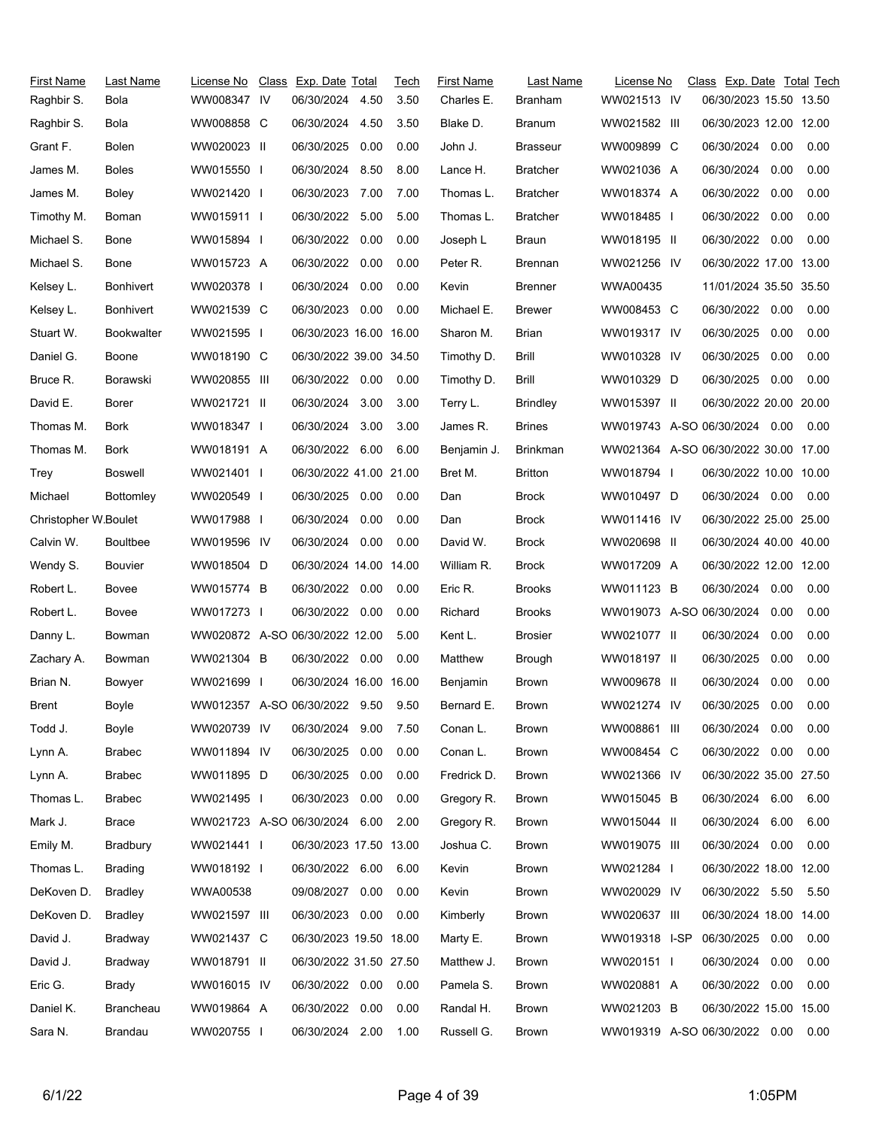| First Name           | Last Name         | License No                     | Class Exp. Date Total  |      | Tech | <b>First Name</b> | Last Name       | License No                           | Class Exp. Date Total Tech |      |      |
|----------------------|-------------------|--------------------------------|------------------------|------|------|-------------------|-----------------|--------------------------------------|----------------------------|------|------|
| Raghbir S.           | Bola              | WW008347 IV                    | 06/30/2024             | 4.50 | 3.50 | Charles E.        | Branham         | WW021513 IV                          | 06/30/2023 15.50 13.50     |      |      |
| Raghbir S.           | Bola              | WW008858 C                     | 06/30/2024             | 4.50 | 3.50 | Blake D.          | Branum          | WW021582 III                         | 06/30/2023 12.00 12.00     |      |      |
| Grant F.             | Bolen             | WW020023 II                    | 06/30/2025             | 0.00 | 0.00 | John J.           | <b>Brasseur</b> | WW009899 C                           | 06/30/2024                 | 0.00 | 0.00 |
| James M.             | <b>Boles</b>      | WW015550 I                     | 06/30/2024 8.50        |      | 8.00 | Lance H.          | <b>Bratcher</b> | WW021036 A                           | 06/30/2024                 | 0.00 | 0.00 |
| James M.             | Boley             | WW021420 I                     | 06/30/2023             | 7.00 | 7.00 | Thomas L.         | <b>Bratcher</b> | WW018374 A                           | 06/30/2022                 | 0.00 | 0.00 |
| Timothy M.           | Boman             | WW015911                       | 06/30/2022             | 5.00 | 5.00 | Thomas L.         | <b>Bratcher</b> | WW018485 I                           | 06/30/2022                 | 0.00 | 0.00 |
| Michael S.           | Bone              | WW015894 I                     | 06/30/2022 0.00        |      | 0.00 | Joseph L          | Braun           | WW018195 II                          | 06/30/2022                 | 0.00 | 0.00 |
| Michael S.           | Bone              | WW015723 A                     | 06/30/2022             | 0.00 | 0.00 | Peter R.          | Brennan         | WW021256 IV                          | 06/30/2022 17.00 13.00     |      |      |
| Kelsey L.            | <b>Bonhivert</b>  | WW020378 I                     | 06/30/2024 0.00        |      | 0.00 | Kevin             | <b>Brenner</b>  | WWA00435                             | 11/01/2024 35.50 35.50     |      |      |
| Kelsey L.            | Bonhivert         | WW021539 C                     | 06/30/2023             | 0.00 | 0.00 | Michael E.        | <b>Brewer</b>   | WW008453 C                           | 06/30/2022 0.00            |      | 0.00 |
| Stuart W.            | <b>Bookwalter</b> | WW021595 I                     | 06/30/2023 16.00 16.00 |      |      | Sharon M.         | Brian           | WW019317 IV                          | 06/30/2025                 | 0.00 | 0.00 |
| Daniel G.            | Boone             | WW018190 C                     | 06/30/2022 39.00 34.50 |      |      | Timothy D.        | Brill           | WW010328 IV                          | 06/30/2025                 | 0.00 | 0.00 |
| Bruce R.             | Borawski          | WW020855 III                   | 06/30/2022 0.00        |      | 0.00 | Timothy D.        | <b>Brill</b>    | WW010329 D                           | 06/30/2025                 | 0.00 | 0.00 |
| David E.             | Borer             | WW021721 II                    | 06/30/2024             | 3.00 | 3.00 | Terry L.          | <b>Brindley</b> | WW015397 II                          | 06/30/2022 20.00 20.00     |      |      |
| Thomas M.            | Bork              | WW018347 I                     | 06/30/2024             | 3.00 | 3.00 | James R.          | <b>Brines</b>   | WW019743 A-SO 06/30/2024 0.00        |                            |      | 0.00 |
| Thomas M.            | Bork              | WW018191 A                     | 06/30/2022             | 6.00 | 6.00 | Benjamin J.       | <b>Brinkman</b> | WW021364 A-SO 06/30/2022 30.00 17.00 |                            |      |      |
| Trey                 | Boswell           | WW021401 I                     | 06/30/2022 41.00 21.00 |      |      | Bret M.           | <b>Britton</b>  | WW018794 I                           | 06/30/2022 10.00 10.00     |      |      |
| Michael              | <b>Bottomley</b>  | WW020549 I                     | 06/30/2025 0.00        |      | 0.00 | Dan               | Brock           | WW010497 D                           | 06/30/2024 0.00            |      | 0.00 |
| Christopher W.Boulet |                   | WW017988 I                     | 06/30/2024             | 0.00 | 0.00 | Dan               | <b>Brock</b>    | WW011416 IV                          | 06/30/2022 25.00 25.00     |      |      |
| Calvin W.            | <b>Boultbee</b>   | WW019596 IV                    | 06/30/2024 0.00        |      | 0.00 | David W.          | Brock           | WW020698 II                          | 06/30/2024 40.00 40.00     |      |      |
| Wendy S.             | <b>Bouvier</b>    | WW018504 D                     | 06/30/2024 14.00 14.00 |      |      | William R.        | Brock           | WW017209 A                           | 06/30/2022 12.00 12.00     |      |      |
| Robert L.            | Bovee             | WW015774 B                     | 06/30/2022 0.00        |      | 0.00 | Eric R.           | <b>Brooks</b>   | WW011123 B                           | 06/30/2024 0.00            |      | 0.00 |
| Robert L.            | Bovee             | WW017273 I                     | 06/30/2022 0.00        |      | 0.00 | Richard           | Brooks          | WW019073 A-SO 06/30/2024             |                            | 0.00 | 0.00 |
| Danny L.             | Bowman            | WW020872 A-SO 06/30/2022 12.00 |                        |      | 5.00 | Kent L.           | <b>Brosier</b>  | WW021077 II                          | 06/30/2024                 | 0.00 | 0.00 |
| Zachary A.           | Bowman            | WW021304 B                     | 06/30/2022 0.00        |      | 0.00 | Matthew           | Brough          | WW018197 II                          | 06/30/2025                 | 0.00 | 0.00 |
| Brian N.             | Bowyer            | WW021699 I                     | 06/30/2024 16.00 16.00 |      |      | Benjamin          | Brown           | WW009678 II                          | 06/30/2024                 | 0.00 | 0.00 |
| <b>Brent</b>         | Boyle             | WW012357 A-SO 06/30/2022 9.50  |                        |      | 9.50 | Bernard E.        | Brown           | WW021274 IV                          | 06/30/2025                 | 0.00 | 0.00 |
| Todd J.              | Boyle             | WW020739 IV                    | 06/30/2024             | 9.00 | 7.50 | Conan L.          | <b>Brown</b>    | WW008861 III                         | 06/30/2024 0.00            |      | 0.00 |
| Lynn A.              | <b>Brabec</b>     | WW011894 IV                    | 06/30/2025             | 0.00 | 0.00 | Conan L.          | Brown           | WW008454 C                           | 06/30/2022 0.00            |      | 0.00 |
| Lynn A.              | <b>Brabec</b>     | WW011895 D                     | 06/30/2025             | 0.00 | 0.00 | Fredrick D.       | Brown           | WW021366 IV                          | 06/30/2022 35.00 27.50     |      |      |
| Thomas L.            | <b>Brabec</b>     | WW021495 I                     | 06/30/2023             | 0.00 | 0.00 | Gregory R.        | Brown           | WW015045 B                           | 06/30/2024 6.00            |      | 6.00 |
| Mark J.              | Brace             | WW021723 A-SO 06/30/2024       |                        | 6.00 | 2.00 | Gregory R.        | Brown           | WW015044 II                          | 06/30/2024                 | 6.00 | 6.00 |
| Emily M.             | Bradbury          | WW021441 I                     | 06/30/2023 17.50 13.00 |      |      | Joshua C.         | Brown           | WW019075 III                         | 06/30/2024 0.00            |      | 0.00 |
| Thomas L.            | <b>Brading</b>    | WW018192 I                     | 06/30/2022 6.00        |      | 6.00 | Kevin             | Brown           | WW021284 I                           | 06/30/2022 18.00 12.00     |      |      |
| DeKoven D.           | <b>Bradley</b>    | WWA00538                       | 09/08/2027             | 0.00 | 0.00 | Kevin             | Brown           | WW020029 IV                          | 06/30/2022 5.50            |      | 5.50 |
| DeKoven D.           | <b>Bradley</b>    | WW021597 III                   | 06/30/2023             | 0.00 | 0.00 | Kimberly          | Brown           | WW020637 III                         | 06/30/2024 18.00 14.00     |      |      |
| David J.             | Bradway           | WW021437 C                     | 06/30/2023 19.50 18.00 |      |      | Marty E.          | Brown           | WW019318 I-SP                        | 06/30/2025                 | 0.00 | 0.00 |
| David J.             | Bradway           | WW018791 II                    | 06/30/2022 31.50 27.50 |      |      | Matthew J.        | Brown           | WW020151 I                           | 06/30/2024                 | 0.00 | 0.00 |
| Eric G.              | Brady             | WW016015 IV                    | 06/30/2022 0.00        |      | 0.00 | Pamela S.         | Brown           | WW020881 A                           | 06/30/2022                 | 0.00 | 0.00 |
| Daniel K.            | Brancheau         | WW019864 A                     | 06/30/2022 0.00        |      | 0.00 | Randal H.         | Brown           | WW021203 B                           | 06/30/2022 15.00 15.00     |      |      |
| Sara N.              | Brandau           | WW020755                       | 06/30/2024 2.00        |      | 1.00 | Russell G.        | <b>Brown</b>    | WW019319 A-SO 06/30/2022 0.00        |                            |      | 0.00 |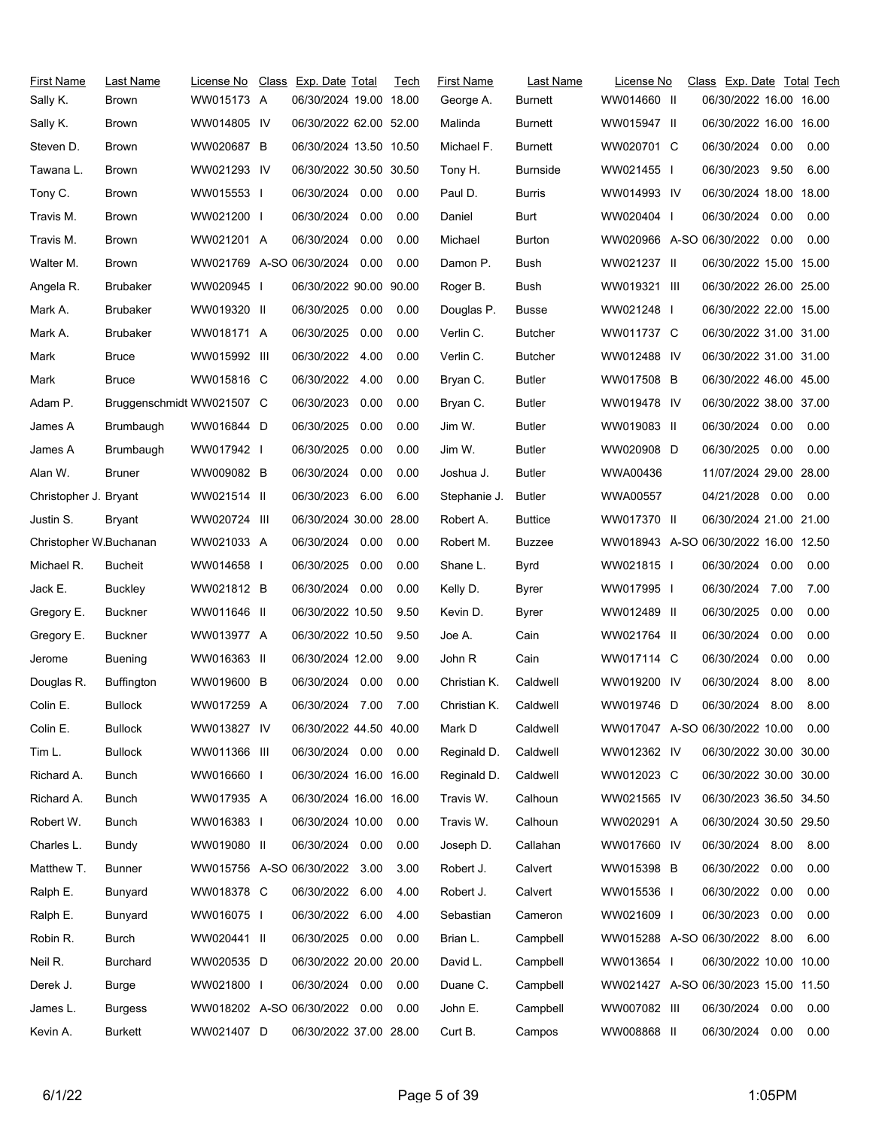| First Name<br>Sally K. | Last Name<br>Brown        | License No<br>WW015173 A | Class Exp. Date Total<br>06/30/2024 19.00 18.00 |      | Tech | <b>First Name</b><br>George A. | Last Name<br><b>Burnett</b> | License No<br>WW014660 II            | Class Exp. Date Total Tech<br>06/30/2022 16.00 16.00 |      |      |
|------------------------|---------------------------|--------------------------|-------------------------------------------------|------|------|--------------------------------|-----------------------------|--------------------------------------|------------------------------------------------------|------|------|
| Sally K.               | Brown                     | WW014805 IV              | 06/30/2022 62.00 52.00                          |      |      | Malinda                        | <b>Burnett</b>              | WW015947 II                          | 06/30/2022 16.00 16.00                               |      |      |
| Steven D.              | Brown                     | WW020687 B               | 06/30/2024 13.50 10.50                          |      |      | Michael F.                     | Burnett                     | WW020701 C                           | 06/30/2024                                           | 0.00 | 0.00 |
| Tawana L.              | Brown                     | WW021293 IV              | 06/30/2022 30.50 30.50                          |      |      | Tony H.                        | <b>Burnside</b>             | WW021455 I                           | 06/30/2023                                           | 9.50 | 6.00 |
| Tony C.                | <b>Brown</b>              | WW015553 I               | 06/30/2024                                      | 0.00 | 0.00 | Paul D.                        | <b>Burris</b>               | WW014993 IV                          | 06/30/2024 18.00 18.00                               |      |      |
| Travis M.              | <b>Brown</b>              | WW021200 I               | 06/30/2024                                      | 0.00 | 0.00 | Daniel                         | Burt                        | WW020404                             | 06/30/2024                                           | 0.00 | 0.00 |
| Travis M.              | <b>Brown</b>              | WW021201 A               | 06/30/2024                                      | 0.00 | 0.00 | Michael                        | <b>Burton</b>               | WW020966 A-SO 06/30/2022 0.00        |                                                      |      | 0.00 |
| Walter M.              | <b>Brown</b>              | WW021769 A-SO 06/30/2024 |                                                 | 0.00 | 0.00 | Damon P.                       | Bush                        | WW021237 II                          | 06/30/2022 15.00 15.00                               |      |      |
| Angela R.              | <b>Brubaker</b>           | WW020945 I               | 06/30/2022 90.00 90.00                          |      |      | Roger B.                       | Bush                        | WW019321 III                         | 06/30/2022 26.00 25.00                               |      |      |
| Mark A.                | <b>Brubaker</b>           | WW019320 II              | 06/30/2025                                      | 0.00 | 0.00 | Douglas P.                     | <b>Busse</b>                | WW021248 I                           | 06/30/2022 22.00 15.00                               |      |      |
| Mark A.                | <b>Brubaker</b>           | WW018171 A               | 06/30/2025                                      | 0.00 | 0.00 | Verlin C.                      | Butcher                     | WW011737 C                           | 06/30/2022 31.00 31.00                               |      |      |
| Mark                   | <b>Bruce</b>              | WW015992 III             | 06/30/2022                                      | 4.00 | 0.00 | Verlin C.                      | <b>Butcher</b>              | WW012488 IV                          | 06/30/2022 31.00 31.00                               |      |      |
| Mark                   | <b>Bruce</b>              | WW015816 C               | 06/30/2022                                      | 4.00 | 0.00 | Bryan C.                       | <b>Butler</b>               | WW017508 B                           | 06/30/2022 46.00 45.00                               |      |      |
| Adam P.                | Bruggenschmidt WW021507 C |                          | 06/30/2023                                      | 0.00 | 0.00 | Bryan C.                       | <b>Butler</b>               | WW019478 IV                          | 06/30/2022 38.00 37.00                               |      |      |
| James A                | Brumbaugh                 | WW016844 D               | 06/30/2025                                      | 0.00 | 0.00 | Jim W.                         | <b>Butler</b>               | WW019083 II                          | 06/30/2024                                           | 0.00 | 0.00 |
| James A                | Brumbaugh                 | WW017942 I               | 06/30/2025                                      | 0.00 | 0.00 | Jim W.                         | <b>Butler</b>               | WW020908 D                           | 06/30/2025                                           | 0.00 | 0.00 |
| Alan W.                | <b>Bruner</b>             | WW009082 B               | 06/30/2024                                      | 0.00 | 0.00 | Joshua J.                      | Butler                      | WWA00436                             | 11/07/2024 29.00 28.00                               |      |      |
| Christopher J. Bryant  |                           | WW021514 II              | 06/30/2023                                      | 6.00 | 6.00 | Stephanie J.                   | Butler                      | <b>WWA00557</b>                      | 04/21/2028 0.00                                      |      | 0.00 |
| Justin S.              | Bryant                    | WW020724 III             | 06/30/2024 30.00 28.00                          |      |      | Robert A.                      | <b>Buttice</b>              | WW017370 II                          | 06/30/2024 21.00 21.00                               |      |      |
| Christopher W.Buchanan |                           | WW021033 A               | 06/30/2024 0.00                                 |      | 0.00 | Robert M.                      | Buzzee                      | WW018943 A-SO 06/30/2022 16.00 12.50 |                                                      |      |      |
| Michael R.             | <b>Bucheit</b>            | WW014658 I               | 06/30/2025                                      | 0.00 | 0.00 | Shane L.                       | Byrd                        | WW021815                             | 06/30/2024                                           | 0.00 | 0.00 |
| Jack E.                | Buckley                   | WW021812 B               | 06/30/2024                                      | 0.00 | 0.00 | Kelly D.                       | Byrer                       | WW017995 I                           | 06/30/2024                                           | 7.00 | 7.00 |
| Gregory E.             | <b>Buckner</b>            | WW011646 II              | 06/30/2022 10.50                                |      | 9.50 | Kevin D.                       | Byrer                       | WW012489 II                          | 06/30/2025                                           | 0.00 | 0.00 |
| Gregory E.             | Buckner                   | WW013977 A               | 06/30/2022 10.50                                |      | 9.50 | Joe A.                         | Cain                        | WW021764 II                          | 06/30/2024                                           | 0.00 | 0.00 |
| Jerome                 | <b>Buening</b>            | WW016363 II              | 06/30/2024 12.00                                |      | 9.00 | John R                         | Cain                        | WW017114 C                           | 06/30/2024                                           | 0.00 | 0.00 |
| Douglas R.             | <b>Buffington</b>         | WW019600 B               | 06/30/2024                                      | 0.00 | 0.00 | Christian K.                   | Caldwell                    | WW019200 IV                          | 06/30/2024                                           | 8.00 | 8.00 |
| Colin E.               | <b>Bullock</b>            | WW017259 A               | 06/30/2024 7.00                                 |      | 7.00 | Christian K.                   | Caldwell                    | WW019746 D                           | 06/30/2024                                           | 8.00 | 8.00 |
| Colin E.               | <b>Bullock</b>            | WW013827 IV              | 06/30/2022 44.50 40.00                          |      |      | Mark D                         | Caldwell                    | WW017047 A-SO 06/30/2022 10.00       |                                                      |      | 0.00 |
| Tim L.                 | <b>Bullock</b>            | WW011366 III             | 06/30/2024 0.00                                 |      | 0.00 | Reginald D.                    | Caldwell                    | WW012362 IV                          | 06/30/2022 30.00 30.00                               |      |      |
| Richard A.             | Bunch                     | WW016660 I               | 06/30/2024 16.00 16.00                          |      |      | Reginald D.                    | Caldwell                    | WW012023 C                           | 06/30/2022 30.00 30.00                               |      |      |
| Richard A.             | Bunch                     | WW017935 A               | 06/30/2024 16.00 16.00                          |      |      | Travis W.                      | Calhoun                     | WW021565 IV                          | 06/30/2023 36.50 34.50                               |      |      |
| Robert W.              | Bunch                     | WW016383 I               | 06/30/2024 10.00                                |      | 0.00 | Travis W.                      | Calhoun                     | WW020291 A                           | 06/30/2024 30.50 29.50                               |      |      |
| Charles L.             | Bundy                     | WW019080 II              | 06/30/2024                                      | 0.00 | 0.00 | Joseph D.                      | Callahan                    | WW017660 IV                          | 06/30/2024 8.00                                      |      | 8.00 |
| Matthew T.             | <b>Bunner</b>             | WW015756 A-SO 06/30/2022 |                                                 | 3.00 | 3.00 | Robert J.                      | Calvert                     | WW015398 B                           | 06/30/2022                                           | 0.00 | 0.00 |
| Ralph E.               | Bunyard                   | WW018378 C               | 06/30/2022                                      | 6.00 | 4.00 | Robert J.                      | Calvert                     | WW015536 I                           | 06/30/2022                                           | 0.00 | 0.00 |
| Ralph E.               | Bunyard                   | WW016075 I               | 06/30/2022                                      | 6.00 | 4.00 | Sebastian                      | Cameron                     | WW021609 I                           | 06/30/2023                                           | 0.00 | 0.00 |
| Robin R.               | Burch                     | WW020441 II              | 06/30/2025                                      | 0.00 | 0.00 | Brian L.                       | Campbell                    | WW015288 A-SO 06/30/2022             |                                                      | 8.00 | 6.00 |
| Neil R.                | Burchard                  | WW020535 D               | 06/30/2022 20.00 20.00                          |      |      | David L.                       | Campbell                    | WW013654 I                           | 06/30/2022 10.00 10.00                               |      |      |
| Derek J.               | <b>Burge</b>              | WW021800 I               | 06/30/2024                                      | 0.00 | 0.00 | Duane C.                       | Campbell                    | WW021427 A-SO 06/30/2023 15.00 11.50 |                                                      |      |      |
| James L.               | <b>Burgess</b>            | WW018202 A-SO 06/30/2022 |                                                 | 0.00 | 0.00 | John E.                        | Campbell                    | WW007082 III                         | 06/30/2024 0.00                                      |      | 0.00 |
| Kevin A.               | <b>Burkett</b>            | WW021407 D               | 06/30/2022 37.00 28.00                          |      |      | Curt B.                        | Campos                      | WW008868 II                          | 06/30/2024                                           | 0.00 | 0.00 |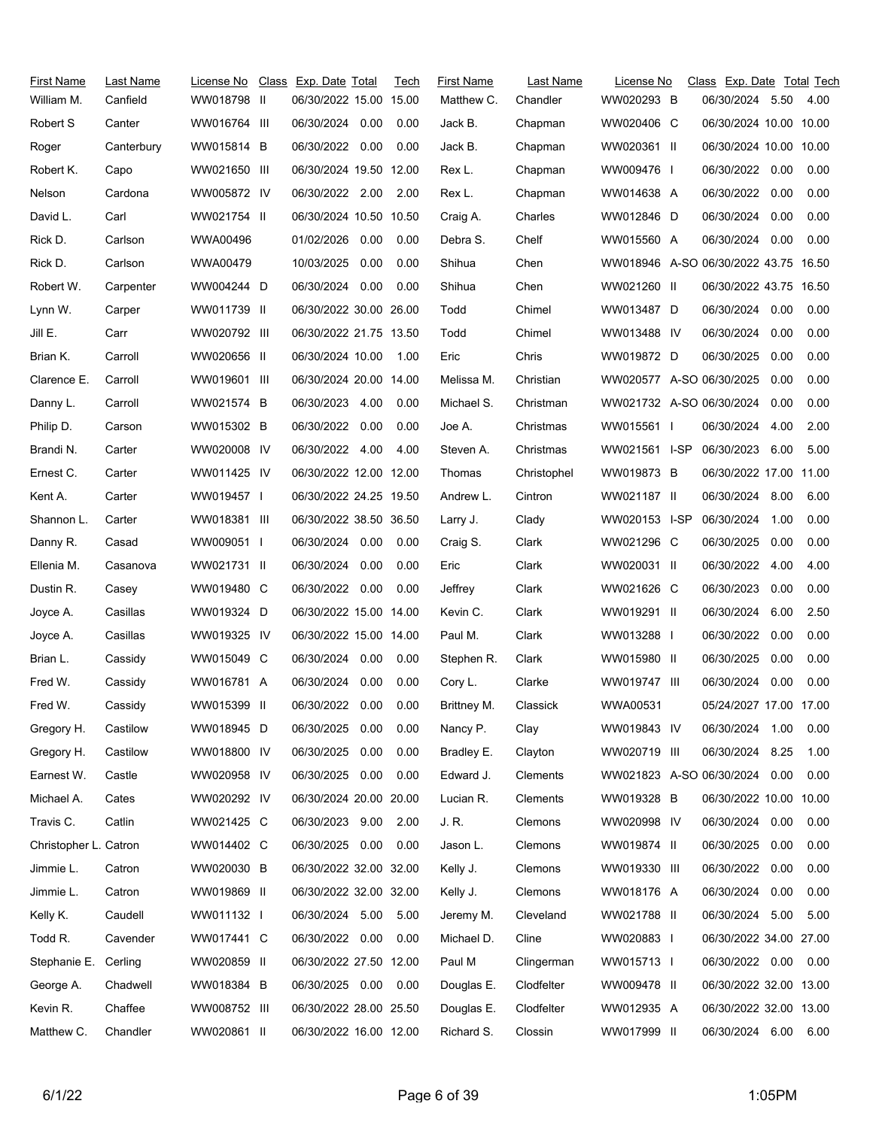| First Name<br>William M. | Last Name<br>Canfield | License No<br>WW018798 II | Class Exp. Date Total<br>06/30/2022 15.00 15.00 |      | Tech | <b>First Name</b><br>Matthew C. | Last Name<br>Chandler | License No<br>WW020293 B             | Class Exp. Date Total Tech<br>06/30/2024 5.50 |      | 4.00 |
|--------------------------|-----------------------|---------------------------|-------------------------------------------------|------|------|---------------------------------|-----------------------|--------------------------------------|-----------------------------------------------|------|------|
| Robert S                 | Canter                | WW016764 III              | 06/30/2024 0.00                                 |      | 0.00 | Jack B.                         | Chapman               | WW020406 C                           | 06/30/2024 10.00 10.00                        |      |      |
| Roger                    | Canterbury            | WW015814 B                | 06/30/2022                                      | 0.00 | 0.00 | Jack B.                         | Chapman               | WW020361 II                          | 06/30/2024 10.00 10.00                        |      |      |
| Robert K.                | Capo                  | WW021650 III              | 06/30/2024 19.50 12.00                          |      |      | Rex L.                          | Chapman               | WW009476 I                           | 06/30/2022 0.00                               |      | 0.00 |
| Nelson                   | Cardona               | WW005872 IV               | 06/30/2022 2.00                                 |      | 2.00 | Rex L.                          | Chapman               | WW014638 A                           | 06/30/2022                                    | 0.00 | 0.00 |
| David L.                 | Carl                  | WW021754 II               | 06/30/2024 10.50 10.50                          |      |      | Craig A.                        | Charles               | WW012846 D                           | 06/30/2024                                    | 0.00 | 0.00 |
| Rick D.                  | Carlson               | WWA00496                  | 01/02/2026 0.00                                 |      | 0.00 | Debra S.                        | Chelf                 | WW015560 A                           | 06/30/2024                                    | 0.00 | 0.00 |
| Rick D.                  | Carlson               | WWA00479                  | 10/03/2025                                      | 0.00 | 0.00 | Shihua                          | Chen                  | WW018946 A-SO 06/30/2022 43.75 16.50 |                                               |      |      |
| Robert W.                | Carpenter             | WW004244 D                | 06/30/2024 0.00                                 |      | 0.00 | Shihua                          | Chen                  | WW021260 II                          | 06/30/2022 43.75 16.50                        |      |      |
| Lynn W.                  | Carper                | WW011739 II               | 06/30/2022 30.00 26.00                          |      |      | Todd                            | Chimel                | WW013487 D                           | 06/30/2024                                    | 0.00 | 0.00 |
| Jill E.                  | Carr                  | WW020792 III              | 06/30/2022 21.75 13.50                          |      |      | Todd                            | Chimel                | WW013488 IV                          | 06/30/2024                                    | 0.00 | 0.00 |
| Brian K.                 | Carroll               | WW020656 II               | 06/30/2024 10.00                                |      | 1.00 | Eric                            | Chris                 | WW019872 D                           | 06/30/2025                                    | 0.00 | 0.00 |
| Clarence E.              | Carroll               | WW019601 III              | 06/30/2024 20.00 14.00                          |      |      | Melissa M.                      | Christian             | WW020577 A-SO 06/30/2025             |                                               | 0.00 | 0.00 |
| Danny L.                 | Carroll               | WW021574 B                | 06/30/2023 4.00                                 |      | 0.00 | Michael S.                      | Christman             | WW021732 A-SO 06/30/2024             |                                               | 0.00 | 0.00 |
| Philip D.                | Carson                | WW015302 B                | 06/30/2022 0.00                                 |      | 0.00 | Joe A.                          | Christmas             | WW015561 I                           | 06/30/2024                                    | 4.00 | 2.00 |
| Brandi N.                | Carter                | WW020008 IV               | 06/30/2022 4.00                                 |      | 4.00 | Steven A.                       | Christmas             | WW021561 I-SP                        | 06/30/2023                                    | 6.00 | 5.00 |
| Ernest C.                | Carter                | WW011425 IV               | 06/30/2022 12.00 12.00                          |      |      | Thomas                          | Christophel           | WW019873 B                           | 06/30/2022 17.00 11.00                        |      |      |
| Kent A.                  | Carter                | WW019457 I                | 06/30/2022 24.25 19.50                          |      |      | Andrew L.                       | Cintron               | WW021187 II                          | 06/30/2024 8.00                               |      | 6.00 |
| Shannon L.               | Carter                | WW018381 III              | 06/30/2022 38.50 36.50                          |      |      | Larry J.                        | Clady                 | WW020153 I-SP                        | 06/30/2024                                    | 1.00 | 0.00 |
| Danny R.                 | Casad                 | WW009051                  | 06/30/2024 0.00                                 |      | 0.00 | Craig S.                        | Clark                 | WW021296 C                           | 06/30/2025                                    | 0.00 | 0.00 |
| Ellenia M.               | Casanova              | WW021731 II               | 06/30/2024                                      | 0.00 | 0.00 | Eric                            | Clark                 | WW020031 II                          | 06/30/2022                                    | 4.00 | 4.00 |
| Dustin R.                | Casey                 | WW019480 C                | 06/30/2022 0.00                                 |      | 0.00 | Jeffrey                         | Clark                 | WW021626 C                           | 06/30/2023                                    | 0.00 | 0.00 |
| Joyce A.                 | Casillas              | WW019324 D                | 06/30/2022 15.00 14.00                          |      |      | Kevin C.                        | Clark                 | WW019291 II                          | 06/30/2024                                    | 6.00 | 2.50 |
| Joyce A.                 | Casillas              | WW019325 IV               | 06/30/2022 15.00 14.00                          |      |      | Paul M.                         | Clark                 | WW013288 I                           | 06/30/2022                                    | 0.00 | 0.00 |
| Brian L.                 | Cassidy               | WW015049 C                | 06/30/2024                                      | 0.00 | 0.00 | Stephen R.                      | Clark                 | WW015980 II                          | 06/30/2025                                    | 0.00 | 0.00 |
| Fred W.                  | Cassidy               | WW016781 A                | 06/30/2024                                      | 0.00 | 0.00 | Cory L.                         | Clarke                | WW019747 III                         | 06/30/2024                                    | 0.00 | 0.00 |
| Fred W.                  | Cassidy               | WW015399 II               | 06/30/2022 0.00                                 |      | 0.00 | Brittney M.                     | Classick              | WWA00531                             | 05/24/2027 17.00 17.00                        |      |      |
| Gregory H.               | Castilow              | WW018945 D                | 06/30/2025                                      | 0.00 | 0.00 | Nancy P.                        | Clay                  | WW019843 IV                          | 06/30/2024 1.00                               |      | 0.00 |
| Gregory H.               | Castilow              | WW018800 IV               | 06/30/2025                                      | 0.00 | 0.00 | Bradley E.                      | Clayton               | WW020719 III                         | 06/30/2024                                    | 8.25 | 1.00 |
| Earnest W.               | Castle                | WW020958 IV               | 06/30/2025                                      | 0.00 | 0.00 | Edward J.                       | Clements              | WW021823 A-SO 06/30/2024             |                                               | 0.00 | 0.00 |
| Michael A.               | Cates                 | WW020292 IV               | 06/30/2024 20.00 20.00                          |      |      | Lucian R.                       | Clements              | WW019328 B                           | 06/30/2022 10.00 10.00                        |      |      |
| Travis C.                | Catlin                | WW021425 C                | 06/30/2023                                      | 9.00 | 2.00 | J. R.                           | Clemons               | WW020998 IV                          | 06/30/2024                                    | 0.00 | 0.00 |
| Christopher L. Catron    |                       | WW014402 C                | 06/30/2025 0.00                                 |      | 0.00 | Jason L.                        | Clemons               | WW019874 II                          | 06/30/2025                                    | 0.00 | 0.00 |
| Jimmie L.                | Catron                | WW020030 B                | 06/30/2022 32.00 32.00                          |      |      | Kelly J.                        | Clemons               | WW019330 III                         | 06/30/2022                                    | 0.00 | 0.00 |
| Jimmie L.                | Catron                | WW019869 II               | 06/30/2022 32.00 32.00                          |      |      | Kelly J.                        | Clemons               | WW018176 A                           | 06/30/2024                                    | 0.00 | 0.00 |
| Kelly K.                 | Caudell               | WW011132 I                | 06/30/2024 5.00                                 |      | 5.00 | Jeremy M.                       | Cleveland             | WW021788 II                          | 06/30/2024                                    | 5.00 | 5.00 |
| Todd R.                  | Cavender              | WW017441 C                | 06/30/2022 0.00                                 |      | 0.00 | Michael D.                      | Cline                 | WW020883 I                           | 06/30/2022 34.00 27.00                        |      |      |
| Stephanie E. Cerling     |                       | WW020859 II               | 06/30/2022 27.50 12.00                          |      |      | Paul M                          | Clingerman            | WW015713 I                           | 06/30/2022 0.00                               |      | 0.00 |
| George A.                | Chadwell              | WW018384 B                | 06/30/2025 0.00                                 |      | 0.00 | Douglas E.                      | Clodfelter            | WW009478 II                          | 06/30/2022 32.00 13.00                        |      |      |
| Kevin R.                 | Chaffee               | WW008752 III              | 06/30/2022 28.00 25.50                          |      |      | Douglas E.                      | Clodfelter            | WW012935 A                           | 06/30/2022 32.00 13.00                        |      |      |
| Matthew C.               | Chandler              | WW020861 II               | 06/30/2022 16.00 12.00                          |      |      | Richard S.                      | Clossin               | WW017999 II                          | 06/30/2024 6.00                               |      | 6.00 |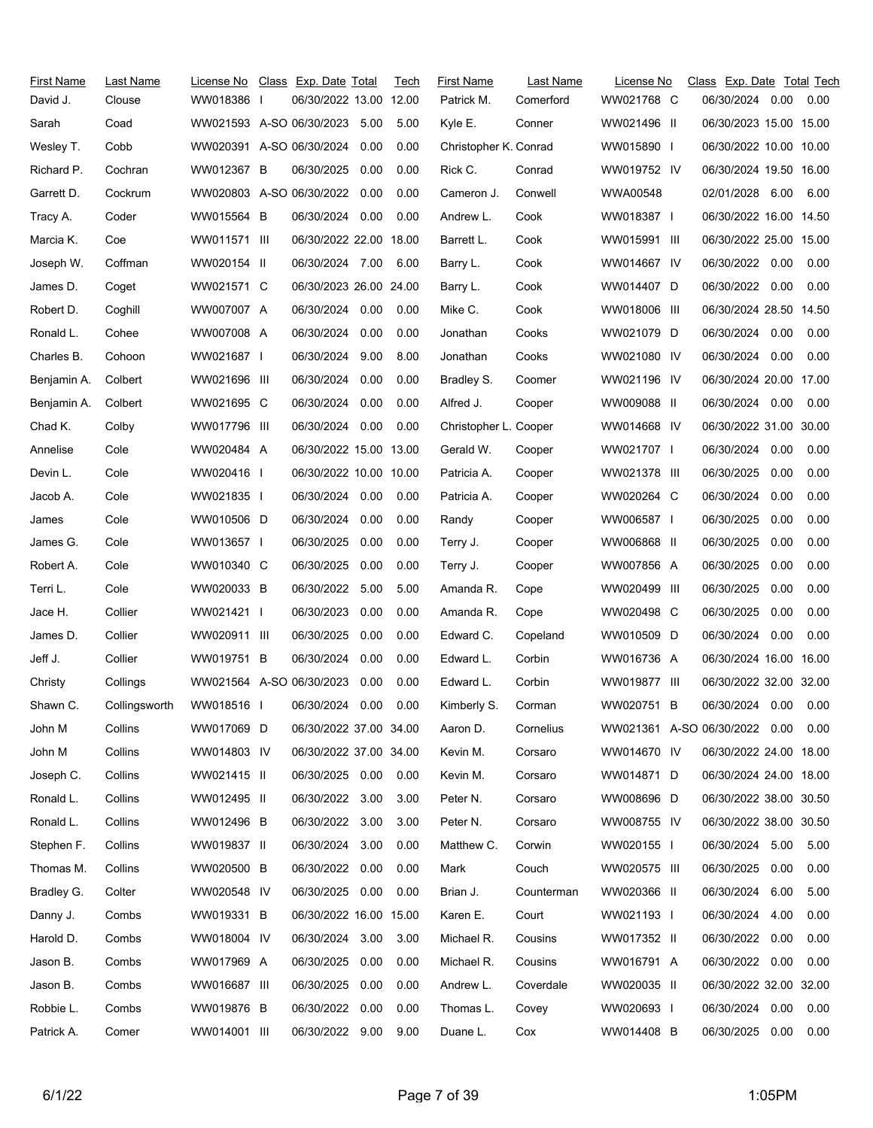| First Name<br>David J. | Last Name<br>Clouse | License No<br>WW018386   | Class Exp. Date Total<br>06/30/2022 13.00 12.00 |      | Tech | <b>First Name</b><br>Patrick M. | Last Name<br>Comerford | License No<br>WW021768 C | Class Exp. Date Total Tech<br>06/30/2024 0.00 |      | 0.00 |
|------------------------|---------------------|--------------------------|-------------------------------------------------|------|------|---------------------------------|------------------------|--------------------------|-----------------------------------------------|------|------|
| Sarah                  | Coad                | WW021593 A-SO 06/30/2023 |                                                 | 5.00 | 5.00 | Kyle E.                         | Conner                 | WW021496 II              | 06/30/2023 15.00 15.00                        |      |      |
| Wesley T.              | Cobb                | WW020391 A-SO 06/30/2024 |                                                 | 0.00 | 0.00 | Christopher K. Conrad           |                        | WW015890 I               | 06/30/2022 10.00 10.00                        |      |      |
| Richard P.             | Cochran             | WW012367 B               | 06/30/2025                                      | 0.00 | 0.00 | Rick C.                         | Conrad                 | WW019752 IV              | 06/30/2024 19.50 16.00                        |      |      |
| Garrett D.             | Cockrum             | WW020803 A-SO 06/30/2022 |                                                 | 0.00 | 0.00 | Cameron J.                      | Conwell                | WWA00548                 | 02/01/2028 6.00                               |      | 6.00 |
| Tracy A.               | Coder               | WW015564 B               | 06/30/2024                                      | 0.00 | 0.00 | Andrew L.                       | Cook                   | WW018387 I               | 06/30/2022 16.00 14.50                        |      |      |
| Marcia K.              | Coe                 | WW011571 III             | 06/30/2022 22.00 18.00                          |      |      | Barrett L.                      | Cook                   | WW015991 III             | 06/30/2022 25.00 15.00                        |      |      |
| Joseph W.              | Coffman             | WW020154 II              | 06/30/2024 7.00                                 |      | 6.00 | Barry L.                        | Cook                   | WW014667 IV              | 06/30/2022 0.00                               |      | 0.00 |
| James D.               | Coget               | WW021571 C               | 06/30/2023 26.00 24.00                          |      |      | Barry L.                        | Cook                   | WW014407 D               | 06/30/2022 0.00                               |      | 0.00 |
| Robert D.              | Coghill             | WW007007 A               | 06/30/2024 0.00                                 |      | 0.00 | Mike C.                         | Cook                   | WW018006 III             | 06/30/2024 28.50 14.50                        |      |      |
| Ronald L.              | Cohee               | WW007008 A               | 06/30/2024                                      | 0.00 | 0.00 | Jonathan                        | Cooks                  | WW021079 D               | 06/30/2024 0.00                               |      | 0.00 |
| Charles B.             | Cohoon              | WW021687 I               | 06/30/2024                                      | 9.00 | 8.00 | Jonathan                        | Cooks                  | WW021080 IV              | 06/30/2024                                    | 0.00 | 0.00 |
| Benjamin A.            | Colbert             | WW021696 III             | 06/30/2024                                      | 0.00 | 0.00 | Bradley S.                      | Coomer                 | WW021196 IV              | 06/30/2024 20.00 17.00                        |      |      |
| Benjamin A.            | Colbert             | WW021695 C               | 06/30/2024                                      | 0.00 | 0.00 | Alfred J.                       | Cooper                 | WW009088 II              | 06/30/2024 0.00                               |      | 0.00 |
| Chad K.                | Colby               | WW017796 III             | 06/30/2024 0.00                                 |      | 0.00 | Christopher L. Cooper           |                        | WW014668 IV              | 06/30/2022 31.00 30.00                        |      |      |
| Annelise               | Cole                | WW020484 A               | 06/30/2022 15.00 13.00                          |      |      | Gerald W.                       | Cooper                 | WW021707 I               | 06/30/2024 0.00                               |      | 0.00 |
| Devin L.               | Cole                | WW020416 I               | 06/30/2022 10.00 10.00                          |      |      | Patricia A.                     | Cooper                 | WW021378 III             | 06/30/2025                                    | 0.00 | 0.00 |
| Jacob A.               | Cole                | WW021835 I               | 06/30/2024 0.00                                 |      | 0.00 | Patricia A.                     | Cooper                 | WW020264 C               | 06/30/2024                                    | 0.00 | 0.00 |
| James                  | Cole                | WW010506 D               | 06/30/2024                                      | 0.00 | 0.00 | Randy                           | Cooper                 | WW006587 I               | 06/30/2025                                    | 0.00 | 0.00 |
| James G.               | Cole                | WW013657 I               | 06/30/2025                                      | 0.00 | 0.00 | Terry J.                        | Cooper                 | WW006868 II              | 06/30/2025                                    | 0.00 | 0.00 |
| Robert A.              | Cole                | WW010340 C               | 06/30/2025                                      | 0.00 | 0.00 | Terry J.                        | Cooper                 | WW007856 A               | 06/30/2025                                    | 0.00 | 0.00 |
| Terri L.               | Cole                | WW020033 B               | 06/30/2022                                      | 5.00 | 5.00 | Amanda R.                       | Cope                   | WW020499 III             | 06/30/2025                                    | 0.00 | 0.00 |
| Jace H.                | Collier             | WW021421 I               | 06/30/2023                                      | 0.00 | 0.00 | Amanda R.                       | Cope                   | WW020498 C               | 06/30/2025                                    | 0.00 | 0.00 |
| James D.               | Collier             | WW020911 III             | 06/30/2025                                      | 0.00 | 0.00 | Edward C.                       | Copeland               | WW010509 D               | 06/30/2024                                    | 0.00 | 0.00 |
| Jeff J.                | Collier             | WW019751 B               | 06/30/2024                                      | 0.00 | 0.00 | Edward L.                       | Corbin                 | WW016736 A               | 06/30/2024 16.00 16.00                        |      |      |
| Christy                | Collings            | WW021564 A-SO 06/30/2023 |                                                 | 0.00 | 0.00 | Edward L.                       | Corbin                 | WW019877 III             | 06/30/2022 32.00 32.00                        |      |      |
| Shawn C.               | Collingsworth       | WW018516                 | 06/30/2024 0.00                                 |      | 0.00 | Kimberly S.                     | Corman                 | WW020751 B               | 06/30/2024  0.00  0.00                        |      |      |
| John M                 | Collins             | WW017069 D               | 06/30/2022 37.00 34.00                          |      |      | Aaron D.                        | Cornelius              |                          | WW021361 A-SO 06/30/2022 0.00                 |      | 0.00 |
| John M                 | Collins             | WW014803 IV              | 06/30/2022 37.00 34.00                          |      |      | Kevin M.                        | Corsaro                | WW014670 IV              | 06/30/2022 24.00 18.00                        |      |      |
| Joseph C.              | Collins             | WW021415 II              | 06/30/2025 0.00                                 |      | 0.00 | Kevin M.                        | Corsaro                | WW014871 D               | 06/30/2024 24.00 18.00                        |      |      |
| Ronald L.              | Collins             | WW012495 II              | 06/30/2022 3.00                                 |      | 3.00 | Peter N.                        | Corsaro                | WW008696 D               | 06/30/2022 38.00 30.50                        |      |      |
| Ronald L.              | Collins             | WW012496 B               | 06/30/2022                                      | 3.00 | 3.00 | Peter N.                        | Corsaro                | WW008755 IV              | 06/30/2022 38.00 30.50                        |      |      |
| Stephen F.             | Collins             | WW019837 II              | 06/30/2024                                      | 3.00 | 0.00 | Matthew C.                      | Corwin                 | WW020155 I               | 06/30/2024 5.00                               |      | 5.00 |
| Thomas M.              | Collins             | WW020500 B               | 06/30/2022                                      | 0.00 | 0.00 | Mark                            | Couch                  | WW020575 III             | 06/30/2025                                    | 0.00 | 0.00 |
| Bradley G.             | Colter              | WW020548 IV              | 06/30/2025                                      | 0.00 | 0.00 | Brian J.                        | Counterman             | WW020366 II              | 06/30/2024                                    | 6.00 | 5.00 |
| Danny J.               | Combs               | WW019331 B               | 06/30/2022 16.00 15.00                          |      |      | Karen E.                        | Court                  | WW021193 I               | 06/30/2024                                    | 4.00 | 0.00 |
| Harold D.              | Combs               | WW018004 IV              | 06/30/2024                                      | 3.00 | 3.00 | Michael R.                      | Cousins                | WW017352 II              | 06/30/2022                                    | 0.00 | 0.00 |
| Jason B.               | Combs               | WW017969 A               | 06/30/2025                                      | 0.00 | 0.00 | Michael R.                      | Cousins                | WW016791 A               | 06/30/2022 0.00                               |      | 0.00 |
| Jason B.               | Combs               | WW016687 III             | 06/30/2025                                      | 0.00 | 0.00 | Andrew L.                       | Coverdale              | WW020035 II              | 06/30/2022 32.00 32.00                        |      |      |
| Robbie L.              | Combs               | WW019876 B               | 06/30/2022                                      | 0.00 | 0.00 | Thomas L.                       | Covey                  | WW020693 I               | 06/30/2024 0.00                               |      | 0.00 |
| Patrick A.             | Comer               | WW014001 III             | 06/30/2022 9.00                                 |      | 9.00 | Duane L.                        | Cox                    | WW014408 B               | 06/30/2025 0.00                               |      | 0.00 |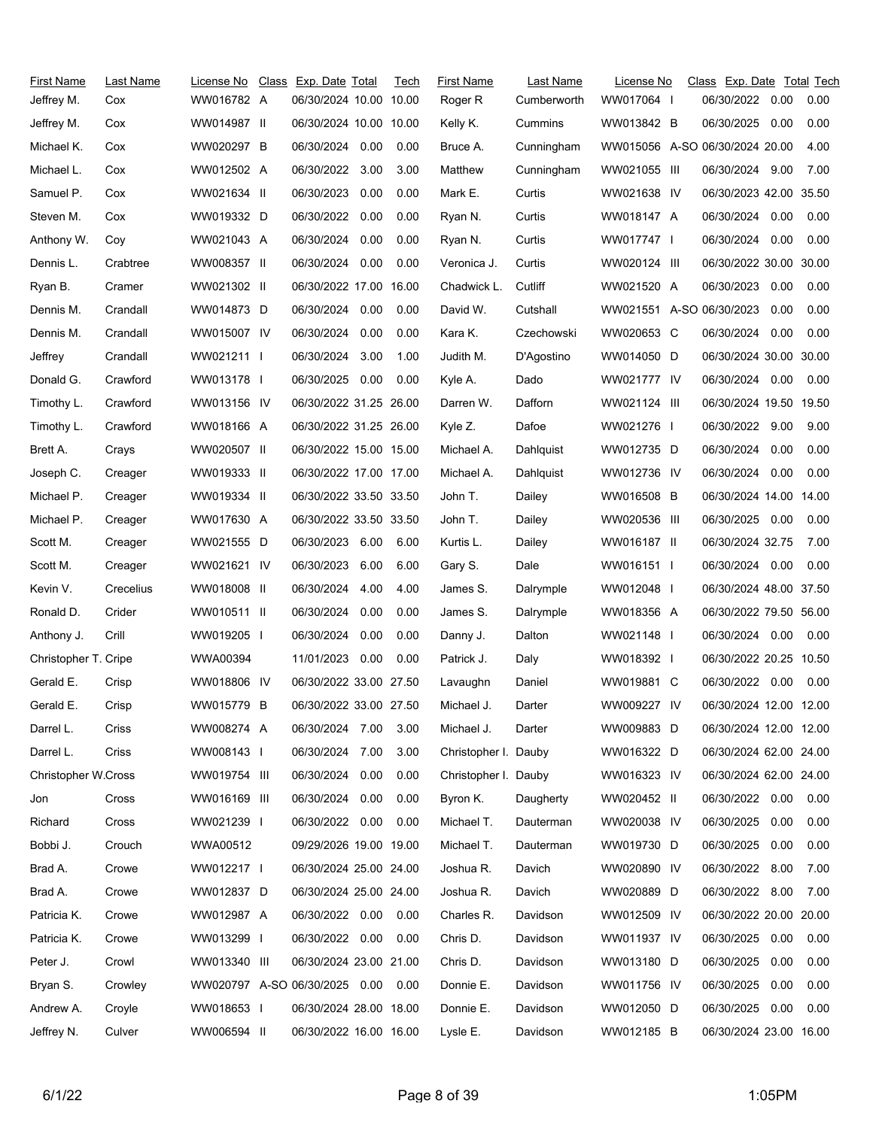| First Name           | Last Name | License No   | Class Exp. Date Total         |      | Tech | <b>First Name</b>    | Last Name   | License No               | Class Exp. Date Total Tech     |      |      |
|----------------------|-----------|--------------|-------------------------------|------|------|----------------------|-------------|--------------------------|--------------------------------|------|------|
| Jeffrey M.           | Cox       | WW016782 A   | 06/30/2024 10.00 10.00        |      |      | Roger R              | Cumberworth | WW017064                 | 06/30/2022                     | 0.00 | 0.00 |
| Jeffrey M.           | Cox       | WW014987 II  | 06/30/2024 10.00 10.00        |      |      | Kelly K.             | Cummins     | WW013842 B               | 06/30/2025                     | 0.00 | 0.00 |
| Michael K.           | Cox       | WW020297 B   | 06/30/2024                    | 0.00 | 0.00 | Bruce A.             | Cunningham  |                          | WW015056 A-SO 06/30/2024 20.00 |      | 4.00 |
| Michael L.           | Cox       | WW012502 A   | 06/30/2022 3.00               |      | 3.00 | Matthew              | Cunningham  | WW021055 III             | 06/30/2024 9.00                |      | 7.00 |
| Samuel P.            | Cox       | WW021634 II  | 06/30/2023                    | 0.00 | 0.00 | Mark E.              | Curtis      | WW021638 IV              | 06/30/2023 42.00 35.50         |      |      |
| Steven M.            | Cox       | WW019332 D   | 06/30/2022                    | 0.00 | 0.00 | Ryan N.              | Curtis      | WW018147 A               | 06/30/2024                     | 0.00 | 0.00 |
| Anthony W.           | Coy       | WW021043 A   | 06/30/2024                    | 0.00 | 0.00 | Ryan N.              | Curtis      | WW017747 I               | 06/30/2024                     | 0.00 | 0.00 |
| Dennis L.            | Crabtree  | WW008357 II  | 06/30/2024                    | 0.00 | 0.00 | Veronica J.          | Curtis      | WW020124 III             | 06/30/2022 30.00 30.00         |      |      |
| Ryan B.              | Cramer    | WW021302 II  | 06/30/2022 17.00 16.00        |      |      | Chadwick L.          | Cutliff     | WW021520 A               | 06/30/2023                     | 0.00 | 0.00 |
| Dennis M.            | Crandall  | WW014873 D   | 06/30/2024 0.00               |      | 0.00 | David W.             | Cutshall    | WW021551 A-SO 06/30/2023 |                                | 0.00 | 0.00 |
| Dennis M.            | Crandall  | WW015007 IV  | 06/30/2024                    | 0.00 | 0.00 | Kara K.              | Czechowski  | WW020653 C               | 06/30/2024                     | 0.00 | 0.00 |
| Jeffrey              | Crandall  | WW021211     | 06/30/2024                    | 3.00 | 1.00 | Judith M.            | D'Agostino  | WW014050 D               | 06/30/2024 30.00 30.00         |      |      |
| Donald G.            | Crawford  | WW013178 I   | 06/30/2025 0.00               |      | 0.00 | Kyle A.              | Dado        | WW021777 IV              | 06/30/2024 0.00                |      | 0.00 |
| Timothy L.           | Crawford  | WW013156 IV  | 06/30/2022 31.25 26.00        |      |      | Darren W.            | Dafforn     | WW021124 III             | 06/30/2024 19.50 19.50         |      |      |
| Timothy L.           | Crawford  | WW018166 A   | 06/30/2022 31.25 26.00        |      |      | Kyle Z.              | Dafoe       | WW021276 I               | 06/30/2022 9.00                |      | 9.00 |
| Brett A.             | Crays     | WW020507 II  | 06/30/2022 15.00 15.00        |      |      | Michael A.           | Dahlquist   | WW012735 D               | 06/30/2024                     | 0.00 | 0.00 |
| Joseph C.            | Creager   | WW019333 II  | 06/30/2022 17.00 17.00        |      |      | Michael A.           | Dahlquist   | WW012736 IV              | 06/30/2024                     | 0.00 | 0.00 |
| Michael P.           | Creager   | WW019334 II  | 06/30/2022 33.50 33.50        |      |      | John T.              | Dailey      | WW016508 B               | 06/30/2024 14.00 14.00         |      |      |
| Michael P.           | Creager   | WW017630 A   | 06/30/2022 33.50 33.50        |      |      | John T.              | Dailey      | WW020536 III             | 06/30/2025                     | 0.00 | 0.00 |
| Scott M.             | Creager   | WW021555 D   | 06/30/2023 6.00               |      | 6.00 | Kurtis L.            | Dailey      | WW016187 II              | 06/30/2024 32.75               |      | 7.00 |
| Scott M.             | Creager   | WW021621 IV  | 06/30/2023                    | 6.00 | 6.00 | Gary S.              | Dale        | WW016151                 | 06/30/2024 0.00                |      | 0.00 |
| Kevin V.             | Crecelius | WW018008 II  | 06/30/2024                    | 4.00 | 4.00 | James S.             | Dalrymple   | WW012048 I               | 06/30/2024 48.00 37.50         |      |      |
| Ronald D.            | Crider    | WW010511 II  | 06/30/2024                    | 0.00 | 0.00 | James S.             | Dalrymple   | WW018356 A               | 06/30/2022 79.50 56.00         |      |      |
| Anthony J.           | Crill     | WW019205 I   | 06/30/2024                    | 0.00 | 0.00 | Danny J.             | Dalton      | WW021148                 | 06/30/2024 0.00                |      | 0.00 |
| Christopher T. Cripe |           | WWA00394     | 11/01/2023                    | 0.00 | 0.00 | Patrick J.           | Daly        | WW018392 I               | 06/30/2022 20.25 10.50         |      |      |
| Gerald E.            | Crisp     | WW018806 IV  | 06/30/2022 33.00 27.50        |      |      | Lavaughn             | Daniel      | WW019881 C               | 06/30/2022 0.00                |      | 0.00 |
| Gerald E.            | Crisp     | WW015779 B   | 06/30/2022 33.00 27.50        |      |      | Michael J.           | Darter      | WW009227 IV              | 06/30/2024 12.00 12.00         |      |      |
| Darrel L.            | Criss     | WW008274 A   | 06/30/2024 7.00               |      | 3.00 | Michael J.           | Darter      | WW009883 D               | 06/30/2024 12.00 12.00         |      |      |
| Darrel L.            | Criss     | WW008143     | 06/30/2024 7.00               |      | 3.00 | Christopher I. Dauby |             | WW016322 D               | 06/30/2024 62.00 24.00         |      |      |
| Christopher W.Cross  |           | WW019754 III | 06/30/2024                    | 0.00 | 0.00 | Christopher I. Dauby |             | WW016323 IV              | 06/30/2024 62.00 24.00         |      |      |
| Jon                  | Cross     | WW016169 III | 06/30/2024 0.00               |      | 0.00 | Byron K.             | Daugherty   | WW020452 II              | 06/30/2022 0.00                |      | 0.00 |
| Richard              | Cross     | WW021239 I   | 06/30/2022 0.00               |      | 0.00 | Michael T.           | Dauterman   | WW020038 IV              | 06/30/2025                     | 0.00 | 0.00 |
| Bobbi J.             | Crouch    | WWA00512     | 09/29/2026 19.00 19.00        |      |      | Michael T.           | Dauterman   | WW019730 D               | 06/30/2025                     | 0.00 | 0.00 |
| Brad A.              | Crowe     | WW012217     | 06/30/2024 25.00 24.00        |      |      | Joshua R.            | Davich      | WW020890 IV              | 06/30/2022                     | 8.00 | 7.00 |
| Brad A.              | Crowe     | WW012837 D   | 06/30/2024 25.00 24.00        |      |      | Joshua R.            | Davich      | WW020889 D               | 06/30/2022 8.00                |      | 7.00 |
| Patricia K.          | Crowe     | WW012987 A   | 06/30/2022 0.00               |      | 0.00 | Charles R.           | Davidson    | WW012509 IV              | 06/30/2022 20.00 20.00         |      |      |
| Patricia K.          | Crowe     | WW013299 I   | 06/30/2022 0.00               |      | 0.00 | Chris D.             | Davidson    | WW011937 IV              | 06/30/2025                     | 0.00 | 0.00 |
| Peter J.             | Crowl     | WW013340 III | 06/30/2024 23.00 21.00        |      |      | Chris D.             | Davidson    | WW013180 D               | 06/30/2025                     | 0.00 | 0.00 |
| Bryan S.             | Crowley   |              | WW020797 A-SO 06/30/2025 0.00 |      | 0.00 | Donnie E.            | Davidson    | WW011756 IV              | 06/30/2025                     | 0.00 | 0.00 |
| Andrew A.            | Croyle    | WW018653 I   | 06/30/2024 28.00 18.00        |      |      | Donnie E.            | Davidson    | WW012050 D               | 06/30/2025                     | 0.00 | 0.00 |
| Jeffrey N.           | Culver    | WW006594 II  | 06/30/2022 16.00 16.00        |      |      | Lysle E.             | Davidson    | WW012185 B               | 06/30/2024 23.00 16.00         |      |      |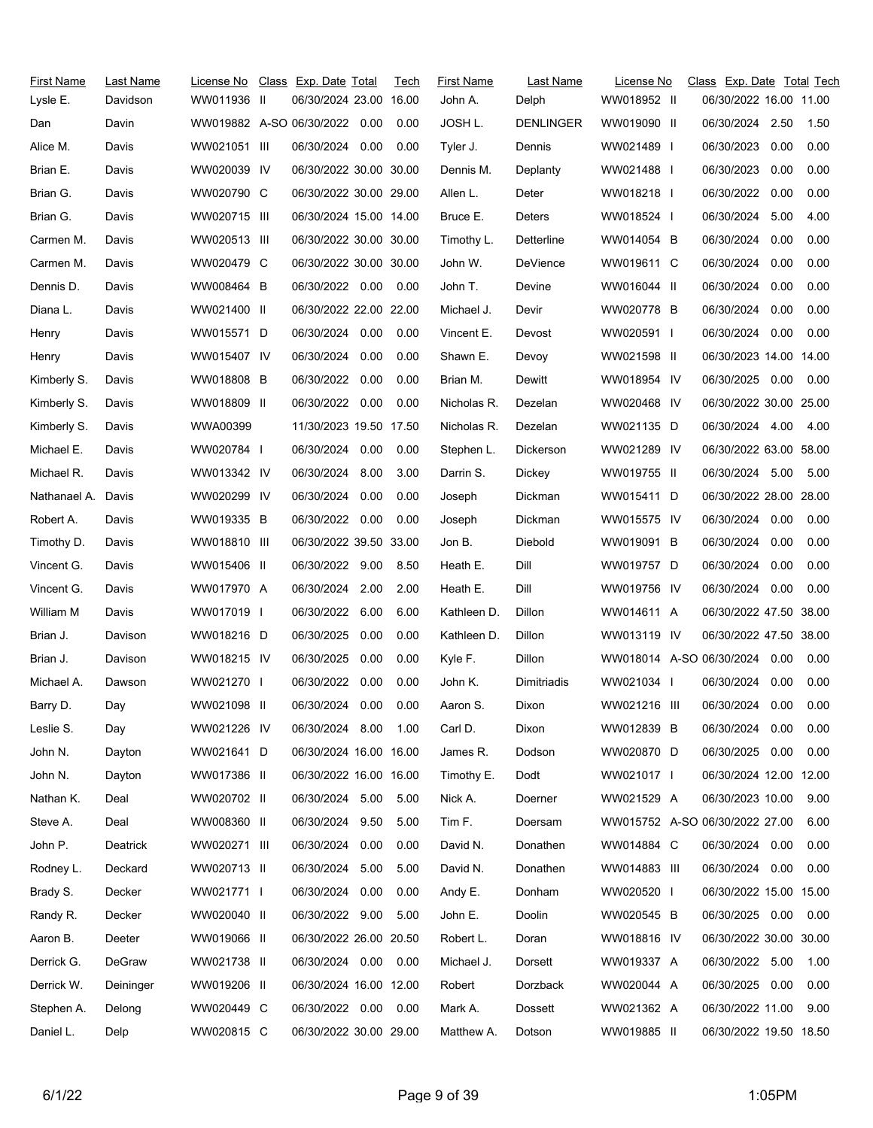| First Name         | Last Name | License No   | Class Exp. Date Total         |      | Tech | <b>First Name</b> | Last Name   | License No                     | Class Exp. Date Total Tech |      |       |
|--------------------|-----------|--------------|-------------------------------|------|------|-------------------|-------------|--------------------------------|----------------------------|------|-------|
| Lysle E.           | Davidson  | WW011936 II  | 06/30/2024 23.00 16.00        |      |      | John A.           | Delph       | WW018952 II                    | 06/30/2022 16.00 11.00     |      |       |
| Dan                | Davin     |              | WW019882 A-SO 06/30/2022 0.00 |      | 0.00 | JOSH L.           | DENLINGER   | WW019090 II                    | 06/30/2024 2.50            |      | 1.50  |
| Alice M.           | Davis     | WW021051 III | 06/30/2024                    | 0.00 | 0.00 | Tyler J.          | Dennis      | WW021489 I                     | 06/30/2023                 | 0.00 | 0.00  |
| Brian E.           | Davis     | WW020039 IV  | 06/30/2022 30.00 30.00        |      |      | Dennis M.         | Deplanty    | WW021488                       | 06/30/2023                 | 0.00 | 0.00  |
| Brian G.           | Davis     | WW020790 C   | 06/30/2022 30.00 29.00        |      |      | Allen L.          | Deter       | WW018218 I                     | 06/30/2022                 | 0.00 | 0.00  |
| Brian G.           | Davis     | WW020715 III | 06/30/2024 15.00 14.00        |      |      | Bruce E.          | Deters      | WW018524 I                     | 06/30/2024                 | 5.00 | 4.00  |
| Carmen M.          | Davis     | WW020513 III | 06/30/2022 30.00 30.00        |      |      | Timothy L.        | Detterline  | WW014054 B                     | 06/30/2024                 | 0.00 | 0.00  |
| Carmen M.          | Davis     | WW020479 C   | 06/30/2022 30.00 30.00        |      |      | John W.           | DeVience    | WW019611 C                     | 06/30/2024                 | 0.00 | 0.00  |
| Dennis D.          | Davis     | WW008464 B   | 06/30/2022 0.00               |      | 0.00 | John T.           | Devine      | WW016044 II                    | 06/30/2024                 | 0.00 | 0.00  |
| Diana L.           | Davis     | WW021400 II  | 06/30/2022 22.00 22.00        |      |      | Michael J.        | Devir       | WW020778 B                     | 06/30/2024                 | 0.00 | 0.00  |
| Henry              | Davis     | WW015571 D   | 06/30/2024 0.00               |      | 0.00 | Vincent E.        | Devost      | WW020591 I                     | 06/30/2024                 | 0.00 | 0.00  |
| Henry              | Davis     | WW015407 IV  | 06/30/2024                    | 0.00 | 0.00 | Shawn E.          | Devoy       | WW021598 II                    | 06/30/2023 14.00 14.00     |      |       |
| Kimberly S.        | Davis     | WW018808 B   | 06/30/2022 0.00               |      | 0.00 | Brian M.          | Dewitt      | WW018954 IV                    | 06/30/2025 0.00            |      | 0.00  |
| Kimberly S.        | Davis     | WW018809 II  | 06/30/2022                    | 0.00 | 0.00 | Nicholas R.       | Dezelan     | WW020468 IV                    | 06/30/2022 30.00 25.00     |      |       |
| Kimberly S.        | Davis     | WWA00399     | 11/30/2023 19.50 17.50        |      |      | Nicholas R.       | Dezelan     | WW021135 D                     | 06/30/2024 4.00 4.00       |      |       |
| Michael E.         | Davis     | WW020784     | 06/30/2024                    | 0.00 | 0.00 | Stephen L.        | Dickerson   | WW021289 IV                    | 06/30/2022 63.00 58.00     |      |       |
| Michael R.         | Davis     | WW013342 IV  | 06/30/2024 8.00               |      | 3.00 | Darrin S.         | Dickey      | WW019755 II                    | 06/30/2024 5.00            |      | -5.00 |
| Nathanael A. Davis |           | WW020299 IV  | 06/30/2024 0.00               |      | 0.00 | Joseph            | Dickman     | WW015411 D                     | 06/30/2022 28.00 28.00     |      |       |
| Robert A.          | Davis     | WW019335 B   | 06/30/2022 0.00               |      | 0.00 | Joseph            | Dickman     | WW015575 IV                    | 06/30/2024 0.00            |      | 0.00  |
| Timothy D.         | Davis     | WW018810 III | 06/30/2022 39.50 33.00        |      |      | Jon B.            | Diebold     | WW019091 B                     | 06/30/2024                 | 0.00 | 0.00  |
| Vincent G.         | Davis     | WW015406 II  | 06/30/2022 9.00               |      | 8.50 | Heath E.          | Dill        | WW019757 D                     | 06/30/2024                 | 0.00 | 0.00  |
| Vincent G.         | Davis     | WW017970 A   | 06/30/2024                    | 2.00 | 2.00 | Heath E.          | Dill        | WW019756 IV                    | 06/30/2024 0.00            |      | 0.00  |
| William M          | Davis     | WW017019 I   | 06/30/2022                    | 6.00 | 6.00 | Kathleen D.       | Dillon      | WW014611 A                     | 06/30/2022 47.50 38.00     |      |       |
| Brian J.           | Davison   | WW018216 D   | 06/30/2025                    | 0.00 | 0.00 | Kathleen D.       | Dillon      | WW013119 IV                    | 06/30/2022 47.50 38.00     |      |       |
| Brian J.           | Davison   | WW018215 IV  | 06/30/2025                    | 0.00 | 0.00 | Kyle F.           | Dillon      | WW018014 A-SO 06/30/2024       |                            | 0.00 | 0.00  |
| Michael A.         | Dawson    | WW021270 I   | 06/30/2022                    | 0.00 | 0.00 | John K.           | Dimitriadis | WW021034                       | 06/30/2024                 | 0.00 | 0.00  |
| Barry D.           | Day       | WW021098 II  | 06/30/2024 0.00               |      | 0.00 | Aaron S.          | Dixon       | WW021216 III                   | 06/30/2024                 | 0.00 | 0.00  |
| Leslie S.          | Day       | WW021226 IV  | 06/30/2024 8.00               |      | 1.00 | Carl D.           | Dixon       | WW012839 B                     | 06/30/2024 0.00            |      | 0.00  |
| John N.            | Dayton    | WW021641 D   | 06/30/2024 16.00 16.00        |      |      | James R.          | Dodson      | WW020870 D                     | 06/30/2025 0.00            |      | 0.00  |
| John N.            | Dayton    | WW017386 II  | 06/30/2022 16.00 16.00        |      |      | Timothy E.        | Dodt        | WW021017 I                     | 06/30/2024 12.00 12.00     |      |       |
| Nathan K.          | Deal      | WW020702 II  | 06/30/2024 5.00               |      | 5.00 | Nick A.           | Doerner     | WW021529 A                     | 06/30/2023 10.00           |      | 9.00  |
| Steve A.           | Deal      | WW008360 II  | 06/30/2024                    | 9.50 | 5.00 | Tim F.            | Doersam     | WW015752 A-SO 06/30/2022 27.00 |                            |      | 6.00  |
| John P.            | Deatrick  | WW020271 III | 06/30/2024 0.00               |      | 0.00 | David N.          | Donathen    | WW014884 C                     | 06/30/2024 0.00            |      | 0.00  |
| Rodney L.          | Deckard   | WW020713 II  | 06/30/2024                    | 5.00 | 5.00 | David N.          | Donathen    | WW014883 III                   | 06/30/2024 0.00            |      | 0.00  |
| Brady S.           | Decker    | WW021771     | 06/30/2024                    | 0.00 | 0.00 | Andy E.           | Donham      | WW020520 I                     | 06/30/2022 15.00 15.00     |      |       |
| Randy R.           | Decker    | WW020040 II  | 06/30/2022 9.00               |      | 5.00 | John E.           | Doolin      | WW020545 B                     | 06/30/2025 0.00            |      | 0.00  |
| Aaron B.           | Deeter    | WW019066 II  | 06/30/2022 26.00 20.50        |      |      | Robert L.         | Doran       | WW018816 IV                    | 06/30/2022 30.00 30.00     |      |       |
| Derrick G.         | DeGraw    | WW021738 II  | 06/30/2024 0.00               |      | 0.00 | Michael J.        | Dorsett     | WW019337 A                     | 06/30/2022 5.00            |      | 1.00  |
| Derrick W.         | Deininger | WW019206 II  | 06/30/2024 16.00 12.00        |      |      | Robert            | Dorzback    | WW020044 A                     | 06/30/2025                 | 0.00 | 0.00  |
| Stephen A.         | Delong    | WW020449 C   | 06/30/2022 0.00               |      | 0.00 | Mark A.           | Dossett     | WW021362 A                     | 06/30/2022 11.00           |      | 9.00  |
| Daniel L.          | Delp      | WW020815 C   | 06/30/2022 30.00 29.00        |      |      | Matthew A.        | Dotson      | WW019885 II                    | 06/30/2022 19.50 18.50     |      |       |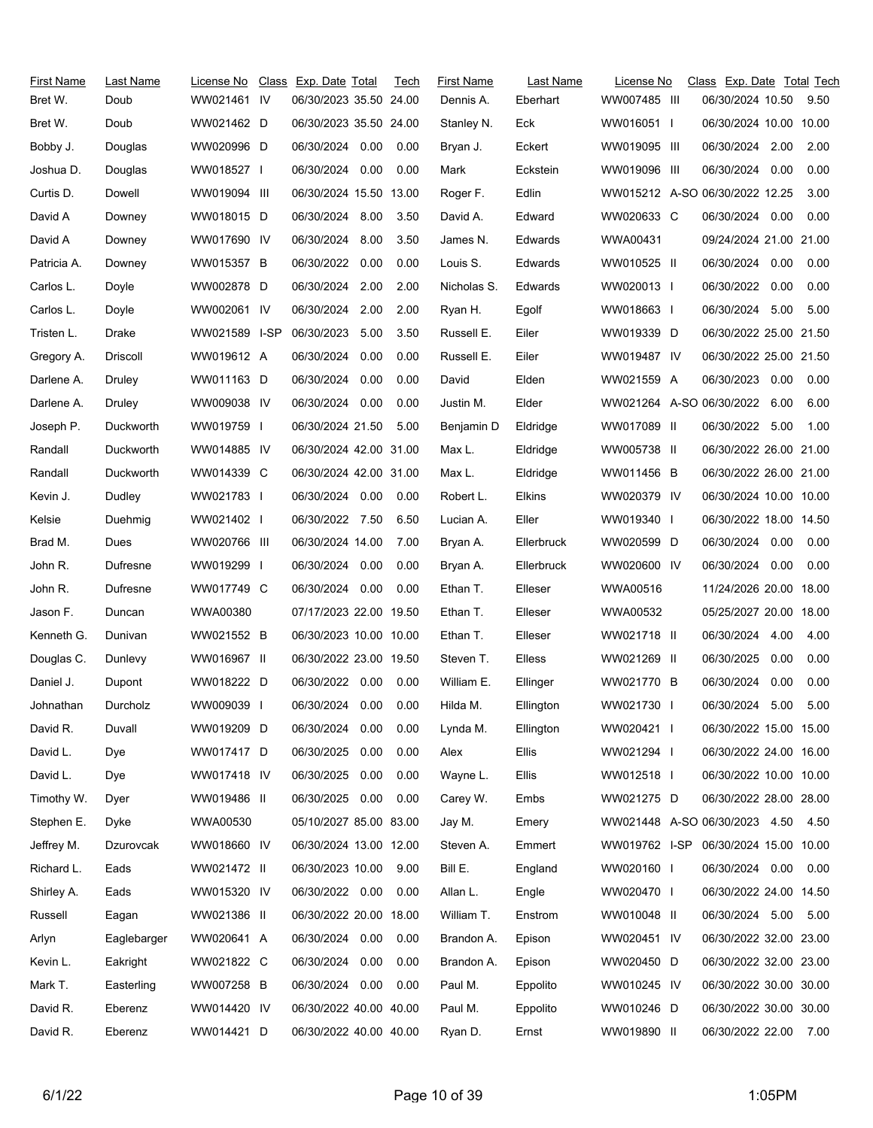| First Name<br>Bret W. | Last Name<br>Doub | License No<br>WW021461 IV | Class Exp. Date Total<br>06/30/2023 35.50 24.00 |      | Tech | <b>First Name</b><br>Dennis A. | Last Name<br>Eberhart | License No<br>WW007485 III     |              | Class Exp. Date Total Tech<br>06/30/2024 10.50 |      | 9.50 |
|-----------------------|-------------------|---------------------------|-------------------------------------------------|------|------|--------------------------------|-----------------------|--------------------------------|--------------|------------------------------------------------|------|------|
| Bret W.               | Doub              | WW021462 D                | 06/30/2023 35.50 24.00                          |      |      | Stanley N.                     | Eck                   | WW016051                       |              | 06/30/2024 10.00 10.00                         |      |      |
| Bobby J.              | Douglas           | WW020996 D                | 06/30/2024                                      | 0.00 | 0.00 | Bryan J.                       | Eckert                | WW019095 III                   |              | 06/30/2024 2.00                                |      | 2.00 |
| Joshua D.             | Douglas           | WW018527                  | 06/30/2024 0.00                                 |      | 0.00 | Mark                           | Eckstein              | WW019096 III                   |              | 06/30/2024 0.00                                |      | 0.00 |
| Curtis D.             | Dowell            | WW019094 III              | 06/30/2024 15.50 13.00                          |      |      | Roger F.                       | Edlin                 | WW015212 A-SO 06/30/2022 12.25 |              |                                                |      | 3.00 |
| David A               | Downey            | WW018015 D                | 06/30/2024 8.00                                 |      | 3.50 | David A.                       | Edward                | WW020633 C                     |              | 06/30/2024 0.00                                |      | 0.00 |
| David A               | Downey            | WW017690 IV               | 06/30/2024                                      | 8.00 | 3.50 | James N.                       | Edwards               | WWA00431                       |              | 09/24/2024 21.00 21.00                         |      |      |
| Patricia A.           | Downey            | WW015357 B                | 06/30/2022                                      | 0.00 | 0.00 | Louis S.                       | Edwards               | WW010525 II                    |              | 06/30/2024                                     | 0.00 | 0.00 |
| Carlos L.             | Doyle             | WW002878 D                | 06/30/2024                                      | 2.00 | 2.00 | Nicholas S.                    | Edwards               | WW020013 I                     |              | 06/30/2022                                     | 0.00 | 0.00 |
| Carlos L.             | Doyle             | WW002061 IV               | 06/30/2024                                      | 2.00 | 2.00 | Ryan H.                        | Egolf                 | WW018663 I                     |              | 06/30/2024                                     | 5.00 | 5.00 |
| Tristen L.            | Drake             | WW021589 I-SP             | 06/30/2023                                      | 5.00 | 3.50 | Russell E.                     | Eiler                 | WW019339 D                     |              | 06/30/2022 25.00 21.50                         |      |      |
| Gregory A.            | Driscoll          | WW019612 A                | 06/30/2024                                      | 0.00 | 0.00 | Russell E.                     | Eiler                 | WW019487 IV                    |              | 06/30/2022 25.00 21.50                         |      |      |
| Darlene A.            | Druley            | WW011163 D                | 06/30/2024                                      | 0.00 | 0.00 | David                          | Elden                 | WW021559 A                     |              | 06/30/2023                                     | 0.00 | 0.00 |
| Darlene A.            | Druley            | WW009038 IV               | 06/30/2024                                      | 0.00 | 0.00 | Justin M.                      | Elder                 | WW021264 A-SO 06/30/2022       |              |                                                | 6.00 | 6.00 |
| Joseph P.             | Duckworth         | WW019759 I                | 06/30/2024 21.50                                |      | 5.00 | Benjamin D                     | Eldridge              | WW017089 II                    |              | 06/30/2022 5.00                                |      | 1.00 |
| Randall               | Duckworth         | WW014885 IV               | 06/30/2024 42.00 31.00                          |      |      | Max L.                         | Eldridge              | WW005738 II                    |              | 06/30/2022 26.00 21.00                         |      |      |
| Randall               | Duckworth         | WW014339 C                | 06/30/2024 42.00 31.00                          |      |      | Max L.                         | Eldridge              | WW011456 B                     |              | 06/30/2022 26.00 21.00                         |      |      |
| Kevin J.              | Dudley            | WW021783 I                | 06/30/2024 0.00                                 |      | 0.00 | Robert L.                      | Elkins                | WW020379 IV                    |              | 06/30/2024 10.00 10.00                         |      |      |
| Kelsie                | Duehmig           | WW021402 l                | 06/30/2022 7.50                                 |      | 6.50 | Lucian A.                      | Eller                 | WW019340 I                     |              | 06/30/2022 18.00 14.50                         |      |      |
| Brad M.               | Dues              | WW020766 III              | 06/30/2024 14:00                                |      | 7.00 | Bryan A.                       | Ellerbruck            | WW020599 D                     |              | 06/30/2024                                     | 0.00 | 0.00 |
| John R.               | Dufresne          | WW019299 I                | 06/30/2024                                      | 0.00 | 0.00 | Bryan A.                       | Ellerbruck            | WW020600 IV                    |              | 06/30/2024                                     | 0.00 | 0.00 |
| John R.               | Dufresne          | WW017749 C                | 06/30/2024 0.00                                 |      | 0.00 | Ethan T.                       | Elleser               | WWA00516                       |              | 11/24/2026 20.00 18.00                         |      |      |
| Jason F.              | Duncan            | WWA00380                  | 07/17/2023 22.00 19.50                          |      |      | Ethan T.                       | Elleser               | WWA00532                       |              | 05/25/2027 20.00 18.00                         |      |      |
| Kenneth G.            | Dunivan           | WW021552 B                | 06/30/2023 10.00 10.00                          |      |      | Ethan T.                       | Elleser               | WW021718 II                    |              | 06/30/2024                                     | 4.00 | 4.00 |
| Douglas C.            | Dunlevy           | WW016967 II               | 06/30/2022 23.00 19.50                          |      |      | Steven T.                      | Elless                | WW021269 II                    |              | 06/30/2025                                     | 0.00 | 0.00 |
| Daniel J.             | Dupont            | WW018222 D                | 06/30/2022 0.00                                 |      | 0.00 | William E.                     | Ellinger              | WW021770 B                     |              | 06/30/2024                                     | 0.00 | 0.00 |
| Johnathan             | Durcholz          | WW009039                  | 06/30/2024 0.00                                 |      | 0.00 | Hilda M.                       | Ellington             | WW021730                       | $\mathbf{I}$ | 06/30/2024                                     | 5.00 | 5.00 |
| David R.              | Duvall            | WW019209 D                | 06/30/2024                                      | 0.00 | 0.00 | Lynda M.                       | Ellington             | WW020421 I                     |              | 06/30/2022 15.00 15.00                         |      |      |
| David L.              | Dye               | WW017417 D                | 06/30/2025                                      | 0.00 | 0.00 | Alex                           | Ellis                 | WW021294 I                     |              | 06/30/2022 24.00 16.00                         |      |      |
| David L.              | Dye               | WW017418 IV               | 06/30/2025                                      | 0.00 | 0.00 | Wayne L.                       | Ellis                 | WW012518 I                     |              | 06/30/2022 10.00 10.00                         |      |      |
| Timothy W.            | Dyer              | WW019486 II               | 06/30/2025 0.00                                 |      | 0.00 | Carey W.                       | Embs                  | WW021275 D                     |              | 06/30/2022 28.00 28.00                         |      |      |
| Stephen E.            | Dyke              | WWA00530                  | 05/10/2027 85.00 83.00                          |      |      | Jay M.                         | Emery                 | WW021448 A-SO 06/30/2023 4.50  |              |                                                |      | 4.50 |
| Jeffrey M.            | Dzurovcak         | WW018660 IV               | 06/30/2024 13.00 12.00                          |      |      | Steven A.                      | Emmert                | WW019762 I-SP                  |              | 06/30/2024 15.00 10.00                         |      |      |
| Richard L.            | Eads              | WW021472 II               | 06/30/2023 10.00                                |      | 9.00 | Bill E.                        | England               | WW020160 I                     |              | 06/30/2024 0.00                                |      | 0.00 |
| Shirley A.            | Eads              | WW015320 IV               | 06/30/2022 0.00                                 |      | 0.00 | Allan L.                       | Engle                 | WW020470 I                     |              | 06/30/2022 24.00 14.50                         |      |      |
| Russell               | Eagan             | WW021386 II               | 06/30/2022 20.00 18.00                          |      |      | William T.                     | Enstrom               | WW010048 II                    |              | 06/30/2024 5.00                                |      | 5.00 |
| Arlyn                 | Eaglebarger       | WW020641 A                | 06/30/2024 0.00                                 |      | 0.00 | Brandon A.                     | Epison                | WW020451 IV                    |              | 06/30/2022 32.00 23.00                         |      |      |
| Kevin L.              | Eakright          | WW021822 C                | 06/30/2024                                      | 0.00 | 0.00 | Brandon A.                     | Epison                | WW020450 D                     |              | 06/30/2022 32.00 23.00                         |      |      |
| Mark T.               | Easterling        | WW007258 B                | 06/30/2024 0.00                                 |      | 0.00 | Paul M.                        | Eppolito              | WW010245 IV                    |              | 06/30/2022 30.00 30.00                         |      |      |
| David R.              | Eberenz           | WW014420 IV               | 06/30/2022 40.00 40.00                          |      |      | Paul M.                        | Eppolito              | WW010246 D                     |              | 06/30/2022 30.00 30.00                         |      |      |
| David R.              | Eberenz           | WW014421 D                | 06/30/2022 40.00 40.00                          |      |      | Ryan D.                        | Ernst                 | WW019890 II                    |              | 06/30/2022 22.00                               |      | 7.00 |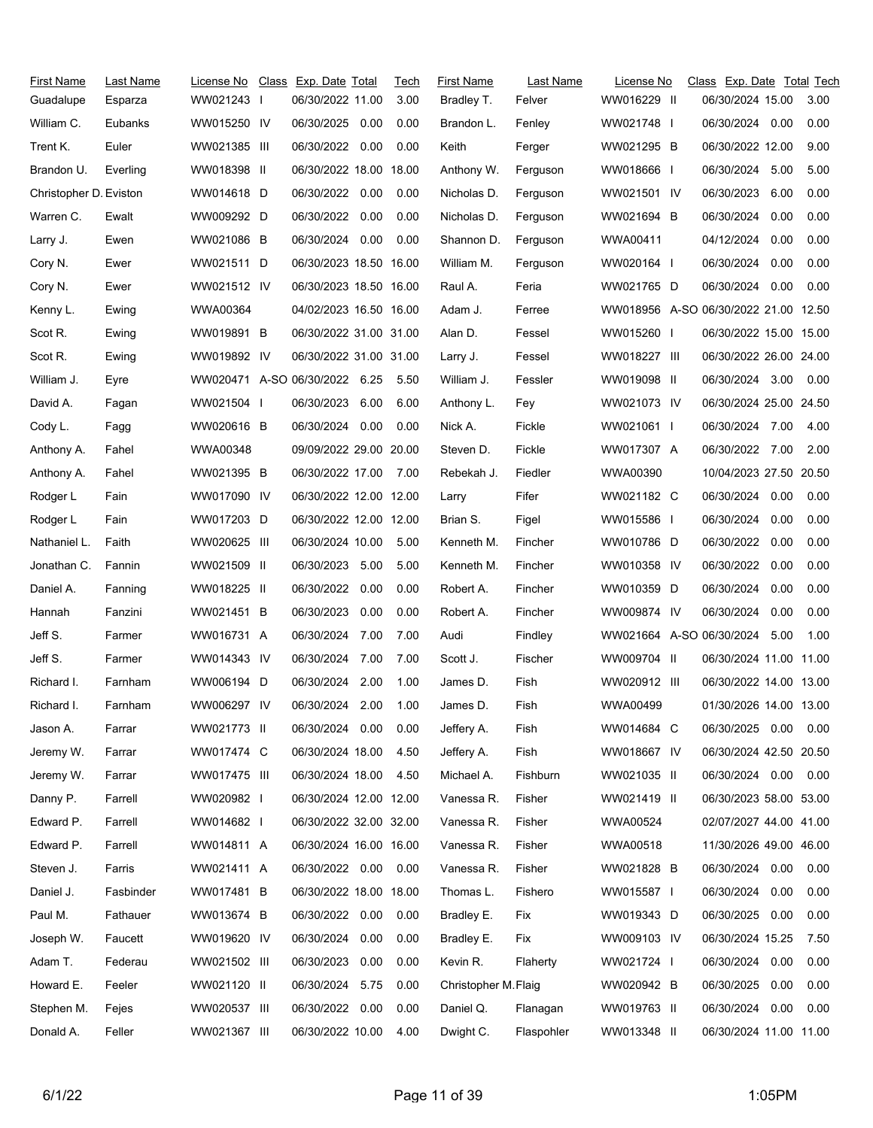| First Name             | Last Name | License No                    | Class Exp. Date Total  |      | Tech | <b>First Name</b>    | Last Name  | License No                           | Class Exp. Date Total Tech |      |      |
|------------------------|-----------|-------------------------------|------------------------|------|------|----------------------|------------|--------------------------------------|----------------------------|------|------|
| Guadalupe              | Esparza   | WW021243 I                    | 06/30/2022 11.00       |      | 3.00 | Bradley T.           | Felver     | WW016229 II                          | 06/30/2024 15.00           |      | 3.00 |
| William C.             | Eubanks   | WW015250 IV                   | 06/30/2025             | 0.00 | 0.00 | Brandon L.           | Fenley     | WW021748                             | 06/30/2024 0.00            |      | 0.00 |
| Trent K.               | Euler     | WW021385 III                  | 06/30/2022             | 0.00 | 0.00 | Keith                | Ferger     | WW021295 B                           | 06/30/2022 12.00           |      | 9.00 |
| Brandon U.             | Everling  | WW018398 II                   | 06/30/2022 18.00 18.00 |      |      | Anthony W.           | Ferguson   | WW018666                             | 06/30/2024 5.00            |      | 5.00 |
| Christopher D. Eviston |           | WW014618 D                    | 06/30/2022 0.00        |      | 0.00 | Nicholas D.          | Ferguson   | WW021501 IV                          | 06/30/2023                 | 6.00 | 0.00 |
| Warren C.              | Ewalt     | WW009292 D                    | 06/30/2022 0.00        |      | 0.00 | Nicholas D.          | Ferguson   | WW021694 B                           | 06/30/2024                 | 0.00 | 0.00 |
| Larry J.               | Ewen      | WW021086 B                    | 06/30/2024 0.00        |      | 0.00 | Shannon D.           | Ferguson   | WWA00411                             | 04/12/2024                 | 0.00 | 0.00 |
| Cory N.                | Ewer      | WW021511 D                    | 06/30/2023 18.50 16.00 |      |      | William M.           | Ferguson   | WW020164 I                           | 06/30/2024                 | 0.00 | 0.00 |
| Cory N.                | Ewer      | WW021512 IV                   | 06/30/2023 18.50 16.00 |      |      | Raul A.              | Feria      | WW021765 D                           | 06/30/2024 0.00            |      | 0.00 |
| Kenny L.               | Ewing     | WWA00364                      | 04/02/2023 16.50 16.00 |      |      | Adam J.              | Ferree     | WW018956 A-SO 06/30/2022 21.00 12.50 |                            |      |      |
| Scot R.                | Ewing     | WW019891 B                    | 06/30/2022 31.00 31.00 |      |      | Alan D.              | Fessel     | WW015260 I                           | 06/30/2022 15.00 15.00     |      |      |
| Scot R.                | Ewing     | WW019892 IV                   | 06/30/2022 31.00 31.00 |      |      | Larry J.             | Fessel     | WW018227 III                         | 06/30/2022 26.00 24.00     |      |      |
| William J.             | Eyre      | WW020471 A-SO 06/30/2022 6.25 |                        |      | 5.50 | William J.           | Fessler    | WW019098 II                          | 06/30/2024 3.00            |      | 0.00 |
| David A.               | Fagan     | WW021504                      | 06/30/2023             | 6.00 | 6.00 | Anthony L.           | Fey        | WW021073 IV                          | 06/30/2024 25.00 24.50     |      |      |
| Cody L.                | Fagg      | WW020616 B                    | 06/30/2024 0.00        |      | 0.00 | Nick A.              | Fickle     | WW021061 I                           | 06/30/2024 7.00            |      | 4.00 |
| Anthony A.             | Fahel     | WWA00348                      | 09/09/2022 29:00 20:00 |      |      | Steven D.            | Fickle     | WW017307 A                           | 06/30/2022 7.00            |      | 2.00 |
| Anthony A.             | Fahel     | WW021395 B                    | 06/30/2022 17.00       |      | 7.00 | Rebekah J.           | Fiedler    | WWA00390                             | 10/04/2023 27.50 20.50     |      |      |
| Rodger L               | Fain      | WW017090 IV                   | 06/30/2022 12.00 12.00 |      |      | Larry                | Fifer      | WW021182 C                           | 06/30/2024 0.00            |      | 0.00 |
| Rodger L               | Fain      | WW017203 D                    | 06/30/2022 12.00 12.00 |      |      | Brian S.             | Figel      | WW015586 I                           | 06/30/2024                 | 0.00 | 0.00 |
| Nathaniel L.           | Faith     | WW020625 III                  | 06/30/2024 10.00       |      | 5.00 | Kenneth M.           | Fincher    | WW010786 D                           | 06/30/2022                 | 0.00 | 0.00 |
| Jonathan C.            | Fannin    | WW021509 II                   | 06/30/2023 5.00        |      | 5.00 | Kenneth M.           | Fincher    | WW010358 IV                          | 06/30/2022                 | 0.00 | 0.00 |
| Daniel A.              | Fanning   | WW018225 II                   | 06/30/2022 0.00        |      | 0.00 | Robert A.            | Fincher    | WW010359 D                           | 06/30/2024                 | 0.00 | 0.00 |
| Hannah                 | Fanzini   | WW021451 B                    | 06/30/2023             | 0.00 | 0.00 | Robert A.            | Fincher    | WW009874 IV                          | 06/30/2024                 | 0.00 | 0.00 |
| Jeff S.                | Farmer    | WW016731 A                    | 06/30/2024             | 7.00 | 7.00 | Audi                 | Findley    | WW021664 A-SO 06/30/2024             |                            | 5.00 | 1.00 |
| Jeff S.                | Farmer    | WW014343 IV                   | 06/30/2024             | 7.00 | 7.00 | Scott J.             | Fischer    | WW009704 II                          | 06/30/2024 11.00 11.00     |      |      |
| Richard I.             | Farnham   | WW006194 D                    | 06/30/2024             | 2.00 | 1.00 | James D.             | Fish       | WW020912 III                         | 06/30/2022 14:00 13:00     |      |      |
| Richard I.             | Farnham   | WW006297 IV                   | 06/30/2024 2.00        |      | 1.00 | James D.             | Fish       | WWA00499                             | 01/30/2026 14.00 13.00     |      |      |
| Jason A.               | Farrar    | WW021773 II                   | 06/30/2024 0.00        |      | 0.00 | Jeffery A.           | Fish       | WW014684 C                           | 06/30/2025 0.00            |      | 0.00 |
| Jeremy W.              | Farrar    | WW017474 C                    | 06/30/2024 18.00       |      | 4.50 | Jeffery A.           | Fish       | WW018667 IV                          | 06/30/2024 42.50 20.50     |      |      |
| Jeremy W.              | Farrar    | WW017475 III                  | 06/30/2024 18.00       |      | 4.50 | Michael A.           | Fishburn   | WW021035 II                          | 06/30/2024 0.00            |      | 0.00 |
| Danny P.               | Farrell   | WW020982 I                    | 06/30/2024 12.00 12.00 |      |      | Vanessa R.           | Fisher     | WW021419 II                          | 06/30/2023 58.00 53.00     |      |      |
| Edward P.              | Farrell   | WW014682                      | 06/30/2022 32.00 32.00 |      |      | Vanessa R.           | Fisher     | <b>WWA00524</b>                      | 02/07/2027 44.00 41.00     |      |      |
| Edward P.              | Farrell   | WW014811 A                    | 06/30/2024 16:00 16:00 |      |      | Vanessa R.           | Fisher     | WWA00518                             | 11/30/2026 49.00 46.00     |      |      |
| Steven J.              | Farris    | WW021411 A                    | 06/30/2022 0.00        |      | 0.00 | Vanessa R.           | Fisher     | WW021828 B                           | 06/30/2024 0.00            |      | 0.00 |
| Daniel J.              | Fasbinder | WW017481 B                    | 06/30/2022 18.00 18.00 |      |      | Thomas L.            | Fishero    | WW015587 I                           | 06/30/2024                 | 0.00 | 0.00 |
| Paul M.                | Fathauer  | WW013674 B                    | 06/30/2022 0.00        |      | 0.00 | Bradley E.           | Fix        | WW019343 D                           | 06/30/2025                 | 0.00 | 0.00 |
| Joseph W.              | Faucett   | WW019620 IV                   | 06/30/2024             | 0.00 | 0.00 | Bradley E.           | Fix        | WW009103 IV                          | 06/30/2024 15.25           |      | 7.50 |
| Adam T.                | Federau   | WW021502 III                  | 06/30/2023             | 0.00 | 0.00 | Kevin R.             | Flaherty   | WW021724 I                           | 06/30/2024 0.00            |      | 0.00 |
| Howard E.              | Feeler    | WW021120 II                   | 06/30/2024             | 5.75 | 0.00 | Christopher M. Flaig |            | WW020942 B                           | 06/30/2025                 | 0.00 | 0.00 |
| Stephen M.             | Fejes     | WW020537 III                  | 06/30/2022 0.00        |      | 0.00 | Daniel Q.            | Flanagan   | WW019763 II                          | 06/30/2024 0.00            |      | 0.00 |
| Donald A.              | Feller    | WW021367 III                  | 06/30/2022 10.00       |      | 4.00 | Dwight C.            | Flaspohler | WW013348 II                          | 06/30/2024 11.00 11.00     |      |      |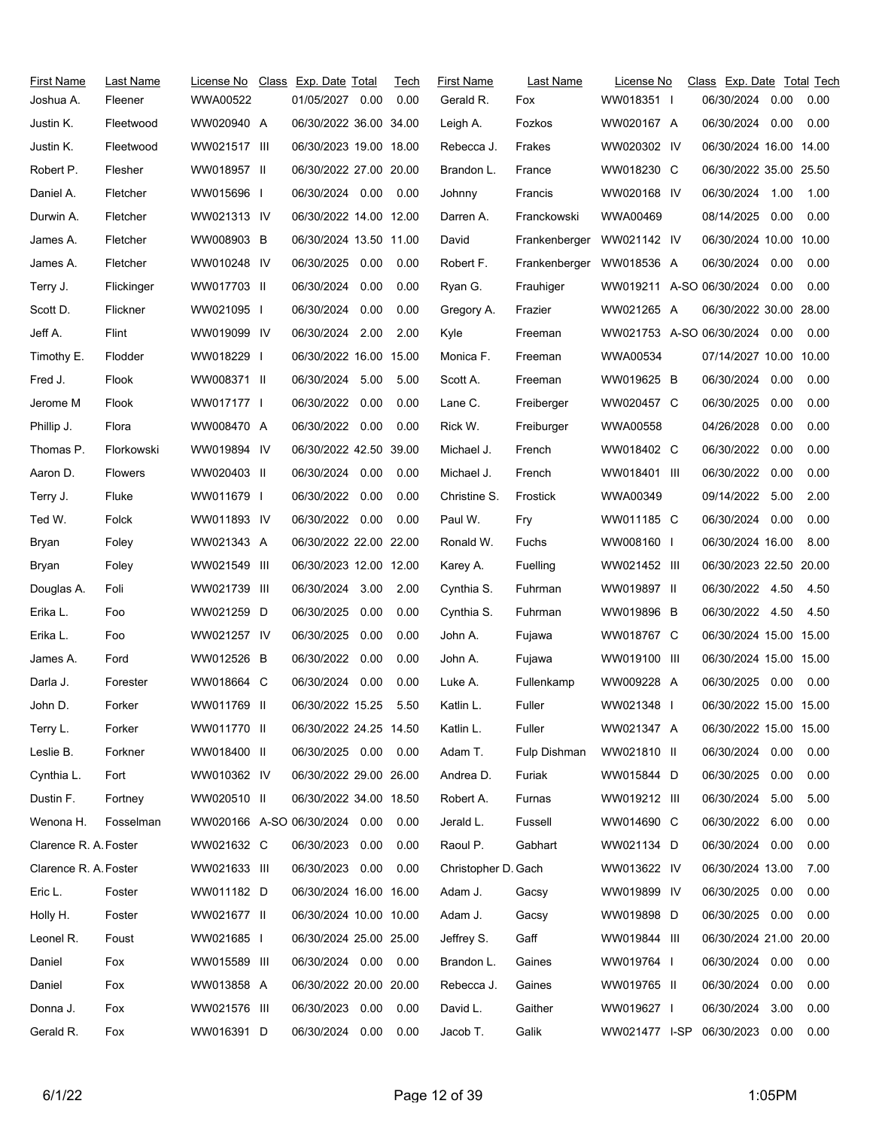| <b>First Name</b>     | Last Name      | License No                    | Class Exp. Date Total  |      | Tech | <b>First Name</b>   | Last Name     | License No                    | Class Exp. Date Total Tech |      |      |
|-----------------------|----------------|-------------------------------|------------------------|------|------|---------------------|---------------|-------------------------------|----------------------------|------|------|
| Joshua A.             | Fleener        | WWA00522                      | 01/05/2027 0.00        |      | 0.00 | Gerald R.           | Fox           | WW018351                      | 06/30/2024                 | 0.00 | 0.00 |
| Justin K.             | Fleetwood      | WW020940 A                    | 06/30/2022 36.00 34.00 |      |      | Leigh A.            | Fozkos        | WW020167 A                    | 06/30/2024                 | 0.00 | 0.00 |
| Justin K.             | Fleetwood      | WW021517 III                  | 06/30/2023 19.00 18.00 |      |      | Rebecca J.          | Frakes        | WW020302 IV                   | 06/30/2024 16.00 14.00     |      |      |
| Robert P.             | Flesher        | WW018957 II                   | 06/30/2022 27.00 20.00 |      |      | Brandon L.          | France        | WW018230 C                    | 06/30/2022 35.00 25.50     |      |      |
| Daniel A.             | Fletcher       | WW015696 I                    | 06/30/2024 0.00        |      | 0.00 | Johnny              | Francis       | WW020168 IV                   | 06/30/2024                 | 1.00 | 1.00 |
| Durwin A.             | Fletcher       | WW021313 IV                   | 06/30/2022 14.00 12.00 |      |      | Darren A.           | Franckowski   | WWA00469                      | 08/14/2025                 | 0.00 | 0.00 |
| James A.              | Fletcher       | WW008903 B                    | 06/30/2024 13.50 11.00 |      |      | David               | Frankenberger | WW021142 IV                   | 06/30/2024 10.00 10.00     |      |      |
| James A.              | Fletcher       | WW010248 IV                   | 06/30/2025             | 0.00 | 0.00 | Robert F.           | Frankenberger | WW018536 A                    | 06/30/2024                 | 0.00 | 0.00 |
| Terry J.              | Flickinger     | WW017703 II                   | 06/30/2024 0.00        |      | 0.00 | Ryan G.             | Frauhiger     | WW019211 A-SO 06/30/2024      |                            | 0.00 | 0.00 |
| Scott D.              | Flickner       | WW021095 I                    | 06/30/2024             | 0.00 | 0.00 | Gregory A.          | Frazier       | WW021265 A                    | 06/30/2022 30.00 28.00     |      |      |
| Jeff A.               | Flint          | WW019099 IV                   | 06/30/2024 2.00        |      | 2.00 | Kyle                | Freeman       | WW021753 A-SO 06/30/2024 0.00 |                            |      | 0.00 |
| Timothy E.            | Flodder        | WW018229 I                    | 06/30/2022 16.00 15.00 |      |      | Monica F.           | Freeman       | WWA00534                      | 07/14/2027 10.00 10.00     |      |      |
| Fred J.               | Flook          | WW008371 II                   | 06/30/2024 5.00        |      | 5.00 | Scott A.            | Freeman       | WW019625 B                    | 06/30/2024                 | 0.00 | 0.00 |
| Jerome M              | Flook          | WW017177 I                    | 06/30/2022             | 0.00 | 0.00 | Lane C.             | Freiberger    | WW020457 C                    | 06/30/2025                 | 0.00 | 0.00 |
| Phillip J.            | Flora          | WW008470 A                    | 06/30/2022 0.00        |      | 0.00 | Rick W.             | Freiburger    | WWA00558                      | 04/26/2028                 | 0.00 | 0.00 |
| Thomas P.             | Florkowski     | WW019894 IV                   | 06/30/2022 42.50 39.00 |      |      | Michael J.          | French        | WW018402 C                    | 06/30/2022                 | 0.00 | 0.00 |
| Aaron D.              | <b>Flowers</b> | WW020403 II                   | 06/30/2024 0.00        |      | 0.00 | Michael J.          | French        | WW018401 III                  | 06/30/2022                 | 0.00 | 0.00 |
| Terry J.              | Fluke          | WW011679 I                    | 06/30/2022 0.00        |      | 0.00 | Christine S.        | Frostick      | WWA00349                      | 09/14/2022                 | 5.00 | 2.00 |
| Ted W.                | Folck          | WW011893 IV                   | 06/30/2022 0.00        |      | 0.00 | Paul W.             | Fry           | WW011185 C                    | 06/30/2024                 | 0.00 | 0.00 |
| Bryan                 | Foley          | WW021343 A                    | 06/30/2022 22.00 22.00 |      |      | Ronald W.           | Fuchs         | WW008160 I                    | 06/30/2024 16.00           |      | 8.00 |
| Bryan                 | Foley          | WW021549 III                  | 06/30/2023 12.00 12.00 |      |      | Karey A.            | Fuelling      | WW021452 III                  | 06/30/2023 22.50 20.00     |      |      |
| Douglas A.            | Foli           | WW021739 III                  | 06/30/2024 3.00        |      | 2.00 | Cynthia S.          | Fuhrman       | WW019897 II                   | 06/30/2022 4.50            |      | 4.50 |
| Erika L.              | Foo            | WW021259 D                    | 06/30/2025             | 0.00 | 0.00 | Cynthia S.          | Fuhrman       | WW019896 B                    | 06/30/2022 4.50            |      | 4.50 |
| Erika L.              | Foo            | WW021257 IV                   | 06/30/2025             | 0.00 | 0.00 | John A.             | Fujawa        | WW018767 C                    | 06/30/2024 15.00 15.00     |      |      |
| James A.              | Ford           | WW012526 B                    | 06/30/2022             | 0.00 | 0.00 | John A.             | Fujawa        | WW019100 III                  | 06/30/2024 15.00 15.00     |      |      |
| Darla J.              | Forester       | WW018664 C                    | 06/30/2024             | 0.00 | 0.00 | Luke A.             | Fullenkamp    | WW009228 A                    | 06/30/2025 0.00            |      | 0.00 |
| John D.               | Forker         | WW011769 II                   | 06/30/2022 15.25       |      | 5.50 | Katlin L.           | Fuller        | WW021348                      | 06/30/2022 15.00 15.00     |      |      |
| Terry L.              | Forker         | WW011770 II                   | 06/30/2022 24.25 14.50 |      |      | Katlin L.           | Fuller        | WW021347 A                    | 06/30/2022 15.00 15.00     |      |      |
| Leslie B.             | Forkner        | WW018400 II                   | 06/30/2025  0.00  0.00 |      |      | Adam T.             | Fulp Dishman  | WW021810 II                   | 06/30/2024                 | 0.00 | 0.00 |
| Cynthia L.            | Fort           | WW010362 IV                   | 06/30/2022 29.00 26.00 |      |      | Andrea D.           | Furiak        | WW015844 D                    | 06/30/2025                 | 0.00 | 0.00 |
| Dustin F.             | Fortney        | WW020510 II                   | 06/30/2022 34.00 18.50 |      |      | Robert A.           | Furnas        | WW019212 III                  | 06/30/2024                 | 5.00 | 5.00 |
| Wenona H.             | Fosselman      | WW020166 A-SO 06/30/2024 0.00 |                        |      | 0.00 | Jerald L.           | Fussell       | WW014690 C                    | 06/30/2022                 | 6.00 | 0.00 |
| Clarence R. A. Foster |                | WW021632 C                    | 06/30/2023 0.00        |      | 0.00 | Raoul P.            | Gabhart       | WW021134 D                    | 06/30/2024                 | 0.00 | 0.00 |
| Clarence R. A. Foster |                | WW021633 III                  | 06/30/2023 0.00        |      | 0.00 | Christopher D. Gach |               | WW013622 IV                   | 06/30/2024 13.00           |      | 7.00 |
| Eric L.               | Foster         | WW011182 D                    | 06/30/2024 16.00 16.00 |      |      | Adam J.             | Gacsy         | WW019899 IV                   | 06/30/2025                 | 0.00 | 0.00 |
| Holly H.              | Foster         | WW021677 II                   | 06/30/2024 10.00 10.00 |      |      | Adam J.             | Gacsy         | WW019898 D                    | 06/30/2025                 | 0.00 | 0.00 |
| Leonel R.             | Foust          | WW021685 I                    | 06/30/2024 25.00 25.00 |      |      | Jeffrey S.          | Gaff          | WW019844 III                  | 06/30/2024 21.00 20.00     |      |      |
| Daniel                | Fox            | WW015589 III                  | 06/30/2024  0.00  0.00 |      |      | Brandon L.          | Gaines        | WW019764 I                    | 06/30/2024                 | 0.00 | 0.00 |
| Daniel                | Fox            | WW013858 A                    | 06/30/2022 20.00 20.00 |      |      | Rebecca J.          | Gaines        | WW019765 II                   | 06/30/2024                 | 0.00 | 0.00 |
| Donna J.              | Fox            | WW021576 III                  | 06/30/2023 0.00        |      | 0.00 | David L.            | Gaither       | WW019627                      | 06/30/2024                 | 3.00 | 0.00 |
| Gerald R.             | Fox            | WW016391 D                    | 06/30/2024 0.00        |      | 0.00 | Jacob T.            | Galik         | WW021477 I-SP                 | 06/30/2023                 | 0.00 | 0.00 |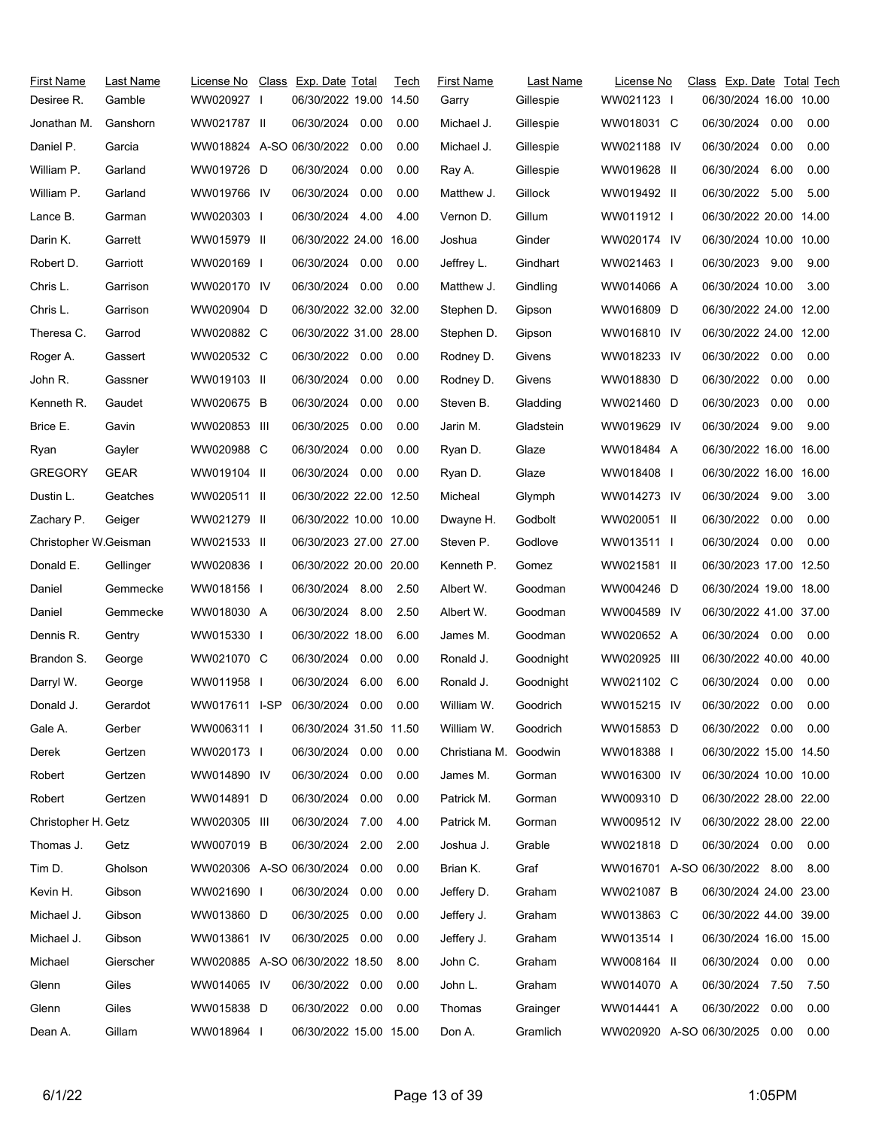| <b>First Name</b><br>Desiree R. | Last Name<br>Gamble | License No<br>WW020927         | Class Exp. Date Total<br>06/30/2022 19.00 14.50 |      | Tech | First Name<br>Garry | Last Name<br>Gillespie | License No<br>WW021123 I | Class Exp. Date Total Tech<br>06/30/2024 16.00 10.00 |      |      |
|---------------------------------|---------------------|--------------------------------|-------------------------------------------------|------|------|---------------------|------------------------|--------------------------|------------------------------------------------------|------|------|
| Jonathan M.                     | Ganshorn            | WW021787 II                    | 06/30/2024 0.00                                 |      | 0.00 | Michael J.          | Gillespie              | WW018031 C               | 06/30/2024 0.00                                      |      | 0.00 |
| Daniel P.                       | Garcia              | WW018824 A-SO 06/30/2022       |                                                 | 0.00 | 0.00 | Michael J.          | Gillespie              | WW021188 IV              | 06/30/2024                                           | 0.00 | 0.00 |
| William P.                      | Garland             | WW019726 D                     | 06/30/2024                                      | 0.00 | 0.00 | Ray A.              | Gillespie              | WW019628 II              | 06/30/2024                                           | 6.00 | 0.00 |
| William P.                      | Garland             | WW019766 IV                    | 06/30/2024                                      | 0.00 | 0.00 | Matthew J.          | Gillock                | WW019492 II              | 06/30/2022 5.00                                      |      | 5.00 |
| Lance B.                        | Garman              | WW020303 I                     | 06/30/2024 4.00                                 |      | 4.00 | Vernon D.           | Gillum                 | WW011912 I               | 06/30/2022 20.00 14.00                               |      |      |
| Darin K.                        | Garrett             | WW015979 II                    | 06/30/2022 24.00 16.00                          |      |      | Joshua              | Ginder                 | WW020174 IV              | 06/30/2024 10.00 10.00                               |      |      |
| Robert D.                       | Garriott            | WW020169 I                     | 06/30/2024 0.00                                 |      | 0.00 | Jeffrey L.          | Gindhart               | WW021463 I               | 06/30/2023 9.00                                      |      | 9.00 |
| Chris L.                        | Garrison            | WW020170 IV                    | 06/30/2024 0.00                                 |      | 0.00 | Matthew J.          | Gindling               | WW014066 A               | 06/30/2024 10.00                                     |      | 3.00 |
| Chris L.                        | Garrison            | WW020904 D                     | 06/30/2022 32.00 32.00                          |      |      | Stephen D.          | Gipson                 | WW016809 D               | 06/30/2022 24.00 12.00                               |      |      |
| Theresa C.                      | Garrod              | WW020882 C                     | 06/30/2022 31.00 28.00                          |      |      | Stephen D.          | Gipson                 | WW016810 IV              | 06/30/2022 24.00 12.00                               |      |      |
| Roger A.                        | Gassert             | WW020532 C                     | 06/30/2022 0.00                                 |      | 0.00 | Rodney D.           | Givens                 | WW018233 IV              | 06/30/2022 0.00                                      |      | 0.00 |
| John R.                         | Gassner             | WW019103 II                    | 06/30/2024                                      | 0.00 | 0.00 | Rodney D.           | Givens                 | WW018830 D               | 06/30/2022                                           | 0.00 | 0.00 |
| Kenneth R.                      | Gaudet              | WW020675 B                     | 06/30/2024                                      | 0.00 | 0.00 | Steven B.           | Gladding               | WW021460 D               | 06/30/2023                                           | 0.00 | 0.00 |
| Brice E.                        | Gavin               | WW020853 III                   | 06/30/2025                                      | 0.00 | 0.00 | Jarin M.            | Gladstein              | WW019629 IV              | 06/30/2024                                           | 9.00 | 9.00 |
| Ryan                            | Gayler              | WW020988 C                     | 06/30/2024                                      | 0.00 | 0.00 | Ryan D.             | Glaze                  | WW018484 A               | 06/30/2022 16.00 16.00                               |      |      |
| <b>GREGORY</b>                  | <b>GEAR</b>         | WW019104 II                    | 06/30/2024 0.00                                 |      | 0.00 | Ryan D.             | Glaze                  | WW018408                 | 06/30/2022 16.00 16.00                               |      |      |
| Dustin L.                       | Geatches            | WW020511 II                    | 06/30/2022 22.00 12.50                          |      |      | Micheal             | Glymph                 | WW014273 IV              | 06/30/2024 9.00                                      |      | 3.00 |
| Zachary P.                      | Geiger              | WW021279 II                    | 06/30/2022 10.00 10.00                          |      |      | Dwayne H.           | Godbolt                | WW020051 II              | 06/30/2022                                           | 0.00 | 0.00 |
| Christopher W.Geisman           |                     | WW021533 II                    | 06/30/2023 27.00 27.00                          |      |      | Steven P.           | Godlove                | WW013511                 | 06/30/2024                                           | 0.00 | 0.00 |
| Donald E.                       | Gellinger           | WW020836 I                     | 06/30/2022 20.00 20.00                          |      |      | Kenneth P.          | Gomez                  | WW021581 II              | 06/30/2023 17.00 12.50                               |      |      |
| Daniel                          | Gemmecke            | WW018156 I                     | 06/30/2024 8.00                                 |      | 2.50 | Albert W.           | Goodman                | WW004246 D               | 06/30/2024 19.00 18.00                               |      |      |
| Daniel                          | Gemmecke            | WW018030 A                     | 06/30/2024 8.00                                 |      | 2.50 | Albert W.           | Goodman                | WW004589 IV              | 06/30/2022 41.00 37.00                               |      |      |
| Dennis R.                       | Gentry              | WW015330 I                     | 06/30/2022 18.00                                |      | 6.00 | James M.            | Goodman                | WW020652 A               | 06/30/2024 0.00                                      |      | 0.00 |
| Brandon S.                      | George              | WW021070 C                     | 06/30/2024                                      | 0.00 | 0.00 | Ronald J.           | Goodnight              | WW020925 III             | 06/30/2022 40.00 40.00                               |      |      |
| Darryl W.                       | George              | WW011958 I                     | 06/30/2024                                      | 6.00 | 6.00 | Ronald J.           | Goodnight              | WW021102 C               | 06/30/2024                                           | 0.00 | 0.00 |
| Donald J.                       | Gerardot            | WW017611 I-SP                  | 06/30/2024 0.00                                 |      | 0.00 | William W.          | Goodrich               | WW015215 IV              | 06/30/2022 0.00                                      |      | 0.00 |
| Gale A.                         | Gerber              | WW006311 I                     | 06/30/2024 31.50 11.50                          |      |      | William W.          | Goodrich               | WW015853 D               | 06/30/2022 0.00                                      |      | 0.00 |
| Derek                           | Gertzen             | WW020173 I                     | 06/30/2024 0.00                                 |      | 0.00 | Christiana M.       | Goodwin                | WW018388                 | 06/30/2022 15.00 14.50                               |      |      |
| Robert                          | Gertzen             | WW014890 IV                    | 06/30/2024                                      | 0.00 | 0.00 | James M.            | Gorman                 | WW016300 IV              | 06/30/2024 10.00 10.00                               |      |      |
| Robert                          | Gertzen             | WW014891 D                     | 06/30/2024 0.00                                 |      | 0.00 | Patrick M.          | Gorman                 | WW009310 D               | 06/30/2022 28.00 22.00                               |      |      |
| Christopher H. Getz             |                     | WW020305 III                   | 06/30/2024                                      | 7.00 | 4.00 | Patrick M.          | Gorman                 | WW009512 IV              | 06/30/2022 28.00 22.00                               |      |      |
| Thomas J.                       | Getz                | WW007019 B                     | 06/30/2024                                      | 2.00 | 2.00 | Joshua J.           | Grable                 | WW021818 D               | 06/30/2024 0.00                                      |      | 0.00 |
| Tim D.                          | Gholson             | WW020306 A-SO 06/30/2024       |                                                 | 0.00 | 0.00 | Brian K.            | Graf                   |                          | WW016701 A-SO 06/30/2022 8.00                        |      | 8.00 |
| Kevin H.                        | Gibson              | WW021690 I                     | 06/30/2024                                      | 0.00 | 0.00 | Jeffery D.          | Graham                 | WW021087 B               | 06/30/2024 24.00 23.00                               |      |      |
| Michael J.                      | Gibson              | WW013860 D                     | 06/30/2025                                      | 0.00 | 0.00 | Jeffery J.          | Graham                 | WW013863 C               | 06/30/2022 44.00 39.00                               |      |      |
| Michael J.                      | Gibson              | WW013861 IV                    | 06/30/2025                                      | 0.00 | 0.00 | Jeffery J.          | Graham                 | WW013514                 | 06/30/2024 16.00 15.00                               |      |      |
| Michael                         | Gierscher           | WW020885 A-SO 06/30/2022 18.50 |                                                 |      | 8.00 | John C.             | Graham                 | WW008164 II              | 06/30/2024 0.00                                      |      | 0.00 |
| Glenn                           | Giles               | WW014065 IV                    | 06/30/2022 0.00                                 |      | 0.00 | John L.             | Graham                 | WW014070 A               | 06/30/2024 7.50                                      |      | 7.50 |
| Glenn                           | Giles               | WW015838 D                     | 06/30/2022 0.00                                 |      | 0.00 | Thomas              | Grainger               | WW014441 A               | 06/30/2022                                           | 0.00 | 0.00 |
| Dean A.                         | Gillam              | WW018964 I                     | 06/30/2022 15.00 15.00                          |      |      | Don A.              | Gramlich               |                          | WW020920 A-SO 06/30/2025 0.00                        |      | 0.00 |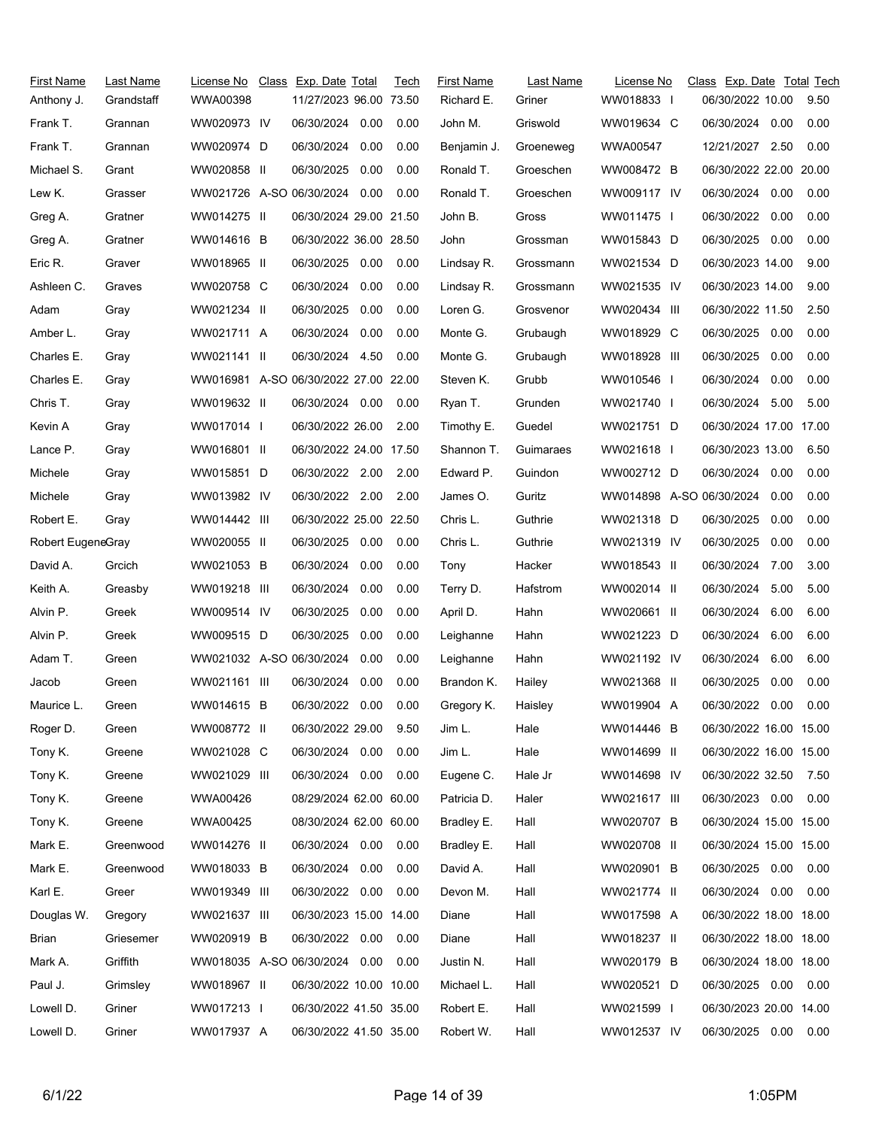| <b>First Name</b> | Last Name  | License No                           | Class Exp. Date Total  |      | Tech | <b>First Name</b> | Last Name | License No               | Class Exp. Date Total Tech |      |      |
|-------------------|------------|--------------------------------------|------------------------|------|------|-------------------|-----------|--------------------------|----------------------------|------|------|
| Anthony J.        | Grandstaff | WWA00398                             | 11/27/2023 96.00 73.50 |      |      | Richard E.        | Griner    | WW018833 I               | 06/30/2022 10.00           |      | 9.50 |
| Frank T.          | Grannan    | WW020973 IV                          | 06/30/2024 0.00        |      | 0.00 | John M.           | Griswold  | WW019634 C               | 06/30/2024 0.00            |      | 0.00 |
| Frank T.          | Grannan    | WW020974 D                           | 06/30/2024             | 0.00 | 0.00 | Benjamin J.       | Groeneweg | <b>WWA00547</b>          | 12/21/2027                 | 2.50 | 0.00 |
| Michael S.        | Grant      | WW020858 II                          | 06/30/2025             | 0.00 | 0.00 | Ronald T.         | Groeschen | WW008472 B               | 06/30/2022 22.00 20.00     |      |      |
| Lew K.            | Grasser    | WW021726 A-SO 06/30/2024             |                        | 0.00 | 0.00 | Ronald T.         | Groeschen | WW009117 IV              | 06/30/2024 0.00            |      | 0.00 |
| Greg A.           | Gratner    | WW014275 II                          | 06/30/2024 29.00 21.50 |      |      | John B.           | Gross     | WW011475 I               | 06/30/2022                 | 0.00 | 0.00 |
| Greg A.           | Gratner    | WW014616 B                           | 06/30/2022 36.00 28.50 |      |      | John              | Grossman  | WW015843 D               | 06/30/2025                 | 0.00 | 0.00 |
| Eric R.           | Graver     | WW018965 II                          | 06/30/2025             | 0.00 | 0.00 | Lindsay R.        | Grossmann | WW021534 D               | 06/30/2023 14.00           |      | 9.00 |
| Ashleen C.        | Graves     | WW020758 C                           | 06/30/2024 0.00        |      | 0.00 | Lindsay R.        | Grossmann | WW021535 IV              | 06/30/2023 14.00           |      | 9.00 |
| Adam              | Gray       | WW021234 II                          | 06/30/2025             | 0.00 | 0.00 | Loren G.          | Grosvenor | WW020434 III             | 06/30/2022 11.50           |      | 2.50 |
| Amber L.          | Gray       | WW021711 A                           | 06/30/2024             | 0.00 | 0.00 | Monte G.          | Grubaugh  | WW018929 C               | 06/30/2025                 | 0.00 | 0.00 |
| Charles E.        | Gray       | WW021141 II                          | 06/30/2024 4.50        |      | 0.00 | Monte G.          | Grubaugh  | WW018928 III             | 06/30/2025                 | 0.00 | 0.00 |
| Charles E.        | Gray       | WW016981 A-SO 06/30/2022 27.00 22.00 |                        |      |      | Steven K.         | Grubb     | WW010546 I               | 06/30/2024                 | 0.00 | 0.00 |
| Chris T.          | Gray       | WW019632 II                          | 06/30/2024 0.00        |      | 0.00 | Ryan T.           | Grunden   | WW021740 I               | 06/30/2024                 | 5.00 | 5.00 |
| Kevin A           | Gray       | WW017014 I                           | 06/30/2022 26.00       |      | 2.00 | Timothy E.        | Guedel    | WW021751 D               | 06/30/2024 17.00 17.00     |      |      |
| Lance P.          | Gray       | WW016801 II                          | 06/30/2022 24.00 17.50 |      |      | Shannon T.        | Guimaraes | WW021618 I               | 06/30/2023 13.00           |      | 6.50 |
| Michele           | Gray       | WW015851 D                           | 06/30/2022 2.00        |      | 2.00 | Edward P.         | Guindon   | WW002712 D               | 06/30/2024                 | 0.00 | 0.00 |
| Michele           | Gray       | WW013982 IV                          | 06/30/2022 2.00        |      | 2.00 | James O.          | Guritz    | WW014898 A-SO 06/30/2024 |                            | 0.00 | 0.00 |
| Robert E.         | Gray       | WW014442 III                         | 06/30/2022 25.00 22.50 |      |      | Chris L.          | Guthrie   | WW021318 D               | 06/30/2025                 | 0.00 | 0.00 |
| Robert EugeneGray |            | WW020055 II                          | 06/30/2025 0.00        |      | 0.00 | Chris L.          | Guthrie   | WW021319 IV              | 06/30/2025                 | 0.00 | 0.00 |
| David A.          | Grcich     | WW021053 B                           | 06/30/2024             | 0.00 | 0.00 | Tony              | Hacker    | WW018543 II              | 06/30/2024 7.00            |      | 3.00 |
| Keith A.          | Greasby    | WW019218 III                         | 06/30/2024             | 0.00 | 0.00 | Terry D.          | Hafstrom  | WW002014 II              | 06/30/2024                 | 5.00 | 5.00 |
| Alvin P.          | Greek      | WW009514 IV                          | 06/30/2025             | 0.00 | 0.00 | April D.          | Hahn      | WW020661 II              | 06/30/2024                 | 6.00 | 6.00 |
| Alvin P.          | Greek      | WW009515 D                           | 06/30/2025             | 0.00 | 0.00 | Leighanne         | Hahn      | WW021223 D               | 06/30/2024                 | 6.00 | 6.00 |
| Adam T.           | Green      | WW021032 A-SO 06/30/2024             |                        | 0.00 | 0.00 | Leighanne         | Hahn      | WW021192 IV              | 06/30/2024                 | 6.00 | 6.00 |
| Jacob             | Green      | WW021161 III                         | 06/30/2024             | 0.00 | 0.00 | Brandon K.        | Hailey    | WW021368 II              | 06/30/2025                 | 0.00 | 0.00 |
| Maurice L.        | Green      | WW014615 B                           | 06/30/2022 0.00        |      | 0.00 | Gregory K.        | Haisley   | WW019904 A               | 06/30/2022                 | 0.00 | 0.00 |
| Roger D.          | Green      | WW008772 II                          | 06/30/2022 29.00       |      | 9.50 | Jim L.            | Hale      | WW014446 B               | 06/30/2022 16.00 15.00     |      |      |
| Tony K.           | Greene     | WW021028 C                           | 06/30/2024 0.00        |      | 0.00 | Jim L.            | Hale      | WW014699 II              | 06/30/2022 16.00 15.00     |      |      |
| Tony K.           | Greene     | WW021029 III                         | 06/30/2024 0.00        |      | 0.00 | Eugene C.         | Hale Jr   | WW014698 IV              | 06/30/2022 32.50           |      | 7.50 |
| Tony K.           | Greene     | WWA00426                             | 08/29/2024 62.00 60.00 |      |      | Patricia D.       | Haler     | WW021617 III             | 06/30/2023 0.00            |      | 0.00 |
| Tony K.           | Greene     | WWA00425                             | 08/30/2024 62.00 60.00 |      |      | Bradley E.        | Hall      | WW020707 B               | 06/30/2024 15.00 15.00     |      |      |
| Mark E.           | Greenwood  | WW014276 II                          | 06/30/2024 0.00        |      | 0.00 | Bradley E.        | Hall      | WW020708 II              | 06/30/2024 15.00 15.00     |      |      |
| Mark E.           | Greenwood  | WW018033 B                           | 06/30/2024 0.00        |      | 0.00 | David A.          | Hall      | WW020901 B               | 06/30/2025 0.00            |      | 0.00 |
| Karl E.           | Greer      | WW019349 III                         | 06/30/2022 0.00        |      | 0.00 | Devon M.          | Hall      | WW021774 II              | 06/30/2024 0.00            |      | 0.00 |
| Douglas W.        | Gregory    | WW021637 III                         | 06/30/2023 15.00 14.00 |      |      | Diane             | Hall      | WW017598 A               | 06/30/2022 18.00 18.00     |      |      |
| Brian             | Griesemer  | WW020919 B                           | 06/30/2022 0.00        |      | 0.00 | Diane             | Hall      | WW018237 II              | 06/30/2022 18.00 18.00     |      |      |
| Mark A.           | Griffith   | WW018035 A-SO 06/30/2024 0.00        |                        |      | 0.00 | Justin N.         | Hall      | WW020179 B               | 06/30/2024 18.00 18.00     |      |      |
| Paul J.           | Grimsley   | WW018967 II                          | 06/30/2022 10.00 10.00 |      |      | Michael L.        | Hall      | WW020521 D               | 06/30/2025 0.00            |      | 0.00 |
| Lowell D.         | Griner     | WW017213 I                           | 06/30/2022 41.50 35.00 |      |      | Robert E.         | Hall      | WW021599 I               | 06/30/2023 20.00 14.00     |      |      |
| Lowell D.         | Griner     | WW017937 A                           | 06/30/2022 41.50 35.00 |      |      | Robert W.         | Hall      | WW012537 IV              | 06/30/2025 0.00            |      | 0.00 |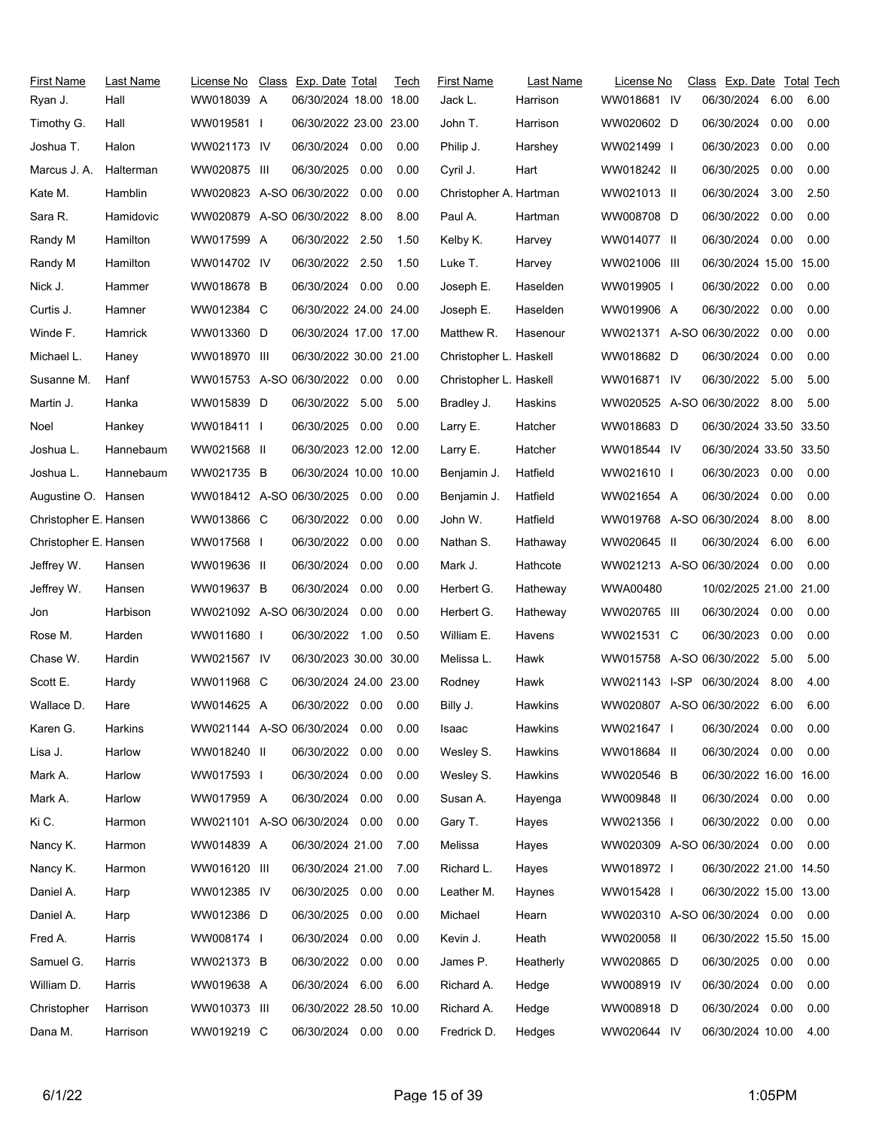| First Name<br>Ryan J. | Last Name<br>Hall | License No<br>WW018039 A      | Class Exp. Date Total<br>06/30/2024 18.00 18.00 |      | Tech | <b>First Name</b><br>Jack L. | Last Name<br>Harrison | License No<br>WW018681 IV     | Class Exp. Date Total Tech<br>06/30/2024 | 6.00 | 6.00 |
|-----------------------|-------------------|-------------------------------|-------------------------------------------------|------|------|------------------------------|-----------------------|-------------------------------|------------------------------------------|------|------|
| Timothy G.            | Hall              | WW019581                      | 06/30/2022 23.00 23.00                          |      |      | John T.                      | Harrison              | WW020602 D                    | 06/30/2024                               | 0.00 | 0.00 |
| Joshua T.             | Halon             | WW021173 IV                   | 06/30/2024                                      | 0.00 | 0.00 | Philip J.                    | Harshey               | WW021499 I                    | 06/30/2023                               | 0.00 | 0.00 |
| Marcus J. A.          | Halterman         | WW020875 III                  | 06/30/2025                                      | 0.00 | 0.00 | Cyril J.                     | Hart                  | WW018242 II                   | 06/30/2025                               | 0.00 | 0.00 |
| Kate M.               | Hamblin           | WW020823 A-SO 06/30/2022      |                                                 | 0.00 | 0.00 | Christopher A. Hartman       |                       | WW021013 II                   | 06/30/2024                               | 3.00 | 2.50 |
| Sara R.               | Hamidovic         | WW020879 A-SO 06/30/2022      |                                                 | 8.00 | 8.00 | Paul A.                      | Hartman               | WW008708 D                    | 06/30/2022                               | 0.00 | 0.00 |
| Randy M               | Hamilton          | WW017599 A                    | 06/30/2022 2.50                                 |      | 1.50 | Kelby K.                     | Harvey                | WW014077 II                   | 06/30/2024 0.00                          |      | 0.00 |
| Randy M               | Hamilton          | WW014702 IV                   | 06/30/2022 2.50                                 |      | 1.50 | Luke T.                      | Harvey                | WW021006 III                  | 06/30/2024 15.00 15.00                   |      |      |
| Nick J.               | Hammer            | WW018678 B                    | 06/30/2024 0.00                                 |      | 0.00 | Joseph E.                    | Haselden              | WW019905 I                    | 06/30/2022 0.00                          |      | 0.00 |
| Curtis J.             | Hamner            | WW012384 C                    | 06/30/2022 24.00 24.00                          |      |      | Joseph E.                    | Haselden              | WW019906 A                    | 06/30/2022                               | 0.00 | 0.00 |
| Winde F.              | Hamrick           | WW013360 D                    | 06/30/2024 17.00 17.00                          |      |      | Matthew R.                   | Hasenour              | WW021371 A-SO 06/30/2022      |                                          | 0.00 | 0.00 |
| Michael L.            | Haney             | WW018970 III                  | 06/30/2022 30.00 21.00                          |      |      | Christopher L. Haskell       |                       | WW018682 D                    | 06/30/2024                               | 0.00 | 0.00 |
| Susanne M.            | Hanf              | WW015753 A-SO 06/30/2022 0.00 |                                                 |      | 0.00 | Christopher L. Haskell       |                       | WW016871 IV                   | 06/30/2022                               | 5.00 | 5.00 |
| Martin J.             | Hanka             | WW015839 D                    | 06/30/2022 5.00                                 |      | 5.00 | Bradley J.                   | Haskins               | WW020525 A-SO 06/30/2022 8.00 |                                          |      | 5.00 |
| Noel                  | Hankey            | WW018411 I                    | 06/30/2025 0.00                                 |      | 0.00 | Larry E.                     | Hatcher               | WW018683 D                    | 06/30/2024 33.50 33.50                   |      |      |
| Joshua L.             | Hannebaum         | WW021568 II                   | 06/30/2023 12.00 12.00                          |      |      | Larry E.                     | Hatcher               | WW018544 IV                   | 06/30/2024 33.50 33.50                   |      |      |
| Joshua L.             | Hannebaum         | WW021735 B                    | 06/30/2024 10.00 10.00                          |      |      | Benjamin J.                  | Hatfield              | WW021610 I                    | 06/30/2023                               | 0.00 | 0.00 |
| Augustine O. Hansen   |                   | WW018412 A-SO 06/30/2025 0.00 |                                                 |      | 0.00 | Benjamin J.                  | Hatfield              | WW021654 A                    | 06/30/2024                               | 0.00 | 0.00 |
| Christopher E. Hansen |                   | WW013866 C                    | 06/30/2022                                      | 0.00 | 0.00 | John W.                      | Hatfield              | WW019768 A-SO 06/30/2024      |                                          | 8.00 | 8.00 |
| Christopher E. Hansen |                   | WW017568 I                    | 06/30/2022 0.00                                 |      | 0.00 | Nathan S.                    | Hathaway              | WW020645 II                   | 06/30/2024                               | 6.00 | 6.00 |
| Jeffrey W.            | Hansen            | WW019636 II                   | 06/30/2024                                      | 0.00 | 0.00 | Mark J.                      | Hathcote              | WW021213 A-SO 06/30/2024      |                                          | 0.00 | 0.00 |
| Jeffrey W.            | Hansen            | WW019637 B                    | 06/30/2024                                      | 0.00 | 0.00 | Herbert G.                   | Hatheway              | WWA00480                      | 10/02/2025 21.00 21.00                   |      |      |
| Jon                   | Harbison          | WW021092 A-SO 06/30/2024      |                                                 | 0.00 | 0.00 | Herbert G.                   | Hatheway              | WW020765 III                  | 06/30/2024                               | 0.00 | 0.00 |
| Rose M.               | Harden            | WW011680 I                    | 06/30/2022 1.00                                 |      | 0.50 | William E.                   | Havens                | WW021531 C                    | 06/30/2023                               | 0.00 | 0.00 |
| Chase W.              | Hardin            | WW021567 IV                   | 06/30/2023 30.00 30.00                          |      |      | Melissa L.                   | Hawk                  | WW015758 A-SO 06/30/2022      |                                          | 5.00 | 5.00 |
| Scott E.              | Hardy             | WW011968 C                    | 06/30/2024 24.00 23.00                          |      |      | Rodney                       | Hawk                  | WW021143 I-SP 06/30/2024      |                                          | 8.00 | 4.00 |
| Wallace D.            | Hare              | WW014625 A                    | 06/30/2022 0.00 0.00                            |      |      | Billy J.                     | <b>Hawkins</b>        | WW020807 A-SO 06/30/2022      |                                          | 6.00 | 6.00 |
| Karen G.              | Harkins           | WW021144 A-SO 06/30/2024      |                                                 | 0.00 | 0.00 | Isaac                        | Hawkins               | WW021647 I                    | 06/30/2024                               | 0.00 | 0.00 |
| Lisa J.               | Harlow            | WW018240 II                   | 06/30/2022                                      | 0.00 | 0.00 | Wesley S.                    | Hawkins               | WW018684 II                   | 06/30/2024 0.00                          |      | 0.00 |
| Mark A.               | Harlow            | WW017593 I                    | 06/30/2024                                      | 0.00 | 0.00 | Wesley S.                    | Hawkins               | WW020546 B                    | 06/30/2022 16.00 16.00                   |      |      |
| Mark A.               | Harlow            | WW017959 A                    | 06/30/2024 0.00                                 |      | 0.00 | Susan A.                     | Hayenga               | WW009848 II                   | 06/30/2024 0.00                          |      | 0.00 |
| Ki C.                 | Harmon            | WW021101 A-SO 06/30/2024      |                                                 | 0.00 | 0.00 | Gary T.                      | Hayes                 | WW021356 I                    | 06/30/2022                               | 0.00 | 0.00 |
| Nancy K.              | Harmon            | WW014839 A                    | 06/30/2024 21.00                                |      | 7.00 | Melissa                      | Hayes                 | WW020309 A-SO 06/30/2024      |                                          | 0.00 | 0.00 |
| Nancy K.              | Harmon            | WW016120 III                  | 06/30/2024 21.00                                |      | 7.00 | Richard L.                   | Hayes                 | WW018972 I                    | 06/30/2022 21.00 14.50                   |      |      |
| Daniel A.             | Harp              | WW012385 IV                   | 06/30/2025                                      | 0.00 | 0.00 | Leather M.                   | Haynes                | WW015428 I                    | 06/30/2022 15.00 13.00                   |      |      |
| Daniel A.             | Harp              | WW012386 D                    | 06/30/2025                                      | 0.00 | 0.00 | Michael                      | Hearn                 | WW020310 A-SO 06/30/2024 0.00 |                                          |      | 0.00 |
| Fred A.               | Harris            | WW008174                      | 06/30/2024                                      | 0.00 | 0.00 | Kevin J.                     | Heath                 | WW020058 II                   | 06/30/2022 15.50 15.00                   |      |      |
| Samuel G.             | Harris            | WW021373 B                    | 06/30/2022 0.00                                 |      | 0.00 | James P.                     | Heatherly             | WW020865 D                    | 06/30/2025                               | 0.00 | 0.00 |
| William D.            | Harris            | WW019638 A                    | 06/30/2024                                      | 6.00 | 6.00 | Richard A.                   | Hedge                 | WW008919 IV                   | 06/30/2024                               | 0.00 | 0.00 |
| Christopher           | Harrison          | WW010373 III                  | 06/30/2022 28.50 10.00                          |      |      | Richard A.                   | Hedge                 | WW008918 D                    | 06/30/2024                               | 0.00 | 0.00 |
| Dana M.               | Harrison          | WW019219 C                    | 06/30/2024 0.00                                 |      | 0.00 | Fredrick D.                  | Hedges                | WW020644 IV                   | 06/30/2024 10.00                         |      | 4.00 |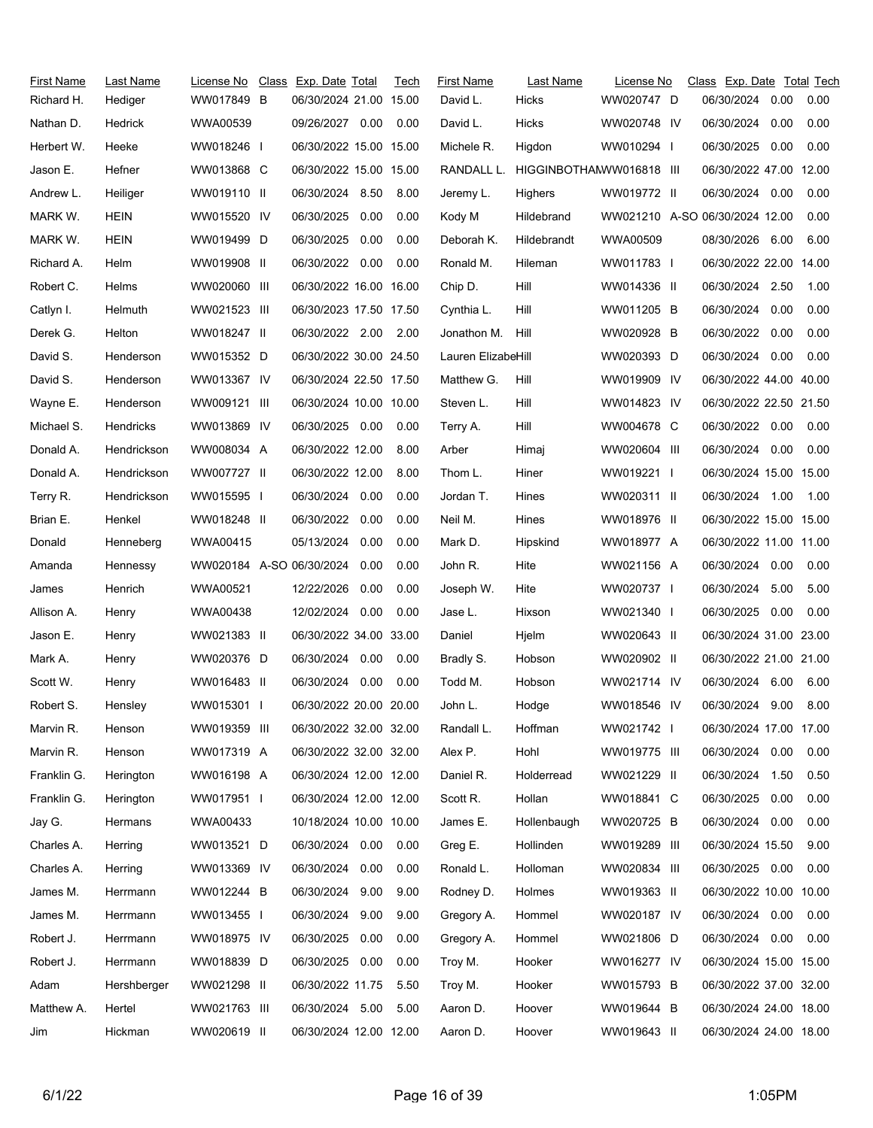| First Name<br>Richard H. | Last Name<br>Hediger | License No<br>WW017849 B | Class Exp. Date Total<br>06/30/2024 21.00 15.00 |      | Tech | First Name<br>David L. | Last Name<br>Hicks       | License No<br>WW020747 D | Class Exp. Date Total Tech<br>06/30/2024 | 0.00 | 0.00 |
|--------------------------|----------------------|--------------------------|-------------------------------------------------|------|------|------------------------|--------------------------|--------------------------|------------------------------------------|------|------|
| Nathan D.                | Hedrick              | WWA00539                 | 09/26/2027 0.00                                 |      | 0.00 | David L.               | Hicks                    | WW020748 IV              | 06/30/2024                               | 0.00 | 0.00 |
| Herbert W.               | Heeke                | WW018246 I               | 06/30/2022 15.00 15.00                          |      |      | Michele R.             | Higdon                   | WW010294 I               | 06/30/2025                               | 0.00 | 0.00 |
| Jason E.                 | Hefner               | WW013868 C               | 06/30/2022 15.00 15.00                          |      |      | RANDALL L.             | HIGGINBOTHAMWW016818 III |                          | 06/30/2022 47.00 12.00                   |      |      |
| Andrew L.                | Heiliger             | WW019110 II              | 06/30/2024 8.50                                 |      | 8.00 | Jeremy L.              | <b>Highers</b>           | WW019772 II              | 06/30/2024                               | 0.00 | 0.00 |
| MARK W.                  | HEIN                 | WW015520 IV              | 06/30/2025                                      | 0.00 | 0.00 | Kody M                 | Hildebrand               |                          | WW021210 A-SO 06/30/2024 12.00           |      | 0.00 |
| MARK W.                  | <b>HEIN</b>          | WW019499 D               | 06/30/2025                                      | 0.00 | 0.00 | Deborah K.             | Hildebrandt              | WWA00509                 | 08/30/2026 6.00                          |      | 6.00 |
| Richard A.               | Helm                 | WW019908 II              | 06/30/2022                                      | 0.00 | 0.00 | Ronald M.              | Hileman                  | WW011783 I               | 06/30/2022 22.00 14.00                   |      |      |
| Robert C.                | Helms                | WW020060 III             | 06/30/2022 16.00 16.00                          |      |      | Chip D.                | Hill                     | WW014336 II              | 06/30/2024 2.50                          |      | 1.00 |
| Catlyn I.                | Helmuth              | WW021523 III             | 06/30/2023 17.50 17.50                          |      |      | Cynthia L.             | Hill                     | WW011205 B               | 06/30/2024                               | 0.00 | 0.00 |
| Derek G.                 | Helton               | WW018247 II              | 06/30/2022 2.00                                 |      | 2.00 | Jonathon M.            | Hill                     | WW020928 B               | 06/30/2022                               | 0.00 | 0.00 |
| David S.                 | Henderson            | WW015352 D               | 06/30/2022 30.00 24.50                          |      |      |                        |                          | WW020393 D               | 06/30/2024                               | 0.00 | 0.00 |
| David S.                 |                      |                          | 06/30/2024 22.50 17.50                          |      |      | Lauren ElizabeHill     |                          |                          | 06/30/2022 44.00 40.00                   |      |      |
|                          | Henderson            | WW013367 IV              |                                                 |      |      | Matthew G.             | Hill                     | WW019909 IV              |                                          |      |      |
| Wayne E.                 | Henderson            | WW009121 III             | 06/30/2024 10.00 10.00                          |      |      | Steven L.              | Hill                     | WW014823 IV              | 06/30/2022 22.50 21.50                   |      |      |
| Michael S.               | Hendricks            | WW013869 IV              | 06/30/2025 0.00                                 |      | 0.00 | Terry A.               | Hill                     | WW004678 C               | 06/30/2022 0.00                          |      | 0.00 |
| Donald A.                | Hendrickson          | WW008034 A               | 06/30/2022 12.00                                |      | 8.00 | Arber                  | Himaj                    | WW020604 III             | 06/30/2024                               | 0.00 | 0.00 |
| Donald A.                | Hendrickson          | WW007727 II              | 06/30/2022 12.00                                |      | 8.00 | Thom L.                | Hiner                    | WW019221 I               | 06/30/2024 15.00 15.00                   |      |      |
| Terry R.                 | Hendrickson          | WW015595 I               | 06/30/2024                                      | 0.00 | 0.00 | Jordan T.              | Hines                    | WW020311 II              | 06/30/2024 1.00                          |      | 1.00 |
| Brian E.                 | Henkel               | WW018248 II              | 06/30/2022                                      | 0.00 | 0.00 | Neil M.                | Hines                    | WW018976 II              | 06/30/2022 15.00 15.00                   |      |      |
| Donald                   | Henneberg            | WWA00415                 | 05/13/2024                                      | 0.00 | 0.00 | Mark D.                | Hipskind                 | WW018977 A               | 06/30/2022 11.00 11.00                   |      |      |
| Amanda                   | Hennessy             | WW020184 A-SO 06/30/2024 |                                                 | 0.00 | 0.00 | John R.                | Hite                     | WW021156 A               | 06/30/2024                               | 0.00 | 0.00 |
| James                    | Henrich              | WWA00521                 | 12/22/2026                                      | 0.00 | 0.00 | Joseph W.              | Hite                     | WW020737 I               | 06/30/2024                               | 5.00 | 5.00 |
| Allison A.               | Henry                | WWA00438                 | 12/02/2024                                      | 0.00 | 0.00 | Jase L.                | Hixson                   | WW021340 I               | 06/30/2025                               | 0.00 | 0.00 |
| Jason E.                 | Henry                | WW021383 II              | 06/30/2022 34.00 33.00                          |      |      | Daniel                 | Hjelm                    | WW020643 II              | 06/30/2024 31.00 23.00                   |      |      |
| Mark A.                  | Henry                | WW020376 D               | 06/30/2024                                      | 0.00 | 0.00 | Bradly S.              | Hobson                   | WW020902 II              | 06/30/2022 21.00 21.00                   |      |      |
| Scott W.                 | Henry                | WW016483 II              | 06/30/2024                                      | 0.00 | 0.00 | Todd M.                | Hobson                   | WW021714 IV              | 06/30/2024 6.00                          |      | 6.00 |
| Robert S.                | Hensley              | WW015301 I               | 06/30/2022 20.00 20.00                          |      |      | John L.                | Hodge                    | WW018546 IV              | 06/30/2024                               | 9.00 | 8.00 |
| Marvin R.                | Henson               | WW019359 III             | 06/30/2022 32.00 32.00                          |      |      | Randall L.             | Hoffman                  | WW021742                 | 06/30/2024 17.00 17.00                   |      |      |
| Marvin R.                | Henson               | WW017319 A               | 06/30/2022 32.00 32.00                          |      |      | Alex P.                | Hohl                     | WW019775 III             | 06/30/2024                               | 0.00 | 0.00 |
| Franklin G.              | Herington            | WW016198 A               | 06/30/2024 12.00 12.00                          |      |      | Daniel R.              | Holderread               | WW021229 II              | 06/30/2024 1.50                          |      | 0.50 |
| Franklin G.              | Herington            | WW017951 I               | 06/30/2024 12.00 12.00                          |      |      | Scott R.               | Hollan                   | WW018841 C               | 06/30/2025                               | 0.00 | 0.00 |
| Jay G.                   | Hermans              | WWA00433                 | 10/18/2024 10.00 10.00                          |      |      | James E.               | Hollenbaugh              | WW020725 B               | 06/30/2024                               | 0.00 | 0.00 |
| Charles A.               | Herring              | WW013521 D               | 06/30/2024 0.00                                 |      | 0.00 | Greg E.                | Hollinden                | WW019289 III             | 06/30/2024 15.50                         |      | 9.00 |
| Charles A.               | Herring              | WW013369 IV              | 06/30/2024                                      | 0.00 | 0.00 | Ronald L.              | Holloman                 | WW020834 III             | 06/30/2025 0.00                          |      | 0.00 |
| James M.                 | Herrmann             | WW012244 B               | 06/30/2024                                      | 9.00 | 9.00 | Rodney D.              | Holmes                   | WW019363 II              | 06/30/2022 10.00 10.00                   |      |      |
| James M.                 | Herrmann             | WW013455                 | 06/30/2024                                      | 9.00 | 9.00 | Gregory A.             | Hommel                   | WW020187 IV              | 06/30/2024                               | 0.00 | 0.00 |
| Robert J.                | Herrmann             | WW018975 IV              | 06/30/2025                                      | 0.00 | 0.00 | Gregory A.             | Hommel                   | WW021806 D               | 06/30/2024 0.00                          |      | 0.00 |
| Robert J.                | Herrmann             | WW018839 D               | 06/30/2025                                      | 0.00 | 0.00 | Troy M.                | Hooker                   | WW016277 IV              | 06/30/2024 15.00 15.00                   |      |      |
| Adam                     | Hershberger          | WW021298 II              | 06/30/2022 11.75                                |      | 5.50 | Troy M.                | Hooker                   | WW015793 B               | 06/30/2022 37.00 32.00                   |      |      |
| Matthew A.               | Hertel               | WW021763 III             | 06/30/2024 5.00                                 |      | 5.00 | Aaron D.               | Hoover                   | WW019644 B               | 06/30/2024 24.00 18.00                   |      |      |
| Jim                      | Hickman              | WW020619 II              | 06/30/2024 12.00 12.00                          |      |      | Aaron D.               | Hoover                   | WW019643 II              | 06/30/2024 24.00 18.00                   |      |      |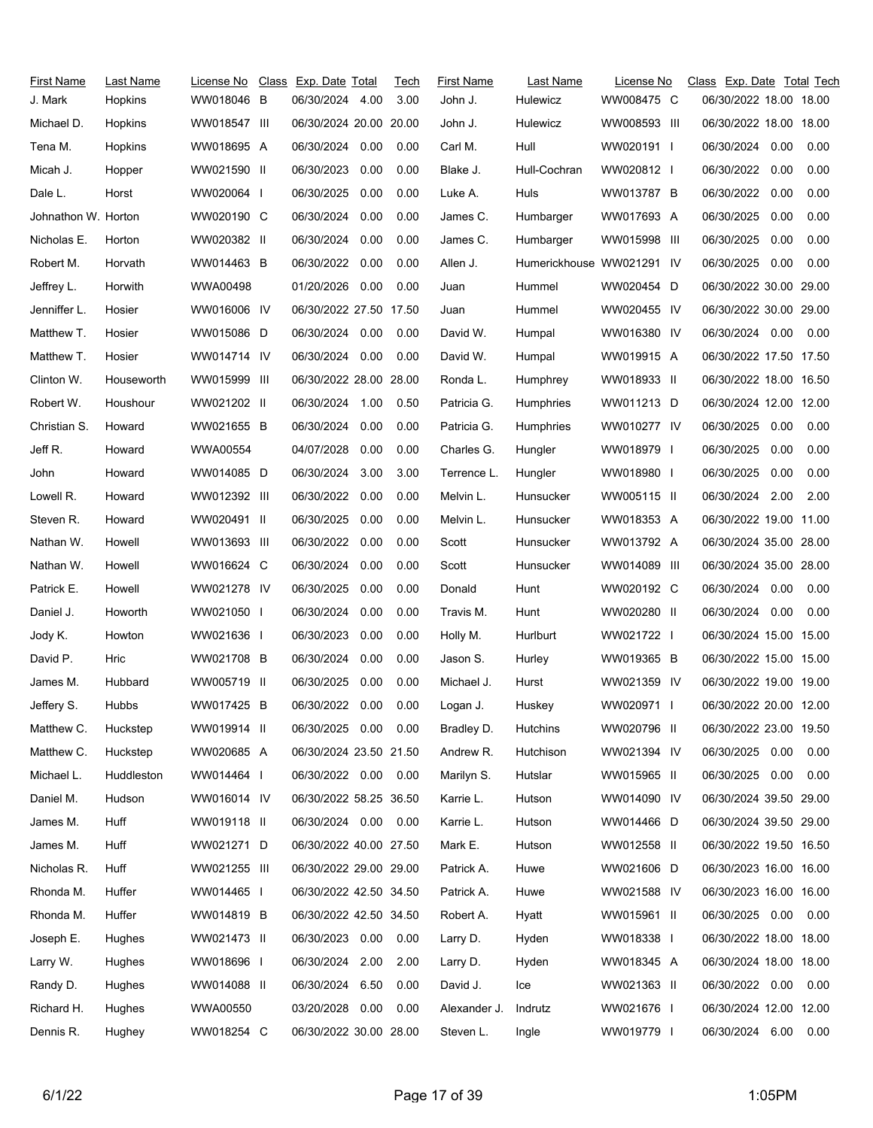| First Name          | Last Name  | License No   | Class Exp. Date Total  |      | Tech | <b>First Name</b> | Last Name                 | License No               | Class Exp. Date Total Tech |      |      |
|---------------------|------------|--------------|------------------------|------|------|-------------------|---------------------------|--------------------------|----------------------------|------|------|
| J. Mark             | Hopkins    | WW018046 B   | 06/30/2024 4.00        |      | 3.00 | John J.           | Hulewicz                  | WW008475 C               | 06/30/2022 18.00 18.00     |      |      |
| Michael D.          | Hopkins    | WW018547 III | 06/30/2024 20.00 20.00 |      |      | John J.           | Hulewicz                  | WW008593 III             | 06/30/2022 18.00 18.00     |      |      |
| Tena M.             | Hopkins    | WW018695 A   | 06/30/2024 0.00        |      | 0.00 | Carl M.           | Hull                      | WW020191 I               | 06/30/2024                 | 0.00 | 0.00 |
| Micah J.            | Hopper     | WW021590 II  | 06/30/2023             | 0.00 | 0.00 | Blake J.          | Hull-Cochran              | WW020812                 | 06/30/2022                 | 0.00 | 0.00 |
| Dale L.             | Horst      | WW020064     | 06/30/2025             | 0.00 | 0.00 | Luke A.           | Huls                      | WW013787 B               | 06/30/2022                 | 0.00 | 0.00 |
| Johnathon W. Horton |            | WW020190 C   | 06/30/2024             | 0.00 | 0.00 | James C.          | Humbarger                 | WW017693 A               | 06/30/2025                 | 0.00 | 0.00 |
| Nicholas E.         | Horton     | WW020382 II  | 06/30/2024             | 0.00 | 0.00 | James C.          | Humbarger                 | WW015998 III             | 06/30/2025                 | 0.00 | 0.00 |
| Robert M.           | Horvath    | WW014463 B   | 06/30/2022 0.00        |      | 0.00 | Allen J.          | Humerickhouse WW021291 IV |                          | 06/30/2025                 | 0.00 | 0.00 |
| Jeffrey L.          | Horwith    | WWA00498     | 01/20/2026 0.00        |      | 0.00 | Juan              | Hummel                    | WW020454 D               | 06/30/2022 30.00 29.00     |      |      |
| Jenniffer L.        | Hosier     | WW016006 IV  | 06/30/2022 27.50 17.50 |      |      | Juan              | Hummel                    | WW020455 IV              | 06/30/2022 30.00 29.00     |      |      |
| Matthew T.          | Hosier     | WW015086 D   | 06/30/2024 0.00        |      | 0.00 | David W.          | Humpal                    | WW016380 IV              | 06/30/2024 0.00            |      | 0.00 |
| Matthew T.          | Hosier     | WW014714 IV  | 06/30/2024 0.00        |      | 0.00 | David W.          | Humpal                    | WW019915 A               | 06/30/2022 17.50 17.50     |      |      |
| Clinton W.          | Houseworth | WW015999 III | 06/30/2022 28.00 28.00 |      |      | Ronda L.          | Humphrey                  | WW018933 II              | 06/30/2022 18.00 16.50     |      |      |
| Robert W.           | Houshour   | WW021202 II  | 06/30/2024 1.00        |      | 0.50 | Patricia G.       | Humphries                 | WW011213 D               | 06/30/2024 12.00 12.00     |      |      |
| Christian S.        | Howard     | WW021655 B   | 06/30/2024 0.00        |      | 0.00 | Patricia G.       | Humphries                 | WW010277 IV              | 06/30/2025                 | 0.00 | 0.00 |
| Jeff R.             | Howard     | WWA00554     | 04/07/2028             | 0.00 | 0.00 | Charles G.        | Hungler                   | WW018979 I               | 06/30/2025                 | 0.00 | 0.00 |
| John                | Howard     | WW014085 D   | 06/30/2024             | 3.00 | 3.00 | Terrence L.       | Hungler                   | WW018980 I               | 06/30/2025                 | 0.00 | 0.00 |
| Lowell R.           | Howard     | WW012392 III | 06/30/2022             | 0.00 | 0.00 | Melvin L.         | Hunsucker                 | WW005115 II              | 06/30/2024 2.00            |      | 2.00 |
| Steven R.           | Howard     | WW020491 II  | 06/30/2025             | 0.00 | 0.00 | Melvin L.         | Hunsucker                 | WW018353 A               | 06/30/2022 19.00 11.00     |      |      |
| Nathan W.           | Howell     | WW013693 III | 06/30/2022             | 0.00 | 0.00 | Scott             | Hunsucker                 | WW013792 A               | 06/30/2024 35.00 28.00     |      |      |
| Nathan W.           | Howell     | WW016624 C   | 06/30/2024             | 0.00 | 0.00 | Scott             | Hunsucker                 | WW014089 III             | 06/30/2024 35.00 28.00     |      |      |
| Patrick E.          | Howell     | WW021278 IV  | 06/30/2025             | 0.00 | 0.00 | Donald            | Hunt                      | WW020192 C               | 06/30/2024                 | 0.00 | 0.00 |
| Daniel J.           | Howorth    | WW021050 I   | 06/30/2024             | 0.00 | 0.00 | Travis M.         | Hunt                      | WW020280 II              | 06/30/2024                 | 0.00 | 0.00 |
| Jody K.             | Howton     | WW021636 I   | 06/30/2023             | 0.00 | 0.00 | Holly M.          | Hurlburt                  | WW021722 I               | 06/30/2024 15.00 15.00     |      |      |
| David P.            | Hric       | WW021708 B   | 06/30/2024             | 0.00 | 0.00 | Jason S.          | Hurley                    | WW019365 B               | 06/30/2022 15.00 15.00     |      |      |
| James M.            | Hubbard    | WW005719 II  | 06/30/2025             | 0.00 | 0.00 | Michael J.        | Hurst                     | WW021359 IV              | 06/30/2022 19.00 19.00     |      |      |
| Jeffery S.          | Hubbs      | WW017425 B   | 06/30/2022             | 0.00 | 0.00 | Logan J.          | Huskey                    | WW020971<br>$\mathbf{I}$ | 06/30/2022 20.00 12.00     |      |      |
| Matthew C.          | Huckstep   | WW019914 II  | 06/30/2025  0.00  0.00 |      |      | Bradley D.        | Hutchins                  | WW020796 II              | 06/30/2022 23.00 19.50     |      |      |
| Matthew C.          | Huckstep   | WW020685 A   | 06/30/2024 23.50 21.50 |      |      | Andrew R.         | Hutchison                 | WW021394 IV              | 06/30/2025 0.00            |      | 0.00 |
| Michael L.          | Huddleston | WW014464 I   | 06/30/2022 0.00 0.00   |      |      | Marilyn S.        | Hutslar                   | WW015965 II              | 06/30/2025 0.00            |      | 0.00 |
| Daniel M.           | Hudson     | WW016014 IV  | 06/30/2022 58.25 36.50 |      |      | Karrie L.         | Hutson                    | WW014090 IV              | 06/30/2024 39.50 29.00     |      |      |
| James M.            | Huff       | WW019118 II  | 06/30/2024 0.00        |      | 0.00 | Karrie L.         | Hutson                    | WW014466 D               | 06/30/2024 39.50 29.00     |      |      |
| James M.            | Huff       | WW021271 D   | 06/30/2022 40.00 27.50 |      |      | Mark E.           | Hutson                    | WW012558 II              | 06/30/2022 19.50 16.50     |      |      |
| Nicholas R.         | Huff       | WW021255 III | 06/30/2022 29.00 29.00 |      |      | Patrick A.        | Huwe                      | WW021606 D               | 06/30/2023 16.00 16.00     |      |      |
| Rhonda M.           | Huffer     | WW014465 I   | 06/30/2022 42.50 34.50 |      |      | Patrick A.        | Huwe                      | WW021588 IV              | 06/30/2023 16.00 16.00     |      |      |
| Rhonda M.           | Huffer     | WW014819 B   | 06/30/2022 42.50 34.50 |      |      | Robert A.         | Hyatt                     | WW015961 II              | 06/30/2025 0.00            |      | 0.00 |
| Joseph E.           | Hughes     | WW021473 II  | 06/30/2023 0.00        |      | 0.00 | Larry D.          | Hyden                     | WW018338 I               | 06/30/2022 18.00 18.00     |      |      |
| Larry W.            | Hughes     | WW018696 I   | 06/30/2024 2.00        |      | 2.00 | Larry D.          | Hyden                     | WW018345 A               | 06/30/2024 18.00 18.00     |      |      |
| Randy D.            | Hughes     | WW014088 II  | 06/30/2024 6.50        |      | 0.00 | David J.          | Ice                       | WW021363 II              | 06/30/2022 0.00 0.00       |      |      |
| Richard H.          | Hughes     | WWA00550     | 03/20/2028 0.00        |      | 0.00 | Alexander J.      | Indrutz                   | WW021676 I               | 06/30/2024 12.00 12.00     |      |      |
| Dennis R.           | Hughey     | WW018254 C   | 06/30/2022 30.00 28.00 |      |      | Steven L.         | Ingle                     | WW019779 I               | 06/30/2024 6.00 0.00       |      |      |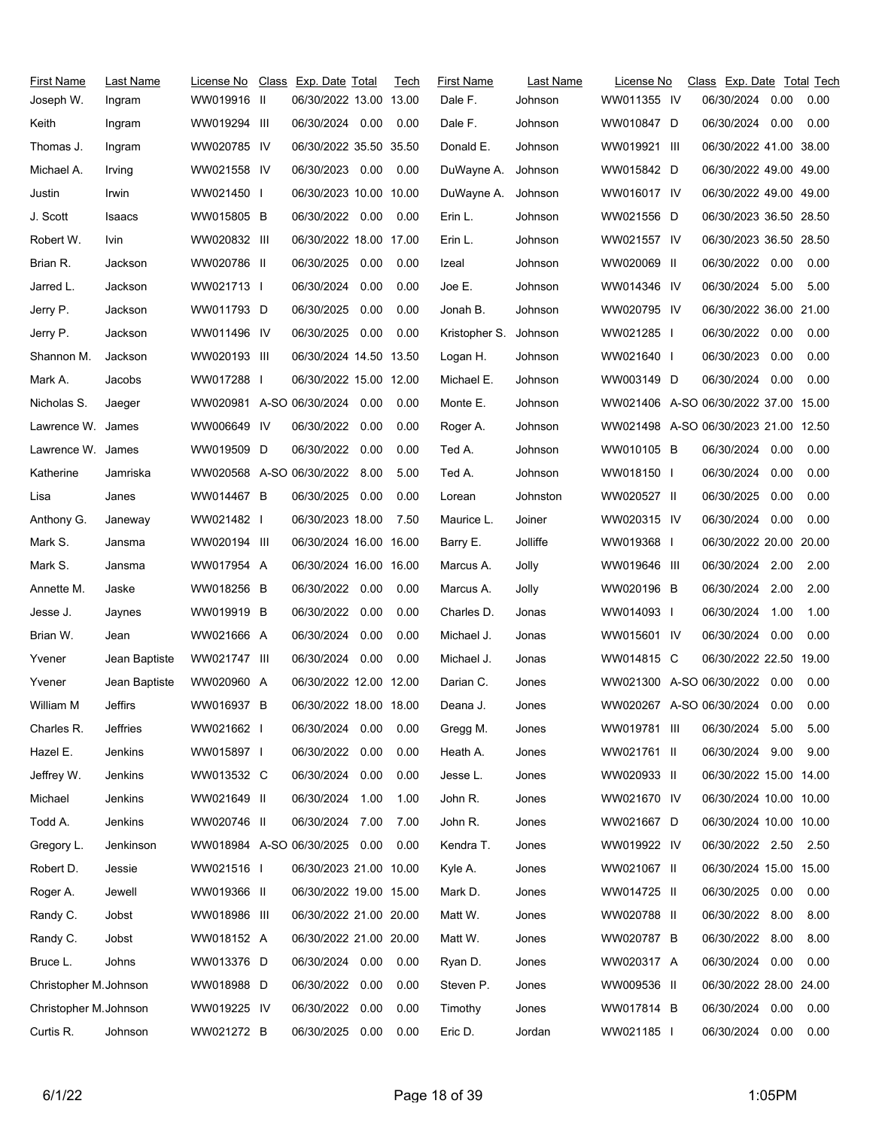| <b>First Name</b><br>Joseph W. | Last Name<br>Ingram | License No<br>WW019916 II | Class Exp. Date Total<br>06/30/2022 13.00 13.00 |      | Tech | First Name<br>Dale F. | Last Name<br>Johnson | License No<br>WW011355 IV            | Class Exp. Date Total Tech<br>06/30/2024 | 0.00 | 0.00 |
|--------------------------------|---------------------|---------------------------|-------------------------------------------------|------|------|-----------------------|----------------------|--------------------------------------|------------------------------------------|------|------|
| Keith                          | Ingram              | WW019294 III              | 06/30/2024 0.00                                 |      | 0.00 | Dale F.               | Johnson              | WW010847 D                           | 06/30/2024 0.00                          |      | 0.00 |
| Thomas J.                      | Ingram              | WW020785 IV               | 06/30/2022 35.50 35.50                          |      |      | Donald E.             | Johnson              | WW019921 III                         | 06/30/2022 41.00 38.00                   |      |      |
| Michael A.                     | Irving              | WW021558 IV               | 06/30/2023 0.00                                 |      | 0.00 | DuWayne A.            | Johnson              | WW015842 D                           | 06/30/2022 49.00 49.00                   |      |      |
| Justin                         | Irwin               | WW021450 I                | 06/30/2023 10.00 10.00                          |      |      | DuWayne A.            | Johnson              | WW016017 IV                          | 06/30/2022 49.00 49.00                   |      |      |
| J. Scott                       | Isaacs              | WW015805 B                | 06/30/2022 0.00                                 |      | 0.00 | Erin L.               | Johnson              | WW021556 D                           | 06/30/2023 36.50 28.50                   |      |      |
| Robert W.                      | lvin.               | WW020832 III              | 06/30/2022 18.00 17.00                          |      |      | Erin L.               | Johnson              | WW021557 IV                          | 06/30/2023 36.50 28.50                   |      |      |
| Brian R.                       | Jackson             | WW020786 II               | 06/30/2025                                      | 0.00 | 0.00 | Izeal                 | Johnson              | WW020069 II                          | 06/30/2022 0.00                          |      | 0.00 |
| Jarred L.                      | Jackson             | WW021713 I                | 06/30/2024 0.00                                 |      | 0.00 | Joe E.                | Johnson              | WW014346 IV                          | 06/30/2024 5.00                          |      | 5.00 |
| Jerry P.                       | Jackson             | WW011793 D                | 06/30/2025                                      | 0.00 | 0.00 | Jonah B.              | Johnson              | WW020795 IV                          | 06/30/2022 36.00 21.00                   |      |      |
| Jerry P.                       | Jackson             | WW011496 IV               | 06/30/2025                                      | 0.00 | 0.00 | Kristopher S.         | Johnson              | WW021285 I                           | 06/30/2022 0.00                          |      | 0.00 |
| Shannon M.                     | Jackson             | WW020193 III              | 06/30/2024 14.50 13.50                          |      |      | Logan H.              | Johnson              | WW021640 I                           | 06/30/2023                               | 0.00 | 0.00 |
| Mark A.                        | Jacobs              | WW017288 I                | 06/30/2022 15.00 12.00                          |      |      | Michael E.            | Johnson              | WW003149 D                           | 06/30/2024                               | 0.00 | 0.00 |
| Nicholas S.                    | Jaeger              |                           | WW020981 A-SO 06/30/2024 0.00                   |      | 0.00 | Monte E.              | Johnson              | WW021406 A-SO 06/30/2022 37.00 15.00 |                                          |      |      |
| Lawrence W. James              |                     | WW006649 IV               | 06/30/2022 0.00                                 |      | 0.00 | Roger A.              | Johnson              | WW021498 A-SO 06/30/2023 21.00 12.50 |                                          |      |      |
| Lawrence W. James              |                     | WW019509 D                | 06/30/2022 0.00                                 |      | 0.00 | Ted A.                | Johnson              | WW010105 B                           | 06/30/2024 0.00                          |      | 0.00 |
| Katherine                      | Jamriska            |                           | WW020568 A-SO 06/30/2022 8.00                   |      | 5.00 | Ted A.                | Johnson              | WW018150 I                           | 06/30/2024                               | 0.00 | 0.00 |
| Lisa                           | Janes               | WW014467 B                | 06/30/2025 0.00                                 |      | 0.00 | Lorean                | Johnston             | WW020527 II                          | 06/30/2025                               | 0.00 | 0.00 |
| Anthony G.                     | Janeway             | WW021482 I                | 06/30/2023 18.00                                |      | 7.50 | Maurice L.            | Joiner               | WW020315 IV                          | 06/30/2024                               | 0.00 | 0.00 |
| Mark S.                        | Jansma              | WW020194 III              | 06/30/2024 16.00 16.00                          |      |      | Barry E.              | Jolliffe             | WW019368 I                           | 06/30/2022 20.00 20.00                   |      |      |
| Mark S.                        | Jansma              | WW017954 A                | 06/30/2024 16.00 16.00                          |      |      | Marcus A.             | Jolly                | WW019646 III                         | 06/30/2024 2.00                          |      | 2.00 |
| Annette M.                     | Jaske               | WW018256 B                | 06/30/2022 0.00                                 |      | 0.00 | Marcus A.             | Jolly                | WW020196 B                           | 06/30/2024                               | 2.00 | 2.00 |
| Jesse J.                       | Jaynes              | WW019919 B                | 06/30/2022 0.00                                 |      | 0.00 | Charles D.            | Jonas                | WW014093 I                           | 06/30/2024                               | 1.00 | 1.00 |
| Brian W.                       | Jean                | WW021666 A                | 06/30/2024                                      | 0.00 | 0.00 | Michael J.            | Jonas                | WW015601 IV                          | 06/30/2024                               | 0.00 | 0.00 |
| Yvener                         | Jean Baptiste       | WW021747 III              | 06/30/2024                                      | 0.00 | 0.00 | Michael J.            | Jonas                | WW014815 C                           | 06/30/2022 22.50 19.00                   |      |      |
| Yvener                         | Jean Baptiste       | WW020960 A                | 06/30/2022 12.00 12.00                          |      |      | Darian C.             | Jones                | WW021300 A-SO 06/30/2022 0.00        |                                          |      | 0.00 |
| William M                      | Jeffirs             | WW016937 B                | 06/30/2022 18.00 18.00                          |      |      | Deana J.              | Jones                | WW020267 A-SO 06/30/2024 0.00        |                                          |      | 0.00 |
| Charles R.                     | <b>Jeffries</b>     | WW021662                  | 06/30/2024                                      | 0.00 | 0.00 | Gregg M.              | Jones                | WW019781 III                         | 06/30/2024                               | 5.00 | 5.00 |
| Hazel E.                       | Jenkins             | WW015897 I                | 06/30/2022                                      | 0.00 | 0.00 | Heath A.              | Jones                | WW021761 II                          | 06/30/2024 9.00                          |      | 9.00 |
| Jeffrey W.                     | Jenkins             | WW013532 C                | 06/30/2024                                      | 0.00 | 0.00 | Jesse L.              | Jones                | WW020933 II                          | 06/30/2022 15.00 14.00                   |      |      |
| Michael                        | Jenkins             | WW021649 II               | 06/30/2024                                      | 1.00 | 1.00 | John R.               | Jones                | WW021670 IV                          | 06/30/2024 10.00 10.00                   |      |      |
| Todd A.                        | Jenkins             | WW020746 II               | 06/30/2024                                      | 7.00 | 7.00 | John R.               | Jones                | WW021667 D                           | 06/30/2024 10.00 10.00                   |      |      |
| Gregory L.                     | Jenkinson           |                           | WW018984 A-SO 06/30/2025 0.00                   |      | 0.00 | Kendra T.             | Jones                | WW019922 IV                          | 06/30/2022 2.50                          |      | 2.50 |
| Robert D.                      | Jessie              | WW021516 I                | 06/30/2023 21.00 10.00                          |      |      | Kyle A.               | Jones                | WW021067 II                          | 06/30/2024 15.00 15.00                   |      |      |
| Roger A.                       | Jewell              | WW019366 II               | 06/30/2022 19.00 15.00                          |      |      | Mark D.               | Jones                | WW014725 II                          | 06/30/2025                               | 0.00 | 0.00 |
| Randy C.                       | Jobst               | WW018986 III              | 06/30/2022 21.00 20.00                          |      |      | Matt W.               | Jones                | WW020788 II                          | 06/30/2022                               | 8.00 | 8.00 |
| Randy C.                       | Jobst               | WW018152 A                | 06/30/2022 21.00 20.00                          |      |      | Matt W.               | Jones                | WW020787 B                           | 06/30/2022                               | 8.00 | 8.00 |
| Bruce L.                       | Johns               | WW013376 D                | 06/30/2024 0.00                                 |      | 0.00 | Ryan D.               | Jones                | WW020317 A                           | 06/30/2024                               | 0.00 | 0.00 |
| Christopher M. Johnson         |                     | WW018988 D                | 06/30/2022                                      | 0.00 | 0.00 | Steven P.             | Jones                | WW009536 II                          | 06/30/2022 28.00 24.00                   |      |      |
| Christopher M. Johnson         |                     | WW019225 IV               | 06/30/2022                                      | 0.00 | 0.00 | Timothy               | Jones                | WW017814 B                           | 06/30/2024 0.00                          |      | 0.00 |
| Curtis R.                      | Johnson             | WW021272 B                | 06/30/2025                                      | 0.00 | 0.00 | Eric D.               | Jordan               | WW021185 I                           | 06/30/2024 0.00                          |      | 0.00 |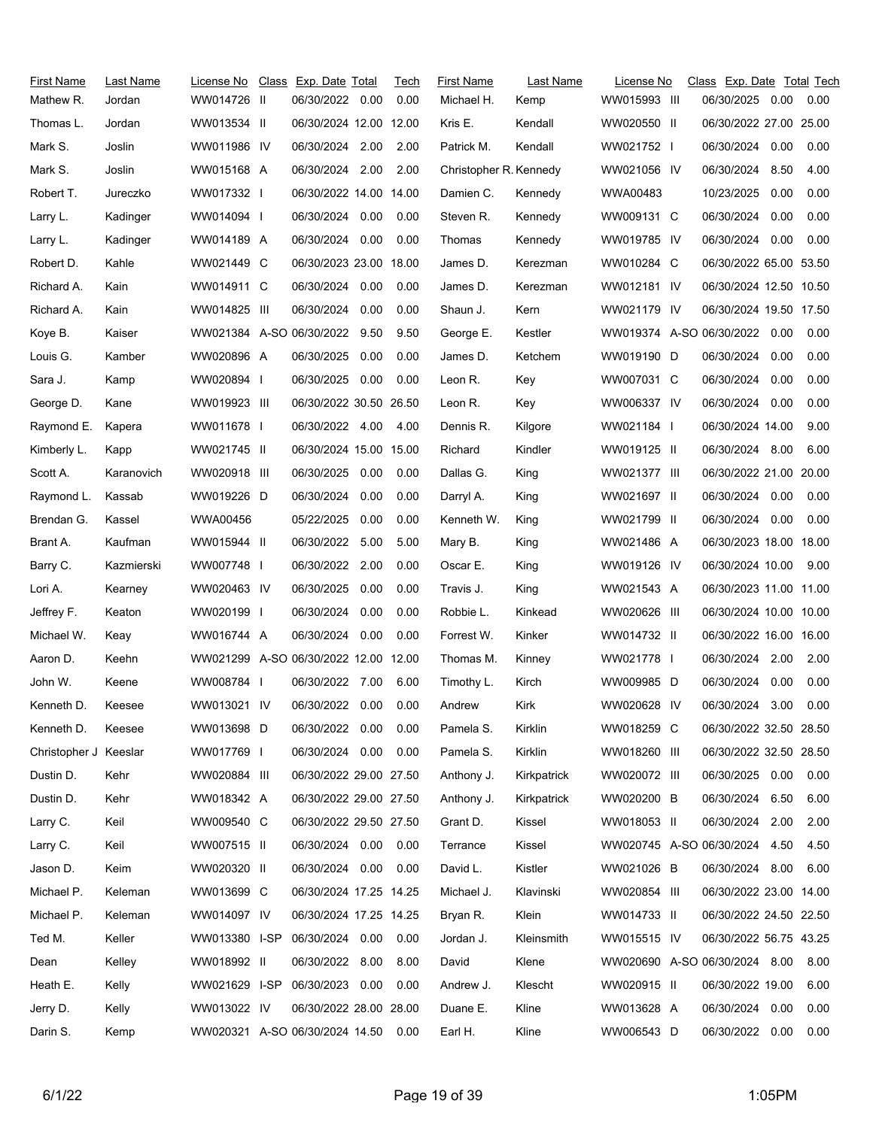| First Name            | Last Name  | License No Class Exp. Date Total     |                        |      | Tech | <b>First Name</b>      | Last Name   | License No                    | Class Exp. Date Total Tech |      |      |
|-----------------------|------------|--------------------------------------|------------------------|------|------|------------------------|-------------|-------------------------------|----------------------------|------|------|
| Mathew R.             | Jordan     | WW014726 II                          | 06/30/2022 0.00        |      | 0.00 | Michael H.             | Kemp        | WW015993 III                  | 06/30/2025 0.00            |      | 0.00 |
| Thomas L.             | Jordan     | WW013534 II                          | 06/30/2024 12.00 12.00 |      |      | Kris E.                | Kendall     | WW020550 II                   | 06/30/2022 27.00 25.00     |      |      |
| Mark S.               | Joslin     | WW011986 IV                          | 06/30/2024             | 2.00 | 2.00 | Patrick M.             | Kendall     | WW021752 I                    | 06/30/2024                 | 0.00 | 0.00 |
| Mark S.               | Joslin     | WW015168 A                           | 06/30/2024 2.00        |      | 2.00 | Christopher R. Kennedy |             | WW021056 IV                   | 06/30/2024 8.50            |      | 4.00 |
| Robert T.             | Jureczko   | WW017332 I                           | 06/30/2022 14.00 14.00 |      |      | Damien C.              | Kennedy     | WWA00483                      | 10/23/2025                 | 0.00 | 0.00 |
| Larry L.              | Kadinger   | WW014094                             | 06/30/2024             | 0.00 | 0.00 | Steven R.              | Kennedy     | WW009131 C                    | 06/30/2024                 | 0.00 | 0.00 |
| Larry L.              | Kadinger   | WW014189 A                           | 06/30/2024 0.00        |      | 0.00 | Thomas                 | Kennedy     | WW019785 IV                   | 06/30/2024                 | 0.00 | 0.00 |
| Robert D.             | Kahle      | WW021449 C                           | 06/30/2023 23.00 18.00 |      |      | James D.               | Kerezman    | WW010284 C                    | 06/30/2022 65.00 53.50     |      |      |
| Richard A.            | Kain       | WW014911 C                           | 06/30/2024 0.00        |      | 0.00 | James D.               | Kerezman    | WW012181 IV                   | 06/30/2024 12.50 10.50     |      |      |
| Richard A.            | Kain       | WW014825 III                         | 06/30/2024             | 0.00 | 0.00 | Shaun J.               | Kern        | WW021179 IV                   | 06/30/2024 19.50 17.50     |      |      |
| Koye B.               | Kaiser     | WW021384 A-SO 06/30/2022 9.50        |                        |      | 9.50 | George E.              | Kestler     | WW019374 A-SO 06/30/2022 0.00 |                            |      | 0.00 |
| Louis G.              | Kamber     | WW020896 A                           | 06/30/2025             | 0.00 | 0.00 | James D.               | Ketchem     | WW019190 D                    | 06/30/2024                 | 0.00 | 0.00 |
| Sara J.               | Kamp       | WW020894 I                           | 06/30/2025 0.00        |      | 0.00 | Leon R.                | Key         | WW007031 C                    | 06/30/2024                 | 0.00 | 0.00 |
| George D.             | Kane       | WW019923 III                         | 06/30/2022 30.50 26.50 |      |      | Leon R.                | Key         | WW006337 IV                   | 06/30/2024                 | 0.00 | 0.00 |
| Raymond E.            | Kapera     | WW011678 I                           | 06/30/2022 4.00 4.00   |      |      | Dennis R.              | Kilgore     | WW021184 I                    | 06/30/2024 14.00           |      | 9.00 |
| Kimberly L.           | Kapp       | WW021745 II                          | 06/30/2024 15.00 15.00 |      |      | Richard                | Kindler     | WW019125 II                   | 06/30/2024 8.00            |      | 6.00 |
| Scott A.              | Karanovich | WW020918 III                         | 06/30/2025             | 0.00 | 0.00 | Dallas G.              | King        | WW021377 III                  | 06/30/2022 21.00 20.00     |      |      |
| Raymond L.            | Kassab     | WW019226 D                           | 06/30/2024             | 0.00 | 0.00 | Darryl A.              | King        | WW021697 II                   | 06/30/2024 0.00            |      | 0.00 |
| Brendan G.            | Kassel     | WWA00456                             | 05/22/2025             | 0.00 | 0.00 | Kenneth W.             | King        | WW021799 II                   | 06/30/2024                 | 0.00 | 0.00 |
| Brant A.              | Kaufman    | WW015944 II                          | 06/30/2022 5.00        |      | 5.00 | Mary B.                | King        | WW021486 A                    | 06/30/2023 18.00 18.00     |      |      |
| Barry C.              | Kazmierski | WW007748 I                           | 06/30/2022             | 2.00 | 0.00 | Oscar E.               | King        | WW019126 IV                   | 06/30/2024 10.00           |      | 9.00 |
| Lori A.               | Kearney    | WW020463 IV                          | 06/30/2025             | 0.00 | 0.00 | Travis J.              | King        | WW021543 A                    | 06/30/2023 11.00 11.00     |      |      |
| Jeffrey F.            | Keaton     | WW020199 I                           | 06/30/2024             | 0.00 | 0.00 | Robbie L.              | Kinkead     | WW020626 III                  | 06/30/2024 10.00 10.00     |      |      |
| Michael W.            | Keay       | WW016744 A                           | 06/30/2024             | 0.00 | 0.00 | Forrest W.             | Kinker      | WW014732 II                   | 06/30/2022 16.00 16.00     |      |      |
| Aaron D.              | Keehn      | WW021299 A-SO 06/30/2022 12.00 12.00 |                        |      |      | Thomas M.              | Kinney      | WW021778 I                    | 06/30/2024                 | 2.00 | 2.00 |
| John W.               | Keene      | WW008784 I                           | 06/30/2022 7.00        |      | 6.00 | Timothy L.             | Kirch       | WW009985 D                    | 06/30/2024                 | 0.00 | 0.00 |
| Kenneth D.            | Keesee     | WW013021 IV                          | 06/30/2022 0.00        |      | 0.00 | Andrew                 | Kirk        | WW020628 IV                   | 06/30/2024                 | 3.00 | 0.00 |
| Kenneth D.            | Keesee     | WW013698 D                           | 06/30/2022 0.00        |      | 0.00 | Pamela S.              | Kirklin     | WW018259 C                    | 06/30/2022 32.50 28.50     |      |      |
| Christopher J Keeslar |            | WW017769 I                           | 06/30/2024 0.00        |      | 0.00 | Pamela S.              | Kirklin     | WW018260 III                  | 06/30/2022 32.50 28.50     |      |      |
| Dustin D.             | Kehr       | WW020884 III                         | 06/30/2022 29.00 27.50 |      |      | Anthony J.             | Kirkpatrick | WW020072 III                  | 06/30/2025 0.00            |      | 0.00 |
| Dustin D.             | Kehr       | WW018342 A                           | 06/30/2022 29.00 27.50 |      |      | Anthony J.             | Kirkpatrick | WW020200 B                    | 06/30/2024 6.50            |      | 6.00 |
| Larry C.              | Keil       | WW009540 C                           | 06/30/2022 29.50 27.50 |      |      | Grant D.               | Kissel      | WW018053 II                   | 06/30/2024                 | 2.00 | 2.00 |
| Larry C.              | Keil       | WW007515 II                          | 06/30/2024 0.00 0.00   |      |      | Terrance               | Kissel      | WW020745 A-SO 06/30/2024 4.50 |                            |      | 4.50 |
| Jason D.              | Keim       | WW020320 II                          | 06/30/2024 0.00        |      | 0.00 | David L.               | Kistler     | WW021026 B                    | 06/30/2024 8.00            |      | 6.00 |
| Michael P.            | Keleman    | WW013699 C                           | 06/30/2024 17.25 14.25 |      |      | Michael J.             | Klavinski   | WW020854 III                  | 06/30/2022 23.00 14.00     |      |      |
| Michael P.            | Keleman    | WW014097 IV                          | 06/30/2024 17.25 14.25 |      |      | Bryan R.               | Klein       | WW014733 II                   | 06/30/2022 24.50 22.50     |      |      |
| Ted M.                | Keller     | WW013380 I-SP                        | 06/30/2024 0.00        |      | 0.00 | Jordan J.              | Kleinsmith  | WW015515 IV                   | 06/30/2022 56.75 43.25     |      |      |
| Dean                  | Kelley     | WW018992 II                          | 06/30/2022 8.00        |      | 8.00 | David                  | Klene       | WW020690 A-SO 06/30/2024 8.00 |                            |      | 8.00 |
| Heath E.              | Kelly      | WW021629 I-SP                        | 06/30/2023             | 0.00 | 0.00 | Andrew J.              | Klescht     | WW020915 II                   | 06/30/2022 19.00           |      | 6.00 |
| Jerry D.              | Kelly      | WW013022 IV                          | 06/30/2022 28.00 28.00 |      |      | Duane E.               | Kline       | WW013628 A                    | 06/30/2024 0.00            |      | 0.00 |
| Darin S.              | Kemp       | WW020321 A-SO 06/30/2024 14.50 0.00  |                        |      |      | Earl H.                | Kline       | WW006543 D                    | 06/30/2022 0.00            |      | 0.00 |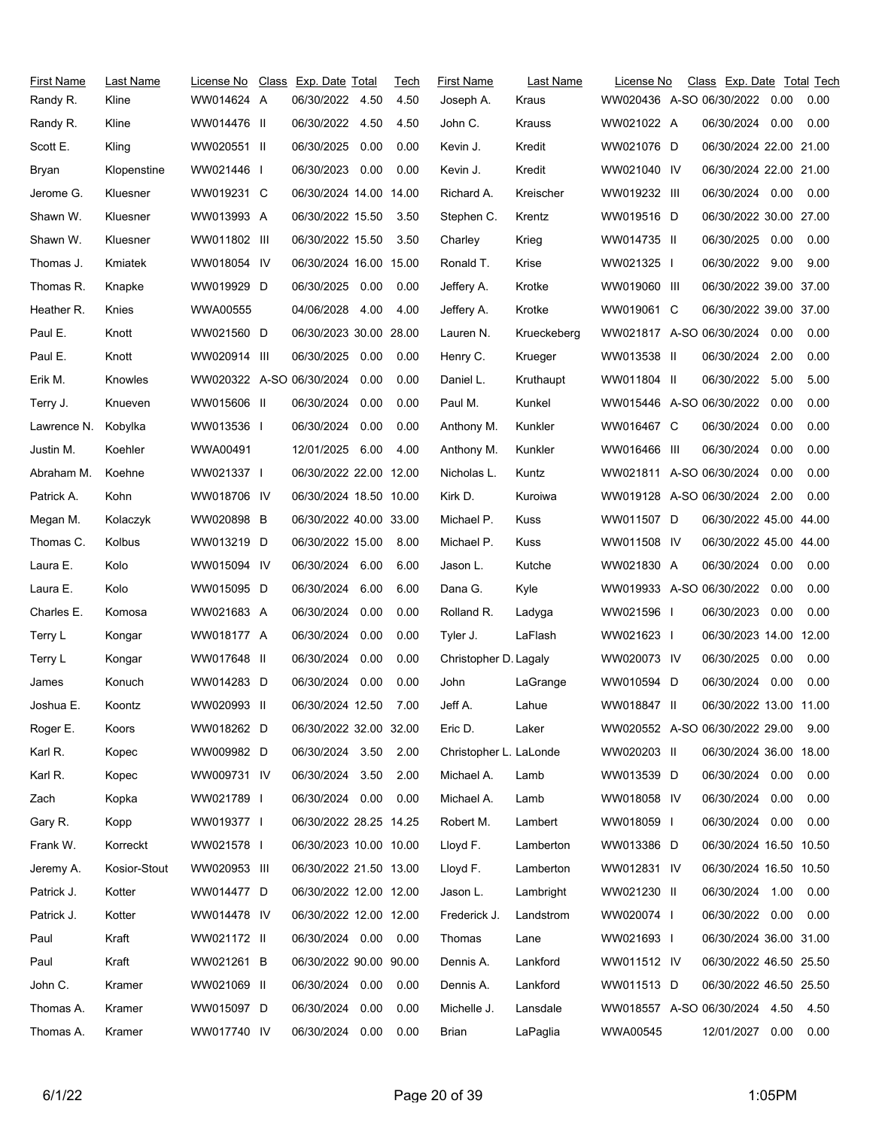| First Name          | Last Name    | License No Class Exp. Date Total |                        |      | Tech | <b>First Name</b>      | Last Name   | License No                     | Class Exp. Date Total Tech |      |      |
|---------------------|--------------|----------------------------------|------------------------|------|------|------------------------|-------------|--------------------------------|----------------------------|------|------|
| Randy R.            | Kline        | WW014624 A                       | 06/30/2022             | 4.50 | 4.50 | Joseph A.              | Kraus       | WW020436 A-SO 06/30/2022       |                            | 0.00 | 0.00 |
| Randy R.            | Kline        | WW014476 II                      | 06/30/2022 4.50        |      | 4.50 | John C.                | Krauss      | WW021022 A                     | 06/30/2024 0.00            |      | 0.00 |
| Scott E.            | Kling        | WW020551 II                      | 06/30/2025             | 0.00 | 0.00 | Kevin J.               | Kredit      | WW021076 D                     | 06/30/2024 22.00 21.00     |      |      |
| Bryan               | Klopenstine  | WW021446                         | 06/30/2023 0.00        |      | 0.00 | Kevin J.               | Kredit      | WW021040 IV                    | 06/30/2024 22.00 21.00     |      |      |
| Jerome G.           | Kluesner     | WW019231 C                       | 06/30/2024 14.00 14.00 |      |      | Richard A.             | Kreischer   | WW019232 III                   | 06/30/2024 0.00            |      | 0.00 |
| Shawn W.            | Kluesner     | WW013993 A                       | 06/30/2022 15.50       |      | 3.50 | Stephen C.             | Krentz      | WW019516 D                     | 06/30/2022 30.00 27.00     |      |      |
| Shawn W.            | Kluesner     | WW011802 III                     | 06/30/2022 15.50       |      | 3.50 | Charley                | Krieg       | WW014735 II                    | 06/30/2025                 | 0.00 | 0.00 |
| Thomas J.           | Kmiatek      | WW018054 IV                      | 06/30/2024 16.00 15.00 |      |      | Ronald T.              | Krise       | WW021325 I                     | 06/30/2022 9.00            |      | 9.00 |
| Thomas R.           | Knapke       | WW019929 D                       | 06/30/2025 0.00        |      | 0.00 | Jeffery A.             | Krotke      | WW019060 III                   | 06/30/2022 39.00 37.00     |      |      |
| Heather R.          | Knies        | <b>WWA00555</b>                  | 04/06/2028             | 4.00 | 4.00 | Jeffery A.             | Krotke      | WW019061 C                     | 06/30/2022 39.00 37.00     |      |      |
| Paul E.             | Knott        | WW021560 D                       | 06/30/2023 30.00 28.00 |      |      | Lauren N.              | Krueckeberg | WW021817 A-SO 06/30/2024 0.00  |                            |      | 0.00 |
| Paul E.             | Knott        | WW020914 III                     | 06/30/2025 0.00        |      | 0.00 | Henry C.               | Krueger     | WW013538 II                    | 06/30/2024                 | 2.00 | 0.00 |
| Erik M.             | Knowles      | WW020322 A-SO 06/30/2024         |                        | 0.00 | 0.00 | Daniel L.              | Kruthaupt   | WW011804 II                    | 06/30/2022                 | 5.00 | 5.00 |
| Terry J.            | Knueven      | WW015606 II                      | 06/30/2024             | 0.00 | 0.00 | Paul M.                | Kunkel      | WW015446 A-SO 06/30/2022       |                            | 0.00 | 0.00 |
| Lawrence N. Kobylka |              | WW013536 I                       | 06/30/2024             | 0.00 | 0.00 | Anthony M.             | Kunkler     | WW016467 C                     | 06/30/2024                 | 0.00 | 0.00 |
| Justin M.           | Koehler      | WWA00491                         | 12/01/2025             | 6.00 | 4.00 | Anthony M.             | Kunkler     | WW016466 III                   | 06/30/2024                 | 0.00 | 0.00 |
| Abraham M.          | Koehne       | WW021337 I                       | 06/30/2022 22.00 12.00 |      |      | Nicholas L.            | Kuntz       | WW021811 A-SO 06/30/2024       |                            | 0.00 | 0.00 |
| Patrick A.          | Kohn         | WW018706 IV                      | 06/30/2024 18.50 10.00 |      |      | Kirk D.                | Kuroiwa     | WW019128 A-SO 06/30/2024 2.00  |                            |      | 0.00 |
| Megan M.            | Kolaczyk     | WW020898 B                       | 06/30/2022 40.00 33.00 |      |      | Michael P.             | Kuss        | WW011507 D                     | 06/30/2022 45.00 44.00     |      |      |
| Thomas C.           | Kolbus       | WW013219 D                       | 06/30/2022 15.00       |      | 8.00 | Michael P.             | Kuss        | WW011508 IV                    | 06/30/2022 45.00 44.00     |      |      |
| Laura E.            | Kolo         | WW015094 IV                      | 06/30/2024             | 6.00 | 6.00 | Jason L.               | Kutche      | WW021830 A                     | 06/30/2024                 | 0.00 | 0.00 |
| Laura E.            | Kolo         | WW015095 D                       | 06/30/2024             | 6.00 | 6.00 | Dana G.                | Kyle        | WW019933 A-SO 06/30/2022       |                            | 0.00 | 0.00 |
| Charles E.          | Komosa       | WW021683 A                       | 06/30/2024             | 0.00 | 0.00 | Rolland R.             | Ladyga      | WW021596 I                     | 06/30/2023                 | 0.00 | 0.00 |
| Terry L             | Kongar       | WW018177 A                       | 06/30/2024             | 0.00 | 0.00 | Tyler J.               | LaFlash     | WW021623 I                     | 06/30/2023 14.00 12.00     |      |      |
| Terry L             | Kongar       | WW017648 II                      | 06/30/2024             | 0.00 | 0.00 | Christopher D. Lagaly  |             | WW020073 IV                    | 06/30/2025                 | 0.00 | 0.00 |
| James               | Konuch       | WW014283 D                       | 06/30/2024             | 0.00 | 0.00 | John                   | LaGrange    | WW010594 D                     | 06/30/2024                 | 0.00 | 0.00 |
| Joshua E.           | Koontz       | WW020993 II                      | 06/30/2024 12.50       |      | 7.00 | Jeff A.                | Lahue       | WW018847 II                    | 06/30/2022 13.00 11.00     |      |      |
| Roger E.            | Koors        | WW018262 D                       | 06/30/2022 32.00 32.00 |      |      | Eric D.                | Laker       | WW020552 A-SO 06/30/2022 29.00 |                            |      | 9.00 |
| Karl R.             | Kopec        | WW009982 D                       | 06/30/2024 3.50        |      | 2.00 | Christopher L. LaLonde |             | WW020203 II                    | 06/30/2024 36.00 18.00     |      |      |
| Karl R.             | Kopec        | WW009731 IV                      | 06/30/2024 3.50        |      | 2.00 | Michael A.             | Lamb        | WW013539 D                     | 06/30/2024 0.00            |      | 0.00 |
| Zach                | Kopka        | WW021789 I                       | 06/30/2024 0.00        |      | 0.00 | Michael A.             | Lamb        | WW018058 IV                    | 06/30/2024 0.00            |      | 0.00 |
| Gary R.             | Kopp         | WW019377 I                       | 06/30/2022 28.25 14.25 |      |      | Robert M.              | Lambert     | WW018059 I                     | 06/30/2024 0.00            |      | 0.00 |
| Frank W.            | Korreckt     | WW021578 I                       | 06/30/2023 10.00 10.00 |      |      | Lloyd F.               | Lamberton   | WW013386 D                     | 06/30/2024 16.50 10.50     |      |      |
| Jeremy A.           | Kosior-Stout | WW020953 III                     | 06/30/2022 21.50 13.00 |      |      | Lloyd F.               | Lamberton   | WW012831 IV                    | 06/30/2024 16.50 10.50     |      |      |
| Patrick J.          | Kotter       | WW014477 D                       | 06/30/2022 12.00 12.00 |      |      | Jason L.               | Lambright   | WW021230 II                    | 06/30/2024 1.00            |      | 0.00 |
| Patrick J.          | Kotter       | WW014478 IV                      | 06/30/2022 12.00 12.00 |      |      | Frederick J.           | Landstrom   | WW020074                       | 06/30/2022 0.00            |      | 0.00 |
| Paul                | Kraft        | WW021172 II                      | 06/30/2024 0.00 0.00   |      |      | Thomas                 | Lane        | WW021693 I                     | 06/30/2024 36.00 31.00     |      |      |
| Paul                | Kraft        | WW021261 B                       | 06/30/2022 90.00 90.00 |      |      | Dennis A.              | Lankford    | WW011512 IV                    | 06/30/2022 46.50 25.50     |      |      |
| John C.             | Kramer       | WW021069 II                      | 06/30/2024 0.00        |      | 0.00 | Dennis A.              | Lankford    | WW011513 D                     | 06/30/2022 46.50 25.50     |      |      |
| Thomas A.           | Kramer       | WW015097 D                       | 06/30/2024             | 0.00 | 0.00 | Michelle J.            | Lansdale    | WW018557 A-SO 06/30/2024 4.50  |                            |      | 4.50 |
| Thomas A.           | Kramer       | WW017740 IV                      | 06/30/2024 0.00        |      | 0.00 | Brian                  | LaPaglia    | WWA00545                       | 12/01/2027 0.00            |      | 0.00 |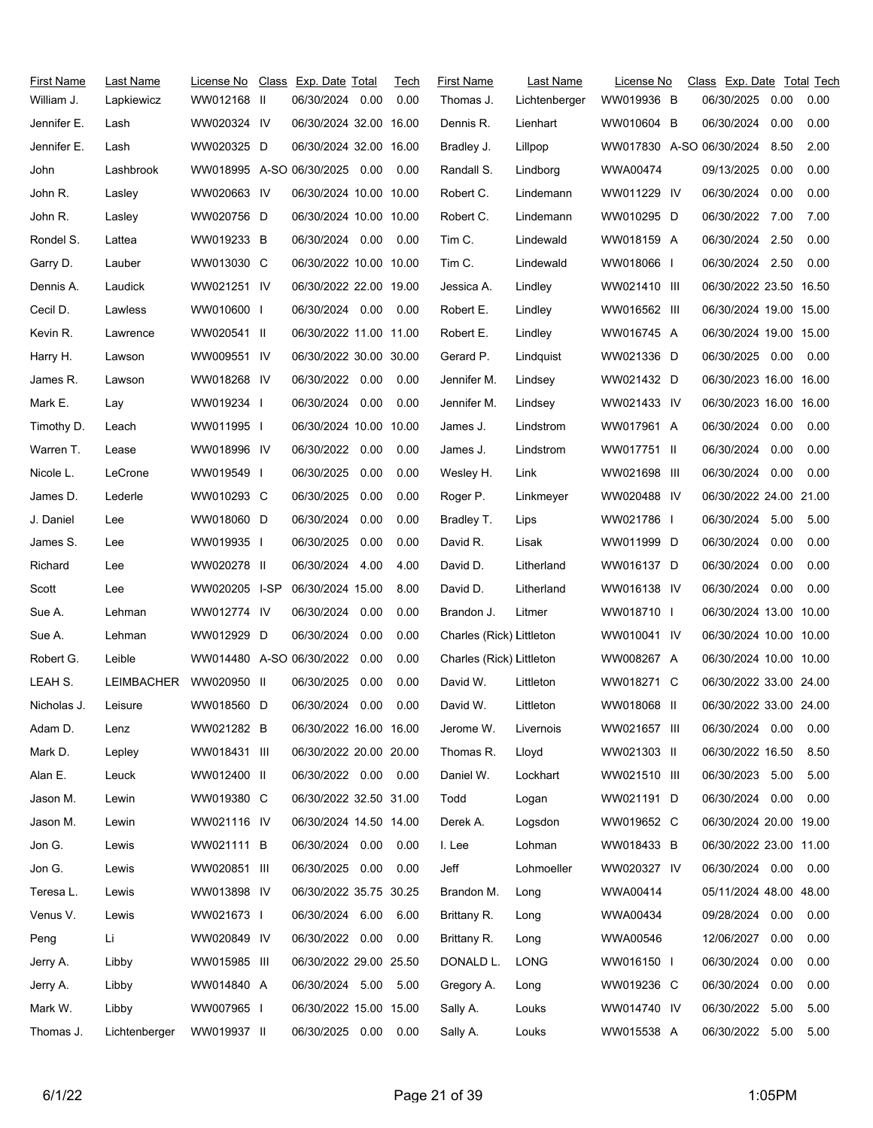| <b>First Name</b><br>William J. | Last Name<br>Lapkiewicz | License No<br>WW012168 II     | Class Exp. Date Total<br>06/30/2024 0.00 |      | Tech<br>0.00 | <b>First Name</b><br>Thomas J. | Last Name<br>Lichtenberger | License No<br>WW019936 B | Class Exp. Date Total Tech<br>06/30/2025 | 0.00 | 0.00 |
|---------------------------------|-------------------------|-------------------------------|------------------------------------------|------|--------------|--------------------------------|----------------------------|--------------------------|------------------------------------------|------|------|
| Jennifer E.                     | Lash                    | WW020324 IV                   | 06/30/2024 32.00 16.00                   |      |              | Dennis R.                      | Lienhart                   | WW010604 B               | 06/30/2024                               | 0.00 | 0.00 |
| Jennifer E.                     | Lash                    | WW020325 D                    | 06/30/2024 32.00 16.00                   |      |              | Bradley J.                     | Lillpop                    | WW017830 A-SO 06/30/2024 |                                          | 8.50 | 2.00 |
| John                            | Lashbrook               | WW018995 A-SO 06/30/2025 0.00 |                                          |      | 0.00         | Randall S.                     | Lindborg                   | WWA00474                 | 09/13/2025                               | 0.00 | 0.00 |
| John R.                         | Lasley                  | WW020663 IV                   | 06/30/2024 10.00 10.00                   |      |              | Robert C.                      | Lindemann                  | WW011229 IV              | 06/30/2024                               | 0.00 | 0.00 |
| John R.                         | Lasley                  | WW020756 D                    | 06/30/2024 10.00 10.00                   |      |              | Robert C.                      | Lindemann                  | WW010295 D               | 06/30/2022 7.00                          |      | 7.00 |
| Rondel S.                       | Lattea                  | WW019233 B                    | 06/30/2024 0.00                          |      | 0.00         | Tim C.                         | Lindewald                  | WW018159 A               | 06/30/2024                               | 2.50 | 0.00 |
| Garry D.                        | Lauber                  | WW013030 C                    | 06/30/2022 10.00 10.00                   |      |              | Tim C.                         | Lindewald                  | WW018066 I               | 06/30/2024 2.50                          |      | 0.00 |
| Dennis A.                       | Laudick                 | WW021251 IV                   | 06/30/2022 22.00 19.00                   |      |              | Jessica A.                     | Lindley                    | WW021410 III             | 06/30/2022 23.50 16.50                   |      |      |
| Cecil D.                        | Lawless                 | WW010600 I                    | 06/30/2024 0.00                          |      | 0.00         | Robert E.                      | Lindley                    | WW016562 III             | 06/30/2024 19.00 15.00                   |      |      |
| Kevin R.                        | Lawrence                | WW020541 II                   | 06/30/2022 11.00 11.00                   |      |              | Robert E.                      | Lindley                    | WW016745 A               | 06/30/2024 19.00 15.00                   |      |      |
| Harry H.                        | Lawson                  | WW009551 IV                   | 06/30/2022 30.00 30.00                   |      |              | Gerard P.                      | Lindquist                  | WW021336 D               | 06/30/2025 0.00                          |      | 0.00 |
| James R.                        | Lawson                  | WW018268 IV                   | 06/30/2022 0.00                          |      | 0.00         | Jennifer M.                    | Lindsey                    | WW021432 D               | 06/30/2023 16.00 16.00                   |      |      |
| Mark E.                         | Lay                     | WW019234 I                    | 06/30/2024 0.00                          |      | 0.00         | Jennifer M.                    | Lindsey                    | WW021433 IV              | 06/30/2023 16.00 16.00                   |      |      |
| Timothy D.                      | Leach                   | WW011995 I                    | 06/30/2024 10.00 10.00                   |      |              | James J.                       | Lindstrom                  | WW017961 A               | 06/30/2024 0.00                          |      | 0.00 |
| Warren T.                       | Lease                   | WW018996 IV                   | 06/30/2022 0.00                          |      | 0.00         | James J.                       | Lindstrom                  | WW017751 II              | 06/30/2024                               | 0.00 | 0.00 |
| Nicole L.                       | LeCrone                 | WW019549 I                    | 06/30/2025                               | 0.00 | 0.00         | Wesley H.                      | Link                       | WW021698 III             | 06/30/2024 0.00                          |      | 0.00 |
| James D.                        | Lederle                 | WW010293 C                    | 06/30/2025                               | 0.00 | 0.00         | Roger P.                       | Linkmeyer                  | WW020488 IV              | 06/30/2022 24.00 21.00                   |      |      |
| J. Daniel                       | Lee                     | WW018060 D                    | 06/30/2024                               | 0.00 | 0.00         | Bradley T.                     | Lips                       | WW021786 I               | 06/30/2024 5.00                          |      | 5.00 |
| James S.                        | Lee                     | WW019935 I                    | 06/30/2025                               | 0.00 | 0.00         | David R.                       | Lisak                      | WW011999 D               | 06/30/2024                               | 0.00 | 0.00 |
| Richard                         | Lee                     | WW020278 II                   | 06/30/2024                               | 4.00 | 4.00         | David D.                       | Litherland                 | WW016137 D               | 06/30/2024                               | 0.00 | 0.00 |
| Scott                           | Lee                     | WW020205 I-SP                 | 06/30/2024 15.00                         |      | 8.00         | David D.                       | Litherland                 | WW016138 IV              | 06/30/2024 0.00                          |      | 0.00 |
| Sue A.                          | Lehman                  | WW012774 IV                   | 06/30/2024 0.00                          |      | 0.00         | Brandon J.                     | Litmer                     | WW018710 I               | 06/30/2024 13.00 10.00                   |      |      |
| Sue A.                          | Lehman                  | WW012929 D                    | 06/30/2024                               | 0.00 | 0.00         | Charles (Rick) Littleton       |                            | WW010041 IV              | 06/30/2024 10.00 10.00                   |      |      |
| Robert G.                       | Leible                  | WW014480 A-SO 06/30/2022      |                                          | 0.00 | 0.00         | Charles (Rick) Littleton       |                            | WW008267 A               | 06/30/2024 10.00 10.00                   |      |      |
| LEAH S.                         | LEIMBACHER              | WW020950 II                   | 06/30/2025                               | 0.00 | 0.00         | David W.                       | Littleton                  | WW018271 C               | 06/30/2022 33.00 24.00                   |      |      |
| Nicholas J.                     | Leisure                 | WW018560 D                    | 06/30/2024 0.00                          |      | 0.00         | David W.                       | Littleton                  | WW018068 II              | 06/30/2022 33.00 24.00                   |      |      |
| Adam D.                         | Lenz                    | WW021282 B                    | 06/30/2022 16.00 16.00                   |      |              | Jerome W.                      | Livernois                  | WW021657 III             | 06/30/2024 0.00                          |      | 0.00 |
| Mark D.                         | Lepley                  | WW018431 III                  | 06/30/2022 20.00 20.00                   |      |              | Thomas R.                      | Lloyd                      | WW021303 II              | 06/30/2022 16.50                         |      | 8.50 |
| Alan E.                         | Leuck                   | WW012400 II                   | 06/30/2022 0.00 0.00                     |      |              | Daniel W.                      | Lockhart                   | WW021510 III             | 06/30/2023                               | 5.00 | 5.00 |
| Jason M.                        | Lewin                   | WW019380 C                    | 06/30/2022 32.50 31.00                   |      |              | Todd                           | Logan                      | WW021191 D               | 06/30/2024 0.00                          |      | 0.00 |
| Jason M.                        | Lewin                   | WW021116 IV                   | 06/30/2024 14.50 14.00                   |      |              | Derek A.                       | Logsdon                    | WW019652 C               | 06/30/2024 20.00 19.00                   |      |      |
| Jon G.                          | Lewis                   | WW021111 B                    | 06/30/2024 0.00                          |      | 0.00         | I. Lee                         | Lohman                     | WW018433 B               | 06/30/2022 23.00 11.00                   |      |      |
| Jon G.                          | Lewis                   | WW020851 III                  | 06/30/2025 0.00                          |      | 0.00         | Jeff                           | Lohmoeller                 | WW020327 IV              | 06/30/2024 0.00                          |      | 0.00 |
| Teresa L.                       | Lewis                   | WW013898 IV                   | 06/30/2022 35.75 30.25                   |      |              | Brandon M.                     | Long                       | WWA00414                 | 05/11/2024 48.00 48.00                   |      |      |
| Venus V.                        | Lewis                   | WW021673 I                    | 06/30/2024 6.00                          |      | 6.00         | Brittany R.                    | Long                       | WWA00434                 | 09/28/2024 0.00                          |      | 0.00 |
| Peng                            | Li                      | WW020849 IV                   | 06/30/2022 0.00                          |      | 0.00         | Brittany R.                    | Long                       | WWA00546                 | 12/06/2027 0.00                          |      | 0.00 |
| Jerry A.                        | Libby                   | WW015985 III                  | 06/30/2022 29.00 25.50                   |      |              | DONALD L.                      | LONG                       | WW016150 I               | 06/30/2024                               | 0.00 | 0.00 |
| Jerry A.                        | Libby                   | WW014840 A                    | 06/30/2024 5.00                          |      | 5.00         | Gregory A.                     | Long                       | WW019236 C               | 06/30/2024                               | 0.00 | 0.00 |
| Mark W.                         | Libby                   | WW007965 I                    | 06/30/2022 15.00 15.00                   |      |              | Sally A.                       | Louks                      | WW014740 IV              | 06/30/2022                               | 5.00 | 5.00 |
| Thomas J.                       | Lichtenberger           | WW019937 II                   | 06/30/2025  0.00  0.00                   |      |              | Sally A.                       | Louks                      | WW015538 A               | 06/30/2022 5.00                          |      | 5.00 |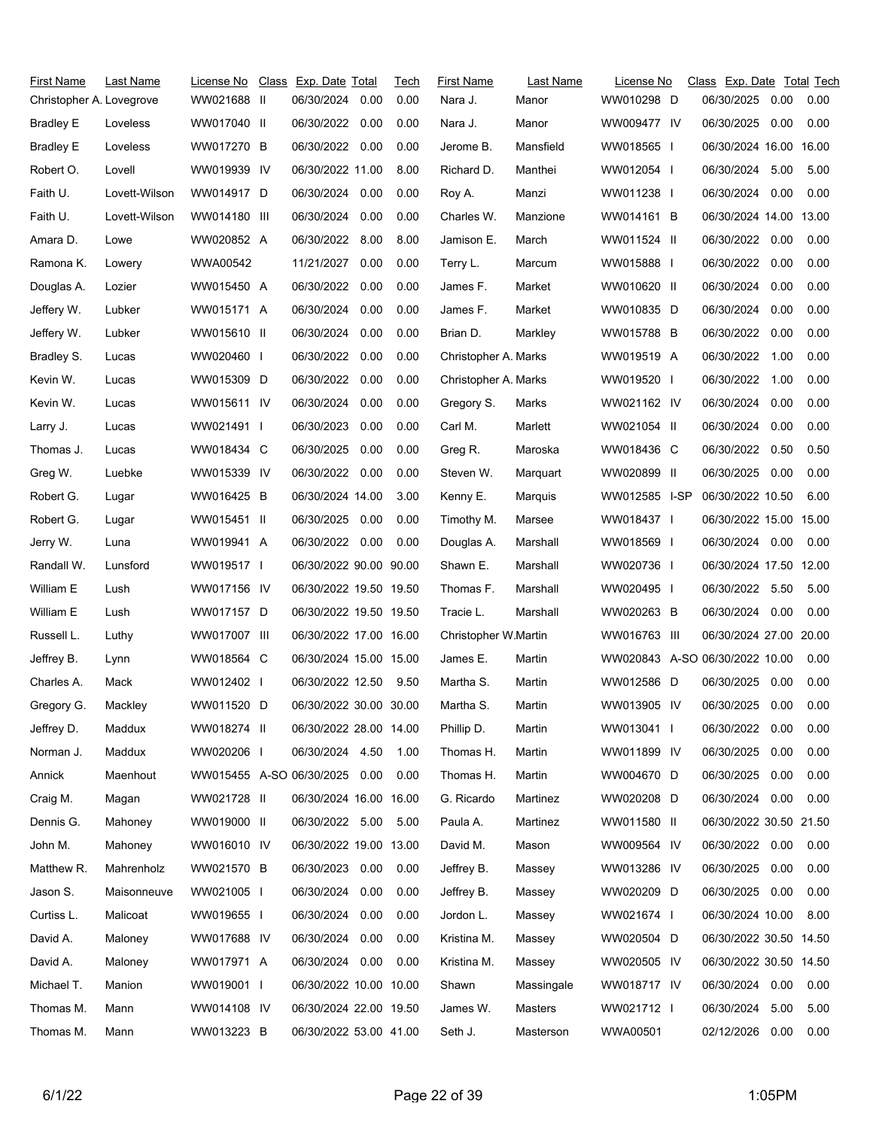| First Name               | Last Name     | License No               | Class Exp. Date Total  |      | Tech | First Name           | Last Name  | License No                     | Class Exp. Date Total Tech |      |      |
|--------------------------|---------------|--------------------------|------------------------|------|------|----------------------|------------|--------------------------------|----------------------------|------|------|
| Christopher A. Lovegrove |               | WW021688 II              | 06/30/2024             | 0.00 | 0.00 | Nara J.              | Manor      | WW010298 D                     | 06/30/2025                 | 0.00 | 0.00 |
| <b>Bradley E</b>         | Loveless      | WW017040 II              | 06/30/2022             | 0.00 | 0.00 | Nara J.              | Manor      | WW009477 IV                    | 06/30/2025                 | 0.00 | 0.00 |
| <b>Bradley E</b>         | Loveless      | WW017270 B               | 06/30/2022             | 0.00 | 0.00 | Jerome B.            | Mansfield  | WW018565 I                     | 06/30/2024 16.00 16.00     |      |      |
| Robert O.                | Lovell        | WW019939 IV              | 06/30/2022 11.00       |      | 8.00 | Richard D.           | Manthei    | WW012054                       | 06/30/2024 5.00            |      | 5.00 |
| Faith U.                 | Lovett-Wilson | WW014917 D               | 06/30/2024             | 0.00 | 0.00 | Roy A.               | Manzi      | WW011238 I                     | 06/30/2024                 | 0.00 | 0.00 |
| Faith U.                 | Lovett-Wilson | WW014180 III             | 06/30/2024             | 0.00 | 0.00 | Charles W.           | Manzione   | WW014161 B                     | 06/30/2024 14.00 13.00     |      |      |
| Amara D.                 | Lowe          | WW020852 A               | 06/30/2022 8.00        |      | 8.00 | Jamison E.           | March      | WW011524 II                    | 06/30/2022 0.00            |      | 0.00 |
| Ramona K.                | Lowery        | WWA00542                 | 11/21/2027             | 0.00 | 0.00 | Terry L.             | Marcum     | WW015888                       | 06/30/2022                 | 0.00 | 0.00 |
| Douglas A.               | Lozier        | WW015450 A               | 06/30/2022 0.00        |      | 0.00 | James F.             | Market     | WW010620 II                    | 06/30/2024                 | 0.00 | 0.00 |
| Jeffery W.               | Lubker        | WW015171 A               | 06/30/2024             | 0.00 | 0.00 | James F.             | Market     | WW010835 D                     | 06/30/2024                 | 0.00 | 0.00 |
| Jeffery W.               | Lubker        | WW015610 II              | 06/30/2024             | 0.00 | 0.00 | Brian D.             | Markley    | WW015788 B                     | 06/30/2022                 | 0.00 | 0.00 |
| Bradley S.               | Lucas         | WW020460 I               | 06/30/2022             | 0.00 | 0.00 | Christopher A. Marks |            | WW019519 A                     | 06/30/2022                 | 1.00 | 0.00 |
| Kevin W.                 | Lucas         | WW015309 D               | 06/30/2022 0.00        |      | 0.00 | Christopher A. Marks |            | WW019520                       | 06/30/2022                 | 1.00 | 0.00 |
| Kevin W.                 | Lucas         | WW015611 IV              | 06/30/2024             | 0.00 | 0.00 | Gregory S.           | Marks      | WW021162 IV                    | 06/30/2024                 | 0.00 | 0.00 |
| Larry J.                 | Lucas         | WW021491 I               | 06/30/2023             | 0.00 | 0.00 | Carl M.              | Marlett    | WW021054 II                    | 06/30/2024                 | 0.00 | 0.00 |
| Thomas J.                | Lucas         | WW018434 C               | 06/30/2025             | 0.00 | 0.00 | Greg R.              | Maroska    | WW018436 C                     | 06/30/2022                 | 0.50 | 0.50 |
| Greg W.                  | Luebke        | WW015339 IV              | 06/30/2022 0.00        |      | 0.00 | Steven W.            | Marquart   | WW020899 II                    | 06/30/2025                 | 0.00 | 0.00 |
| Robert G.                | Lugar         | WW016425 B               | 06/30/2024 14.00       |      | 3.00 | Kenny E.             | Marquis    | WW012585 I-SP                  | 06/30/2022 10.50           |      | 6.00 |
| Robert G.                | Lugar         | WW015451 II              | 06/30/2025             | 0.00 | 0.00 | Timothy M.           | Marsee     | WW018437 I                     | 06/30/2022 15.00 15.00     |      |      |
| Jerry W.                 | Luna          | WW019941 A               | 06/30/2022 0.00        |      | 0.00 | Douglas A.           | Marshall   | WW018569 I                     | 06/30/2024 0.00            |      | 0.00 |
| Randall W.               | Lunsford      | WW019517 I               | 06/30/2022 90.00 90.00 |      |      | Shawn E.             | Marshall   | WW020736 I                     | 06/30/2024 17.50 12.00     |      |      |
| William E                | Lush          | WW017156 IV              | 06/30/2022 19.50 19.50 |      |      | Thomas F.            | Marshall   | WW020495 I                     | 06/30/2022 5.50            |      | 5.00 |
| William E                | Lush          | WW017157 D               | 06/30/2022 19.50 19.50 |      |      | Tracie L.            | Marshall   | WW020263 B                     | 06/30/2024 0.00            |      | 0.00 |
| Russell L.               | Luthy         | WW017007 III             | 06/30/2022 17.00 16.00 |      |      | Christopher W.Martin |            | WW016763 III                   | 06/30/2024 27.00 20.00     |      |      |
| Jeffrey B.               | Lynn          | WW018564 C               | 06/30/2024 15.00 15.00 |      |      | James E.             | Martin     | WW020843 A-SO 06/30/2022 10.00 |                            |      | 0.00 |
| Charles A.               | Mack          | WW012402 I               | 06/30/2022 12.50       |      | 9.50 | Martha S.            | Martin     | WW012586 D                     | 06/30/2025                 | 0.00 | 0.00 |
| Gregory G.               | Mackley       | WW011520 D               | 06/30/2022 30.00 30.00 |      |      | Martha S.            | Martin     | WW013905 IV                    | 06/30/2025                 | 0.00 | 0.00 |
| Jeffrey D.               | Maddux        | WW018274 II              | 06/30/2022 28.00 14.00 |      |      | Phillip D.           | Martin     | WW013041 I                     | 06/30/2022                 | 0.00 | 0.00 |
| Norman J.                | Maddux        | WW020206 I               | 06/30/2024 4.50        |      | 1.00 | Thomas H.            | Martin     | WW011899 IV                    | 06/30/2025                 | 0.00 | 0.00 |
| Annick                   | Maenhout      | WW015455 A-SO 06/30/2025 |                        | 0.00 | 0.00 | Thomas H.            | Martin     | WW004670 D                     | 06/30/2025                 | 0.00 | 0.00 |
| Craig M.                 | Magan         | WW021728 II              | 06/30/2024 16.00 16.00 |      |      | G. Ricardo           | Martinez   | WW020208 D                     | 06/30/2024 0.00            |      | 0.00 |
| Dennis G.                | Mahoney       | WW019000 II              | 06/30/2022 5.00        |      | 5.00 | Paula A.             | Martinez   | WW011580 II                    | 06/30/2022 30.50 21.50     |      |      |
| John M.                  | Mahoney       | WW016010 IV              | 06/30/2022 19.00 13.00 |      |      | David M.             | Mason      | WW009564 IV                    | 06/30/2022 0.00            |      | 0.00 |
| Matthew R.               | Mahrenholz    | WW021570 B               | 06/30/2023             | 0.00 | 0.00 | Jeffrey B.           | Massey     | WW013286 IV                    | 06/30/2025                 | 0.00 | 0.00 |
| Jason S.                 | Maisonneuve   | WW021005                 | 06/30/2024             | 0.00 | 0.00 | Jeffrey B.           | Massey     | WW020209 D                     | 06/30/2025                 | 0.00 | 0.00 |
| Curtiss L.               | Malicoat      | WW019655 I               | 06/30/2024             | 0.00 | 0.00 | Jordon L.            | Massey     | WW021674                       | 06/30/2024 10.00           |      | 8.00 |
| David A.                 | Maloney       | WW017688 IV              | 06/30/2024             | 0.00 | 0.00 | Kristina M.          | Massey     | WW020504 D                     | 06/30/2022 30.50 14.50     |      |      |
| David A.                 | Maloney       | WW017971 A               | 06/30/2024 0.00        |      | 0.00 | Kristina M.          | Massey     | WW020505 IV                    | 06/30/2022 30.50 14.50     |      |      |
| Michael T.               | Manion        | WW019001 I               | 06/30/2022 10.00 10.00 |      |      | Shawn                | Massingale | WW018717 IV                    | 06/30/2024 0.00            |      | 0.00 |
| Thomas M.                | Mann          | WW014108 IV              | 06/30/2024 22.00 19.50 |      |      | James W.             | Masters    | WW021712 I                     | 06/30/2024                 | 5.00 | 5.00 |
| Thomas M.                | Mann          | WW013223 B               | 06/30/2022 53.00 41.00 |      |      | Seth J.              | Masterson  | WWA00501                       | 02/12/2026 0.00            |      | 0.00 |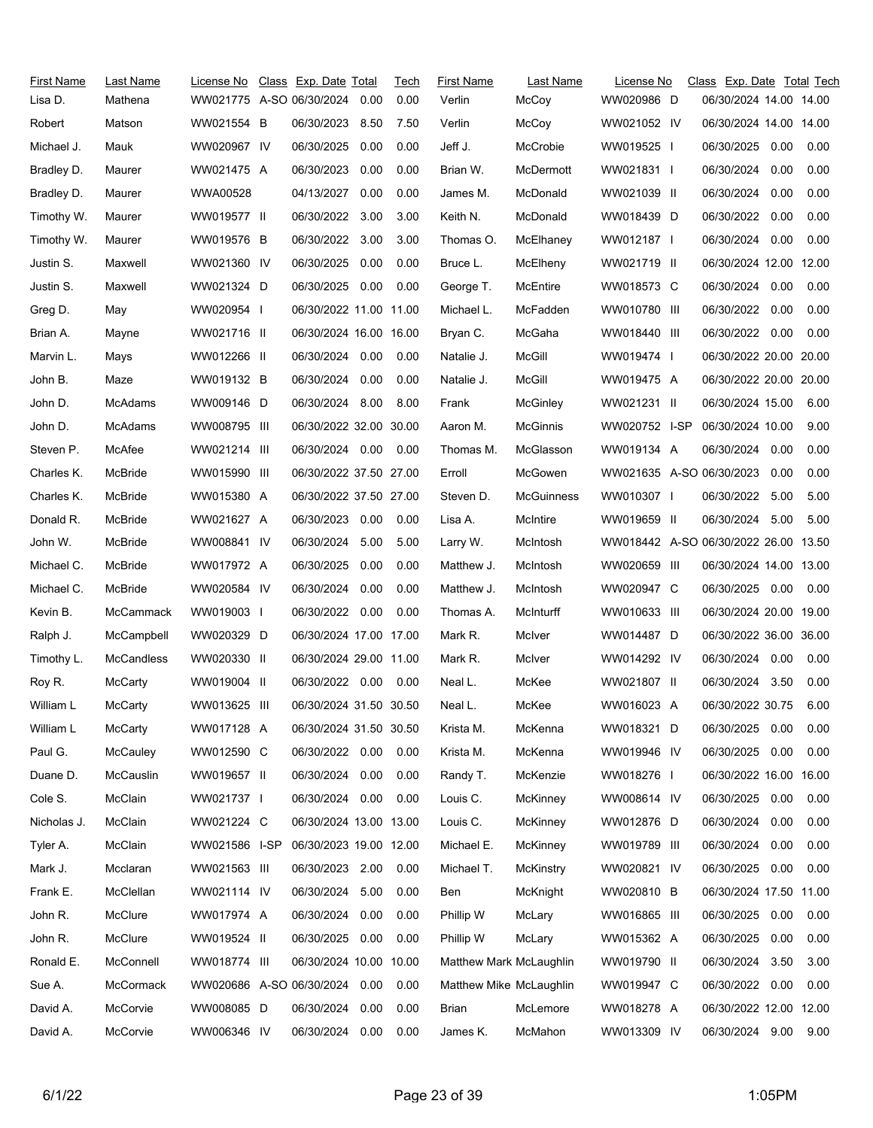| First Name  | Last Name        | License No               | Class Exp. Date Total  |      | Tech | <b>First Name</b>       | Last Name        | License No               | Class Exp. Date Total Tech           |      |      |
|-------------|------------------|--------------------------|------------------------|------|------|-------------------------|------------------|--------------------------|--------------------------------------|------|------|
| Lisa D.     | Mathena          | WW021775 A-SO 06/30/2024 |                        | 0.00 | 0.00 | Verlin                  | McCoy            | WW020986 D               | 06/30/2024 14.00 14.00               |      |      |
| Robert      | Matson           | WW021554 B               | 06/30/2023             | 8.50 | 7.50 | Verlin                  | McCoy            | WW021052 IV              | 06/30/2024 14.00 14.00               |      |      |
| Michael J.  | Mauk             | WW020967 IV              | 06/30/2025             | 0.00 | 0.00 | Jeff J.                 | McCrobie         | WW019525 I               | 06/30/2025                           | 0.00 | 0.00 |
| Bradley D.  | Maurer           | WW021475 A               | 06/30/2023             | 0.00 | 0.00 | Brian W.                | <b>McDermott</b> | WW021831 I               | 06/30/2024                           | 0.00 | 0.00 |
| Bradley D.  | Maurer           | WWA00528                 | 04/13/2027             | 0.00 | 0.00 | James M.                | McDonald         | WW021039 II              | 06/30/2024                           | 0.00 | 0.00 |
| Timothy W.  | Maurer           | WW019577 II              | 06/30/2022             | 3.00 | 3.00 | Keith N.                | <b>McDonald</b>  | WW018439 D               | 06/30/2022                           | 0.00 | 0.00 |
| Timothy W.  | Maurer           | WW019576 B               | 06/30/2022 3.00        |      | 3.00 | Thomas O.               | McElhaney        | WW012187 I               | 06/30/2024 0.00                      |      | 0.00 |
| Justin S.   | Maxwell          | WW021360 IV              | 06/30/2025             | 0.00 | 0.00 | Bruce L.                | McElheny         | WW021719 II              | 06/30/2024 12.00 12.00               |      |      |
| Justin S.   | Maxwell          | WW021324 D               | 06/30/2025 0.00        |      | 0.00 | George T.               | McEntire         | WW018573 C               | 06/30/2024 0.00                      |      | 0.00 |
| Greg D.     | May              | WW020954 I               | 06/30/2022 11.00 11.00 |      |      | Michael L.              | McFadden         | WW010780 III             | 06/30/2022                           | 0.00 | 0.00 |
| Brian A.    | Mayne            | WW021716 II              | 06/30/2024 16.00 16.00 |      |      | Bryan C.                | McGaha           | WW018440 III             | 06/30/2022 0.00                      |      | 0.00 |
| Marvin L.   | Mays             | WW012266 II              | 06/30/2024 0.00        |      | 0.00 | Natalie J.              | McGill           | WW019474 I               | 06/30/2022 20.00 20.00               |      |      |
| John B.     | Maze             | WW019132 B               | 06/30/2024 0.00        |      | 0.00 | Natalie J.              | McGill           | WW019475 A               | 06/30/2022 20.00 20.00               |      |      |
| John D.     | McAdams          | WW009146 D               | 06/30/2024 8.00        |      | 8.00 | Frank                   | McGinley         | WW021231 II              | 06/30/2024 15.00                     |      | 6.00 |
| John D.     | <b>McAdams</b>   | WW008795 III             | 06/30/2022 32.00 30.00 |      |      | Aaron M.                | McGinnis         | WW020752 I-SP            | 06/30/2024 10.00                     |      | 9.00 |
| Steven P.   | McAfee           | WW021214 III             | 06/30/2024 0.00        |      | 0.00 | Thomas M.               | McGlasson        | WW019134 A               | 06/30/2024                           | 0.00 | 0.00 |
| Charles K.  | McBride          | WW015990 III             | 06/30/2022 37.50 27.00 |      |      | Erroll                  | McGowen          | WW021635 A-SO 06/30/2023 |                                      | 0.00 | 0.00 |
| Charles K.  | McBride          | WW015380 A               | 06/30/2022 37.50 27.00 |      |      | Steven D.               | McGuinness       | WW010307 I               | 06/30/2022 5.00                      |      | 5.00 |
| Donald R.   | McBride          | WW021627 A               | 06/30/2023             | 0.00 | 0.00 | Lisa A.                 | McIntire         | WW019659 II              | 06/30/2024                           | 5.00 | 5.00 |
| John W.     | McBride          | WW008841 IV              | 06/30/2024 5.00        |      | 5.00 | Larry W.                | McIntosh         |                          | WW018442 A-SO 06/30/2022 26.00 13.50 |      |      |
| Michael C.  | McBride          | WW017972 A               | 06/30/2025             | 0.00 | 0.00 | Matthew J.              | McIntosh         | WW020659 III             | 06/30/2024 14.00 13.00               |      |      |
| Michael C.  | McBride          | WW020584 IV              | 06/30/2024             | 0.00 | 0.00 | Matthew J.              | McIntosh         | WW020947 C               | 06/30/2025 0.00                      |      | 0.00 |
| Kevin B.    | McCammack        | WW019003 I               | 06/30/2022 0.00        |      | 0.00 | Thomas A.               | McInturff        | WW010633 III             | 06/30/2024 20.00 19.00               |      |      |
| Ralph J.    | McCampbell       | WW020329 D               | 06/30/2024 17.00 17.00 |      |      | Mark R.                 | McIver           | WW014487 D               | 06/30/2022 36.00 36.00               |      |      |
| Timothy L.  | McCandless       | WW020330 II              | 06/30/2024 29.00 11.00 |      |      | Mark R.                 | McIver           | WW014292 IV              | 06/30/2024                           | 0.00 | 0.00 |
| Roy R.      | McCarty          | WW019004 II              | 06/30/2022 0.00        |      | 0.00 | Neal L.                 | McKee            | WW021807 II              | 06/30/2024 3.50                      |      | 0.00 |
| William L   | McCarty          | WW013625 III             | 06/30/2024 31.50 30.50 |      |      | Neal L.                 | McKee            | WW016023 A               | 06/30/2022 30.75                     |      | 6.00 |
| William L   | McCarty          | WW017128 A               | 06/30/2024 31.50 30.50 |      |      | Krista M.               | McKenna          | WW018321 D               | 06/30/2025                           | 0.00 | 0.00 |
| Paul G.     | McCauley         | WW012590 C               | 06/30/2022 0.00        |      | 0.00 | Krista M.               | McKenna          | WW019946 IV              | 06/30/2025                           | 0.00 | 0.00 |
| Duane D.    | <b>McCauslin</b> | WW019657 II              | 06/30/2024 0.00        |      | 0.00 | Randy T.                | McKenzie         | WW018276 I               | 06/30/2022 16.00 16.00               |      |      |
| Cole S.     | McClain          | WW021737 I               | 06/30/2024 0.00        |      | 0.00 | Louis C.                | McKinney         | WW008614 IV              | 06/30/2025                           | 0.00 | 0.00 |
| Nicholas J. | McClain          | WW021224 C               | 06/30/2024 13.00 13.00 |      |      | Louis C.                | McKinney         | WW012876 D               | 06/30/2024                           | 0.00 | 0.00 |
| Tyler A.    | McClain          | WW021586 I-SP            | 06/30/2023 19.00 12.00 |      |      | Michael E.              | McKinney         | WW019789 III             | 06/30/2024                           | 0.00 | 0.00 |
| Mark J.     | Mcclaran         | WW021563 III             | 06/30/2023             | 2.00 | 0.00 | Michael T.              | McKinstry        | WW020821 IV              | 06/30/2025 0.00                      |      | 0.00 |
| Frank E.    | McClellan        | WW021114 IV              | 06/30/2024             | 5.00 | 0.00 | Ben                     | McKnight         | WW020810 B               | 06/30/2024 17.50 11.00               |      |      |
| John R.     | McClure          | WW017974 A               | 06/30/2024             | 0.00 | 0.00 | Phillip W               | McLary           | WW016865 III             | 06/30/2025                           | 0.00 | 0.00 |
| John R.     | McClure          | WW019524 II              | 06/30/2025             | 0.00 | 0.00 | Phillip W               | McLary           | WW015362 A               | 06/30/2025                           | 0.00 | 0.00 |
| Ronald E.   | McConnell        | WW018774 III             | 06/30/2024 10.00 10.00 |      |      | Matthew Mark McLaughlin |                  | WW019790 II              | 06/30/2024                           | 3.50 | 3.00 |
| Sue A.      | McCormack        | WW020686 A-SO 06/30/2024 |                        | 0.00 | 0.00 | Matthew Mike McLaughlin |                  | WW019947 C               | 06/30/2022 0.00                      |      | 0.00 |
| David A.    | McCorvie         | WW008085 D               | 06/30/2024             | 0.00 | 0.00 | Brian                   | McLemore         | WW018278 A               | 06/30/2022 12.00 12.00               |      |      |
| David A.    | McCorvie         | WW006346 IV              | 06/30/2024             | 0.00 | 0.00 | James K.                | McMahon          | WW013309 IV              | 06/30/2024 9.00                      |      | 9.00 |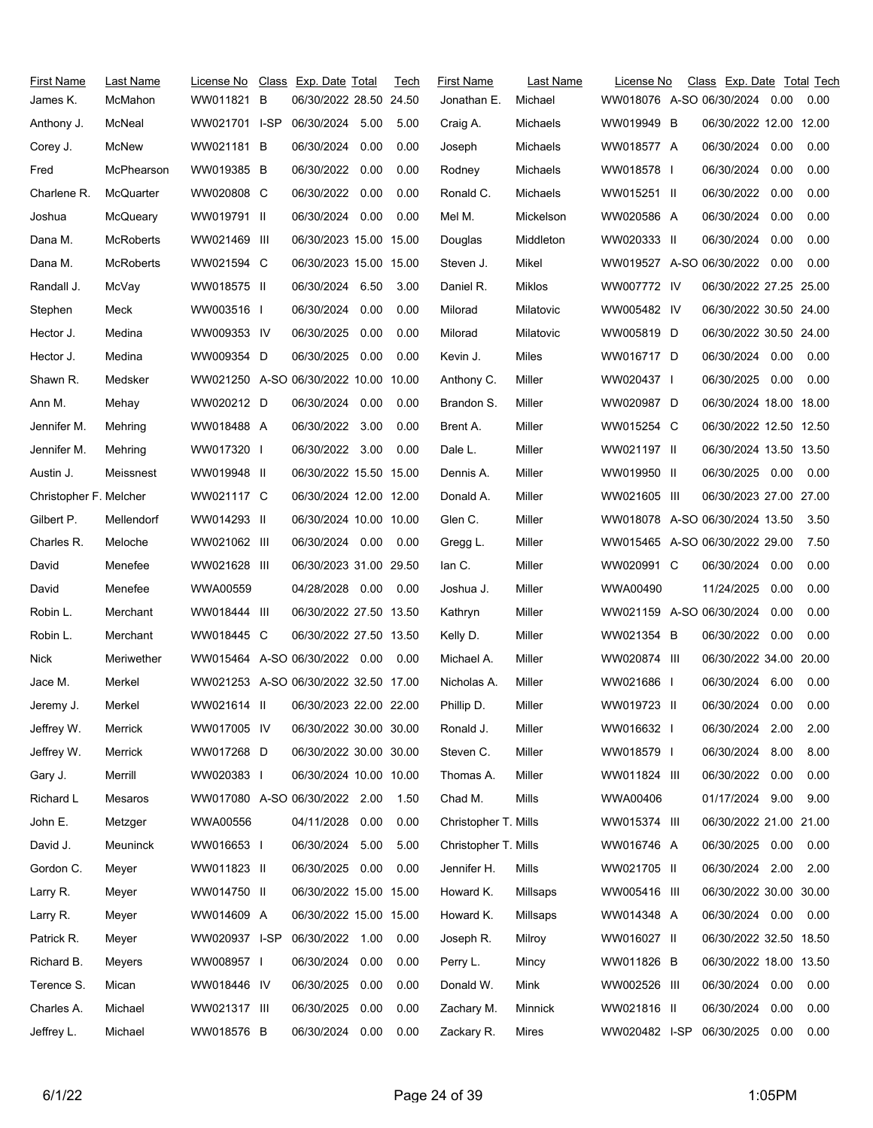| <b>First Name</b>      | Last Name        | License No                           | Class Exp. Date Total  |      | Tech | <b>First Name</b>    | Last Name | License No                     | Class Exp. Date Total Tech |      |      |
|------------------------|------------------|--------------------------------------|------------------------|------|------|----------------------|-----------|--------------------------------|----------------------------|------|------|
| James K.               | McMahon          | WW011821 B                           | 06/30/2022 28.50 24.50 |      |      | Jonathan E.          | Michael   | WW018076 A-SO 06/30/2024       |                            | 0.00 | 0.00 |
| Anthony J.             | McNeal           | WW021701 I-SP                        | 06/30/2024 5.00        |      | 5.00 | Craig A.             | Michaels  | WW019949 B                     | 06/30/2022 12.00 12.00     |      |      |
| Corey J.               | McNew            | WW021181 B                           | 06/30/2024             | 0.00 | 0.00 | Joseph               | Michaels  | WW018577 A                     | 06/30/2024                 | 0.00 | 0.00 |
| Fred                   | McPhearson       | WW019385 B                           | 06/30/2022 0.00        |      | 0.00 | Rodney               | Michaels  | WW018578                       | 06/30/2024                 | 0.00 | 0.00 |
| Charlene R.            | McQuarter        | WW020808 C                           | 06/30/2022 0.00        |      | 0.00 | Ronald C.            | Michaels  | WW015251 II                    | 06/30/2022                 | 0.00 | 0.00 |
| Joshua                 | McQueary         | WW019791 II                          | 06/30/2024 0.00        |      | 0.00 | Mel M.               | Mickelson | WW020586 A                     | 06/30/2024                 | 0.00 | 0.00 |
| Dana M.                | <b>McRoberts</b> | WW021469 III                         | 06/30/2023 15.00 15.00 |      |      | Douglas              | Middleton | WW020333 II                    | 06/30/2024                 | 0.00 | 0.00 |
| Dana M.                | <b>McRoberts</b> | WW021594 C                           | 06/30/2023 15.00 15.00 |      |      | Steven J.            | Mikel     | WW019527 A-SO 06/30/2022 0.00  |                            |      | 0.00 |
| Randall J.             | McVay            | WW018575 II                          | 06/30/2024 6.50        |      | 3.00 | Daniel R.            | Miklos    | WW007772 IV                    | 06/30/2022 27.25 25.00     |      |      |
| Stephen                | Meck             | WW003516 I                           | 06/30/2024 0.00        |      | 0.00 | Milorad              | Milatovic | WW005482 IV                    | 06/30/2022 30.50 24.00     |      |      |
| Hector J.              | Medina           | WW009353 IV                          | 06/30/2025             | 0.00 | 0.00 | Milorad              | Milatovic | WW005819 D                     | 06/30/2022 30.50 24.00     |      |      |
| Hector J.              | Medina           | WW009354 D                           | 06/30/2025             | 0.00 | 0.00 | Kevin J.             | Miles     | WW016717 D                     | 06/30/2024 0.00            |      | 0.00 |
| Shawn R.               | Medsker          | WW021250 A-SO 06/30/2022 10.00 10.00 |                        |      |      | Anthony C.           | Miller    | WW020437 I                     | 06/30/2025                 | 0.00 | 0.00 |
| Ann M.                 | Mehay            | WW020212 D                           | 06/30/2024 0.00        |      | 0.00 | Brandon S.           | Miller    | WW020987 D                     | 06/30/2024 18.00 18.00     |      |      |
| Jennifer M.            | Mehring          | WW018488 A                           | 06/30/2022 3.00        |      | 0.00 | Brent A.             | Miller    | WW015254 C                     | 06/30/2022 12.50 12.50     |      |      |
| Jennifer M.            | Mehring          | WW017320 I                           | 06/30/2022 3.00        |      | 0.00 | Dale L.              | Miller    | WW021197 II                    | 06/30/2024 13.50 13.50     |      |      |
| Austin J.              | Meissnest        | WW019948 II                          | 06/30/2022 15.50 15.00 |      |      | Dennis A.            | Miller    | WW019950 II                    | 06/30/2025 0.00            |      | 0.00 |
| Christopher F. Melcher |                  | WW021117 C                           | 06/30/2024 12.00 12.00 |      |      | Donald A.            | Miller    | WW021605 III                   | 06/30/2023 27.00 27.00     |      |      |
| Gilbert P.             | Mellendorf       | WW014293 II                          | 06/30/2024 10.00 10.00 |      |      | Glen C.              | Miller    | WW018078 A-SO 06/30/2024 13.50 |                            |      | 3.50 |
| Charles R.             | Meloche          | WW021062 III                         | 06/30/2024 0.00        |      | 0.00 | Gregg L.             | Miller    | WW015465 A-SO 06/30/2022 29.00 |                            |      | 7.50 |
| David                  | Menefee          | WW021628 III                         | 06/30/2023 31.00 29.50 |      |      | lan C.               | Miller    | WW020991 C                     | 06/30/2024                 | 0.00 | 0.00 |
| David                  | Menefee          | WWA00559                             | 04/28/2028 0.00        |      | 0.00 | Joshua J.            | Miller    | WWA00490                       | 11/24/2025                 | 0.00 | 0.00 |
| Robin L.               | Merchant         | WW018444 III                         | 06/30/2022 27.50 13.50 |      |      | Kathryn              | Miller    | WW021159 A-SO 06/30/2024       |                            | 0.00 | 0.00 |
| Robin L.               | Merchant         | WW018445 C                           | 06/30/2022 27.50 13.50 |      |      | Kelly D.             | Miller    | WW021354 B                     | 06/30/2022                 | 0.00 | 0.00 |
| Nick                   | Meriwether       | WW015464 A-SO 06/30/2022 0.00        |                        |      | 0.00 | Michael A.           | Miller    | WW020874 III                   | 06/30/2022 34.00 20.00     |      |      |
| Jace M.                | Merkel           | WW021253 A-SO 06/30/2022 32.50 17.00 |                        |      |      | Nicholas A.          | Miller    | WW021686 I                     | 06/30/2024 6.00            |      | 0.00 |
| Jeremy J.              | Merkel           | WW021614 II                          | 06/30/2023 22.00 22.00 |      |      | Phillip D.           | Miller    | WW019723 II                    | 06/30/2024                 | 0.00 | 0.00 |
| Jeffrey W.             | Merrick          | WW017005 IV                          | 06/30/2022 30.00 30.00 |      |      | Ronald J.            | Miller    | WW016632 I                     | 06/30/2024 2.00            |      | 2.00 |
| Jeffrey W.             | Merrick          | WW017268 D                           | 06/30/2022 30.00 30.00 |      |      | Steven C.            | Miller    | WW018579 I                     | 06/30/2024                 | 8.00 | 8.00 |
| Gary J.                | Merrill          | WW020383 I                           | 06/30/2024 10.00 10.00 |      |      | Thomas A.            | Miller    | WW011824 III                   | 06/30/2022 0.00            |      | 0.00 |
| Richard L              | Mesaros          | WW017080 A-SO 06/30/2022 2.00        |                        |      | 1.50 | Chad M.              | Mills     | WWA00406                       | 01/17/2024 9.00            |      | 9.00 |
| John E.                | Metzger          | WWA00556                             | 04/11/2028             | 0.00 | 0.00 | Christopher T. Mills |           | WW015374 III                   | 06/30/2022 21.00 21.00     |      |      |
| David J.               | Meuninck         | WW016653 I                           | 06/30/2024 5.00        |      | 5.00 | Christopher T. Mills |           | WW016746 A                     | 06/30/2025 0.00            |      | 0.00 |
| Gordon C.              | Meyer            | WW011823 II                          | 06/30/2025 0.00        |      | 0.00 | Jennifer H.          | Mills     | WW021705 II                    | 06/30/2024 2.00            |      | 2.00 |
| Larry R.               | Meyer            | WW014750 II                          | 06/30/2022 15.00 15.00 |      |      | Howard K.            | Millsaps  | WW005416 III                   | 06/30/2022 30.00 30.00     |      |      |
| Larry R.               | Meyer            | WW014609 A                           | 06/30/2022 15.00 15.00 |      |      | Howard K.            | Millsaps  | WW014348 A                     | 06/30/2024 0.00            |      | 0.00 |
| Patrick R.             | Meyer            | WW020937 I-SP                        | 06/30/2022 1.00        |      | 0.00 | Joseph R.            | Milroy    | WW016027 II                    | 06/30/2022 32.50 18.50     |      |      |
| Richard B.             | Meyers           | WW008957 I                           | 06/30/2024             | 0.00 | 0.00 | Perry L.             | Mincy     | WW011826 B                     | 06/30/2022 18.00 13.50     |      |      |
| Terence S.             | Mican            | WW018446 IV                          | 06/30/2025             | 0.00 | 0.00 | Donald W.            | Mink      | WW002526 III                   | 06/30/2024 0.00            |      | 0.00 |
| Charles A.             | Michael          | WW021317 III                         | 06/30/2025             | 0.00 | 0.00 | Zachary M.           | Minnick   | WW021816 II                    | 06/30/2024                 | 0.00 | 0.00 |
| Jeffrey L.             | Michael          | WW018576 B                           | 06/30/2024 0.00        |      | 0.00 | Zackary R.           | Mires     | WW020482 I-SP                  | 06/30/2025 0.00            |      | 0.00 |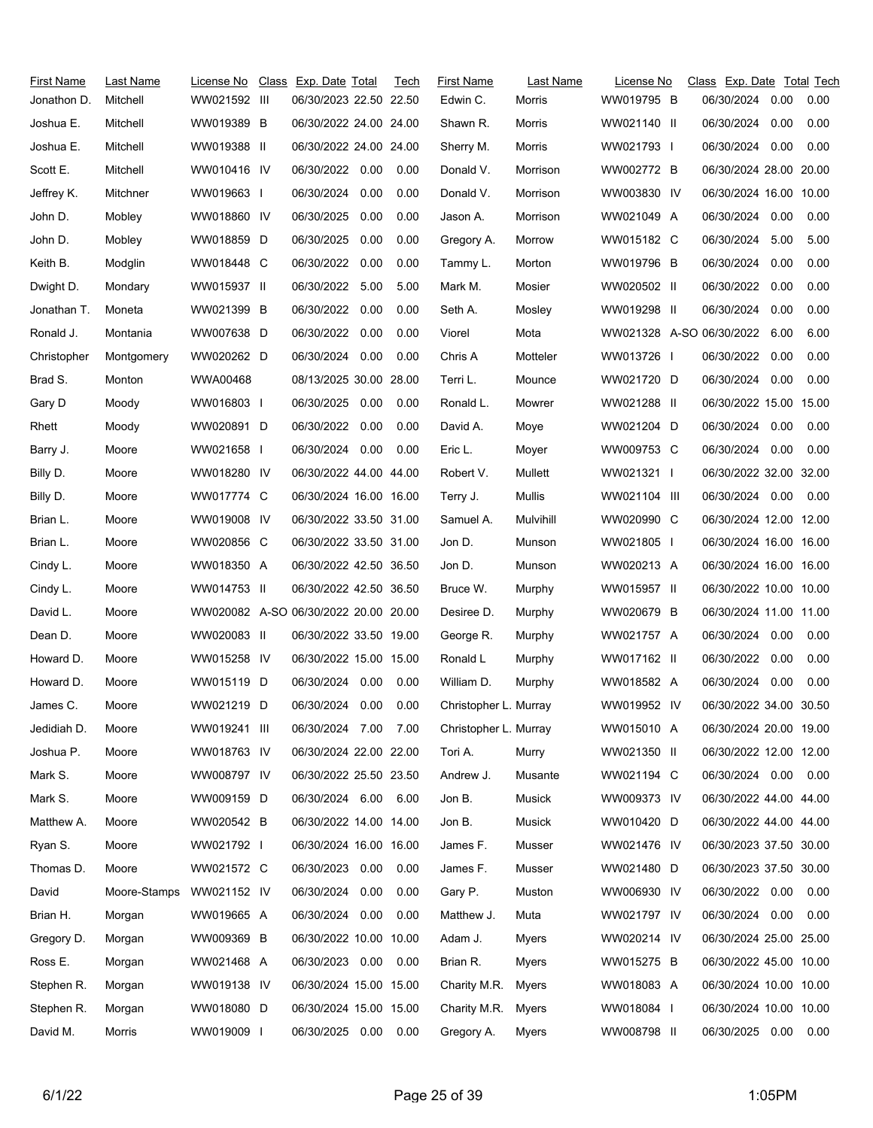| First Name<br>Jonathon D. | Last Name<br>Mitchell | License No<br>WW021592 III           | Class Exp. Date Total<br>06/30/2023 22.50 22.50 |      | Tech | <b>First Name</b><br>Edwin C. | Last Name<br>Morris | License No<br>WW019795 B | Class Exp. Date Total Tech<br>06/30/2024 | 0.00 | 0.00 |
|---------------------------|-----------------------|--------------------------------------|-------------------------------------------------|------|------|-------------------------------|---------------------|--------------------------|------------------------------------------|------|------|
| Joshua E.                 | Mitchell              | WW019389 B                           | 06/30/2022 24.00 24.00                          |      |      | Shawn R.                      | Morris              | WW021140 II              | 06/30/2024                               | 0.00 | 0.00 |
| Joshua E.                 | Mitchell              | WW019388 II                          | 06/30/2022 24.00 24.00                          |      |      | Sherry M.                     | Morris              | WW021793 I               | 06/30/2024                               | 0.00 | 0.00 |
| Scott E.                  | Mitchell              | WW010416 IV                          | 06/30/2022 0.00                                 |      | 0.00 | Donald V.                     | Morrison            | WW002772 B               | 06/30/2024 28.00 20.00                   |      |      |
| Jeffrey K.                | Mitchner              | WW019663 I                           | 06/30/2024                                      | 0.00 | 0.00 | Donald V.                     | Morrison            | WW003830 IV              | 06/30/2024 16.00 10.00                   |      |      |
| John D.                   | Mobley                | WW018860 IV                          | 06/30/2025                                      | 0.00 | 0.00 | Jason A.                      | Morrison            | WW021049 A               | 06/30/2024                               | 0.00 | 0.00 |
| John D.                   | Mobley                | WW018859 D                           | 06/30/2025                                      | 0.00 | 0.00 | Gregory A.                    | Morrow              | WW015182 C               | 06/30/2024                               | 5.00 | 5.00 |
| Keith B.                  | Modglin               | WW018448 C                           | 06/30/2022                                      | 0.00 | 0.00 | Tammy L.                      | Morton              | WW019796 B               | 06/30/2024                               | 0.00 | 0.00 |
| Dwight D.                 | Mondary               | WW015937 II                          | 06/30/2022 5.00                                 |      | 5.00 | Mark M.                       | Mosier              | WW020502 II              | 06/30/2022                               | 0.00 | 0.00 |
| Jonathan T.               | Moneta                | WW021399 B                           | 06/30/2022                                      | 0.00 | 0.00 | Seth A.                       | Mosley              | WW019298 II              | 06/30/2024                               | 0.00 | 0.00 |
| Ronald J.                 | Montania              | WW007638 D                           | 06/30/2022                                      | 0.00 | 0.00 | Viorel                        | Mota                | WW021328 A-SO 06/30/2022 |                                          | 6.00 | 6.00 |
| Christopher               | Montgomery            | WW020262 D                           | 06/30/2024                                      | 0.00 | 0.00 | Chris A                       | Motteler            | WW013726 I               | 06/30/2022                               | 0.00 | 0.00 |
| Brad S.                   | Monton                | WWA00468                             | 08/13/2025 30.00 28.00                          |      |      | Terri L.                      | Mounce              | WW021720 D               | 06/30/2024                               | 0.00 | 0.00 |
| Gary D                    | Moody                 | WW016803 I                           | 06/30/2025                                      | 0.00 | 0.00 | Ronald L.                     | Mowrer              | WW021288 II              | 06/30/2022 15.00 15.00                   |      |      |
| Rhett                     | Moody                 | WW020891 D                           | 06/30/2022                                      | 0.00 | 0.00 | David A.                      | Moye                | WW021204 D               | 06/30/2024                               | 0.00 | 0.00 |
| Barry J.                  | Moore                 | WW021658 I                           | 06/30/2024                                      | 0.00 | 0.00 | Eric L.                       | Moyer               | WW009753 C               | 06/30/2024                               | 0.00 | 0.00 |
| Billy D.                  | Moore                 | WW018280 IV                          | 06/30/2022 44.00 44.00                          |      |      | Robert V.                     | Mullett             | WW021321 I               | 06/30/2022 32.00 32.00                   |      |      |
| Billy D.                  | Moore                 | WW017774 C                           | 06/30/2024 16.00 16.00                          |      |      | Terry J.                      | Mullis              | WW021104 III             | 06/30/2024 0.00                          |      | 0.00 |
| Brian L.                  | Moore                 | WW019008 IV                          | 06/30/2022 33.50 31.00                          |      |      | Samuel A.                     | Mulvihill           | WW020990 C               | 06/30/2024 12.00 12.00                   |      |      |
| Brian L.                  | Moore                 | WW020856 C                           | 06/30/2022 33.50 31.00                          |      |      | Jon D.                        | Munson              | WW021805 I               | 06/30/2024 16.00 16.00                   |      |      |
| Cindy L.                  | Moore                 | WW018350 A                           | 06/30/2022 42.50 36.50                          |      |      | Jon D.                        | Munson              | WW020213 A               | 06/30/2024 16.00 16.00                   |      |      |
| Cindy L.                  | Moore                 | WW014753 II                          | 06/30/2022 42.50 36.50                          |      |      | Bruce W.                      | Murphy              | WW015957 II              | 06/30/2022 10.00 10.00                   |      |      |
| David L.                  | Moore                 | WW020082 A-SO 06/30/2022 20.00 20.00 |                                                 |      |      | Desiree D.                    | Murphy              | WW020679 B               | 06/30/2024 11.00 11.00                   |      |      |
| Dean D.                   | Moore                 | WW020083 II                          | 06/30/2022 33.50 19.00                          |      |      | George R.                     | Murphy              | WW021757 A               | 06/30/2024                               | 0.00 | 0.00 |
| Howard D.                 | Moore                 | WW015258 IV                          | 06/30/2022 15.00 15.00                          |      |      | Ronald L                      | Murphy              | WW017162 II              | 06/30/2022                               | 0.00 | 0.00 |
| Howard D.                 | Moore                 | WW015119 D                           | 06/30/2024                                      | 0.00 | 0.00 | William D.                    | Murphy              | WW018582 A               | 06/30/2024                               | 0.00 | 0.00 |
| James C.                  | Moore                 | WW021219 D                           | 06/30/2024                                      | 0.00 | 0.00 | Christopher L. Murray         |                     | WW019952 IV              | 06/30/2022 34.00 30.50                   |      |      |
| Jedidiah D.               | Moore                 | WW019241 III                         | 06/30/2024 7.00 7.00                            |      |      | Christopher L. Murray         |                     | WW015010 A               | 06/30/2024 20.00 19.00                   |      |      |
| Joshua P.                 | Moore                 | WW018763 IV                          | 06/30/2024 22.00 22.00                          |      |      | Tori A.                       | Murry               | WW021350 II              | 06/30/2022 12.00 12.00                   |      |      |
| Mark S.                   | Moore                 | WW008797 IV                          | 06/30/2022 25.50 23.50                          |      |      | Andrew J.                     | Musante             | WW021194 C               | 06/30/2024 0.00                          |      | 0.00 |
| Mark S.                   | Moore                 | WW009159 D                           | 06/30/2024 6.00 6.00                            |      |      | Jon B.                        | Musick              | WW009373 IV              | 06/30/2022 44.00 44.00                   |      |      |
| Matthew A.                | Moore                 | WW020542 B                           | 06/30/2022 14.00 14.00                          |      |      | Jon B.                        | Musick              | WW010420 D               | 06/30/2022 44.00 44.00                   |      |      |
| Ryan S.                   | Moore                 | WW021792 I                           | 06/30/2024 16.00 16.00                          |      |      | James F.                      | Musser              | WW021476 IV              | 06/30/2023 37.50 30.00                   |      |      |
| Thomas D.                 | Moore                 | WW021572 C                           | 06/30/2023                                      | 0.00 | 0.00 | James F.                      | Musser              | WW021480 D               | 06/30/2023 37.50 30.00                   |      |      |
| David                     | Moore-Stamps          | WW021152 IV                          | 06/30/2024                                      | 0.00 | 0.00 | Gary P.                       | Muston              | WW006930 IV              | 06/30/2022 0.00                          |      | 0.00 |
| Brian H.                  | Morgan                | WW019665 A                           | 06/30/2024                                      | 0.00 | 0.00 | Matthew J.                    | Muta                | WW021797 IV              | 06/30/2024                               | 0.00 | 0.00 |
| Gregory D.                | Morgan                | WW009369 B                           | 06/30/2022 10.00 10.00                          |      |      | Adam J.                       | Myers               | WW020214 IV              | 06/30/2024 25.00 25.00                   |      |      |
| Ross E.                   | Morgan                | WW021468 A                           | 06/30/2023  0.00  0.00                          |      |      | Brian R.                      | Myers               | WW015275 B               | 06/30/2022 45.00 10.00                   |      |      |
| Stephen R.                | Morgan                | WW019138 IV                          | 06/30/2024 15.00 15.00                          |      |      | Charity M.R.                  | Myers               | WW018083 A               | 06/30/2024 10.00 10.00                   |      |      |
| Stephen R.                | Morgan                | WW018080 D                           | 06/30/2024 15.00 15.00                          |      |      | Charity M.R.                  | Myers               | WW018084                 | 06/30/2024 10.00 10.00                   |      |      |
| David M.                  | Morris                | WW019009 I                           | 06/30/2025  0.00  0.00                          |      |      | Gregory A.                    | Myers               | WW008798 II              | 06/30/2025 0.00                          |      | 0.00 |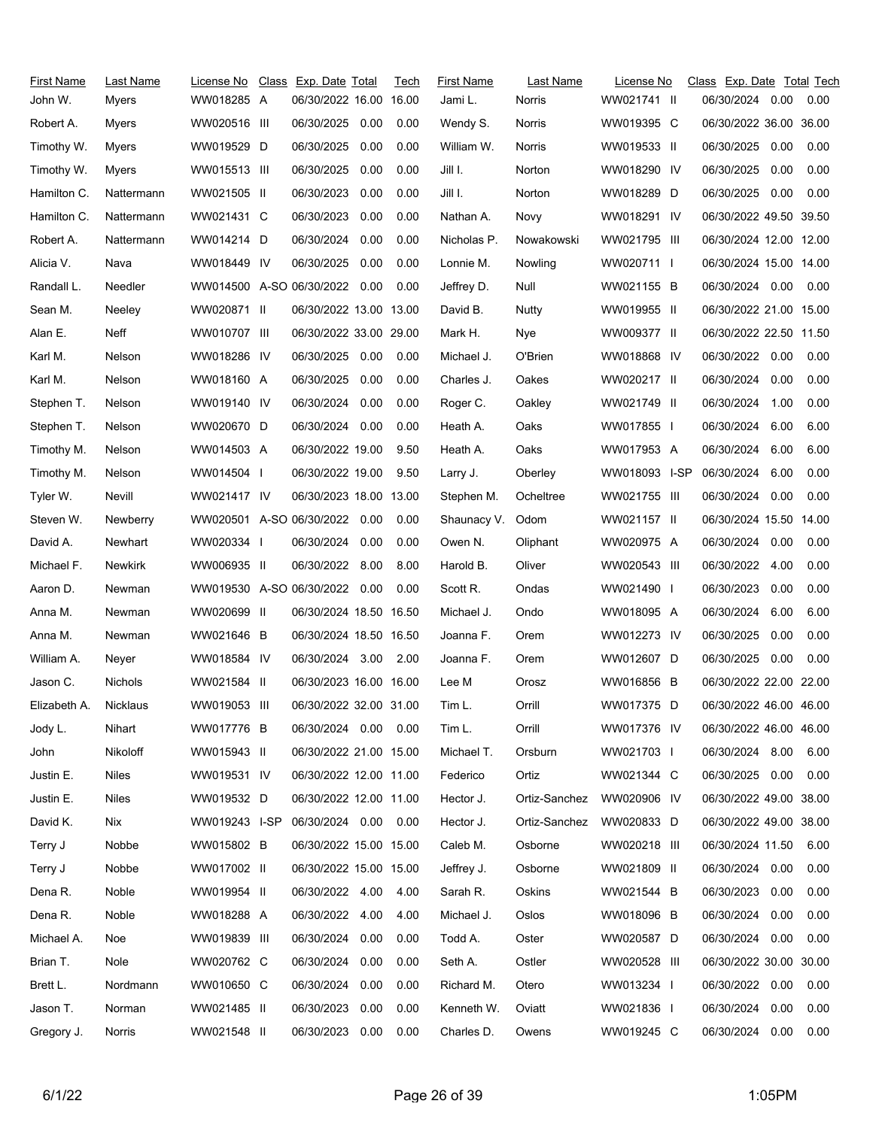| First Name   | Last Name       | License No                    | Class Exp. Date Total  |      | Tech | <b>First Name</b> | Last Name     | License No    | Class Exp. Date Total Tech |      |      |
|--------------|-----------------|-------------------------------|------------------------|------|------|-------------------|---------------|---------------|----------------------------|------|------|
| John W.      | Myers           | WW018285 A                    | 06/30/2022 16.00 16.00 |      |      | Jami L.           | Norris        | WW021741 II   | 06/30/2024 0.00            |      | 0.00 |
| Robert A.    | Myers           | WW020516 III                  | 06/30/2025             | 0.00 | 0.00 | Wendy S.          | Norris        | WW019395 C    | 06/30/2022 36.00 36.00     |      |      |
| Timothy W.   | Myers           | WW019529 D                    | 06/30/2025             | 0.00 | 0.00 | William W.        | Norris        | WW019533 II   | 06/30/2025                 | 0.00 | 0.00 |
| Timothy W.   | Myers           | WW015513 III                  | 06/30/2025             | 0.00 | 0.00 | Jill I.           | Norton        | WW018290 IV   | 06/30/2025                 | 0.00 | 0.00 |
| Hamilton C.  | Nattermann      | WW021505 II                   | 06/30/2023             | 0.00 | 0.00 | Jill I.           | Norton        | WW018289 D    | 06/30/2025                 | 0.00 | 0.00 |
| Hamilton C.  | Nattermann      | WW021431 C                    | 06/30/2023             | 0.00 | 0.00 | Nathan A.         | Novy          | WW018291 IV   | 06/30/2022 49.50 39.50     |      |      |
| Robert A.    | Nattermann      | WW014214 D                    | 06/30/2024             | 0.00 | 0.00 | Nicholas P.       | Nowakowski    | WW021795 III  | 06/30/2024 12.00 12.00     |      |      |
| Alicia V.    | Nava            | WW018449 IV                   | 06/30/2025             | 0.00 | 0.00 | Lonnie M.         | Nowling       | WW020711 I    | 06/30/2024 15.00 14.00     |      |      |
| Randall L.   | Needler         | WW014500 A-SO 06/30/2022 0.00 |                        |      | 0.00 | Jeffrey D.        | Null          | WW021155 B    | 06/30/2024 0.00            |      | 0.00 |
| Sean M.      | Neeley          | WW020871 II                   | 06/30/2022 13.00 13.00 |      |      | David B.          | Nutty         | WW019955 II   | 06/30/2022 21.00 15.00     |      |      |
| Alan E.      | Neff            | WW010707 III                  | 06/30/2022 33.00 29.00 |      |      | Mark H.           | Nye           | WW009377 II   | 06/30/2022 22.50 11.50     |      |      |
| Karl M.      | Nelson          | WW018286 IV                   | 06/30/2025 0.00        |      | 0.00 | Michael J.        | O'Brien       | WW018868 IV   | 06/30/2022 0.00            |      | 0.00 |
| Karl M.      | <b>Nelson</b>   | WW018160 A                    | 06/30/2025             | 0.00 | 0.00 | Charles J.        | Oakes         | WW020217 II   | 06/30/2024                 | 0.00 | 0.00 |
| Stephen T.   | Nelson          | WW019140 IV                   | 06/30/2024             | 0.00 | 0.00 | Roger C.          | Oakley        | WW021749 II   | 06/30/2024                 | 1.00 | 0.00 |
| Stephen T.   | Nelson          | WW020670 D                    | 06/30/2024 0.00        |      | 0.00 | Heath A.          | Oaks          | WW017855      | 06/30/2024                 | 6.00 | 6.00 |
| Timothy M.   | Nelson          | WW014503 A                    | 06/30/2022 19.00       |      | 9.50 | Heath A.          | Oaks          | WW017953 A    | 06/30/2024                 | 6.00 | 6.00 |
| Timothy M.   | Nelson          | WW014504 I                    | 06/30/2022 19.00       |      | 9.50 | Larry J.          | Oberley       | WW018093 I-SP | 06/30/2024                 | 6.00 | 0.00 |
| Tyler W.     | Nevill          | WW021417 IV                   | 06/30/2023 18.00 13.00 |      |      | Stephen M.        | Ocheltree     | WW021755 III  | 06/30/2024 0.00            |      | 0.00 |
| Steven W.    | Newberry        | WW020501 A-SO 06/30/2022 0.00 |                        |      | 0.00 | Shaunacy V.       | Odom          | WW021157 II   | 06/30/2024 15.50 14.00     |      |      |
| David A.     | Newhart         | WW020334 I                    | 06/30/2024 0.00        |      | 0.00 | Owen N.           | Oliphant      | WW020975 A    | 06/30/2024 0.00            |      | 0.00 |
| Michael F.   | Newkirk         | WW006935 II                   | 06/30/2022 8.00        |      | 8.00 | Harold B.         | Oliver        | WW020543 III  | 06/30/2022                 | 4.00 | 0.00 |
| Aaron D.     | Newman          | WW019530 A-SO 06/30/2022 0.00 |                        |      | 0.00 | Scott R.          | Ondas         | WW021490 I    | 06/30/2023                 | 0.00 | 0.00 |
| Anna M.      | Newman          | WW020699 II                   | 06/30/2024 18.50 16.50 |      |      | Michael J.        | Ondo          | WW018095 A    | 06/30/2024                 | 6.00 | 6.00 |
| Anna M.      | Newman          | WW021646 B                    | 06/30/2024 18.50 16.50 |      |      | Joanna F.         | Orem          | WW012273 IV   | 06/30/2025                 | 0.00 | 0.00 |
| William A.   | Neyer           | WW018584 IV                   | 06/30/2024 3.00        |      | 2.00 | Joanna F.         | Orem          | WW012607 D    | 06/30/2025                 | 0.00 | 0.00 |
| Jason C.     | Nichols         | WW021584 II                   | 06/30/2023 16.00 16.00 |      |      | Lee M             | Orosz         | WW016856 B    | 06/30/2022 22.00 22.00     |      |      |
| Elizabeth A. | Nicklaus        | WW019053 III                  | 06/30/2022 32.00 31.00 |      |      | Tim L.            | Orrill        | WW017375 D    | 06/30/2022 46.00 46.00     |      |      |
| Jody L.      | Nihart          | WW017776 B                    | 06/30/2024 0.00 0.00   |      |      | Tim L.            | Orrill        | WW017376 IV   | 06/30/2022 46.00 46.00     |      |      |
| John         | <b>Nikoloff</b> | WW015943 II                   | 06/30/2022 21.00 15.00 |      |      | Michael T.        | Orsburn       | WW021703 I    | 06/30/2024 8.00            |      | 6.00 |
| Justin E.    | Niles           | WW019531 IV                   | 06/30/2022 12.00 11.00 |      |      | Federico          | Ortiz         | WW021344 C    | 06/30/2025 0.00            |      | 0.00 |
| Justin E.    | Niles           | WW019532 D                    | 06/30/2022 12.00 11.00 |      |      | Hector J.         | Ortiz-Sanchez | WW020906 IV   | 06/30/2022 49.00 38.00     |      |      |
| David K.     | Nix             | WW019243 I-SP                 | 06/30/2024 0.00        |      | 0.00 | Hector J.         | Ortiz-Sanchez | WW020833 D    | 06/30/2022 49.00 38.00     |      |      |
| Terry J      | Nobbe           | WW015802 B                    | 06/30/2022 15.00 15.00 |      |      | Caleb M.          | Osborne       | WW020218 III  | 06/30/2024 11.50           |      | 6.00 |
| Terry J      | Nobbe           | WW017002 II                   | 06/30/2022 15.00 15.00 |      |      | Jeffrey J.        | Osborne       | WW021809 II   | 06/30/2024 0.00            |      | 0.00 |
| Dena R.      | Noble           | WW019954 II                   | 06/30/2022 4.00        |      | 4.00 | Sarah R.          | Oskins        | WW021544 B    | 06/30/2023                 | 0.00 | 0.00 |
| Dena R.      | Noble           | WW018288 A                    | 06/30/2022 4.00        |      | 4.00 | Michael J.        | Oslos         | WW018096 B    | 06/30/2024                 | 0.00 | 0.00 |
| Michael A.   | Noe             | WW019839 III                  | 06/30/2024             | 0.00 | 0.00 | Todd A.           | Oster         | WW020587 D    | 06/30/2024 0.00            |      | 0.00 |
| Brian T.     | Nole            | WW020762 C                    | 06/30/2024 0.00        |      | 0.00 | Seth A.           | Ostler        | WW020528 III  | 06/30/2022 30.00 30.00     |      |      |
| Brett L.     | Nordmann        | WW010650 C                    | 06/30/2024             | 0.00 | 0.00 | Richard M.        | Otero         | WW013234 I    | 06/30/2022 0.00            |      | 0.00 |
| Jason T.     | Norman          | WW021485 II                   | 06/30/2023             | 0.00 | 0.00 | Kenneth W.        | Oviatt        | WW021836 I    | 06/30/2024                 | 0.00 | 0.00 |
| Gregory J.   | Norris          | WW021548 II                   | 06/30/2023             | 0.00 | 0.00 | Charles D.        | Owens         | WW019245 C    | 06/30/2024 0.00            |      | 0.00 |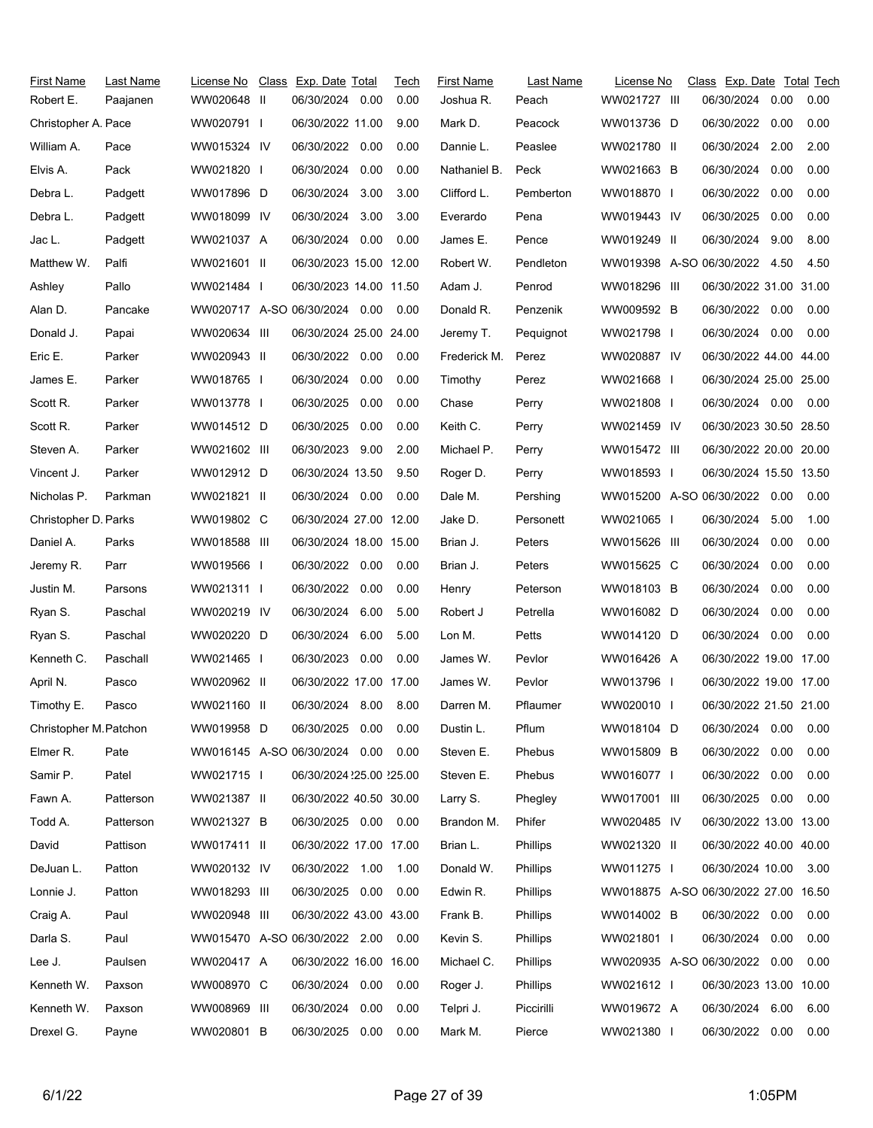| <b>First Name</b>      | Last Name | License No   | Class Exp. Date Total         |      | Tech | <b>First Name</b> | Last Name       | License No                           | Class Exp. Date Total Tech |      |      |
|------------------------|-----------|--------------|-------------------------------|------|------|-------------------|-----------------|--------------------------------------|----------------------------|------|------|
| Robert E.              | Paajanen  | WW020648 II  | 06/30/2024                    | 0.00 | 0.00 | Joshua R.         | Peach           | WW021727 III                         | 06/30/2024                 | 0.00 | 0.00 |
| Christopher A. Pace    |           | WW020791 I   | 06/30/2022 11.00              |      | 9.00 | Mark D.           | Peacock         | WW013736 D                           | 06/30/2022                 | 0.00 | 0.00 |
| William A.             | Pace      | WW015324 IV  | 06/30/2022                    | 0.00 | 0.00 | Dannie L.         | Peaslee         | WW021780 II                          | 06/30/2024                 | 2.00 | 2.00 |
| Elvis A.               | Pack      | WW021820 I   | 06/30/2024 0.00               |      | 0.00 | Nathaniel B.      | Peck            | WW021663 B                           | 06/30/2024                 | 0.00 | 0.00 |
| Debra L.               | Padgett   | WW017896 D   | 06/30/2024                    | 3.00 | 3.00 | Clifford L.       | Pemberton       | WW018870 I                           | 06/30/2022                 | 0.00 | 0.00 |
| Debra L.               | Padgett   | WW018099 IV  | 06/30/2024                    | 3.00 | 3.00 | Everardo          | Pena            | WW019443 IV                          | 06/30/2025                 | 0.00 | 0.00 |
| Jac L.                 | Padgett   | WW021037 A   | 06/30/2024 0.00               |      | 0.00 | James E.          | Pence           | WW019249 II                          | 06/30/2024                 | 9.00 | 8.00 |
| Matthew W.             | Palfi     | WW021601 II  | 06/30/2023 15.00 12.00        |      |      | Robert W.         | Pendleton       | WW019398 A-SO 06/30/2022 4.50        |                            |      | 4.50 |
| Ashley                 | Pallo     | WW021484 I   | 06/30/2023 14.00 11.50        |      |      | Adam J.           | Penrod          | WW018296 III                         | 06/30/2022 31.00 31.00     |      |      |
| Alan D.                | Pancake   |              | WW020717 A-SO 06/30/2024 0.00 |      | 0.00 | Donald R.         | Penzenik        | WW009592 B                           | 06/30/2022 0.00            |      | 0.00 |
| Donald J.              | Papai     | WW020634 III | 06/30/2024 25.00 24.00        |      |      | Jeremy T.         | Pequignot       | WW021798 I                           | 06/30/2024 0.00            |      | 0.00 |
| Eric E.                | Parker    | WW020943 II  | 06/30/2022 0.00               |      | 0.00 | Frederick M.      | Perez           | WW020887 IV                          | 06/30/2022 44.00 44.00     |      |      |
| James E.               | Parker    | WW018765 I   | 06/30/2024                    | 0.00 | 0.00 | Timothy           | Perez           | WW021668 I                           | 06/30/2024 25.00 25.00     |      |      |
| Scott R.               | Parker    | WW013778 I   | 06/30/2025                    | 0.00 | 0.00 | Chase             | Perry           | WW021808 I                           | 06/30/2024 0.00            |      | 0.00 |
| Scott R.               | Parker    | WW014512 D   | 06/30/2025                    | 0.00 | 0.00 | Keith C.          | Perry           | WW021459 IV                          | 06/30/2023 30.50 28.50     |      |      |
| Steven A.              | Parker    | WW021602 III | 06/30/2023                    | 9.00 | 2.00 | Michael P.        | Perry           | WW015472 III                         | 06/30/2022 20.00 20.00     |      |      |
| Vincent J.             | Parker    | WW012912 D   | 06/30/2024 13.50              |      | 9.50 | Roger D.          | Perry           | WW018593 I                           | 06/30/2024 15.50 13.50     |      |      |
| Nicholas P.            | Parkman   | WW021821 II  | 06/30/2024 0.00               |      | 0.00 | Dale M.           | Pershing        | WW015200 A-SO 06/30/2022 0.00        |                            |      | 0.00 |
| Christopher D. Parks   |           | WW019802 C   | 06/30/2024 27.00 12.00        |      |      | Jake D.           | Personett       | WW021065 I                           | 06/30/2024                 | 5.00 | 1.00 |
| Daniel A.              | Parks     | WW018588 III | 06/30/2024 18.00 15.00        |      |      | Brian J.          | Peters          | WW015626 III                         | 06/30/2024                 | 0.00 | 0.00 |
| Jeremy R.              | Parr      | WW019566 I   | 06/30/2022 0.00               |      | 0.00 | Brian J.          | Peters          | WW015625 C                           | 06/30/2024                 | 0.00 | 0.00 |
| Justin M.              | Parsons   | WW021311     | 06/30/2022                    | 0.00 | 0.00 | Henry             | Peterson        | WW018103 B                           | 06/30/2024                 | 0.00 | 0.00 |
| Ryan S.                | Paschal   | WW020219 IV  | 06/30/2024                    | 6.00 | 5.00 | Robert J          | Petrella        | WW016082 D                           | 06/30/2024                 | 0.00 | 0.00 |
| Ryan S.                | Paschal   | WW020220 D   | 06/30/2024                    | 6.00 | 5.00 | Lon M.            | Petts           | WW014120 D                           | 06/30/2024                 | 0.00 | 0.00 |
| Kenneth C.             | Paschall  | WW021465 I   | 06/30/2023                    | 0.00 | 0.00 | James W.          | Pevlor          | WW016426 A                           | 06/30/2022 19.00 17.00     |      |      |
| April N.               | Pasco     | WW020962 II  | 06/30/2022 17.00 17.00        |      |      | James W.          | Pevlor          | WW013796 I                           | 06/30/2022 19.00 17.00     |      |      |
| Timothy E.             | Pasco     | WW021160 II  | 06/30/2024 8.00               |      | 8.00 | Darren M.         | Pflaumer        | WW020010 I                           | 06/30/2022 21.50 21.00     |      |      |
| Christopher M. Patchon |           | WW019958 D   | 06/30/2025                    | 0.00 | 0.00 | Dustin L.         | Pflum           | WW018104 D                           | 06/30/2024 0.00            |      | 0.00 |
| Elmer R.               | Pate      |              | WW016145 A-SO 06/30/2024 0.00 |      | 0.00 | Steven E.         | Phebus          | WW015809 B                           | 06/30/2022                 | 0.00 | 0.00 |
| Samir P.               | Patel     | WW021715     | 06/30/2024 25.00 25.00        |      |      | Steven E.         | Phebus          | WW016077 I                           | 06/30/2022                 | 0.00 | 0.00 |
| Fawn A.                | Patterson | WW021387 II  | 06/30/2022 40.50 30.00        |      |      | Larry S.          | Phegley         | WW017001 III                         | 06/30/2025                 | 0.00 | 0.00 |
| Todd A.                | Patterson | WW021327 B   | 06/30/2025 0.00               |      | 0.00 | Brandon M.        | Phifer          | WW020485 IV                          | 06/30/2022 13.00 13.00     |      |      |
| David                  | Pattison  | WW017411 II  | 06/30/2022 17.00 17.00        |      |      | Brian L.          | Phillips        | WW021320 II                          | 06/30/2022 40.00 40.00     |      |      |
| DeJuan L.              | Patton    | WW020132 IV  | 06/30/2022 1.00               |      | 1.00 | Donald W.         | <b>Phillips</b> | WW011275 I                           | 06/30/2024 10.00           |      | 3.00 |
| Lonnie J.              | Patton    | WW018293 III | 06/30/2025 0.00               |      | 0.00 | Edwin R.          | <b>Phillips</b> | WW018875 A-SO 06/30/2022 27.00 16.50 |                            |      |      |
| Craig A.               | Paul      | WW020948 III | 06/30/2022 43.00 43.00        |      |      | Frank B.          | Phillips        | WW014002 B                           | 06/30/2022 0.00            |      | 0.00 |
| Darla S.               | Paul      |              | WW015470 A-SO 06/30/2022 2.00 |      | 0.00 | Kevin S.          | Phillips        | WW021801 I                           | 06/30/2024                 | 0.00 | 0.00 |
| Lee J.                 | Paulsen   | WW020417 A   | 06/30/2022 16.00 16.00        |      |      | Michael C.        | <b>Phillips</b> | WW020935 A-SO 06/30/2022             |                            | 0.00 | 0.00 |
| Kenneth W.             | Paxson    | WW008970 C   | 06/30/2024                    | 0.00 | 0.00 | Roger J.          | <b>Phillips</b> | WW021612 I                           | 06/30/2023 13.00 10.00     |      |      |
| Kenneth W.             | Paxson    | WW008969 III | 06/30/2024                    | 0.00 | 0.00 | Telpri J.         | Piccirilli      | WW019672 A                           | 06/30/2024                 | 6.00 | 6.00 |
| Drexel G.              | Payne     | WW020801 B   | 06/30/2025                    | 0.00 | 0.00 | Mark M.           | Pierce          | WW021380 I                           | 06/30/2022 0.00            |      | 0.00 |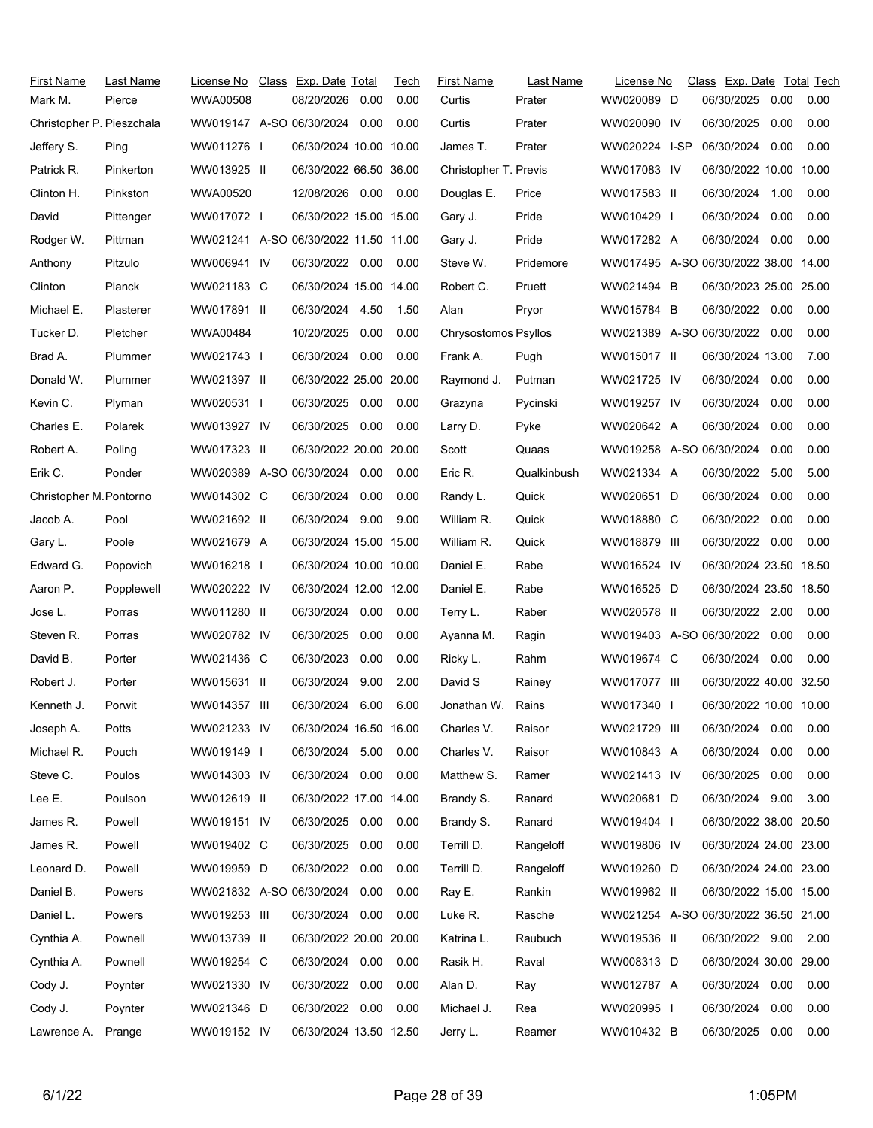| <b>First Name</b><br>Mark M. | Last Name<br>Pierce | License No<br><b>WWA00508</b>        | Class Exp. Date Total<br>08/20/2026 | 0.00 | Tech<br>0.00 | First Name<br>Curtis  | Last Name<br>Prater | License No<br>WW020089 D             | Class Exp. Date Total Tech<br>06/30/2025 | 0.00 | 0.00 |
|------------------------------|---------------------|--------------------------------------|-------------------------------------|------|--------------|-----------------------|---------------------|--------------------------------------|------------------------------------------|------|------|
| Christopher P. Pieszchala    |                     | WW019147 A-SO 06/30/2024             |                                     | 0.00 | 0.00         | Curtis                | Prater              | WW020090 IV                          | 06/30/2025                               | 0.00 | 0.00 |
| Jeffery S.                   | Ping                | WW011276                             | 06/30/2024 10.00 10.00              |      |              | James T.              | Prater              | WW020224 I-SP                        | 06/30/2024                               | 0.00 | 0.00 |
| Patrick R.                   | Pinkerton           | WW013925 II                          | 06/30/2022 66.50 36.00              |      |              | Christopher T. Previs |                     | WW017083 IV                          | 06/30/2022 10.00 10.00                   |      |      |
| Clinton H.                   | Pinkston            | WWA00520                             | 12/08/2026 0.00                     |      | 0.00         | Douglas E.            | Price               | WW017583 II                          | 06/30/2024                               | 1.00 | 0.00 |
| David                        | Pittenger           | WW017072 I                           | 06/30/2022 15.00 15.00              |      |              | Gary J.               | Pride               | WW010429 I                           | 06/30/2024                               | 0.00 | 0.00 |
| Rodger W.                    | Pittman             | WW021241 A-SO 06/30/2022 11.50 11.00 |                                     |      |              | Gary J.               | Pride               | WW017282 A                           | 06/30/2024 0.00                          |      | 0.00 |
| Anthony                      | Pitzulo             | WW006941 IV                          | 06/30/2022 0.00                     |      | 0.00         | Steve W.              | Pridemore           | WW017495 A-SO 06/30/2022 38.00 14.00 |                                          |      |      |
| Clinton                      | <b>Planck</b>       | WW021183 C                           | 06/30/2024 15.00 14.00              |      |              | Robert C.             | Pruett              | WW021494 B                           | 06/30/2023 25.00 25.00                   |      |      |
| Michael E.                   | Plasterer           | WW017891 II                          | 06/30/2024 4.50                     |      | 1.50         | Alan                  | Pryor               | WW015784 B                           | 06/30/2022                               | 0.00 | 0.00 |
| Tucker D.                    | Pletcher            | WWA00484                             | 10/20/2025                          | 0.00 | 0.00         | Chrysostomos Psyllos  |                     | WW021389 A-SO 06/30/2022 0.00        |                                          |      | 0.00 |
| Brad A.                      | Plummer             | WW021743 I                           | 06/30/2024                          | 0.00 | 0.00         | Frank A.              | Pugh                | WW015017 II                          | 06/30/2024 13.00                         |      | 7.00 |
| Donald W.                    | Plummer             | WW021397 II                          | 06/30/2022 25.00 20.00              |      |              | Raymond J.            | Putman              | WW021725 IV                          | 06/30/2024                               | 0.00 | 0.00 |
| Kevin C.                     | Plyman              | WW020531 I                           | 06/30/2025                          | 0.00 | 0.00         | Grazyna               | Pycinski            | WW019257 IV                          | 06/30/2024                               | 0.00 | 0.00 |
| Charles E.                   | Polarek             | WW013927 IV                          | 06/30/2025                          | 0.00 | 0.00         | Larry D.              | Pyke                | WW020642 A                           | 06/30/2024                               | 0.00 | 0.00 |
| Robert A.                    | Poling              | WW017323 II                          | 06/30/2022 20.00 20.00              |      |              | Scott                 | Quaas               | WW019258 A-SO 06/30/2024             |                                          | 0.00 | 0.00 |
| Erik C.                      | Ponder              | WW020389 A-SO 06/30/2024 0.00        |                                     |      | 0.00         | Eric R.               | Qualkinbush         | WW021334 A                           | 06/30/2022                               | 5.00 | 5.00 |
| Christopher M. Pontorno      |                     | WW014302 C                           | 06/30/2024 0.00                     |      | 0.00         | Randy L.              | Quick               | WW020651 D                           | 06/30/2024                               | 0.00 | 0.00 |
| Jacob A.                     | Pool                | WW021692 II                          | 06/30/2024                          | 9.00 | 9.00         | William R.            | Quick               | WW018880 C                           | 06/30/2022                               | 0.00 | 0.00 |
| Gary L.                      | Poole               | WW021679 A                           | 06/30/2024 15.00 15.00              |      |              | William R.            | Quick               | WW018879 III                         | 06/30/2022                               | 0.00 | 0.00 |
| Edward G.                    | Popovich            | WW016218 I                           | 06/30/2024 10.00 10.00              |      |              | Daniel E.             | Rabe                | WW016524 IV                          | 06/30/2024 23.50 18.50                   |      |      |
| Aaron P.                     | Popplewell          | WW020222 IV                          | 06/30/2024 12.00 12.00              |      |              | Daniel E.             | Rabe                | WW016525 D                           | 06/30/2024 23.50 18.50                   |      |      |
| Jose L.                      | Porras              | WW011280 II                          | 06/30/2024 0.00                     |      | 0.00         | Terry L.              | Raber               | WW020578 II                          | 06/30/2022 2.00                          |      | 0.00 |
| Steven R.                    | Porras              | WW020782 IV                          | 06/30/2025                          | 0.00 | 0.00         | Ayanna M.             | Ragin               | WW019403 A-SO 06/30/2022             |                                          | 0.00 | 0.00 |
| David B.                     | Porter              | WW021436 C                           | 06/30/2023                          | 0.00 | 0.00         | Ricky L.              | Rahm                | WW019674 C                           | 06/30/2024                               | 0.00 | 0.00 |
| Robert J.                    | Porter              | WW015631 II                          | 06/30/2024                          | 9.00 | 2.00         | David S               | Rainey              | WW017077 III                         | 06/30/2022 40.00 32.50                   |      |      |
| Kenneth J.                   | Porwit              | WW014357 III                         | 06/30/2024 6.00                     |      | 6.00         | Jonathan W.           | Rains               | WW017340 I                           | 06/30/2022 10.00 10.00                   |      |      |
| Joseph A.                    | Potts               | WW021233 IV                          | 06/30/2024 16.50 16.00              |      |              | Charles V.            | Raisor              | WW021729 III                         | 06/30/2024                               | 0.00 | 0.00 |
| Michael R.                   | Pouch               | WW019149 I                           | 06/30/2024 5.00                     |      | 0.00         | Charles V.            | Raisor              | WW010843 A                           | 06/30/2024                               | 0.00 | 0.00 |
| Steve C.                     | Poulos              | WW014303 IV                          | 06/30/2024 0.00                     |      | 0.00         | Matthew S.            | Ramer               | WW021413 IV                          | 06/30/2025                               | 0.00 | 0.00 |
| Lee E.                       | Poulson             | WW012619 II                          | 06/30/2022 17.00 14.00              |      |              | Brandy S.             | Ranard              | WW020681 D                           | 06/30/2024 9.00                          |      | 3.00 |
| James R.                     | Powell              | WW019151 IV                          | 06/30/2025                          | 0.00 | 0.00         | Brandy S.             | Ranard              | WW019404 I                           | 06/30/2022 38.00 20.50                   |      |      |
| James R.                     | Powell              | WW019402 C                           | 06/30/2025                          | 0.00 | 0.00         | Terrill D.            | Rangeloff           | WW019806 IV                          | 06/30/2024 24.00 23.00                   |      |      |
| Leonard D.                   | Powell              | WW019959 D                           | 06/30/2022                          | 0.00 | 0.00         | Terrill D.            | Rangeloff           | WW019260 D                           | 06/30/2024 24.00 23.00                   |      |      |
| Daniel B.                    | Powers              | WW021832 A-SO 06/30/2024             |                                     | 0.00 | 0.00         | Ray E.                | Rankin              | WW019962 II                          | 06/30/2022 15.00 15.00                   |      |      |
| Daniel L.                    | Powers              | WW019253 III                         | 06/30/2024 0.00                     |      | 0.00         | Luke R.               | Rasche              | WW021254 A-SO 06/30/2022 36.50 21.00 |                                          |      |      |
| Cynthia A.                   | Pownell             | WW013739 II                          | 06/30/2022 20.00 20.00              |      |              | Katrina L.            | Raubuch             | WW019536 II                          | 06/30/2022 9.00                          |      | 2.00 |
| Cynthia A.                   | Pownell             | WW019254 C                           | 06/30/2024 0.00                     |      | 0.00         | Rasik H.              | Raval               | WW008313 D                           | 06/30/2024 30.00 29.00                   |      |      |
| Cody J.                      | Poynter             | WW021330 IV                          | 06/30/2022                          | 0.00 | 0.00         | Alan D.               | Ray                 | WW012787 A                           | 06/30/2024 0.00                          |      | 0.00 |
| Cody J.                      | Poynter             | WW021346 D                           | 06/30/2022 0.00                     |      | 0.00         | Michael J.            | Rea                 | WW020995 I                           | 06/30/2024                               | 0.00 | 0.00 |
| Lawrence A.                  | Prange              | WW019152 IV                          | 06/30/2024 13.50 12.50              |      |              | Jerry L.              | Reamer              | WW010432 B                           | 06/30/2025 0.00                          |      | 0.00 |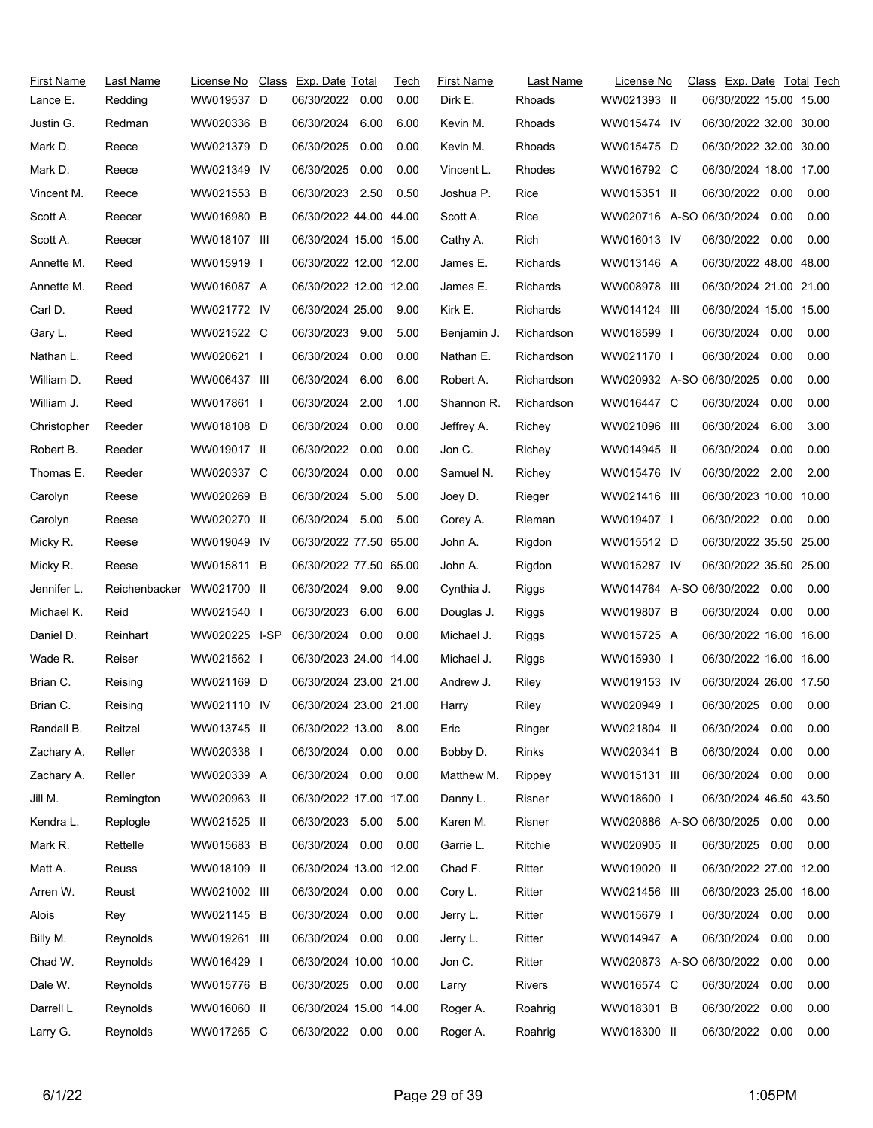| First Name  | Last Name     | License No    | Class Exp. Date Total  |      | Tech | <b>First Name</b> | Last Name  | License No                    | Class Exp. Date Total Tech |      |      |
|-------------|---------------|---------------|------------------------|------|------|-------------------|------------|-------------------------------|----------------------------|------|------|
| Lance E.    | Redding       | WW019537 D    | 06/30/2022             | 0.00 | 0.00 | Dirk E.           | Rhoads     | WW021393 II                   | 06/30/2022 15.00 15.00     |      |      |
| Justin G.   | Redman        | WW020336 B    | 06/30/2024             | 6.00 | 6.00 | Kevin M.          | Rhoads     | WW015474 IV                   | 06/30/2022 32.00 30.00     |      |      |
| Mark D.     | Reece         | WW021379 D    | 06/30/2025             | 0.00 | 0.00 | Kevin M.          | Rhoads     | WW015475 D                    | 06/30/2022 32.00 30.00     |      |      |
| Mark D.     | Reece         | WW021349 IV   | 06/30/2025             | 0.00 | 0.00 | Vincent L.        | Rhodes     | WW016792 C                    | 06/30/2024 18.00 17.00     |      |      |
| Vincent M.  | Reece         | WW021553 B    | 06/30/2023             | 2.50 | 0.50 | Joshua P.         | Rice       | WW015351 II                   | 06/30/2022                 | 0.00 | 0.00 |
| Scott A.    | Reecer        | WW016980 B    | 06/30/2022 44.00 44.00 |      |      | Scott A.          | Rice       | WW020716 A-SO 06/30/2024      |                            | 0.00 | 0.00 |
| Scott A.    | Reecer        | WW018107 III  | 06/30/2024 15.00 15.00 |      |      | Cathy A.          | Rich       | WW016013 IV                   | 06/30/2022 0.00            |      | 0.00 |
| Annette M.  | Reed          | WW015919 I    | 06/30/2022 12.00 12.00 |      |      | James E.          | Richards   | WW013146 A                    | 06/30/2022 48.00 48.00     |      |      |
| Annette M.  | Reed          | WW016087 A    | 06/30/2022 12.00 12.00 |      |      | James E.          | Richards   | WW008978 III                  | 06/30/2024 21.00 21.00     |      |      |
| Carl D.     | Reed          | WW021772 IV   | 06/30/2024 25.00       |      | 9.00 | Kirk E.           | Richards   | WW014124 III                  | 06/30/2024 15.00 15.00     |      |      |
| Gary L.     | Reed          | WW021522 C    | 06/30/2023 9.00        |      | 5.00 | Benjamin J.       | Richardson | WW018599 I                    | 06/30/2024 0.00            |      | 0.00 |
| Nathan L.   | Reed          | WW020621 I    | 06/30/2024             | 0.00 | 0.00 | Nathan E.         | Richardson | WW021170 I                    | 06/30/2024                 | 0.00 | 0.00 |
| William D.  | Reed          | WW006437 III  | 06/30/2024 6.00        |      | 6.00 | Robert A.         | Richardson | WW020932 A-SO 06/30/2025      |                            | 0.00 | 0.00 |
| William J.  | Reed          | WW017861 I    | 06/30/2024             | 2.00 | 1.00 | Shannon R.        | Richardson | WW016447 C                    | 06/30/2024                 | 0.00 | 0.00 |
| Christopher | Reeder        | WW018108 D    | 06/30/2024 0.00        |      | 0.00 | Jeffrey A.        | Richey     | WW021096 III                  | 06/30/2024                 | 6.00 | 3.00 |
| Robert B.   | Reeder        | WW019017 II   | 06/30/2022             | 0.00 | 0.00 | Jon C.            | Richey     | WW014945 II                   | 06/30/2024                 | 0.00 | 0.00 |
| Thomas E.   | Reeder        | WW020337 C    | 06/30/2024             | 0.00 | 0.00 | Samuel N.         | Richey     | WW015476 IV                   | 06/30/2022 2.00            |      | 2.00 |
| Carolyn     | Reese         | WW020269 B    | 06/30/2024             | 5.00 | 5.00 | Joey D.           | Rieger     | WW021416 III                  | 06/30/2023 10.00 10.00     |      |      |
| Carolyn     | Reese         | WW020270 II   | 06/30/2024             | 5.00 | 5.00 | Corey A.          | Rieman     | WW019407 I                    | 06/30/2022 0.00            |      | 0.00 |
| Micky R.    | Reese         | WW019049 IV   | 06/30/2022 77.50 65.00 |      |      | John A.           | Rigdon     | WW015512 D                    | 06/30/2022 35.50 25.00     |      |      |
| Micky R.    | Reese         | WW015811 B    | 06/30/2022 77.50 65.00 |      |      | John A.           | Rigdon     | WW015287 IV                   | 06/30/2022 35.50 25.00     |      |      |
| Jennifer L. | Reichenbacker | WW021700 II   | 06/30/2024 9.00        |      | 9.00 | Cynthia J.        | Riggs      | WW014764 A-SO 06/30/2022 0.00 |                            |      | 0.00 |
| Michael K.  | Reid          | WW021540 I    | 06/30/2023             | 6.00 | 6.00 | Douglas J.        | Riggs      | WW019807 B                    | 06/30/2024                 | 0.00 | 0.00 |
| Daniel D.   | Reinhart      | WW020225 I-SP | 06/30/2024 0.00        |      | 0.00 | Michael J.        | Riggs      | WW015725 A                    | 06/30/2022 16.00 16.00     |      |      |
| Wade R.     | Reiser        | WW021562 I    | 06/30/2023 24.00 14.00 |      |      | Michael J.        | Riggs      | WW015930 I                    | 06/30/2022 16.00 16.00     |      |      |
| Brian C.    | Reising       | WW021169 D    | 06/30/2024 23.00 21.00 |      |      | Andrew J.         | Riley      | WW019153 IV                   | 06/30/2024 26.00 17.50     |      |      |
| Brian C.    | Reising       | WW021110 IV   | 06/30/2024 23.00 21.00 |      |      | Harry             | Riley      | WW020949 I                    | 06/30/2025 0.00            |      | 0.00 |
| Randall B.  | Reitzel       | WW013745 II   | 06/30/2022 13.00       |      | 8.00 | Eric              | Ringer     | WW021804 II                   | 06/30/2024                 | 0.00 | 0.00 |
| Zachary A.  | Reller        | WW020338 I    | 06/30/2024 0.00        |      | 0.00 | Bobby D.          | Rinks      | WW020341 B                    | 06/30/2024                 | 0.00 | 0.00 |
| Zachary A.  | Reller        | WW020339 A    | 06/30/2024 0.00        |      | 0.00 | Matthew M.        | Rippey     | WW015131 III                  | 06/30/2024                 | 0.00 | 0.00 |
| Jill M.     | Remington     | WW020963 II   | 06/30/2022 17.00 17.00 |      |      | Danny L.          | Risner     | WW018600 I                    | 06/30/2024 46.50 43.50     |      |      |
| Kendra L.   | Replogle      | WW021525 II   | 06/30/2023             | 5.00 | 5.00 | Karen M.          | Risner     | WW020886 A-SO 06/30/2025      |                            | 0.00 | 0.00 |
| Mark R.     | Rettelle      | WW015683 B    | 06/30/2024 0.00        |      | 0.00 | Garrie L.         | Ritchie    | WW020905 II                   | 06/30/2025 0.00            |      | 0.00 |
| Matt A.     | Reuss         | WW018109 II   | 06/30/2024 13.00 12.00 |      |      | Chad F.           | Ritter     | WW019020 II                   | 06/30/2022 27.00 12.00     |      |      |
| Arren W.    | Reust         | WW021002 III  | 06/30/2024 0.00        |      | 0.00 | Cory L.           | Ritter     | WW021456 III                  | 06/30/2023 25.00 16.00     |      |      |
| Alois       | Rey           | WW021145 B    | 06/30/2024             | 0.00 | 0.00 | Jerry L.          | Ritter     | WW015679 I                    | 06/30/2024                 | 0.00 | 0.00 |
| Billy M.    | Reynolds      | WW019261 III  | 06/30/2024 0.00        |      | 0.00 | Jerry L.          | Ritter     | WW014947 A                    | 06/30/2024                 | 0.00 | 0.00 |
| Chad W.     | Reynolds      | WW016429 I    | 06/30/2024 10.00 10.00 |      |      | Jon C.            | Ritter     | WW020873 A-SO 06/30/2022      |                            | 0.00 | 0.00 |
| Dale W.     | Reynolds      | WW015776 B    | 06/30/2025 0.00        |      | 0.00 | Larry             | Rivers     | WW016574 C                    | 06/30/2024                 | 0.00 | 0.00 |
| Darrell L   | Reynolds      | WW016060 II   | 06/30/2024 15.00 14.00 |      |      | Roger A.          | Roahrig    | WW018301 B                    | 06/30/2022                 | 0.00 | 0.00 |
| Larry G.    | Reynolds      | WW017265 C    | 06/30/2022 0.00 0.00   |      |      | Roger A.          | Roahrig    | WW018300 II                   | 06/30/2022                 | 0.00 | 0.00 |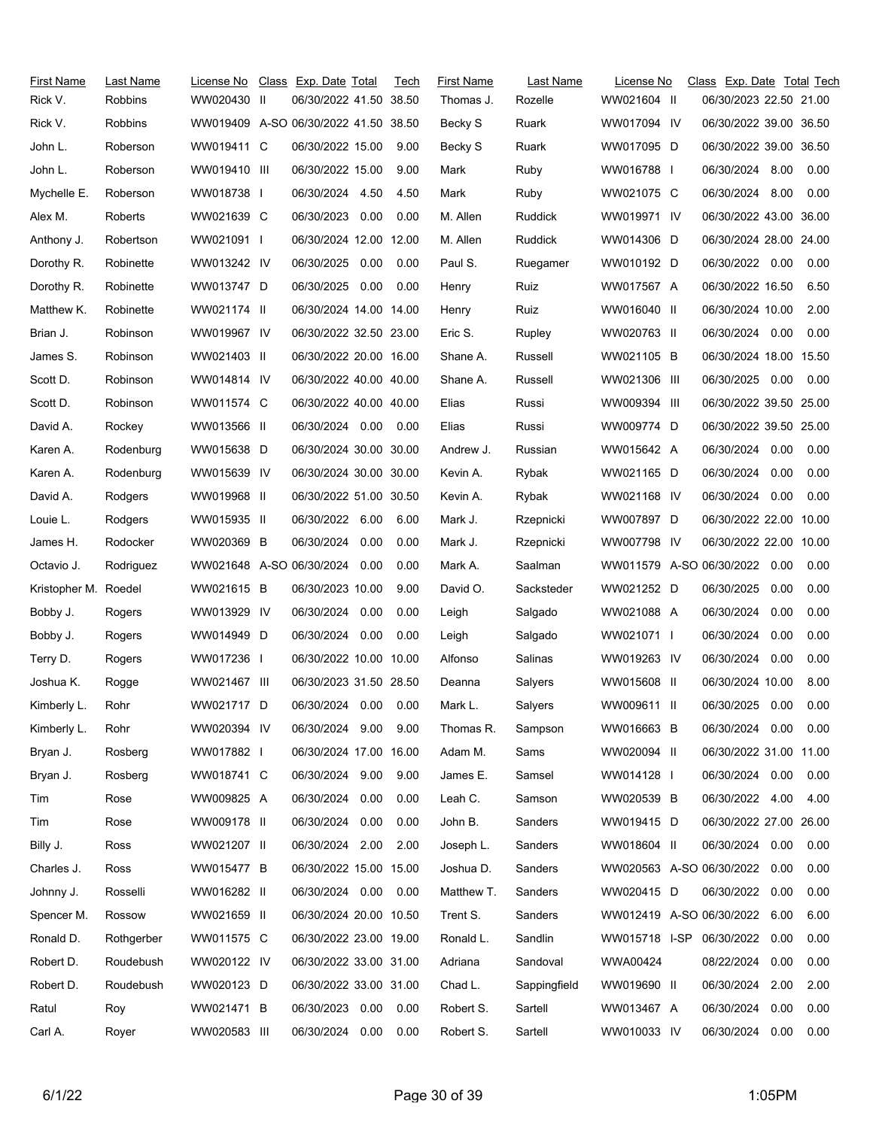| First Name<br>Rick V. | Last Name<br><b>Robbins</b> | License No<br>WW020430 II | Class Exp. Date Total<br>06/30/2022 41.50 38.50 |      | Tech | <b>First Name</b><br>Thomas J. | Last Name<br>Rozelle | License No<br>WW021604 II     | Class Exp. Date Total Tech<br>06/30/2023 22.50 21.00 |      |      |
|-----------------------|-----------------------------|---------------------------|-------------------------------------------------|------|------|--------------------------------|----------------------|-------------------------------|------------------------------------------------------|------|------|
| Rick V.               | <b>Robbins</b>              |                           | WW019409 A-SO 06/30/2022 41.50 38.50            |      |      | Becky S                        | Ruark                | WW017094 IV                   | 06/30/2022 39.00 36.50                               |      |      |
| John L.               | Roberson                    | WW019411 C                | 06/30/2022 15.00                                |      | 9.00 | Becky S                        | Ruark                | WW017095 D                    | 06/30/2022 39.00 36.50                               |      |      |
| John L.               | Roberson                    | WW019410 III              | 06/30/2022 15.00                                |      | 9.00 | Mark                           | Ruby                 | WW016788 I                    | 06/30/2024 8.00                                      |      | 0.00 |
| Mychelle E.           | Roberson                    | WW018738 I                | 06/30/2024 4.50                                 |      | 4.50 | Mark                           | Ruby                 | WW021075 C                    | 06/30/2024 8.00                                      |      | 0.00 |
| Alex M.               | Roberts                     | WW021639 C                | 06/30/2023                                      | 0.00 | 0.00 | M. Allen                       | Ruddick              | WW019971 IV                   | 06/30/2022 43.00 36.00                               |      |      |
| Anthony J.            | Robertson                   | WW021091                  | 06/30/2024 12.00 12.00                          |      |      | M. Allen                       | Ruddick              | WW014306 D                    | 06/30/2024 28.00 24.00                               |      |      |
| Dorothy R.            | Robinette                   | WW013242 IV               | 06/30/2025                                      | 0.00 | 0.00 | Paul S.                        | Ruegamer             | WW010192 D                    | 06/30/2022 0.00                                      |      | 0.00 |
| Dorothy R.            | Robinette                   | WW013747 D                | 06/30/2025 0.00                                 |      | 0.00 | Henry                          | Ruiz                 | WW017567 A                    | 06/30/2022 16.50                                     |      | 6.50 |
| Matthew K.            | Robinette                   | WW021174 II               | 06/30/2024 14.00 14.00                          |      |      | Henry                          | Ruiz                 | WW016040 II                   | 06/30/2024 10.00                                     |      | 2.00 |
| Brian J.              | Robinson                    | WW019967 IV               | 06/30/2022 32.50 23.00                          |      |      | Eric S.                        | Rupley               | WW020763 II                   | 06/30/2024 0.00                                      |      | 0.00 |
| James S.              | Robinson                    | WW021403 II               | 06/30/2022 20.00 16.00                          |      |      | Shane A.                       | Russell              | WW021105 B                    | 06/30/2024 18.00 15.50                               |      |      |
| Scott D.              | Robinson                    | WW014814 IV               | 06/30/2022 40.00 40.00                          |      |      | Shane A.                       | Russell              | WW021306 III                  | 06/30/2025                                           | 0.00 | 0.00 |
| Scott D.              | Robinson                    | WW011574 C                | 06/30/2022 40.00 40.00                          |      |      | Elias                          | Russi                | WW009394 III                  | 06/30/2022 39.50 25.00                               |      |      |
| David A.              | Rockey                      | WW013566 II               | 06/30/2024 0.00                                 |      | 0.00 | Elias                          | Russi                | WW009774 D                    | 06/30/2022 39.50 25.00                               |      |      |
| Karen A.              | Rodenburg                   | WW015638 D                | 06/30/2024 30.00 30.00                          |      |      | Andrew J.                      | Russian              | WW015642 A                    | 06/30/2024 0.00                                      |      | 0.00 |
| Karen A.              | Rodenburg                   | WW015639 IV               | 06/30/2024 30.00 30.00                          |      |      | Kevin A.                       | Rybak                | WW021165 D                    | 06/30/2024                                           | 0.00 | 0.00 |
| David A.              | Rodgers                     | WW019968 II               | 06/30/2022 51.00 30.50                          |      |      | Kevin A.                       | Rybak                | WW021168 IV                   | 06/30/2024 0.00                                      |      | 0.00 |
| Louie L.              | Rodgers                     | WW015935 II               | 06/30/2022 6.00                                 |      | 6.00 | Mark J.                        | Rzepnicki            | WW007897 D                    | 06/30/2022 22.00 10.00                               |      |      |
| James H.              | Rodocker                    | WW020369 B                | 06/30/2024 0.00                                 |      | 0.00 | Mark J.                        | Rzepnicki            | WW007798 IV                   | 06/30/2022 22.00 10.00                               |      |      |
| Octavio J.            | Rodriguez                   | WW021648 A-SO 06/30/2024  |                                                 | 0.00 | 0.00 | Mark A.                        | Saalman              | WW011579 A-SO 06/30/2022      |                                                      | 0.00 | 0.00 |
| Kristopher M. Roedel  |                             | WW021615 B                | 06/30/2023 10.00                                |      | 9.00 | David O.                       | Sacksteder           | WW021252 D                    | 06/30/2025                                           | 0.00 | 0.00 |
| Bobby J.              | Rogers                      | WW013929 IV               | 06/30/2024 0.00                                 |      | 0.00 | Leigh                          | Salgado              | WW021088 A                    | 06/30/2024                                           | 0.00 | 0.00 |
| Bobby J.              | Rogers                      | WW014949 D                | 06/30/2024 0.00                                 |      | 0.00 | Leigh                          | Salgado              | WW021071 I                    | 06/30/2024                                           | 0.00 | 0.00 |
| Terry D.              | Rogers                      | WW017236 I                | 06/30/2022 10.00 10.00                          |      |      | Alfonso                        | Salinas              | WW019263 IV                   | 06/30/2024                                           | 0.00 | 0.00 |
| Joshua K.             | Rogge                       | WW021467 III              | 06/30/2023 31.50 28.50                          |      |      | Deanna                         | Salyers              | WW015608 II                   | 06/30/2024 10.00                                     |      | 8.00 |
| Kimberly L.           | Rohr                        | WW021717 D                | 06/30/2024 0.00                                 |      | 0.00 | Mark L.                        | Salyers              | WW009611 II                   | 06/30/2025 0.00                                      |      | 0.00 |
| Kimberly L.           | Rohr                        | WW020394 IV               | 06/30/2024 9.00                                 |      | 9.00 | Thomas R.                      | Sampson              | WW016663 B                    | 06/30/2024 0.00                                      |      | 0.00 |
| Bryan J.              | Rosberg                     | WW017882 I                | 06/30/2024 17.00 16.00                          |      |      | Adam M.                        | Sams                 | WW020094 II                   | 06/30/2022 31.00 11.00                               |      |      |
| Bryan J.              | Rosberg                     | WW018741 C                | 06/30/2024 9.00                                 |      | 9.00 | James E.                       | Samsel               | WW014128 I                    | 06/30/2024 0.00                                      |      | 0.00 |
| Tim                   | Rose                        | WW009825 A                | 06/30/2024 0.00                                 |      | 0.00 | Leah C.                        | Samson               | WW020539 B                    | 06/30/2022 4.00                                      |      | 4.00 |
| Tim                   | Rose                        | WW009178 II               | 06/30/2024                                      | 0.00 | 0.00 | John B.                        | Sanders              | WW019415 D                    | 06/30/2022 27.00 26.00                               |      |      |
| Billy J.              | Ross                        | WW021207 II               | 06/30/2024 2.00                                 |      | 2.00 | Joseph L.                      | Sanders              | WW018604 II                   | 06/30/2024 0.00                                      |      | 0.00 |
| Charles J.            | Ross                        | WW015477 B                | 06/30/2022 15.00 15.00                          |      |      | Joshua D.                      | Sanders              | WW020563 A-SO 06/30/2022      |                                                      | 0.00 | 0.00 |
| Johnny J.             | Rosselli                    | WW016282 II               | 06/30/2024 0.00                                 |      | 0.00 | Matthew T.                     | Sanders              | WW020415 D                    | 06/30/2022                                           | 0.00 | 0.00 |
| Spencer M.            | Rossow                      | WW021659 II               | 06/30/2024 20.00 10.50                          |      |      | Trent S.                       | Sanders              | WW012419 A-SO 06/30/2022 6.00 |                                                      |      | 6.00 |
| Ronald D.             | Rothgerber                  | WW011575 C                | 06/30/2022 23.00 19.00                          |      |      | Ronald L.                      | Sandlin              | WW015718 I-SP                 | 06/30/2022                                           | 0.00 | 0.00 |
| Robert D.             | Roudebush                   | WW020122 IV               | 06/30/2022 33.00 31.00                          |      |      | Adriana                        | Sandoval             | WWA00424                      | 08/22/2024                                           | 0.00 | 0.00 |
| Robert D.             | Roudebush                   | WW020123 D                | 06/30/2022 33.00 31.00                          |      |      | Chad L.                        | Sappingfield         | WW019690 II                   | 06/30/2024                                           | 2.00 | 2.00 |
| Ratul                 | Roy                         | WW021471 B                | 06/30/2023 0.00                                 |      | 0.00 | Robert S.                      | Sartell              | WW013467 A                    | 06/30/2024                                           | 0.00 | 0.00 |
| Carl A.               | Royer                       | WW020583 III              | 06/30/2024 0.00                                 |      | 0.00 | Robert S.                      | Sartell              | WW010033 IV                   | 06/30/2024                                           | 0.00 | 0.00 |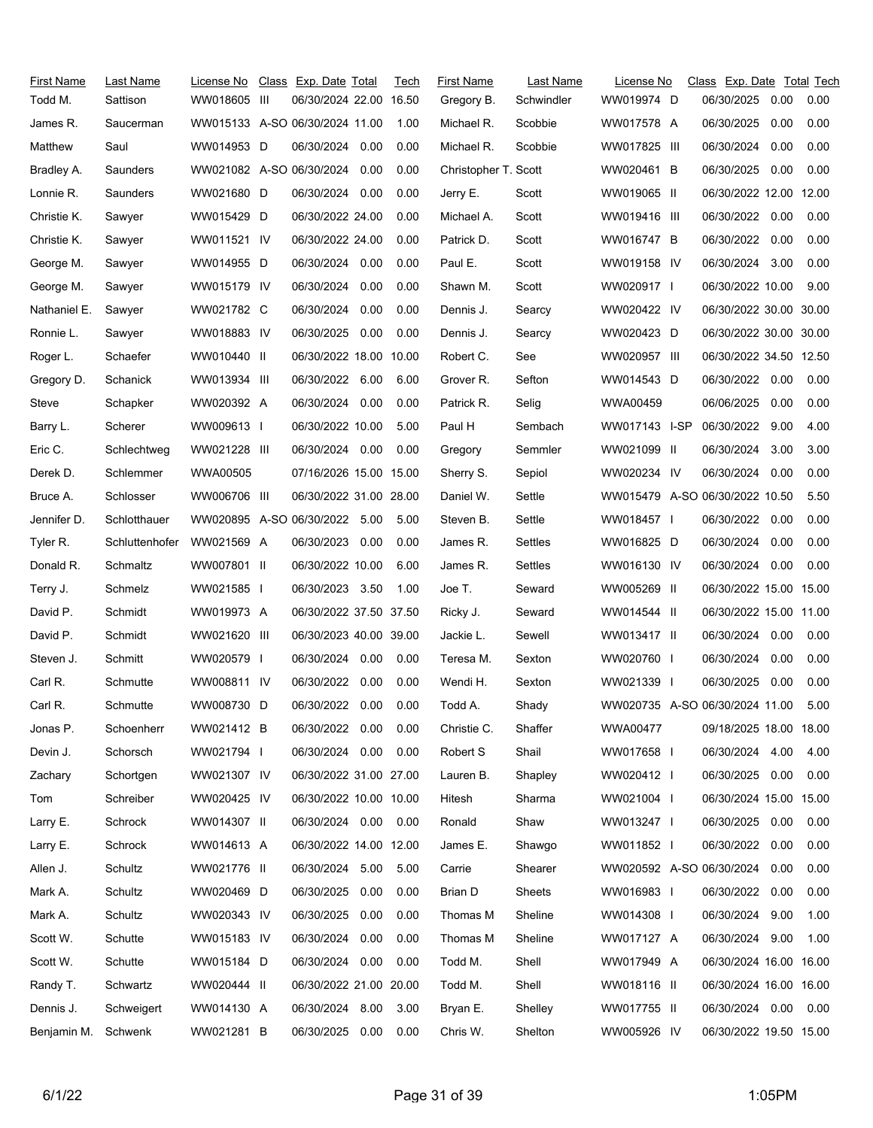| First Name   | Last Name      | License No                     | Class Exp. Date Total  |      | Tech | <b>First Name</b>    | Last Name  | License No                     | Class Exp. Date Total Tech |      |      |
|--------------|----------------|--------------------------------|------------------------|------|------|----------------------|------------|--------------------------------|----------------------------|------|------|
| Todd M.      | Sattison       | WW018605 III                   | 06/30/2024 22.00 16.50 |      |      | Gregory B.           | Schwindler | WW019974 D                     | 06/30/2025                 | 0.00 | 0.00 |
| James R.     | Saucerman      | WW015133 A-SO 06/30/2024 11.00 |                        |      | 1.00 | Michael R.           | Scobbie    | WW017578 A                     | 06/30/2025                 | 0.00 | 0.00 |
| Matthew      | Saul           | WW014953 D                     | 06/30/2024             | 0.00 | 0.00 | Michael R.           | Scobbie    | WW017825 III                   | 06/30/2024                 | 0.00 | 0.00 |
| Bradley A.   | Saunders       | WW021082 A-SO 06/30/2024 0.00  |                        |      | 0.00 | Christopher T. Scott |            | WW020461 B                     | 06/30/2025                 | 0.00 | 0.00 |
| Lonnie R.    | Saunders       | WW021680 D                     | 06/30/2024             | 0.00 | 0.00 | Jerry E.             | Scott      | WW019065 II                    | 06/30/2022 12.00 12.00     |      |      |
| Christie K.  | Sawyer         | WW015429 D                     | 06/30/2022 24.00       |      | 0.00 | Michael A.           | Scott      | WW019416 III                   | 06/30/2022                 | 0.00 | 0.00 |
| Christie K.  | Sawyer         | WW011521 IV                    | 06/30/2022 24.00       |      | 0.00 | Patrick D.           | Scott      | WW016747 B                     | 06/30/2022                 | 0.00 | 0.00 |
| George M.    | Sawyer         | WW014955 D                     | 06/30/2024 0.00        |      | 0.00 | Paul E.              | Scott      | WW019158 IV                    | 06/30/2024                 | 3.00 | 0.00 |
| George M.    | Sawyer         | WW015179 IV                    | 06/30/2024             | 0.00 | 0.00 | Shawn M.             | Scott      | WW020917 I                     | 06/30/2022 10.00           |      | 9.00 |
| Nathaniel E. | Sawyer         | WW021782 C                     | 06/30/2024             | 0.00 | 0.00 | Dennis J.            | Searcy     | WW020422 IV                    | 06/30/2022 30.00 30.00     |      |      |
| Ronnie L.    | Sawyer         | WW018883 IV                    | 06/30/2025             | 0.00 | 0.00 | Dennis J.            | Searcy     | WW020423 D                     | 06/30/2022 30.00 30.00     |      |      |
| Roger L.     | Schaefer       | WW010440 II                    | 06/30/2022 18.00 10.00 |      |      | Robert C.            | See        | WW020957 III                   | 06/30/2022 34.50 12.50     |      |      |
| Gregory D.   | Schanick       | WW013934 III                   | 06/30/2022 6.00        |      | 6.00 | Grover R.            | Sefton     | WW014543 D                     | 06/30/2022 0.00            |      | 0.00 |
| Steve        | Schapker       | WW020392 A                     | 06/30/2024             | 0.00 | 0.00 | Patrick R.           | Selig      | WWA00459                       | 06/06/2025                 | 0.00 | 0.00 |
| Barry L.     | Scherer        | WW009613 I                     | 06/30/2022 10.00       |      | 5.00 | Paul H               | Sembach    | WW017143 I-SP                  | 06/30/2022 9.00            |      | 4.00 |
| Eric C.      | Schlechtweg    | WW021228 III                   | 06/30/2024 0.00        |      | 0.00 | Gregory              | Semmler    | WW021099 II                    | 06/30/2024                 | 3.00 | 3.00 |
| Derek D.     | Schlemmer      | WWA00505                       | 07/16/2026 15.00 15.00 |      |      | Sherry S.            | Sepiol     | WW020234 IV                    | 06/30/2024                 | 0.00 | 0.00 |
| Bruce A.     | Schlosser      | WW006706 III                   | 06/30/2022 31.00 28.00 |      |      | Daniel W.            | Settle     | WW015479 A-SO 06/30/2022 10.50 |                            |      | 5.50 |
| Jennifer D.  | Schlotthauer   | WW020895 A-SO 06/30/2022 5.00  |                        |      | 5.00 | Steven B.            | Settle     | WW018457 I                     | 06/30/2022                 | 0.00 | 0.00 |
| Tyler R.     | Schluttenhofer | WW021569 A                     | 06/30/2023 0.00        |      | 0.00 | James R.             | Settles    | WW016825 D                     | 06/30/2024                 | 0.00 | 0.00 |
| Donald R.    | Schmaltz       | WW007801 II                    | 06/30/2022 10.00       |      | 6.00 | James R.             | Settles    | WW016130 IV                    | 06/30/2024                 | 0.00 | 0.00 |
| Terry J.     | Schmelz        | WW021585                       | 06/30/2023 3.50        |      | 1.00 | Joe T.               | Seward     | WW005269 II                    | 06/30/2022 15.00 15.00     |      |      |
| David P.     | Schmidt        | WW019973 A                     | 06/30/2022 37.50 37.50 |      |      | Ricky J.             | Seward     | WW014544 II                    | 06/30/2022 15.00 11.00     |      |      |
| David P.     | Schmidt        | WW021620 III                   | 06/30/2023 40.00 39.00 |      |      | Jackie L.            | Sewell     | WW013417 II                    | 06/30/2024 0.00            |      | 0.00 |
| Steven J.    | Schmitt        | WW020579 I                     | 06/30/2024             | 0.00 | 0.00 | Teresa M.            | Sexton     | WW020760 I                     | 06/30/2024                 | 0.00 | 0.00 |
| Carl R.      | Schmutte       | WW008811 IV                    | 06/30/2022             | 0.00 | 0.00 | Wendi H.             | Sexton     | WW021339 I                     | 06/30/2025                 | 0.00 | 0.00 |
| Carl R.      | Schmutte       | WW008730 D                     | 06/30/2022 0.00        |      | 0.00 | Todd A.              | Shady      | WW020735 A-SO 06/30/2024 11.00 |                            |      | 5.00 |
| Jonas P.     | Schoenherr     | WW021412 B                     | 06/30/2022 0.00        |      | 0.00 | Christie C.          | Shaffer    | WWA00477                       | 09/18/2025 18.00 18.00     |      |      |
| Devin J.     | Schorsch       | WW021794 I                     | 06/30/2024 0.00        |      | 0.00 | Robert S             | Shail      | WW017658 I                     | 06/30/2024 4.00            |      | 4.00 |
| Zachary      | Schortgen      | WW021307 IV                    | 06/30/2022 31.00 27.00 |      |      | Lauren B.            | Shapley    | WW020412                       | 06/30/2025                 | 0.00 | 0.00 |
| Tom          | Schreiber      | WW020425 IV                    | 06/30/2022 10.00 10.00 |      |      | Hitesh               | Sharma     | WW021004 I                     | 06/30/2024 15.00 15.00     |      |      |
| Larry E.     | Schrock        | WW014307 II                    | 06/30/2024 0.00        |      | 0.00 | Ronald               | Shaw       | WW013247 I                     | 06/30/2025                 | 0.00 | 0.00 |
| Larry E.     | Schrock        | WW014613 A                     | 06/30/2022 14.00 12.00 |      |      | James E.             | Shawgo     | WW011852 I                     | 06/30/2022 0.00            |      | 0.00 |
| Allen J.     | Schultz        | WW021776 II                    | 06/30/2024 5.00        |      | 5.00 | Carrie               | Shearer    | WW020592 A-SO 06/30/2024       |                            | 0.00 | 0.00 |
| Mark A.      | Schultz        | WW020469 D                     | 06/30/2025             | 0.00 | 0.00 | Brian D              | Sheets     | WW016983 I                     | 06/30/2022 0.00            |      | 0.00 |
| Mark A.      | Schultz        | WW020343 IV                    | 06/30/2025             | 0.00 | 0.00 | Thomas M             | Sheline    | WW014308 I                     | 06/30/2024                 | 9.00 | 1.00 |
| Scott W.     | Schutte        | WW015183 IV                    | 06/30/2024             | 0.00 | 0.00 | Thomas M             | Sheline    | WW017127 A                     | 06/30/2024 9.00            |      | 1.00 |
| Scott W.     | Schutte        | WW015184 D                     | 06/30/2024 0.00        |      | 0.00 | Todd M.              | Shell      | WW017949 A                     | 06/30/2024 16.00 16.00     |      |      |
| Randy T.     | Schwartz       | WW020444 II                    | 06/30/2022 21.00 20.00 |      |      | Todd M.              | Shell      | WW018116 II                    | 06/30/2024 16.00 16.00     |      |      |
| Dennis J.    | Schweigert     | WW014130 A                     | 06/30/2024 8.00        |      | 3.00 | Bryan E.             | Shelley    | WW017755 II                    | 06/30/2024 0.00            |      | 0.00 |
| Benjamin M.  | Schwenk        | WW021281 B                     | 06/30/2025 0.00        |      | 0.00 | Chris W.             | Shelton    | WW005926 IV                    | 06/30/2022 19.50 15.00     |      |      |
|              |                |                                |                        |      |      |                      |            |                                |                            |      |      |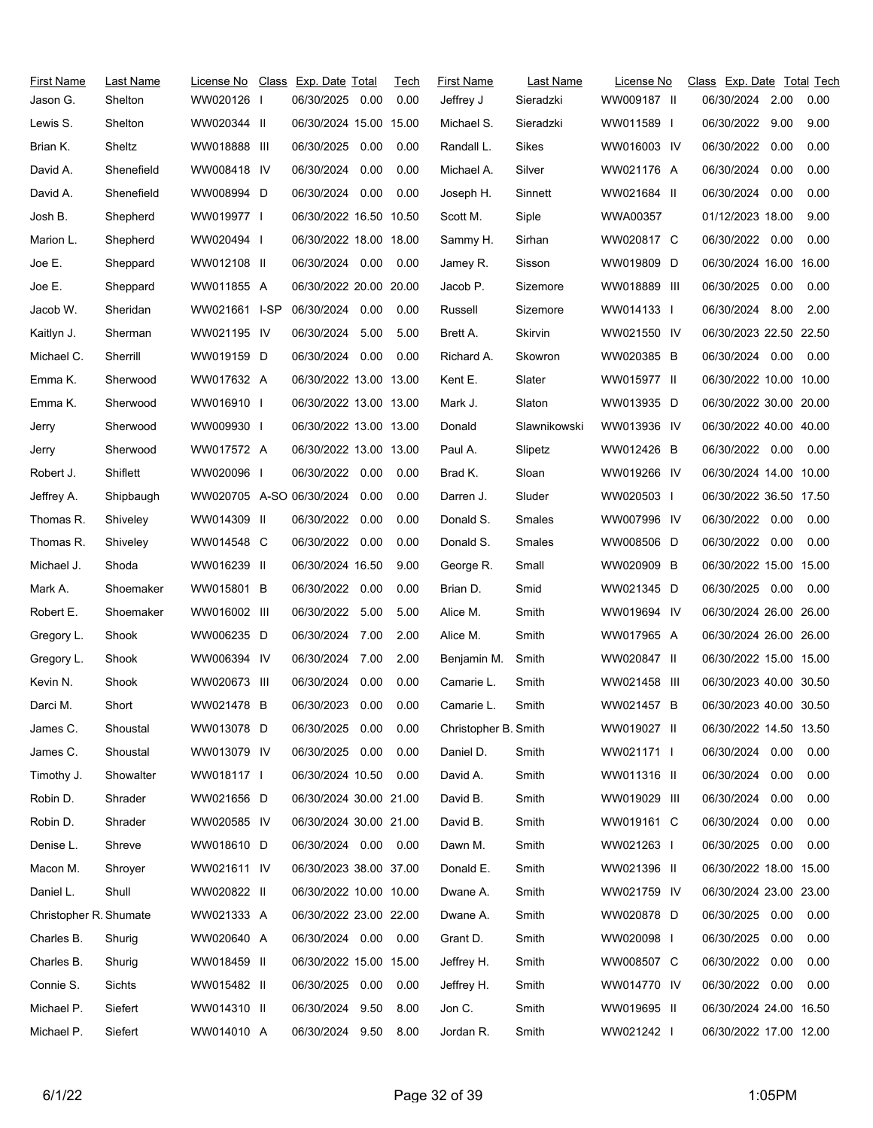| First Name             | Last Name  | License No Class Exp. Date Total |                        |      | Tech | <b>First Name</b>    | Last Name    | License No   | Class Exp. Date Total Tech |      |      |
|------------------------|------------|----------------------------------|------------------------|------|------|----------------------|--------------|--------------|----------------------------|------|------|
| Jason G.               | Shelton    | WW020126 I                       | 06/30/2025             | 0.00 | 0.00 | Jeffrey J            | Sieradzki    | WW009187 II  | 06/30/2024                 | 2.00 | 0.00 |
| Lewis S.               | Shelton    | WW020344 II                      | 06/30/2024 15.00 15.00 |      |      | Michael S.           | Sieradzki    | WW011589 I   | 06/30/2022                 | 9.00 | 9.00 |
| Brian K.               | Sheltz     | WW018888 III                     | 06/30/2025             | 0.00 | 0.00 | Randall L.           | Sikes        | WW016003 IV  | 06/30/2022                 | 0.00 | 0.00 |
| David A.               | Shenefield | WW008418 IV                      | 06/30/2024             | 0.00 | 0.00 | Michael A.           | Silver       | WW021176 A   | 06/30/2024                 | 0.00 | 0.00 |
| David A.               | Shenefield | WW008994 D                       | 06/30/2024             | 0.00 | 0.00 | Joseph H.            | Sinnett      | WW021684 II  | 06/30/2024                 | 0.00 | 0.00 |
| Josh B.                | Shepherd   | WW019977 I                       | 06/30/2022 16.50 10.50 |      |      | Scott M.             | Siple        | WWA00357     | 01/12/2023 18.00           |      | 9.00 |
| Marion L.              | Shepherd   | WW020494 I                       | 06/30/2022 18.00 18.00 |      |      | Sammy H.             | Sirhan       | WW020817 C   | 06/30/2022 0.00            |      | 0.00 |
| Joe E.                 | Sheppard   | WW012108 II                      | 06/30/2024 0.00        |      | 0.00 | Jamey R.             | Sisson       | WW019809 D   | 06/30/2024 16.00 16.00     |      |      |
| Joe E.                 | Sheppard   | WW011855 A                       | 06/30/2022 20.00 20.00 |      |      | Jacob P.             | Sizemore     | WW018889 III | 06/30/2025                 | 0.00 | 0.00 |
| Jacob W.               | Sheridan   | WW021661 I-SP                    | 06/30/2024 0.00        |      | 0.00 | Russell              | Sizemore     | WW014133 I   | 06/30/2024 8.00            |      | 2.00 |
| Kaitlyn J.             | Sherman    | WW021195 IV                      | 06/30/2024             | 5.00 | 5.00 | Brett A.             | Skirvin      | WW021550 IV  | 06/30/2023 22.50 22.50     |      |      |
| Michael C.             | Sherrill   | WW019159 D                       | 06/30/2024             | 0.00 | 0.00 | Richard A.           | Skowron      | WW020385 B   | 06/30/2024 0.00            |      | 0.00 |
| Emma K.                | Sherwood   | WW017632 A                       | 06/30/2022 13.00 13.00 |      |      | Kent E.              | Slater       | WW015977 II  | 06/30/2022 10.00 10.00     |      |      |
| Emma K.                | Sherwood   | WW016910 I                       | 06/30/2022 13.00 13.00 |      |      | Mark J.              | Slaton       | WW013935 D   | 06/30/2022 30.00 20.00     |      |      |
| Jerry                  | Sherwood   | WW009930                         | 06/30/2022 13.00 13.00 |      |      | Donald               | Slawnikowski | WW013936 IV  | 06/30/2022 40.00 40.00     |      |      |
| Jerry                  | Sherwood   | WW017572 A                       | 06/30/2022 13.00 13.00 |      |      | Paul A.              | Slipetz      | WW012426 B   | 06/30/2022 0.00            |      | 0.00 |
| Robert J.              | Shiflett   | WW020096 I                       | 06/30/2022 0.00        |      | 0.00 | Brad K.              | Sloan        | WW019266 IV  | 06/30/2024 14.00 10.00     |      |      |
| Jeffrey A.             | Shipbaugh  | WW020705 A-SO 06/30/2024         |                        | 0.00 | 0.00 | Darren J.            | Sluder       | WW020503 I   | 06/30/2022 36.50 17.50     |      |      |
| Thomas R.              | Shiveley   | WW014309 II                      | 06/30/2022             | 0.00 | 0.00 | Donald S.            | Smales       | WW007996 IV  | 06/30/2022                 | 0.00 | 0.00 |
| Thomas R.              | Shiveley   | WW014548 C                       | 06/30/2022 0.00        |      | 0.00 | Donald S.            | Smales       | WW008506 D   | 06/30/2022                 | 0.00 | 0.00 |
| Michael J.             | Shoda      | WW016239 II                      | 06/30/2024 16.50       |      | 9.00 | George R.            | Small        | WW020909 B   | 06/30/2022 15.00 15.00     |      |      |
| Mark A.                | Shoemaker  | WW015801 B                       | 06/30/2022             | 0.00 | 0.00 | Brian D.             | Smid         | WW021345 D   | 06/30/2025 0.00            |      | 0.00 |
| Robert E.              | Shoemaker  | WW016002 III                     | 06/30/2022 5.00        |      | 5.00 | Alice M.             | Smith        | WW019694 IV  | 06/30/2024 26.00 26.00     |      |      |
| Gregory L.             | Shook      | WW006235 D                       | 06/30/2024             | 7.00 | 2.00 | Alice M.             | Smith        | WW017965 A   | 06/30/2024 26.00 26.00     |      |      |
| Gregory L.             | Shook      | WW006394 IV                      | 06/30/2024             | 7.00 | 2.00 | Benjamin M.          | Smith        | WW020847 II  | 06/30/2022 15.00 15.00     |      |      |
| Kevin N.               | Shook      | WW020673 III                     | 06/30/2024             | 0.00 | 0.00 | Camarie L.           | Smith        | WW021458 III | 06/30/2023 40.00 30.50     |      |      |
| Darci M.               | Short      | WW021478 B                       | 06/30/2023             | 0.00 | 0.00 | Camarie L.           | Smith        | WW021457 B   | 06/30/2023 40.00 30.50     |      |      |
| James C.               | Shoustal   | WW013078 D                       | 06/30/2025             | 0.00 | 0.00 | Christopher B. Smith |              | WW019027 II  | 06/30/2022 14.50 13.50     |      |      |
| James C.               | Shoustal   | WW013079 IV                      | 06/30/2025             | 0.00 | 0.00 | Daniel D.            | Smith        | WW021171 I   | 06/30/2024                 | 0.00 | 0.00 |
| Timothy J.             | Showalter  | WW018117                         | 06/30/2024 10.50       |      | 0.00 | David A.             | Smith        | WW011316 II  | 06/30/2024                 | 0.00 | 0.00 |
| Robin D.               | Shrader    | WW021656 D                       | 06/30/2024 30.00 21.00 |      |      | David B.             | Smith        | WW019029 III | 06/30/2024                 | 0.00 | 0.00 |
| Robin D.               | Shrader    | WW020585 IV                      | 06/30/2024 30.00 21.00 |      |      | David B.             | Smith        | WW019161 C   | 06/30/2024                 | 0.00 | 0.00 |
| Denise L.              | Shreve     | WW018610 D                       | 06/30/2024 0.00 0.00   |      |      | Dawn M.              | Smith        | WW021263 I   | 06/30/2025                 | 0.00 | 0.00 |
| Macon M.               | Shroyer    | WW021611 IV                      | 06/30/2023 38.00 37.00 |      |      | Donald E.            | Smith        | WW021396 II  | 06/30/2022 18.00 15.00     |      |      |
| Daniel L.              | Shull      | WW020822 II                      | 06/30/2022 10.00 10.00 |      |      | Dwane A.             | Smith        | WW021759 IV  | 06/30/2024 23.00 23.00     |      |      |
| Christopher R. Shumate |            | WW021333 A                       | 06/30/2022 23.00 22.00 |      |      | Dwane A.             | Smith        | WW020878 D   | 06/30/2025                 | 0.00 | 0.00 |
| Charles B.             | Shurig     | WW020640 A                       | 06/30/2024  0.00  0.00 |      |      | Grant D.             | Smith        | WW020098 I   | 06/30/2025                 | 0.00 | 0.00 |
| Charles B.             | Shurig     | WW018459 II                      | 06/30/2022 15.00 15.00 |      |      | Jeffrey H.           | Smith        | WW008507 C   | 06/30/2022                 | 0.00 | 0.00 |
| Connie S.              | Sichts     | WW015482 II                      | 06/30/2025             | 0.00 | 0.00 | Jeffrey H.           | Smith        | WW014770 IV  | 06/30/2022                 | 0.00 | 0.00 |
| Michael P.             | Siefert    | WW014310 II                      | 06/30/2024             | 9.50 | 8.00 | Jon C.               | Smith        | WW019695 II  | 06/30/2024 24.00 16.50     |      |      |
| Michael P.             | Siefert    | WW014010 A                       | 06/30/2024 9.50        |      | 8.00 | Jordan R.            | Smith        | WW021242 I   | 06/30/2022 17.00 12.00     |      |      |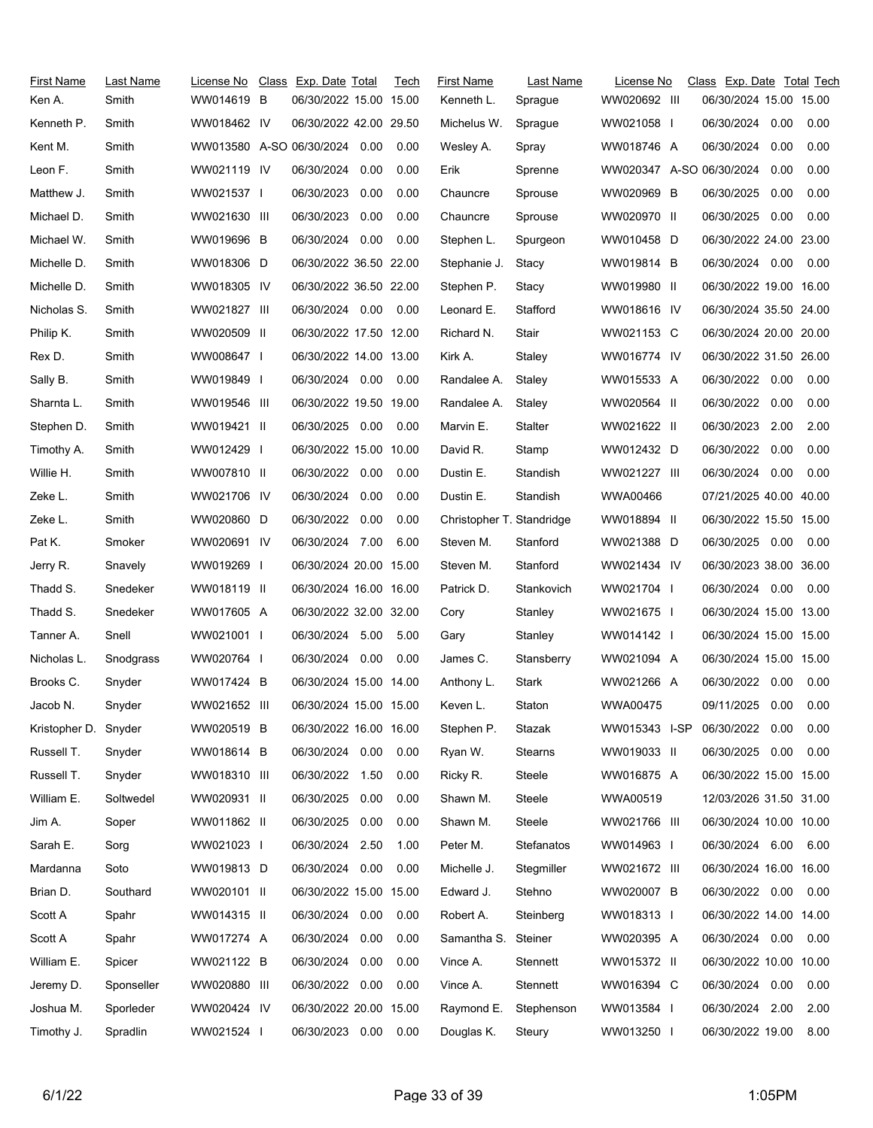| <b>First Name</b>    | Last Name  | License No   | Class Exp. Date Total         | Tech | <b>First Name</b>         | Last Name  | License No               | Class Exp. Date Total Tech |      |      |
|----------------------|------------|--------------|-------------------------------|------|---------------------------|------------|--------------------------|----------------------------|------|------|
| Ken A.               | Smith      | WW014619 B   | 06/30/2022 15.00 15.00        |      | Kenneth L.                | Sprague    | WW020692 III             | 06/30/2024 15.00 15.00     |      |      |
| Kenneth P.           | Smith      | WW018462 IV  | 06/30/2022 42.00 29.50        |      | Michelus W.               | Sprague    | WW021058 I               | 06/30/2024 0.00            |      | 0.00 |
| Kent M.              | Smith      |              | WW013580 A-SO 06/30/2024 0.00 | 0.00 | Wesley A.                 | Spray      | WW018746 A               | 06/30/2024                 | 0.00 | 0.00 |
| Leon F.              | Smith      | WW021119 IV  | 06/30/2024<br>0.00            | 0.00 | Erik                      | Sprenne    | WW020347 A-SO 06/30/2024 |                            | 0.00 | 0.00 |
| Matthew J.           | Smith      | WW021537 I   | 0.00<br>06/30/2023            | 0.00 | Chauncre                  | Sprouse    | WW020969 B               | 06/30/2025                 | 0.00 | 0.00 |
| Michael D.           | Smith      | WW021630 III | 06/30/2023<br>0.00            | 0.00 | Chauncre                  | Sprouse    | WW020970 II              | 06/30/2025                 | 0.00 | 0.00 |
| Michael W.           | Smith      | WW019696 B   | 06/30/2024 0.00               | 0.00 | Stephen L.                | Spurgeon   | WW010458 D               | 06/30/2022 24.00 23.00     |      |      |
| Michelle D.          | Smith      | WW018306 D   | 06/30/2022 36.50 22.00        |      | Stephanie J.              | Stacy      | WW019814 B               | 06/30/2024 0.00            |      | 0.00 |
| Michelle D.          | Smith      | WW018305 IV  | 06/30/2022 36.50 22.00        |      | Stephen P.                | Stacy      | WW019980 II              | 06/30/2022 19.00 16.00     |      |      |
| Nicholas S.          | Smith      | WW021827 III | 06/30/2024 0.00               | 0.00 | Leonard E.                | Stafford   | WW018616 IV              | 06/30/2024 35.50 24.00     |      |      |
| Philip K.            | Smith      | WW020509 II  | 06/30/2022 17.50 12.00        |      | Richard N.                | Stair      | WW021153 C               | 06/30/2024 20.00 20.00     |      |      |
| Rex D.               | Smith      | WW008647     | 06/30/2022 14.00 13.00        |      | Kirk A.                   | Staley     | WW016774 IV              | 06/30/2022 31.50 26.00     |      |      |
| Sally B.             | Smith      | WW019849 I   | 06/30/2024 0.00               | 0.00 | Randalee A.               | Staley     | WW015533 A               | 06/30/2022 0.00            |      | 0.00 |
| Sharnta L.           | Smith      | WW019546 III | 06/30/2022 19.50 19.00        |      | Randalee A.               | Staley     | WW020564 II              | 06/30/2022                 | 0.00 | 0.00 |
| Stephen D.           | Smith      | WW019421 II  | 06/30/2025 0.00               | 0.00 | Marvin E.                 | Stalter    | WW021622 II              | 06/30/2023                 | 2.00 | 2.00 |
| Timothy A.           | Smith      | WW012429 I   | 06/30/2022 15.00 10.00        |      | David R.                  | Stamp      | WW012432 D               | 06/30/2022                 | 0.00 | 0.00 |
| Willie H.            | Smith      | WW007810 II  | 06/30/2022 0.00               | 0.00 | Dustin E.                 | Standish   | WW021227 III             | 06/30/2024                 | 0.00 | 0.00 |
| Zeke L.              | Smith      | WW021706 IV  | 06/30/2024 0.00               | 0.00 | Dustin E.                 | Standish   | WWA00466                 | 07/21/2025 40.00 40.00     |      |      |
| Zeke L.              | Smith      | WW020860 D   | 06/30/2022<br>0.00            | 0.00 | Christopher T. Standridge |            | WW018894 II              | 06/30/2022 15.50 15.00     |      |      |
| Pat K.               | Smoker     | WW020691 IV  | 06/30/2024 7.00               | 6.00 | Steven M.                 | Stanford   | WW021388 D               | 06/30/2025 0.00            |      | 0.00 |
| Jerry R.             | Snavely    | WW019269 I   | 06/30/2024 20.00 15.00        |      | Steven M.                 | Stanford   | WW021434 IV              | 06/30/2023 38.00 36.00     |      |      |
| Thadd S.             | Snedeker   | WW018119 II  | 06/30/2024 16.00 16.00        |      | Patrick D.                | Stankovich | WW021704 I               | 06/30/2024 0.00            |      | 0.00 |
| Thadd S.             | Snedeker   | WW017605 A   | 06/30/2022 32.00 32.00        |      | Cory                      | Stanley    | WW021675 I               | 06/30/2024 15.00 13.00     |      |      |
| Tanner A.            | Snell      | WW021001     | 06/30/2024 5.00               | 5.00 | Gary                      | Stanley    | WW014142 I               | 06/30/2024 15.00 15.00     |      |      |
| Nicholas L.          | Snodgrass  | WW020764 I   | 06/30/2024 0.00               | 0.00 | James C.                  | Stansberry | WW021094 A               | 06/30/2024 15.00 15.00     |      |      |
| Brooks C.            | Snyder     | WW017424 B   | 06/30/2024 15.00 14.00        |      | Anthony L.                | Stark      | WW021266 A               | 06/30/2022                 | 0.00 | 0.00 |
| Jacob N.             | Snyder     | WW021652 III | 06/30/2024 15.00 15.00        |      | Keven L.                  | Staton     | WWA00475                 | 09/11/2025                 | 0.00 | 0.00 |
| Kristopher D. Snyder |            | WW020519 B   | 06/30/2022 16.00 16.00        |      | Stephen P.                | Stazak     | WW015343 I-SP            | 06/30/2022 0.00            |      | 0.00 |
| Russell T.           | Snyder     | WW018614 B   | 06/30/2024 0.00               | 0.00 | Ryan W.                   | Stearns    | WW019033 II              | 06/30/2025 0.00            |      | 0.00 |
| Russell T.           | Snyder     | WW018310 III | 06/30/2022<br>1.50            | 0.00 | Ricky R.                  | Steele     | WW016875 A               | 06/30/2022 15.00 15.00     |      |      |
| William E.           | Soltwedel  | WW020931 II  | 06/30/2025<br>0.00            | 0.00 | Shawn M.                  | Steele     | WWA00519                 | 12/03/2026 31.50 31.00     |      |      |
| Jim A.               | Soper      | WW011862 II  | 06/30/2025<br>0.00            | 0.00 | Shawn M.                  | Steele     | WW021766 III             | 06/30/2024 10.00 10.00     |      |      |
| Sarah E.             | Sorg       | WW021023 I   | 06/30/2024<br>2.50            | 1.00 | Peter M.                  | Stefanatos | WW014963 I               | 06/30/2024 6.00            |      | 6.00 |
| Mardanna             | Soto       | WW019813 D   | 06/30/2024 0.00               | 0.00 | Michelle J.               | Stegmiller | WW021672 III             | 06/30/2024 16.00 16.00     |      |      |
| Brian D.             | Southard   | WW020101 II  | 06/30/2022 15.00 15.00        |      | Edward J.                 | Stehno     | WW020007 B               | 06/30/2022 0.00            |      | 0.00 |
| Scott A              | Spahr      | WW014315 II  | 06/30/2024 0.00               | 0.00 | Robert A.                 | Steinberg  | WW018313 I               | 06/30/2022 14.00 14.00     |      |      |
| Scott A              | Spahr      | WW017274 A   | 06/30/2024<br>0.00            | 0.00 | Samantha S. Steiner       |            | WW020395 A               | 06/30/2024 0.00            |      | 0.00 |
| William E.           | Spicer     | WW021122 B   | 06/30/2024<br>0.00            | 0.00 | Vince A.                  | Stennett   | WW015372 II              | 06/30/2022 10.00 10.00     |      |      |
| Jeremy D.            | Sponseller | WW020880 III | 06/30/2022<br>0.00            | 0.00 | Vince A.                  | Stennett   | WW016394 C               | 06/30/2024 0.00            |      | 0.00 |
| Joshua M.            | Sporleder  | WW020424 IV  | 06/30/2022 20.00 15.00        |      | Raymond E.                | Stephenson | WW013584 I               | 06/30/2024 2.00            |      | 2.00 |
| Timothy J.           | Spradlin   | WW021524     | 06/30/2023 0.00               | 0.00 | Douglas K.                | Steury     | WW013250 I               | 06/30/2022 19.00           |      | 8.00 |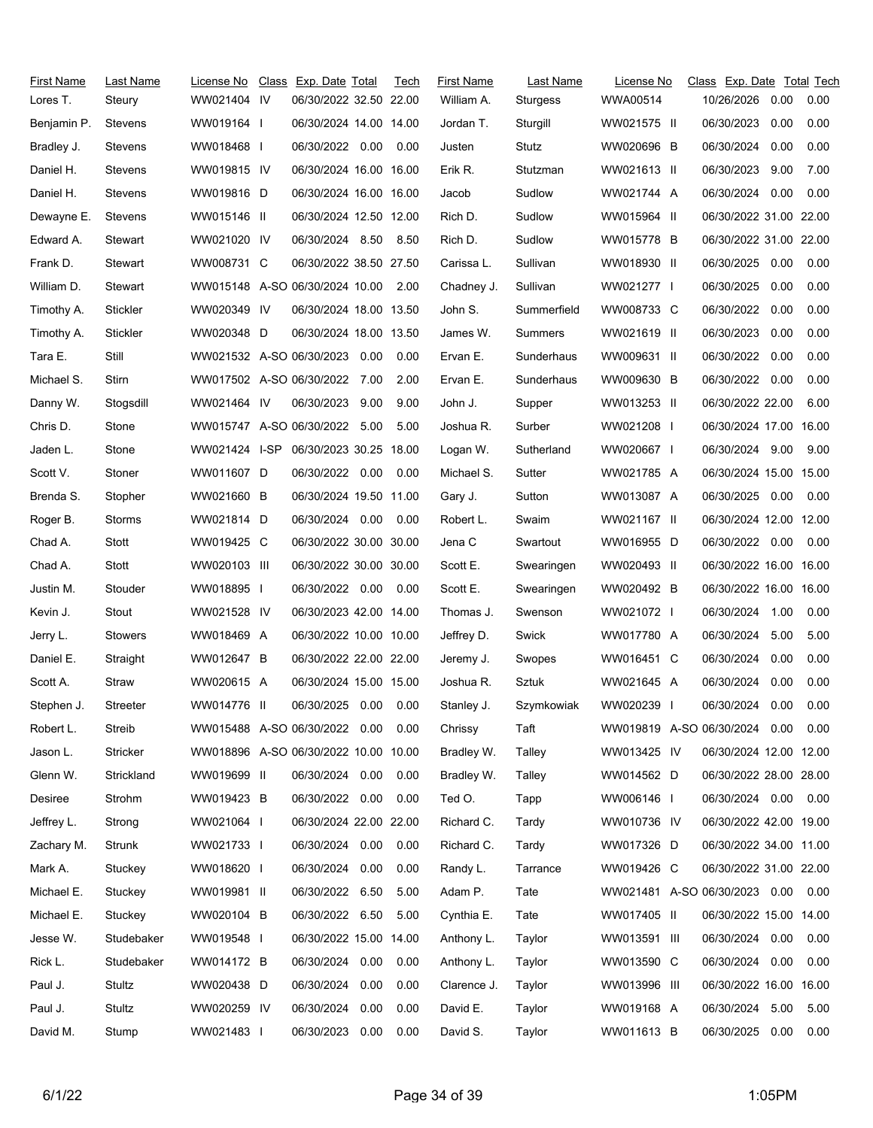| <b>First Name</b><br>Lores T. | Last Name<br>Steury | License No<br>WW021404 IV            | Class Exp. Date Total<br>06/30/2022 32.50 22.00 |      | Tech | <b>First Name</b><br>William A. | Last Name<br>Sturgess | License No<br>WWA00514        | Class Exp. Date Total Tech<br>10/26/2026 | 0.00 | 0.00 |
|-------------------------------|---------------------|--------------------------------------|-------------------------------------------------|------|------|---------------------------------|-----------------------|-------------------------------|------------------------------------------|------|------|
| Benjamin P.                   | Stevens             | WW019164                             | 06/30/2024 14.00 14.00                          |      |      | Jordan T.                       | Sturgill              | WW021575 II                   | 06/30/2023                               | 0.00 | 0.00 |
| Bradley J.                    | Stevens             | WW018468 I                           | 06/30/2022 0.00                                 |      | 0.00 | Justen                          | Stutz                 | WW020696 B                    | 06/30/2024                               | 0.00 | 0.00 |
| Daniel H.                     | Stevens             | WW019815 IV                          | 06/30/2024 16.00 16.00                          |      |      | Erik R.                         | Stutzman              | WW021613 II                   | 06/30/2023                               | 9.00 | 7.00 |
| Daniel H.                     | Stevens             | WW019816 D                           | 06/30/2024 16.00 16.00                          |      |      | Jacob                           | Sudlow                | WW021744 A                    | 06/30/2024                               | 0.00 | 0.00 |
| Dewayne E.                    | Stevens             | WW015146 II                          | 06/30/2024 12.50 12.00                          |      |      | Rich D.                         | Sudlow                | WW015964 II                   | 06/30/2022 31.00 22.00                   |      |      |
| Edward A.                     | Stewart             | WW021020 IV                          | 06/30/2024 8.50                                 |      | 8.50 | Rich D.                         | Sudlow                | WW015778 B                    | 06/30/2022 31.00 22.00                   |      |      |
| Frank D.                      | Stewart             | WW008731 C                           | 06/30/2022 38.50 27.50                          |      |      | Carissa L.                      | Sullivan              | WW018930 II                   | 06/30/2025                               | 0.00 | 0.00 |
| William D.                    | Stewart             | WW015148 A-SO 06/30/2024 10.00 2.00  |                                                 |      |      | Chadney J.                      | Sullivan              | WW021277 I                    | 06/30/2025                               | 0.00 | 0.00 |
| Timothy A.                    | Stickler            | WW020349 IV                          | 06/30/2024 18.00 13.50                          |      |      | John S.                         | Summerfield           | WW008733 C                    | 06/30/2022                               | 0.00 | 0.00 |
| Timothy A.                    | Stickler            | WW020348 D                           | 06/30/2024 18.00 13.50                          |      |      | James W.                        | Summers               | WW021619 II                   | 06/30/2023                               | 0.00 | 0.00 |
| Tara E.                       | Still               | WW021532 A-SO 06/30/2023 0.00        |                                                 |      | 0.00 | Ervan E.                        | Sunderhaus            | WW009631 II                   | 06/30/2022                               | 0.00 | 0.00 |
| Michael S.                    | Stirn               | WW017502 A-SO 06/30/2022 7.00        |                                                 |      | 2.00 | Ervan E.                        | Sunderhaus            | WW009630 B                    | 06/30/2022                               | 0.00 | 0.00 |
| Danny W.                      | Stogsdill           | WW021464 IV                          | 06/30/2023                                      | 9.00 | 9.00 | John J.                         | Supper                | WW013253 II                   | 06/30/2022 22.00                         |      | 6.00 |
| Chris D.                      | Stone               | WW015747 A-SO 06/30/2022 5.00        |                                                 |      | 5.00 | Joshua R.                       | Surber                | WW021208 I                    | 06/30/2024 17.00 16.00                   |      |      |
| Jaden L.                      | Stone               | WW021424 I-SP                        | 06/30/2023 30.25 18.00                          |      |      | Logan W.                        | Sutherland            | WW020667                      | 06/30/2024 9.00                          |      | 9.00 |
| Scott V.                      | Stoner              | WW011607 D                           | 06/30/2022 0.00                                 |      | 0.00 | Michael S.                      | Sutter                | WW021785 A                    | 06/30/2024 15.00 15.00                   |      |      |
| Brenda S.                     | Stopher             | WW021660 B                           | 06/30/2024 19.50 11.00                          |      |      | Gary J.                         | Sutton                | WW013087 A                    | 06/30/2025 0.00                          |      | 0.00 |
| Roger B.                      | Storms              | WW021814 D                           | 06/30/2024 0.00                                 |      | 0.00 | Robert L.                       | Swaim                 | WW021167 II                   | 06/30/2024 12.00 12.00                   |      |      |
| Chad A.                       | Stott               | WW019425 C                           | 06/30/2022 30.00 30.00                          |      |      | Jena C                          | Swartout              | WW016955 D                    | 06/30/2022 0.00                          |      | 0.00 |
| Chad A.                       | Stott               | WW020103 III                         | 06/30/2022 30.00 30.00                          |      |      | Scott E.                        | Swearingen            | WW020493 II                   | 06/30/2022 16.00 16.00                   |      |      |
| Justin M.                     | Stouder             | WW018895 I                           | 06/30/2022 0.00                                 |      | 0.00 | Scott E.                        | Swearingen            | WW020492 B                    | 06/30/2022 16.00 16.00                   |      |      |
| Kevin J.                      | Stout               | WW021528 IV                          | 06/30/2023 42.00 14.00                          |      |      | Thomas J.                       | Swenson               | WW021072 I                    | 06/30/2024 1.00                          |      | 0.00 |
| Jerry L.                      | <b>Stowers</b>      | WW018469 A                           | 06/30/2022 10.00 10.00                          |      |      | Jeffrey D.                      | Swick                 | WW017780 A                    | 06/30/2024                               | 5.00 | 5.00 |
| Daniel E.                     | Straight            | WW012647 B                           | 06/30/2022 22.00 22.00                          |      |      | Jeremy J.                       | Swopes                | WW016451 C                    | 06/30/2024                               | 0.00 | 0.00 |
| Scott A.                      | Straw               | WW020615 A                           | 06/30/2024 15.00 15.00                          |      |      | Joshua R.                       | Sztuk                 | WW021645 A                    | 06/30/2024                               | 0.00 | 0.00 |
| Stephen J.                    | Streeter            | WW014776 II                          | 06/30/2025 0.00                                 |      | 0.00 | Stanley J.                      | Szymkowiak            | WW020239                      | 06/30/2024                               | 0.00 | 0.00 |
| Robert L.                     | Streib              | WW015488 A-SO 06/30/2022 0.00        |                                                 |      | 0.00 | Chrissy                         | Taft                  | WW019819 A-SO 06/30/2024 0.00 |                                          |      | 0.00 |
| Jason L.                      | Stricker            | WW018896 A-SO 06/30/2022 10.00 10.00 |                                                 |      |      | Bradley W.                      | Talley                | WW013425 IV                   | 06/30/2024 12.00 12.00                   |      |      |
| Glenn W.                      | Strickland          | WW019699 II                          | 06/30/2024 0.00                                 |      | 0.00 | Bradley W.                      | Talley                | WW014562 D                    | 06/30/2022 28.00 28.00                   |      |      |
| Desiree                       | Strohm              | WW019423 B                           | 06/30/2022 0.00                                 |      | 0.00 | Ted O.                          | Tapp                  | WW006146 I                    | 06/30/2024  0.00  0.00                   |      |      |
| Jeffrey L.                    | Strong              | WW021064                             | 06/30/2024 22.00 22.00                          |      |      | Richard C.                      | Tardy                 | WW010736 IV                   | 06/30/2022 42.00 19.00                   |      |      |
| Zachary M.                    | Strunk              | WW021733 I                           | 06/30/2024 0.00                                 |      | 0.00 | Richard C.                      | Tardy                 | WW017326 D                    | 06/30/2022 34.00 11.00                   |      |      |
| Mark A.                       | Stuckey             | WW018620 I                           | 06/30/2024                                      | 0.00 | 0.00 | Randy L.                        | Tarrance              | WW019426 C                    | 06/30/2022 31.00 22.00                   |      |      |
| Michael E.                    | Stuckey             | WW019981 II                          | 06/30/2022 6.50                                 |      | 5.00 | Adam P.                         | Tate                  | WW021481 A-SO 06/30/2023 0.00 |                                          |      | 0.00 |
| Michael E.                    | Stuckey             | WW020104 B                           | 06/30/2022 6.50                                 |      | 5.00 | Cynthia E.                      | Tate                  | WW017405 II                   | 06/30/2022 15.00 14.00                   |      |      |
| Jesse W.                      | Studebaker          | WW019548 I                           | 06/30/2022 15.00 14.00                          |      |      | Anthony L.                      | Taylor                | WW013591 III                  | 06/30/2024 0.00                          |      | 0.00 |
| Rick L.                       | Studebaker          | WW014172 B                           | 06/30/2024 0.00                                 |      | 0.00 | Anthony L.                      | Taylor                | WW013590 C                    | 06/30/2024                               | 0.00 | 0.00 |
| Paul J.                       | Stultz              | WW020438 D                           | 06/30/2024                                      | 0.00 | 0.00 | Clarence J.                     | Taylor                | WW013996 III                  | 06/30/2022 16.00 16.00                   |      |      |
| Paul J.                       | Stultz              | WW020259 IV                          | 06/30/2024                                      | 0.00 | 0.00 | David E.                        | Taylor                | WW019168 A                    | 06/30/2024                               | 5.00 | 5.00 |
| David M.                      | Stump               | WW021483 I                           | 06/30/2023                                      | 0.00 | 0.00 | David S.                        | Taylor                | WW011613 B                    | 06/30/2025                               | 0.00 | 0.00 |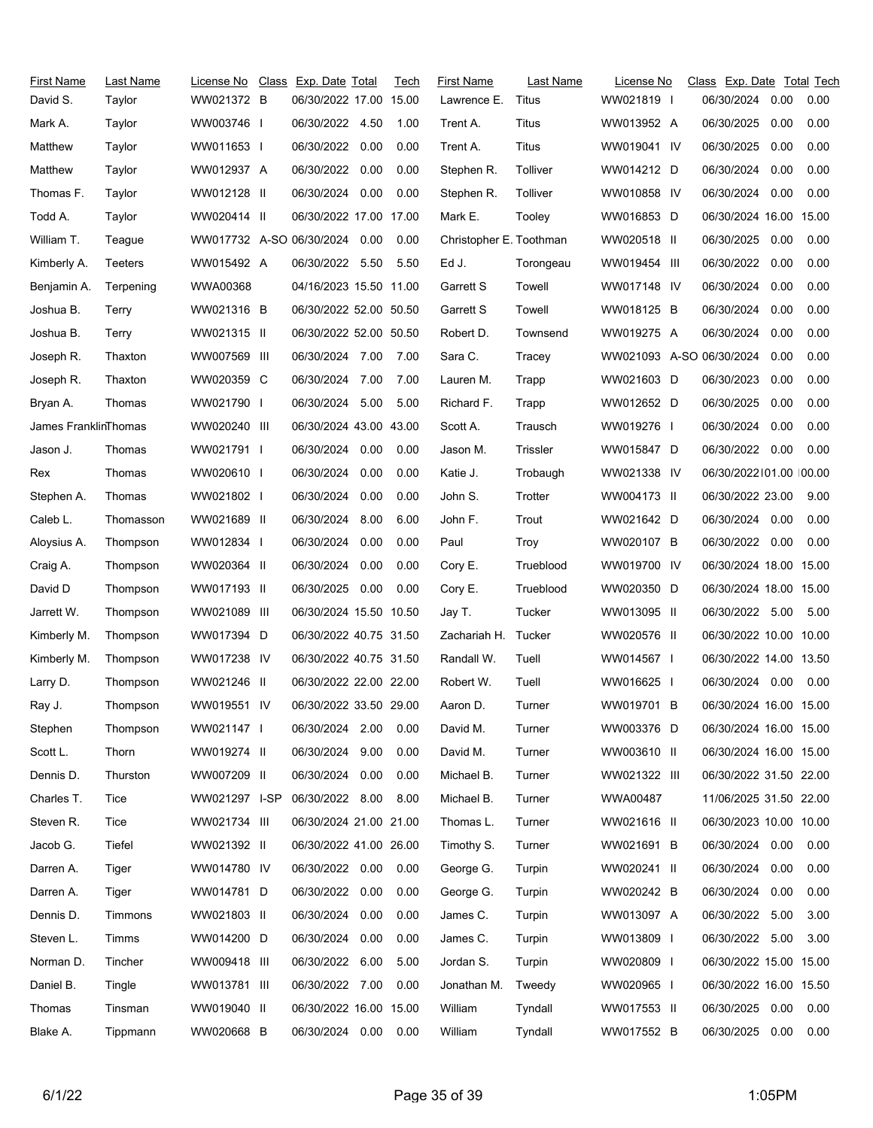| First Name<br>David S. | Last Name<br>Taylor | License No<br>WW021372 B      | Class Exp. Date Total<br>06/30/2022 17.00 15.00 |      | Tech | <b>First Name</b><br>Lawrence E. | Last Name<br>Titus | License No<br>WW021819 I | Class Exp. Date Total Tech<br>06/30/2024 | 0.00     | 0.00 |
|------------------------|---------------------|-------------------------------|-------------------------------------------------|------|------|----------------------------------|--------------------|--------------------------|------------------------------------------|----------|------|
| Mark A.                | Taylor              | WW003746 I                    | 06/30/2022 4.50                                 |      | 1.00 | Trent A.                         | Titus              | WW013952 A               | 06/30/2025                               | 0.00     | 0.00 |
| Matthew                | Taylor              | WW011653 I                    | 06/30/2022                                      | 0.00 | 0.00 | Trent A.                         | Titus              | WW019041 IV              | 06/30/2025                               | 0.00     | 0.00 |
| Matthew                | Taylor              | WW012937 A                    | 06/30/2022 0.00                                 |      | 0.00 | Stephen R.                       | Tolliver           | WW014212 D               | 06/30/2024                               | 0.00     | 0.00 |
| Thomas F.              | Taylor              | WW012128 II                   | 06/30/2024 0.00                                 |      | 0.00 | Stephen R.                       | Tolliver           | WW010858 IV              | 06/30/2024                               | 0.00     | 0.00 |
| Todd A.                | Taylor              | WW020414 II                   | 06/30/2022 17.00 17.00                          |      |      | Mark E.                          | Tooley             | WW016853 D               | 06/30/2024 16.00 15.00                   |          |      |
| William T.             | Teague              | WW017732 A-SO 06/30/2024 0.00 |                                                 |      | 0.00 | Christopher E. Toothman          |                    | WW020518 II              | 06/30/2025                               | 0.00     | 0.00 |
| Kimberly A.            | Teeters             | WW015492 A                    | 06/30/2022 5.50                                 |      | 5.50 | Ed J.                            | Torongeau          | WW019454 III             | 06/30/2022                               | 0.00     | 0.00 |
| Benjamin A.            | Terpening           | WWA00368                      | 04/16/2023 15.50 11.00                          |      |      | Garrett S                        | Towell             | WW017148 IV              | 06/30/2024                               | 0.00     | 0.00 |
| Joshua B.              | Terry               | WW021316 B                    | 06/30/2022 52.00 50.50                          |      |      | Garrett S                        | Towell             | WW018125 B               | 06/30/2024                               | 0.00     | 0.00 |
| Joshua B.              | Terry               | WW021315 II                   | 06/30/2022 52.00 50.50                          |      |      | Robert D.                        | Townsend           | WW019275 A               | 06/30/2024                               | 0.00     | 0.00 |
| Joseph R.              | Thaxton             | WW007569 III                  | 06/30/2024 7.00                                 |      | 7.00 | Sara C.                          | Tracey             | WW021093 A-SO 06/30/2024 |                                          | 0.00     | 0.00 |
| Joseph R.              | Thaxton             | WW020359 C                    | 06/30/2024 7.00                                 |      | 7.00 | Lauren M.                        | Trapp              | WW021603 D               | 06/30/2023                               | 0.00     | 0.00 |
| Bryan A.               | Thomas              | WW021790 I                    | 06/30/2024 5.00                                 |      | 5.00 | Richard F.                       | Trapp              | WW012652 D               | 06/30/2025                               | 0.00     | 0.00 |
| James FranklinThomas   |                     | WW020240 III                  | 06/30/2024 43.00 43.00                          |      |      | Scott A.                         | Trausch            | WW019276 I               | 06/30/2024                               | 0.00     | 0.00 |
| Jason J.               | Thomas              | WW021791 I                    | 06/30/2024 0.00                                 |      | 0.00 | Jason M.                         | <b>Trissler</b>    | WW015847 D               | 06/30/2022                               | 0.00     | 0.00 |
| Rex                    | Thomas              | WW020610                      | 06/30/2024                                      | 0.00 | 0.00 | Katie J.                         | Trobaugh           | WW021338 IV              | 06/30/2022101.00 100.00                  |          |      |
| Stephen A.             | Thomas              | WW021802                      | 06/30/2024 0.00                                 |      | 0.00 | John S.                          | Trotter            | WW004173 II              | 06/30/2022 23.00                         |          | 9.00 |
| Caleb L.               | Thomasson           | WW021689 II                   | 06/30/2024                                      | 8.00 | 6.00 | John F.                          | Trout              | WW021642 D               | 06/30/2024                               | 0.00     | 0.00 |
| Aloysius A.            | Thompson            | WW012834 I                    | 06/30/2024 0.00                                 |      | 0.00 | Paul                             | Troy               | WW020107 B               | 06/30/2022 0.00                          |          | 0.00 |
| Craig A.               | Thompson            | WW020364 II                   | 06/30/2024                                      | 0.00 | 0.00 | Cory E.                          | Trueblood          | WW019700 IV              | 06/30/2024 18.00 15.00                   |          |      |
| David D                | Thompson            | WW017193 II                   | 06/30/2025 0.00                                 |      | 0.00 | Cory E.                          | Trueblood          | WW020350 D               | 06/30/2024 18.00 15.00                   |          |      |
| Jarrett W.             | Thompson            | WW021089 III                  | 06/30/2024 15.50 10.50                          |      |      | Jay T.                           | Tucker             | WW013095 II              | 06/30/2022 5.00                          |          | 5.00 |
| Kimberly M.            | Thompson            | WW017394 D                    | 06/30/2022 40.75 31.50                          |      |      | Zachariah H.                     | Tucker             | WW020576 II              | 06/30/2022 10.00 10.00                   |          |      |
| Kimberly M.            | Thompson            | WW017238 IV                   | 06/30/2022 40.75 31.50                          |      |      | Randall W.                       | Tuell              | WW014567 I               | 06/30/2022 14.00 13.50                   |          |      |
| Larry D.               | Thompson            | WW021246 II                   | 06/30/2022 22.00 22.00                          |      |      | Robert W.                        | Tuell              | WW016625 I               | 06/30/2024                               | 0.00     | 0.00 |
| Ray J.                 | Thompson            | WW019551 IV                   | 06/30/2022 33.50 29.00                          |      |      | Aaron D.                         | Turner             | WW019701 B               | 06/30/2024 16.00 15.00                   |          |      |
| Stephen                | Thompson            | WW021147                      | 06/30/2024 2.00                                 |      | 0.00 | David M.                         | Turner             | WW003376 D               | 06/30/2024 16.00 15.00                   |          |      |
| Scott L.               | Thorn               | WW019274 II                   | 06/30/2024 9.00                                 |      | 0.00 | David M.                         | Turner             | WW003610 II              | 06/30/2024 16.00 15.00                   |          |      |
| Dennis D.              | Thurston            | WW007209 II                   | 06/30/2024                                      | 0.00 | 0.00 | Michael B.                       | Turner             | WW021322 III             | 06/30/2022 31.50 22.00                   |          |      |
| Charles T.             | Tice                | WW021297 I-SP                 | 06/30/2022 8.00                                 |      | 8.00 | Michael B.                       | Turner             | <b>WWA00487</b>          | 11/06/2025 31.50 22.00                   |          |      |
| Steven R.              | Tice                | WW021734 III                  | 06/30/2024 21.00 21.00                          |      |      | Thomas L.                        | Turner             | WW021616 II              | 06/30/2023 10.00 10.00                   |          |      |
| Jacob G.               | Tiefel              | WW021392 II                   | 06/30/2022 41.00 26.00                          |      |      | Timothy S.                       | Turner             | WW021691 B               | 06/30/2024                               | $0.00\,$ | 0.00 |
| Darren A.              | Tiger               | WW014780 IV                   | 06/30/2022 0.00                                 |      | 0.00 | George G.                        | Turpin             | WW020241 II              | 06/30/2024                               | 0.00     | 0.00 |
| Darren A.              | Tiger               | WW014781 D                    | 06/30/2022 0.00                                 |      | 0.00 | George G.                        | Turpin             | WW020242 B               | 06/30/2024                               | 0.00     | 0.00 |
| Dennis D.              | Timmons             | WW021803 II                   | 06/30/2024 0.00                                 |      | 0.00 | James C.                         | Turpin             | WW013097 A               | 06/30/2022                               | 5.00     | 3.00 |
| Steven L.              | Timms               | WW014200 D                    | 06/30/2024                                      | 0.00 | 0.00 | James C.                         | Turpin             | WW013809 I               | 06/30/2022 5.00                          |          | 3.00 |
| Norman D.              | Tincher             | WW009418 III                  | 06/30/2022 6.00                                 |      | 5.00 | Jordan S.                        | Turpin             | WW020809 I               | 06/30/2022 15.00 15.00                   |          |      |
| Daniel B.              | Tingle              | WW013781 III                  | 06/30/2022 7.00                                 |      | 0.00 | Jonathan M.                      | Tweedy             | WW020965 I               | 06/30/2022 16.00 15.50                   |          |      |
| Thomas                 | Tinsman             | WW019040 II                   | 06/30/2022 16.00 15.00                          |      |      | William                          | Tyndall            | WW017553 II              | 06/30/2025                               | 0.00     | 0.00 |
| Blake A.               | Tippmann            | WW020668 B                    | 06/30/2024 0.00                                 |      | 0.00 | William                          | Tyndall            | WW017552 B               | 06/30/2025                               | 0.00     | 0.00 |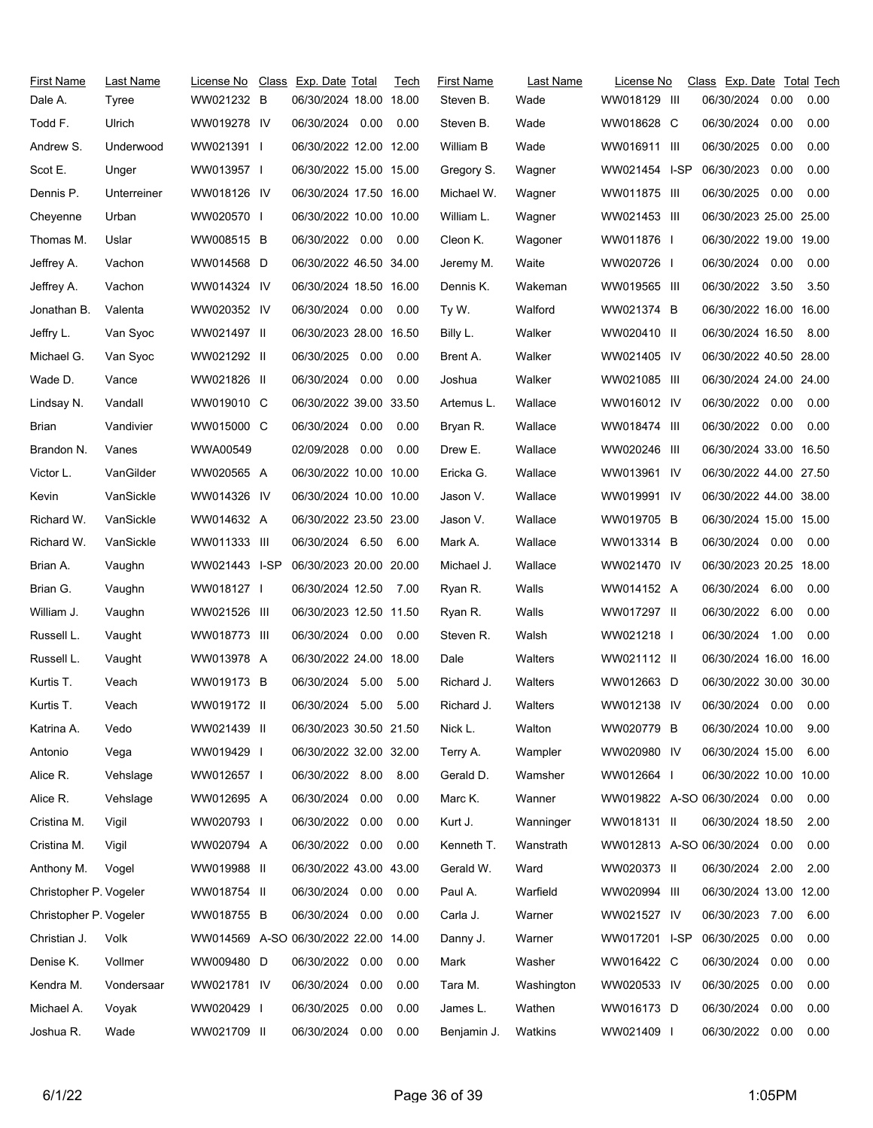| First Name<br>Dale A.  | Last Name<br>Tyree | License No<br>WW021232 B | Class Exp. Date Total<br>06/30/2024 18.00 18.00 |      | Tech | First Name<br>Steven B. | Last Name<br>Wade | License No<br>WW018129 III    | Class Exp. Date Total Tech<br>06/30/2024 | 0.00 | 0.00 |
|------------------------|--------------------|--------------------------|-------------------------------------------------|------|------|-------------------------|-------------------|-------------------------------|------------------------------------------|------|------|
| Todd F.                | Ulrich             | WW019278 IV              | 06/30/2024 0.00                                 |      | 0.00 | Steven B.               | Wade              | WW018628 C                    | 06/30/2024                               | 0.00 | 0.00 |
| Andrew S.              | Underwood          | WW021391 I               | 06/30/2022 12.00 12.00                          |      |      | William B               | Wade              | WW016911 III                  | 06/30/2025                               | 0.00 | 0.00 |
| Scot E.                | Unger              | WW013957 I               | 06/30/2022 15.00 15.00                          |      |      | Gregory S.              | Wagner            | WW021454 I-SP                 | 06/30/2023                               | 0.00 | 0.00 |
| Dennis P.              | Unterreiner        | WW018126 IV              | 06/30/2024 17.50 16.00                          |      |      | Michael W.              | Wagner            | WW011875 III                  | 06/30/2025                               | 0.00 | 0.00 |
| Cheyenne               | Urban              | WW020570 I               | 06/30/2022 10.00 10.00                          |      |      | William L.              | Wagner            | WW021453 III                  | 06/30/2023 25.00 25.00                   |      |      |
| Thomas M.              | Uslar              | WW008515 B               | 06/30/2022 0.00                                 |      | 0.00 | Cleon K.                | Wagoner           | WW011876 I                    | 06/30/2022 19.00 19.00                   |      |      |
| Jeffrey A.             | Vachon             | WW014568 D               | 06/30/2022 46.50 34.00                          |      |      | Jeremy M.               | Waite             | WW020726 I                    | 06/30/2024 0.00                          |      | 0.00 |
| Jeffrey A.             | Vachon             | WW014324 IV              | 06/30/2024 18.50 16.00                          |      |      | Dennis K.               | Wakeman           | WW019565 III                  | 06/30/2022 3.50                          |      | 3.50 |
| Jonathan B.            | Valenta            | WW020352 IV              | 06/30/2024 0.00                                 |      | 0.00 | Ty W.                   | Walford           | WW021374 B                    | 06/30/2022 16.00 16.00                   |      |      |
| Jeffry L.              | Van Syoc           | WW021497 II              | 06/30/2023 28.00 16.50                          |      |      | Billy L.                | Walker            | WW020410 II                   | 06/30/2024 16.50                         |      | 8.00 |
| Michael G.             | Van Syoc           | WW021292 II              | 06/30/2025 0.00                                 |      | 0.00 | Brent A.                | Walker            | WW021405 IV                   | 06/30/2022 40.50 28.00                   |      |      |
| Wade D.                | Vance              | WW021826 II              | 06/30/2024 0.00                                 |      | 0.00 | Joshua                  | Walker            | WW021085 III                  | 06/30/2024 24.00 24.00                   |      |      |
| Lindsay N.             | Vandall            | WW019010 C               | 06/30/2022 39.00 33.50                          |      |      | Artemus L.              | Wallace           | WW016012 IV                   | 06/30/2022 0.00                          |      | 0.00 |
| Brian                  | Vandivier          | WW015000 C               | 06/30/2024 0.00                                 |      | 0.00 | Bryan R.                | Wallace           | WW018474 III                  | 06/30/2022 0.00                          |      | 0.00 |
| Brandon N.             | Vanes              | WWA00549                 | 02/09/2028 0.00                                 |      | 0.00 | Drew E.                 | Wallace           | WW020246 III                  | 06/30/2024 33.00 16.50                   |      |      |
| Victor L.              | VanGilder          | WW020565 A               | 06/30/2022 10.00 10.00                          |      |      | Ericka G.               | Wallace           | WW013961 IV                   | 06/30/2022 44.00 27.50                   |      |      |
| Kevin                  | VanSickle          | WW014326 IV              | 06/30/2024 10.00 10.00                          |      |      | Jason V.                | Wallace           | WW019991 IV                   | 06/30/2022 44.00 38.00                   |      |      |
| Richard W.             | VanSickle          | WW014632 A               | 06/30/2022 23.50 23.00                          |      |      | Jason V.                | Wallace           | WW019705 B                    | 06/30/2024 15.00 15.00                   |      |      |
| Richard W.             | VanSickle          | WW011333 III             | 06/30/2024 6.50 6.00                            |      |      | Mark A.                 | Wallace           | WW013314 B                    | 06/30/2024 0.00                          |      | 0.00 |
| Brian A.               | Vaughn             | WW021443 I-SP            | 06/30/2023 20.00 20.00                          |      |      | Michael J.              | Wallace           | WW021470 IV                   | 06/30/2023 20.25 18.00                   |      |      |
| Brian G.               | Vaughn             | WW018127 I               | 06/30/2024 12.50                                |      | 7.00 | Ryan R.                 | Walls             | WW014152 A                    | 06/30/2024 6.00                          |      | 0.00 |
| William J.             | Vaughn             | WW021526 III             | 06/30/2023 12.50 11.50                          |      |      | Ryan R.                 | Walls             | WW017297 II                   | 06/30/2022                               | 6.00 | 0.00 |
| Russell L.             | Vaught             | WW018773 III             | 06/30/2024 0.00                                 |      | 0.00 | Steven R.               | Walsh             | WW021218 I                    | 06/30/2024 1.00                          |      | 0.00 |
| Russell L.             | Vaught             | WW013978 A               | 06/30/2022 24.00 18.00                          |      |      | Dale                    | Walters           | WW021112 II                   | 06/30/2024 16.00 16.00                   |      |      |
| Kurtis T.              | Veach              | WW019173 B               | 06/30/2024 5.00                                 |      | 5.00 | Richard J.              | Walters           | WW012663 D                    | 06/30/2022 30.00 30.00                   |      |      |
| Kurtis T.              | Veach              | WW019172 II              | 06/30/2024 5.00                                 |      | 5.00 | Richard J.              | Walters           | WW012138 IV                   | 06/30/2024  0.00  0.00                   |      |      |
| Katrina A.             | Vedo               | WW021439 II              | 06/30/2023 30.50 21.50                          |      |      | Nick L.                 | Walton            | WW020779 B                    | 06/30/2024 10.00                         |      | 9.00 |
| Antonio                | Vega               | WW019429 I               | 06/30/2022 32.00 32.00                          |      |      | Terry A.                | Wampler           | WW020980 IV                   | 06/30/2024 15.00                         |      | 6.00 |
| Alice R.               | Vehslage           | WW012657 I               | 06/30/2022 8.00                                 |      | 8.00 | Gerald D.               | Wamsher           | WW012664 I                    | 06/30/2022 10.00 10.00                   |      |      |
| Alice R.               | Vehslage           | WW012695 A               | 06/30/2024                                      | 0.00 | 0.00 | Marc K.                 | Wanner            | WW019822 A-SO 06/30/2024 0.00 |                                          |      | 0.00 |
| Cristina M.            | Vigil              | WW020793 l               | 06/30/2022                                      | 0.00 | 0.00 | Kurt J.                 | Wanninger         | WW018131 II                   | 06/30/2024 18.50                         |      | 2.00 |
| Cristina M.            | Vigil              | WW020794 A               | 06/30/2022 0.00                                 |      | 0.00 | Kenneth T.              | Wanstrath         | WW012813 A-SO 06/30/2024      |                                          | 0.00 | 0.00 |
| Anthony M.             | Vogel              | WW019988 II              | 06/30/2022 43.00 43.00                          |      |      | Gerald W.               | Ward              | WW020373 II                   | 06/30/2024                               | 2.00 | 2.00 |
| Christopher P. Vogeler |                    | WW018754 II              | 06/30/2024 0.00                                 |      | 0.00 | Paul A.                 | Warfield          | WW020994 III                  | 06/30/2024 13.00 12.00                   |      |      |
| Christopher P. Vogeler |                    | WW018755 B               | 06/30/2024 0.00                                 |      | 0.00 | Carla J.                | Warner            | WW021527 IV                   | 06/30/2023 7.00                          |      | 6.00 |
| Christian J.           | Volk               |                          | WW014569 A-SO 06/30/2022 22.00 14.00            |      |      | Danny J.                | Warner            | WW017201 I-SP                 | 06/30/2025                               | 0.00 | 0.00 |
| Denise K.              | Vollmer            | WW009480 D               | 06/30/2022 0.00                                 |      | 0.00 | Mark                    | Washer            | WW016422 C                    | 06/30/2024                               | 0.00 | 0.00 |
| Kendra M.              | Vondersaar         | WW021781 IV              | 06/30/2024                                      | 0.00 | 0.00 | Tara M.                 | Washington        | WW020533 IV                   | 06/30/2025                               | 0.00 | 0.00 |
| Michael A.             | Voyak              | WW020429 I               | 06/30/2025                                      | 0.00 | 0.00 | James L.                | Wathen            | WW016173 D                    | 06/30/2024                               | 0.00 | 0.00 |
| Joshua R.              | Wade               | WW021709 II              | 06/30/2024                                      | 0.00 | 0.00 | Benjamin J.             | Watkins           | WW021409 I                    | 06/30/2022                               | 0.00 | 0.00 |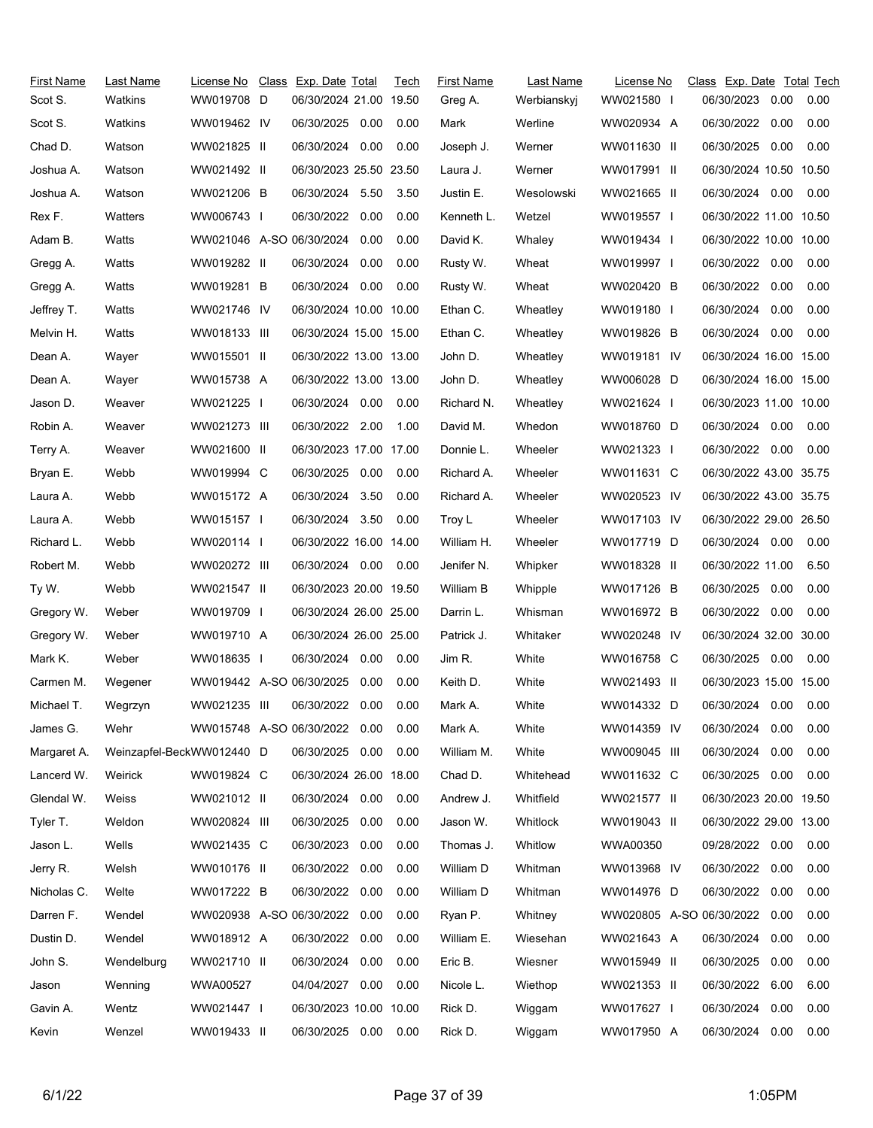| First Name  | Last Name                 | License No                    | Class Exp. Date Total  |      | Tech | <b>First Name</b> | Last Name   | License No               | Class Exp. Date Total Tech |      |      |
|-------------|---------------------------|-------------------------------|------------------------|------|------|-------------------|-------------|--------------------------|----------------------------|------|------|
| Scot S.     | Watkins                   | WW019708 D                    | 06/30/2024 21.00 19.50 |      |      | Greg A.           | Werbianskyj | WW021580 I               | 06/30/2023                 | 0.00 | 0.00 |
| Scot S.     | Watkins                   | WW019462 IV                   | 06/30/2025 0.00        |      | 0.00 | Mark              | Werline     | WW020934 A               | 06/30/2022                 | 0.00 | 0.00 |
| Chad D.     | Watson                    | WW021825 II                   | 06/30/2024             | 0.00 | 0.00 | Joseph J.         | Werner      | WW011630 II              | 06/30/2025                 | 0.00 | 0.00 |
| Joshua A.   | Watson                    | WW021492 II                   | 06/30/2023 25.50 23.50 |      |      | Laura J.          | Werner      | WW017991 II              | 06/30/2024 10.50 10.50     |      |      |
| Joshua A.   | Watson                    | WW021206 B                    | 06/30/2024 5.50        |      | 3.50 | Justin E.         | Wesolowski  | WW021665 II              | 06/30/2024 0.00            |      | 0.00 |
| Rex F.      | Watters                   | WW006743                      | 06/30/2022 0.00        |      | 0.00 | Kenneth L.        | Wetzel      | WW019557 I               | 06/30/2022 11.00 10.50     |      |      |
| Adam B.     | Watts                     | WW021046 A-SO 06/30/2024      |                        | 0.00 | 0.00 | David K.          | Whaley      | WW019434 I               | 06/30/2022 10.00 10.00     |      |      |
| Gregg A.    | Watts                     | WW019282 II                   | 06/30/2024             | 0.00 | 0.00 | Rusty W.          | Wheat       | WW019997 I               | 06/30/2022 0.00            |      | 0.00 |
| Gregg A.    | Watts                     | WW019281 B                    | 06/30/2024 0.00        |      | 0.00 | Rusty W.          | Wheat       | WW020420 B               | 06/30/2022                 | 0.00 | 0.00 |
| Jeffrey T.  | Watts                     | WW021746 IV                   | 06/30/2024 10.00 10.00 |      |      | Ethan C.          | Wheatley    | WW019180 I               | 06/30/2024                 | 0.00 | 0.00 |
| Melvin H.   | Watts                     | WW018133 III                  | 06/30/2024 15.00 15.00 |      |      | Ethan C.          | Wheatley    | WW019826 B               | 06/30/2024 0.00            |      | 0.00 |
| Dean A.     | Wayer                     | WW015501 II                   | 06/30/2022 13.00 13.00 |      |      | John D.           | Wheatley    | WW019181 IV              | 06/30/2024 16.00 15.00     |      |      |
| Dean A.     | Wayer                     | WW015738 A                    | 06/30/2022 13.00 13.00 |      |      | John D.           | Wheatley    | WW006028 D               | 06/30/2024 16.00 15.00     |      |      |
| Jason D.    | Weaver                    | WW021225 I                    | 06/30/2024 0.00        |      | 0.00 | Richard N.        | Wheatley    | WW021624 I               | 06/30/2023 11.00 10.00     |      |      |
| Robin A.    | Weaver                    | WW021273 III                  | 06/30/2022 2.00        |      | 1.00 | David M.          | Whedon      | WW018760 D               | 06/30/2024 0.00            |      | 0.00 |
| Terry A.    | Weaver                    | WW021600 II                   | 06/30/2023 17.00 17.00 |      |      | Donnie L.         | Wheeler     | WW021323 I               | 06/30/2022                 | 0.00 | 0.00 |
| Bryan E.    | Webb                      | WW019994 C                    | 06/30/2025 0.00        |      | 0.00 | Richard A.        | Wheeler     | WW011631 C               | 06/30/2022 43.00 35.75     |      |      |
| Laura A.    | Webb                      | WW015172 A                    | 06/30/2024 3.50        |      | 0.00 | Richard A.        | Wheeler     | WW020523 IV              | 06/30/2022 43.00 35.75     |      |      |
| Laura A.    | Webb                      | WW015157 I                    | 06/30/2024             | 3.50 | 0.00 | Troy L            | Wheeler     | WW017103 IV              | 06/30/2022 29.00 26.50     |      |      |
| Richard L.  | Webb                      | WW020114                      | 06/30/2022 16.00 14.00 |      |      | William H.        | Wheeler     | WW017719 D               | 06/30/2024 0.00            |      | 0.00 |
| Robert M.   | Webb                      | WW020272 III                  | 06/30/2024 0.00        |      | 0.00 | Jenifer N.        | Whipker     | WW018328 II              | 06/30/2022 11.00           |      | 6.50 |
| Ty W.       | Webb                      | WW021547 II                   | 06/30/2023 20.00 19.50 |      |      | William B         | Whipple     | WW017126 B               | 06/30/2025                 | 0.00 | 0.00 |
| Gregory W.  | Weber                     | WW019709 I                    | 06/30/2024 26.00 25.00 |      |      | Darrin L.         | Whisman     | WW016972 B               | 06/30/2022 0.00            |      | 0.00 |
| Gregory W.  | Weber                     | WW019710 A                    | 06/30/2024 26.00 25.00 |      |      | Patrick J.        | Whitaker    | WW020248 IV              | 06/30/2024 32.00 30.00     |      |      |
| Mark K.     | Weber                     | WW018635                      | 06/30/2024             | 0.00 | 0.00 | Jim R.            | White       | WW016758 C               | 06/30/2025 0.00            |      | 0.00 |
| Carmen M.   | Wegener                   | WW019442 A-SO 06/30/2025      |                        | 0.00 | 0.00 | Keith D.          | White       | WW021493 II              | 06/30/2023 15.00 15.00     |      |      |
| Michael T.  | Wegrzyn                   | WW021235 III                  | 06/30/2022 0.00        |      | 0.00 | Mark A.           | White       | WW014332 D               | 06/30/2024 0.00            |      | 0.00 |
| James G.    | Wehr                      | WW015748 A-SO 06/30/2022 0.00 |                        |      | 0.00 | Mark A.           | White       | WW014359 IV              | 06/30/2024                 | 0.00 | 0.00 |
| Margaret A. | Weinzapfel-BeckWW012440 D |                               | 06/30/2025 0.00        |      | 0.00 | William M.        | White       | WW009045 III             | 06/30/2024                 | 0.00 | 0.00 |
| Lancerd W.  | Weirick                   | WW019824 C                    | 06/30/2024 26.00 18.00 |      |      | Chad D.           | Whitehead   | WW011632 C               | 06/30/2025                 | 0.00 | 0.00 |
| Glendal W.  | Weiss                     | WW021012 II                   | 06/30/2024 0.00        |      | 0.00 | Andrew J.         | Whitfield   | WW021577 II              | 06/30/2023 20.00 19.50     |      |      |
| Tyler T.    | Weldon                    | WW020824 III                  | 06/30/2025             | 0.00 | 0.00 | Jason W.          | Whitlock    | WW019043 II              | 06/30/2022 29.00 13.00     |      |      |
| Jason L.    | Wells                     | WW021435 C                    | 06/30/2023             | 0.00 | 0.00 | Thomas J.         | Whitlow     | WWA00350                 | 09/28/2022 0.00            |      | 0.00 |
| Jerry R.    | Welsh                     | WW010176 II                   | 06/30/2022             | 0.00 | 0.00 | William D         | Whitman     | WW013968 IV              | 06/30/2022                 | 0.00 | 0.00 |
| Nicholas C. | Welte                     | WW017222 B                    | 06/30/2022             | 0.00 | 0.00 | William D         | Whitman     | WW014976 D               | 06/30/2022                 | 0.00 | 0.00 |
| Darren F.   | Wendel                    | WW020938 A-SO 06/30/2022      |                        | 0.00 | 0.00 | Ryan P.           | Whitney     | WW020805 A-SO 06/30/2022 |                            | 0.00 | 0.00 |
| Dustin D.   | Wendel                    | WW018912 A                    | 06/30/2022             | 0.00 | 0.00 | William E.        | Wiesehan    | WW021643 A               | 06/30/2024                 | 0.00 | 0.00 |
| John S.     | Wendelburg                | WW021710 II                   | 06/30/2024             | 0.00 | 0.00 | Eric B.           | Wiesner     | WW015949 II              | 06/30/2025                 | 0.00 | 0.00 |
| Jason       | Wenning                   | WWA00527                      | 04/04/2027             | 0.00 | 0.00 | Nicole L.         | Wiethop     | WW021353 II              | 06/30/2022                 | 6.00 | 6.00 |
| Gavin A.    | Wentz                     | WW021447                      | 06/30/2023 10.00 10.00 |      |      | Rick D.           | Wiggam      | WW017627 I               | 06/30/2024                 | 0.00 | 0.00 |
| Kevin       | Wenzel                    | WW019433 II                   | 06/30/2025  0.00  0.00 |      |      | Rick D.           | Wiggam      | WW017950 A               | 06/30/2024                 | 0.00 | 0.00 |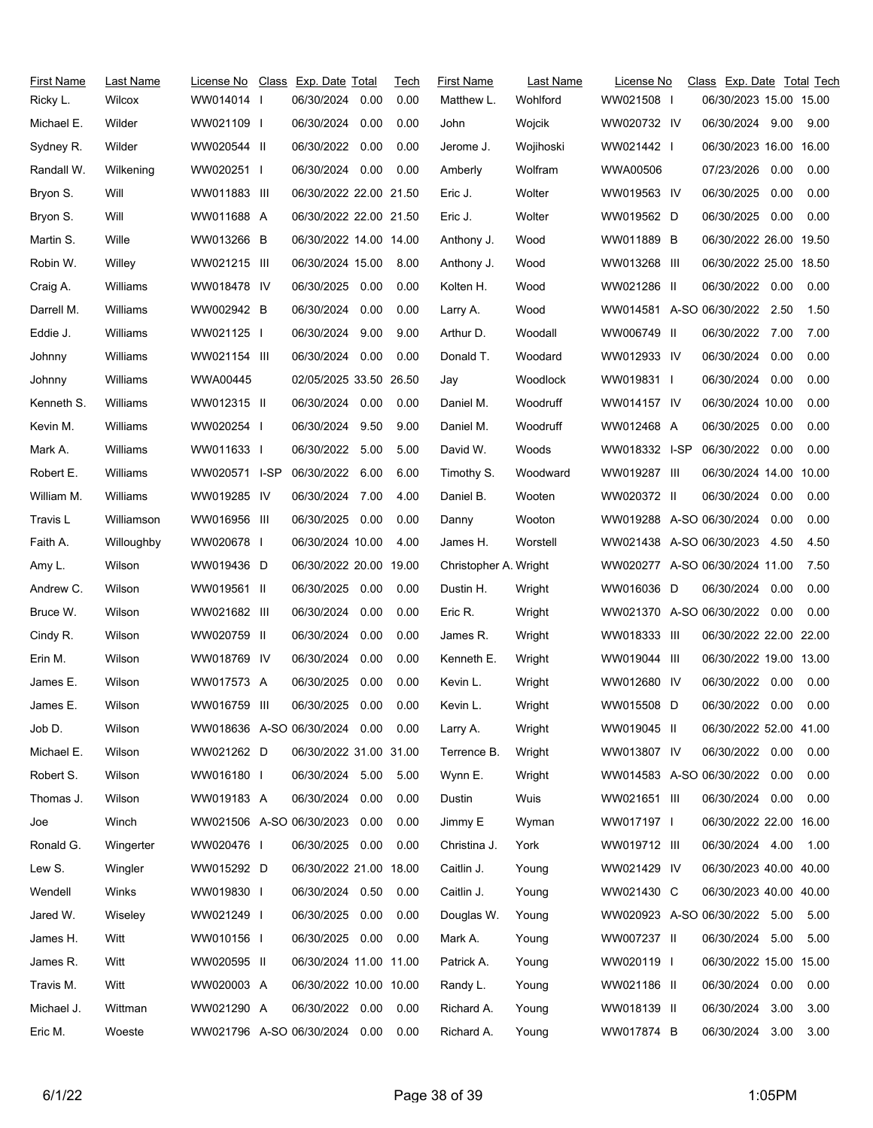| WW014014 I<br>WW021508 I<br>06/30/2023 15.00 15.00<br>Ricky L.<br>Wilcox<br>0.00<br>Matthew L.<br>Wohlford<br>06/30/2024 9.00<br>Michael E.<br>Wilder<br>WW021109 I<br>06/30/2024<br>0.00<br>0.00<br>John<br>Wojcik<br>WW020732 IV<br>9.00<br>06/30/2022<br>0.00<br>06/30/2023 16.00 16.00<br>Sydney R.<br>Wilder<br>WW020544 II<br>0.00<br>Wojihoski<br>WW021442 I<br>Jerome J.<br>06/30/2024 0.00<br>07/23/2026<br>0.00<br>Randall W.<br>Wilkening<br>WW020251 I<br>0.00<br>Amberly<br>Wolfram<br>WWA00506<br>0.00<br>Will<br>06/30/2022 22.00 21.50<br>06/30/2025<br>Bryon S.<br>WW011883 III<br>Eric J.<br>Wolter<br>WW019563 IV<br>0.00<br>0.00<br>WW011688 A<br>06/30/2022 22.00 21.50<br>06/30/2025<br>Bryon S.<br>Will<br>Wolter<br>WW019562 D<br>0.00<br>0.00<br>Eric J.<br>Martin S.<br>Wille<br>WW013266 B<br>06/30/2022 14.00 14.00<br>WW011889 B<br>06/30/2022 26.00 19.50<br>Anthony J.<br>Wood<br>06/30/2022 25.00 18.50<br>Robin W.<br>Willey<br>WW021215 III<br>06/30/2024 15.00<br>8.00<br>Anthony J.<br>Wood<br>WW013268 III<br>WW018478 IV<br>06/30/2022 0.00<br>Craig A.<br>06/30/2025<br>0.00<br>0.00<br>Kolten H.<br>Wood<br>WW021286 II<br>0.00<br>Williams<br>Darrell M.<br>WW002942 B<br>0.00<br>Wood<br>WW014581 A-SO 06/30/2022 2.50<br>1.50<br>Williams<br>06/30/2024<br>0.00<br>Larry A.<br>06/30/2022 7.00<br>Eddie J.<br>Williams<br>WW021125 I<br>06/30/2024<br>9.00<br>9.00<br>Arthur D.<br>Woodall<br>WW006749 II<br>7.00<br>06/30/2024<br>Johnny<br>Williams<br>WW021154 III<br>06/30/2024 0.00<br>0.00<br>Donald T.<br>Woodard<br>WW012933 IV<br>0.00<br>0.00<br>0.00<br>Williams<br>WWA00445<br>02/05/2025 33.50 26.50<br>Woodlock<br>WW019831  <br>06/30/2024<br>0.00<br>Johnny<br>Jay<br>06/30/2024<br>0.00<br>06/30/2024 10.00<br>Kenneth S.<br>Williams<br>WW012315 II<br>0.00<br>Daniel M.<br>Woodruff<br>WW014157 IV<br>0.00<br>9.50<br>9.00<br>WW012468 A<br>06/30/2025<br>0.00<br>Kevin M.<br>Williams<br>WW020254 I<br>06/30/2024<br>Daniel M.<br>Woodruff<br>0.00<br>06/30/2022<br>David W.<br>WW018332 I-SP<br>06/30/2022<br>Mark A.<br>Williams<br>WW011633 I<br>5.00<br>5.00<br>Woods<br>0.00<br>0.00<br>06/30/2022 6.00<br>WW019287 III<br>06/30/2024 14.00 10.00<br>Robert E.<br>Williams<br>WW020571 I-SP<br>6.00<br>Timothy S.<br>Woodward<br>WW019285 IV<br>06/30/2024 7.00<br>06/30/2024 0.00<br>William M.<br>Williams<br>4.00<br>Daniel B.<br>Wooten<br>WW020372 II<br>0.00<br>WW019288 A-SO 06/30/2024<br>0.00<br>Travis L<br>Williamson<br>WW016956 III<br>06/30/2025<br>0.00<br>0.00<br>Wooton<br>0.00<br>Danny<br>4.50<br>Faith A.<br>WW020678 I<br>06/30/2024 10.00<br>4.00<br>James H.<br>Worstell<br>WW021438 A-SO 06/30/2023<br>4.50<br>Willoughby<br>Amy L.<br>Wilson<br>WW019436 D<br>06/30/2022 20.00 19.00<br>Christopher A. Wright<br>WW020277 A-SO 06/30/2024 11.00<br>7.50<br>Andrew C.<br>Wilson<br>WW019561 II<br>06/30/2025<br>0.00<br>0.00<br>Dustin H.<br>WW016036 D<br>06/30/2024<br>0.00<br>0.00<br>Wright<br>0.00<br>WW021370 A-SO 06/30/2022<br>Bruce W.<br>Wilson<br>WW021682 III<br>06/30/2024<br>0.00<br>Eric R.<br>Wright<br>0.00<br>0.00<br>0.00<br>06/30/2022 22.00 22.00<br>Cindy R.<br>Wilson<br>WW020759 II<br>06/30/2024<br>0.00<br>WW018333 III<br>James R.<br>Wright<br>WW018769 IV<br>06/30/2024<br>0.00<br>06/30/2022 19.00 13.00<br>Erin M.<br>Wilson<br>0.00<br>Kenneth E.<br>Wright<br>WW019044 III<br>0.00<br>0.00<br>06/30/2022<br>0.00<br>James E.<br>Wilson<br>WW017573 A<br>06/30/2025<br>Kevin L.<br>Wright<br>WW012680 IV<br>0.00<br>06/30/2025<br>0.00<br>0.00<br>06/30/2022<br>0.00<br>0.00<br>James E.<br>Wilson<br>WW016759 III<br>Wright<br>WW015508 D<br>Kevin L.<br>Wright<br>Job D.<br>Wilson<br>WW018636 A-SO 06/30/2024 0.00<br>0.00<br>Larry A.<br>WW019045 II<br>06/30/2022 52.00 41.00<br>Michael E.<br>WW021262 D<br>06/30/2022 31.00 31.00<br>WW013807 IV<br>06/30/2022 0.00<br>Wilson<br>Terrence B.<br>Wright<br>0.00<br>Robert S.<br>Wilson<br>WW016180 I<br>06/30/2024 5.00<br>Wynn E.<br>WW014583 A-SO 06/30/2022<br>0.00<br>5.00<br>Wright<br>0.00<br>Thomas J.<br>Wilson<br>WW019183 A<br>06/30/2024<br>0.00<br>0.00<br>Dustin<br>Wuis<br>WW021651 III<br>06/30/2024 0.00<br>0.00<br>WW021506 A-SO 06/30/2023<br>Jimmy E<br>06/30/2022 22.00 16.00<br>Winch<br>0.00<br>0.00<br>Wyman<br>WW017197 I<br>Joe<br>Ronald G.<br>06/30/2024 4.00<br>Wingerter<br>WW020476 I<br>06/30/2025 0.00<br>0.00<br>Christina J.<br>York<br>WW019712 III<br>1.00<br>06/30/2022 21.00 18.00<br>Caitlin J.<br>06/30/2023 40.00 40.00<br>Wingler<br>WW015292 D<br>Young<br>WW021429 IV<br>WW019830 I<br>06/30/2024 0.50<br>Caitlin J.<br>WW021430 C<br>06/30/2023 40.00 40.00<br>Wendell<br>Winks<br>0.00<br>Young<br>Jared W.<br>WW021249 I<br>06/30/2025<br>0.00<br>Douglas W.<br>WW020923 A-SO 06/30/2022 5.00<br>Wiseley<br>0.00<br>Young<br>5.00<br>Witt<br>06/30/2025<br>WW007237 II<br>06/30/2024<br>James H.<br>WW010156 I<br>0.00<br>0.00<br>Mark A.<br>Young<br>5.00<br>5.00<br>06/30/2022 15.00 15.00<br>James R.<br>Witt<br>WW020595 II<br>06/30/2024 11.00 11.00<br>Patrick A.<br>Young<br>WW020119 I<br>Travis M.<br>Witt<br>WW020003 A<br>06/30/2022 10.00 10.00<br>Randy L.<br>Young<br>WW021186 II<br>06/30/2024<br>0.00<br>0.00<br>Michael J.<br>WW021290 A<br>06/30/2022 0.00<br>WW018139 II<br>06/30/2024<br>Wittman<br>0.00<br>Richard A.<br>Young<br>3.00<br>3.00<br>WW021796 A-SO 06/30/2024 0.00<br>WW017874 B<br>06/30/2024 | <b>First Name</b> | Last Name | License No | Class Exp. Date Total | Tech | <b>First Name</b> | Last Name | License No | Class Exp. Date Total Tech |      |      |
|-------------------------------------------------------------------------------------------------------------------------------------------------------------------------------------------------------------------------------------------------------------------------------------------------------------------------------------------------------------------------------------------------------------------------------------------------------------------------------------------------------------------------------------------------------------------------------------------------------------------------------------------------------------------------------------------------------------------------------------------------------------------------------------------------------------------------------------------------------------------------------------------------------------------------------------------------------------------------------------------------------------------------------------------------------------------------------------------------------------------------------------------------------------------------------------------------------------------------------------------------------------------------------------------------------------------------------------------------------------------------------------------------------------------------------------------------------------------------------------------------------------------------------------------------------------------------------------------------------------------------------------------------------------------------------------------------------------------------------------------------------------------------------------------------------------------------------------------------------------------------------------------------------------------------------------------------------------------------------------------------------------------------------------------------------------------------------------------------------------------------------------------------------------------------------------------------------------------------------------------------------------------------------------------------------------------------------------------------------------------------------------------------------------------------------------------------------------------------------------------------------------------------------------------------------------------------------------------------------------------------------------------------------------------------------------------------------------------------------------------------------------------------------------------------------------------------------------------------------------------------------------------------------------------------------------------------------------------------------------------------------------------------------------------------------------------------------------------------------------------------------------------------------------------------------------------------------------------------------------------------------------------------------------------------------------------------------------------------------------------------------------------------------------------------------------------------------------------------------------------------------------------------------------------------------------------------------------------------------------------------------------------------------------------------------------------------------------------------------------------------------------------------------------------------------------------------------------------------------------------------------------------------------------------------------------------------------------------------------------------------------------------------------------------------------------------------------------------------------------------------------------------------------------------------------------------------------------------------------------------------------------------------------------------------------------------------------------------------------------------------------------------------------------------------------------------------------------------------------------------------------------------------------------------------------------------------------------------------------------------------------------------------------------------------------------------------------------------------------------------------------------------------------------------------------------------------------------------------------------------------------------------------------------------------------------------------------------------------------------------------------------------------------------------------------------------------------------------------------------------------------------------------------------------------------------------------------------------------------------------------------------------------------------------------------------------------------------------------------------------------------------------------------------------------------------------------------------------|-------------------|-----------|------------|-----------------------|------|-------------------|-----------|------------|----------------------------|------|------|
|                                                                                                                                                                                                                                                                                                                                                                                                                                                                                                                                                                                                                                                                                                                                                                                                                                                                                                                                                                                                                                                                                                                                                                                                                                                                                                                                                                                                                                                                                                                                                                                                                                                                                                                                                                                                                                                                                                                                                                                                                                                                                                                                                                                                                                                                                                                                                                                                                                                                                                                                                                                                                                                                                                                                                                                                                                                                                                                                                                                                                                                                                                                                                                                                                                                                                                                                                                                                                                                                                                                                                                                                                                                                                                                                                                                                                                                                                                                                                                                                                                                                                                                                                                                                                                                                                                                                                                                                                                                                                                                                                                                                                                                                                                                                                                                                                                                                                                                                                                                                                                                                                                                                                                                                                                                                                                                                                                                                                                                                   |                   |           |            | 06/30/2024            | 0.00 |                   |           |            |                            |      |      |
|                                                                                                                                                                                                                                                                                                                                                                                                                                                                                                                                                                                                                                                                                                                                                                                                                                                                                                                                                                                                                                                                                                                                                                                                                                                                                                                                                                                                                                                                                                                                                                                                                                                                                                                                                                                                                                                                                                                                                                                                                                                                                                                                                                                                                                                                                                                                                                                                                                                                                                                                                                                                                                                                                                                                                                                                                                                                                                                                                                                                                                                                                                                                                                                                                                                                                                                                                                                                                                                                                                                                                                                                                                                                                                                                                                                                                                                                                                                                                                                                                                                                                                                                                                                                                                                                                                                                                                                                                                                                                                                                                                                                                                                                                                                                                                                                                                                                                                                                                                                                                                                                                                                                                                                                                                                                                                                                                                                                                                                                   |                   |           |            |                       |      |                   |           |            |                            |      |      |
|                                                                                                                                                                                                                                                                                                                                                                                                                                                                                                                                                                                                                                                                                                                                                                                                                                                                                                                                                                                                                                                                                                                                                                                                                                                                                                                                                                                                                                                                                                                                                                                                                                                                                                                                                                                                                                                                                                                                                                                                                                                                                                                                                                                                                                                                                                                                                                                                                                                                                                                                                                                                                                                                                                                                                                                                                                                                                                                                                                                                                                                                                                                                                                                                                                                                                                                                                                                                                                                                                                                                                                                                                                                                                                                                                                                                                                                                                                                                                                                                                                                                                                                                                                                                                                                                                                                                                                                                                                                                                                                                                                                                                                                                                                                                                                                                                                                                                                                                                                                                                                                                                                                                                                                                                                                                                                                                                                                                                                                                   |                   |           |            |                       |      |                   |           |            |                            |      |      |
|                                                                                                                                                                                                                                                                                                                                                                                                                                                                                                                                                                                                                                                                                                                                                                                                                                                                                                                                                                                                                                                                                                                                                                                                                                                                                                                                                                                                                                                                                                                                                                                                                                                                                                                                                                                                                                                                                                                                                                                                                                                                                                                                                                                                                                                                                                                                                                                                                                                                                                                                                                                                                                                                                                                                                                                                                                                                                                                                                                                                                                                                                                                                                                                                                                                                                                                                                                                                                                                                                                                                                                                                                                                                                                                                                                                                                                                                                                                                                                                                                                                                                                                                                                                                                                                                                                                                                                                                                                                                                                                                                                                                                                                                                                                                                                                                                                                                                                                                                                                                                                                                                                                                                                                                                                                                                                                                                                                                                                                                   |                   |           |            |                       |      |                   |           |            |                            |      |      |
|                                                                                                                                                                                                                                                                                                                                                                                                                                                                                                                                                                                                                                                                                                                                                                                                                                                                                                                                                                                                                                                                                                                                                                                                                                                                                                                                                                                                                                                                                                                                                                                                                                                                                                                                                                                                                                                                                                                                                                                                                                                                                                                                                                                                                                                                                                                                                                                                                                                                                                                                                                                                                                                                                                                                                                                                                                                                                                                                                                                                                                                                                                                                                                                                                                                                                                                                                                                                                                                                                                                                                                                                                                                                                                                                                                                                                                                                                                                                                                                                                                                                                                                                                                                                                                                                                                                                                                                                                                                                                                                                                                                                                                                                                                                                                                                                                                                                                                                                                                                                                                                                                                                                                                                                                                                                                                                                                                                                                                                                   |                   |           |            |                       |      |                   |           |            |                            |      |      |
|                                                                                                                                                                                                                                                                                                                                                                                                                                                                                                                                                                                                                                                                                                                                                                                                                                                                                                                                                                                                                                                                                                                                                                                                                                                                                                                                                                                                                                                                                                                                                                                                                                                                                                                                                                                                                                                                                                                                                                                                                                                                                                                                                                                                                                                                                                                                                                                                                                                                                                                                                                                                                                                                                                                                                                                                                                                                                                                                                                                                                                                                                                                                                                                                                                                                                                                                                                                                                                                                                                                                                                                                                                                                                                                                                                                                                                                                                                                                                                                                                                                                                                                                                                                                                                                                                                                                                                                                                                                                                                                                                                                                                                                                                                                                                                                                                                                                                                                                                                                                                                                                                                                                                                                                                                                                                                                                                                                                                                                                   |                   |           |            |                       |      |                   |           |            |                            |      |      |
|                                                                                                                                                                                                                                                                                                                                                                                                                                                                                                                                                                                                                                                                                                                                                                                                                                                                                                                                                                                                                                                                                                                                                                                                                                                                                                                                                                                                                                                                                                                                                                                                                                                                                                                                                                                                                                                                                                                                                                                                                                                                                                                                                                                                                                                                                                                                                                                                                                                                                                                                                                                                                                                                                                                                                                                                                                                                                                                                                                                                                                                                                                                                                                                                                                                                                                                                                                                                                                                                                                                                                                                                                                                                                                                                                                                                                                                                                                                                                                                                                                                                                                                                                                                                                                                                                                                                                                                                                                                                                                                                                                                                                                                                                                                                                                                                                                                                                                                                                                                                                                                                                                                                                                                                                                                                                                                                                                                                                                                                   |                   |           |            |                       |      |                   |           |            |                            |      |      |
|                                                                                                                                                                                                                                                                                                                                                                                                                                                                                                                                                                                                                                                                                                                                                                                                                                                                                                                                                                                                                                                                                                                                                                                                                                                                                                                                                                                                                                                                                                                                                                                                                                                                                                                                                                                                                                                                                                                                                                                                                                                                                                                                                                                                                                                                                                                                                                                                                                                                                                                                                                                                                                                                                                                                                                                                                                                                                                                                                                                                                                                                                                                                                                                                                                                                                                                                                                                                                                                                                                                                                                                                                                                                                                                                                                                                                                                                                                                                                                                                                                                                                                                                                                                                                                                                                                                                                                                                                                                                                                                                                                                                                                                                                                                                                                                                                                                                                                                                                                                                                                                                                                                                                                                                                                                                                                                                                                                                                                                                   |                   |           |            |                       |      |                   |           |            |                            |      |      |
|                                                                                                                                                                                                                                                                                                                                                                                                                                                                                                                                                                                                                                                                                                                                                                                                                                                                                                                                                                                                                                                                                                                                                                                                                                                                                                                                                                                                                                                                                                                                                                                                                                                                                                                                                                                                                                                                                                                                                                                                                                                                                                                                                                                                                                                                                                                                                                                                                                                                                                                                                                                                                                                                                                                                                                                                                                                                                                                                                                                                                                                                                                                                                                                                                                                                                                                                                                                                                                                                                                                                                                                                                                                                                                                                                                                                                                                                                                                                                                                                                                                                                                                                                                                                                                                                                                                                                                                                                                                                                                                                                                                                                                                                                                                                                                                                                                                                                                                                                                                                                                                                                                                                                                                                                                                                                                                                                                                                                                                                   |                   |           |            |                       |      |                   |           |            |                            |      |      |
|                                                                                                                                                                                                                                                                                                                                                                                                                                                                                                                                                                                                                                                                                                                                                                                                                                                                                                                                                                                                                                                                                                                                                                                                                                                                                                                                                                                                                                                                                                                                                                                                                                                                                                                                                                                                                                                                                                                                                                                                                                                                                                                                                                                                                                                                                                                                                                                                                                                                                                                                                                                                                                                                                                                                                                                                                                                                                                                                                                                                                                                                                                                                                                                                                                                                                                                                                                                                                                                                                                                                                                                                                                                                                                                                                                                                                                                                                                                                                                                                                                                                                                                                                                                                                                                                                                                                                                                                                                                                                                                                                                                                                                                                                                                                                                                                                                                                                                                                                                                                                                                                                                                                                                                                                                                                                                                                                                                                                                                                   |                   |           |            |                       |      |                   |           |            |                            |      |      |
|                                                                                                                                                                                                                                                                                                                                                                                                                                                                                                                                                                                                                                                                                                                                                                                                                                                                                                                                                                                                                                                                                                                                                                                                                                                                                                                                                                                                                                                                                                                                                                                                                                                                                                                                                                                                                                                                                                                                                                                                                                                                                                                                                                                                                                                                                                                                                                                                                                                                                                                                                                                                                                                                                                                                                                                                                                                                                                                                                                                                                                                                                                                                                                                                                                                                                                                                                                                                                                                                                                                                                                                                                                                                                                                                                                                                                                                                                                                                                                                                                                                                                                                                                                                                                                                                                                                                                                                                                                                                                                                                                                                                                                                                                                                                                                                                                                                                                                                                                                                                                                                                                                                                                                                                                                                                                                                                                                                                                                                                   |                   |           |            |                       |      |                   |           |            |                            |      |      |
|                                                                                                                                                                                                                                                                                                                                                                                                                                                                                                                                                                                                                                                                                                                                                                                                                                                                                                                                                                                                                                                                                                                                                                                                                                                                                                                                                                                                                                                                                                                                                                                                                                                                                                                                                                                                                                                                                                                                                                                                                                                                                                                                                                                                                                                                                                                                                                                                                                                                                                                                                                                                                                                                                                                                                                                                                                                                                                                                                                                                                                                                                                                                                                                                                                                                                                                                                                                                                                                                                                                                                                                                                                                                                                                                                                                                                                                                                                                                                                                                                                                                                                                                                                                                                                                                                                                                                                                                                                                                                                                                                                                                                                                                                                                                                                                                                                                                                                                                                                                                                                                                                                                                                                                                                                                                                                                                                                                                                                                                   |                   |           |            |                       |      |                   |           |            |                            |      |      |
|                                                                                                                                                                                                                                                                                                                                                                                                                                                                                                                                                                                                                                                                                                                                                                                                                                                                                                                                                                                                                                                                                                                                                                                                                                                                                                                                                                                                                                                                                                                                                                                                                                                                                                                                                                                                                                                                                                                                                                                                                                                                                                                                                                                                                                                                                                                                                                                                                                                                                                                                                                                                                                                                                                                                                                                                                                                                                                                                                                                                                                                                                                                                                                                                                                                                                                                                                                                                                                                                                                                                                                                                                                                                                                                                                                                                                                                                                                                                                                                                                                                                                                                                                                                                                                                                                                                                                                                                                                                                                                                                                                                                                                                                                                                                                                                                                                                                                                                                                                                                                                                                                                                                                                                                                                                                                                                                                                                                                                                                   |                   |           |            |                       |      |                   |           |            |                            |      |      |
|                                                                                                                                                                                                                                                                                                                                                                                                                                                                                                                                                                                                                                                                                                                                                                                                                                                                                                                                                                                                                                                                                                                                                                                                                                                                                                                                                                                                                                                                                                                                                                                                                                                                                                                                                                                                                                                                                                                                                                                                                                                                                                                                                                                                                                                                                                                                                                                                                                                                                                                                                                                                                                                                                                                                                                                                                                                                                                                                                                                                                                                                                                                                                                                                                                                                                                                                                                                                                                                                                                                                                                                                                                                                                                                                                                                                                                                                                                                                                                                                                                                                                                                                                                                                                                                                                                                                                                                                                                                                                                                                                                                                                                                                                                                                                                                                                                                                                                                                                                                                                                                                                                                                                                                                                                                                                                                                                                                                                                                                   |                   |           |            |                       |      |                   |           |            |                            |      |      |
|                                                                                                                                                                                                                                                                                                                                                                                                                                                                                                                                                                                                                                                                                                                                                                                                                                                                                                                                                                                                                                                                                                                                                                                                                                                                                                                                                                                                                                                                                                                                                                                                                                                                                                                                                                                                                                                                                                                                                                                                                                                                                                                                                                                                                                                                                                                                                                                                                                                                                                                                                                                                                                                                                                                                                                                                                                                                                                                                                                                                                                                                                                                                                                                                                                                                                                                                                                                                                                                                                                                                                                                                                                                                                                                                                                                                                                                                                                                                                                                                                                                                                                                                                                                                                                                                                                                                                                                                                                                                                                                                                                                                                                                                                                                                                                                                                                                                                                                                                                                                                                                                                                                                                                                                                                                                                                                                                                                                                                                                   |                   |           |            |                       |      |                   |           |            |                            |      |      |
|                                                                                                                                                                                                                                                                                                                                                                                                                                                                                                                                                                                                                                                                                                                                                                                                                                                                                                                                                                                                                                                                                                                                                                                                                                                                                                                                                                                                                                                                                                                                                                                                                                                                                                                                                                                                                                                                                                                                                                                                                                                                                                                                                                                                                                                                                                                                                                                                                                                                                                                                                                                                                                                                                                                                                                                                                                                                                                                                                                                                                                                                                                                                                                                                                                                                                                                                                                                                                                                                                                                                                                                                                                                                                                                                                                                                                                                                                                                                                                                                                                                                                                                                                                                                                                                                                                                                                                                                                                                                                                                                                                                                                                                                                                                                                                                                                                                                                                                                                                                                                                                                                                                                                                                                                                                                                                                                                                                                                                                                   |                   |           |            |                       |      |                   |           |            |                            |      |      |
|                                                                                                                                                                                                                                                                                                                                                                                                                                                                                                                                                                                                                                                                                                                                                                                                                                                                                                                                                                                                                                                                                                                                                                                                                                                                                                                                                                                                                                                                                                                                                                                                                                                                                                                                                                                                                                                                                                                                                                                                                                                                                                                                                                                                                                                                                                                                                                                                                                                                                                                                                                                                                                                                                                                                                                                                                                                                                                                                                                                                                                                                                                                                                                                                                                                                                                                                                                                                                                                                                                                                                                                                                                                                                                                                                                                                                                                                                                                                                                                                                                                                                                                                                                                                                                                                                                                                                                                                                                                                                                                                                                                                                                                                                                                                                                                                                                                                                                                                                                                                                                                                                                                                                                                                                                                                                                                                                                                                                                                                   |                   |           |            |                       |      |                   |           |            |                            |      |      |
|                                                                                                                                                                                                                                                                                                                                                                                                                                                                                                                                                                                                                                                                                                                                                                                                                                                                                                                                                                                                                                                                                                                                                                                                                                                                                                                                                                                                                                                                                                                                                                                                                                                                                                                                                                                                                                                                                                                                                                                                                                                                                                                                                                                                                                                                                                                                                                                                                                                                                                                                                                                                                                                                                                                                                                                                                                                                                                                                                                                                                                                                                                                                                                                                                                                                                                                                                                                                                                                                                                                                                                                                                                                                                                                                                                                                                                                                                                                                                                                                                                                                                                                                                                                                                                                                                                                                                                                                                                                                                                                                                                                                                                                                                                                                                                                                                                                                                                                                                                                                                                                                                                                                                                                                                                                                                                                                                                                                                                                                   |                   |           |            |                       |      |                   |           |            |                            |      |      |
|                                                                                                                                                                                                                                                                                                                                                                                                                                                                                                                                                                                                                                                                                                                                                                                                                                                                                                                                                                                                                                                                                                                                                                                                                                                                                                                                                                                                                                                                                                                                                                                                                                                                                                                                                                                                                                                                                                                                                                                                                                                                                                                                                                                                                                                                                                                                                                                                                                                                                                                                                                                                                                                                                                                                                                                                                                                                                                                                                                                                                                                                                                                                                                                                                                                                                                                                                                                                                                                                                                                                                                                                                                                                                                                                                                                                                                                                                                                                                                                                                                                                                                                                                                                                                                                                                                                                                                                                                                                                                                                                                                                                                                                                                                                                                                                                                                                                                                                                                                                                                                                                                                                                                                                                                                                                                                                                                                                                                                                                   |                   |           |            |                       |      |                   |           |            |                            |      |      |
|                                                                                                                                                                                                                                                                                                                                                                                                                                                                                                                                                                                                                                                                                                                                                                                                                                                                                                                                                                                                                                                                                                                                                                                                                                                                                                                                                                                                                                                                                                                                                                                                                                                                                                                                                                                                                                                                                                                                                                                                                                                                                                                                                                                                                                                                                                                                                                                                                                                                                                                                                                                                                                                                                                                                                                                                                                                                                                                                                                                                                                                                                                                                                                                                                                                                                                                                                                                                                                                                                                                                                                                                                                                                                                                                                                                                                                                                                                                                                                                                                                                                                                                                                                                                                                                                                                                                                                                                                                                                                                                                                                                                                                                                                                                                                                                                                                                                                                                                                                                                                                                                                                                                                                                                                                                                                                                                                                                                                                                                   |                   |           |            |                       |      |                   |           |            |                            |      |      |
|                                                                                                                                                                                                                                                                                                                                                                                                                                                                                                                                                                                                                                                                                                                                                                                                                                                                                                                                                                                                                                                                                                                                                                                                                                                                                                                                                                                                                                                                                                                                                                                                                                                                                                                                                                                                                                                                                                                                                                                                                                                                                                                                                                                                                                                                                                                                                                                                                                                                                                                                                                                                                                                                                                                                                                                                                                                                                                                                                                                                                                                                                                                                                                                                                                                                                                                                                                                                                                                                                                                                                                                                                                                                                                                                                                                                                                                                                                                                                                                                                                                                                                                                                                                                                                                                                                                                                                                                                                                                                                                                                                                                                                                                                                                                                                                                                                                                                                                                                                                                                                                                                                                                                                                                                                                                                                                                                                                                                                                                   |                   |           |            |                       |      |                   |           |            |                            |      |      |
|                                                                                                                                                                                                                                                                                                                                                                                                                                                                                                                                                                                                                                                                                                                                                                                                                                                                                                                                                                                                                                                                                                                                                                                                                                                                                                                                                                                                                                                                                                                                                                                                                                                                                                                                                                                                                                                                                                                                                                                                                                                                                                                                                                                                                                                                                                                                                                                                                                                                                                                                                                                                                                                                                                                                                                                                                                                                                                                                                                                                                                                                                                                                                                                                                                                                                                                                                                                                                                                                                                                                                                                                                                                                                                                                                                                                                                                                                                                                                                                                                                                                                                                                                                                                                                                                                                                                                                                                                                                                                                                                                                                                                                                                                                                                                                                                                                                                                                                                                                                                                                                                                                                                                                                                                                                                                                                                                                                                                                                                   |                   |           |            |                       |      |                   |           |            |                            |      |      |
|                                                                                                                                                                                                                                                                                                                                                                                                                                                                                                                                                                                                                                                                                                                                                                                                                                                                                                                                                                                                                                                                                                                                                                                                                                                                                                                                                                                                                                                                                                                                                                                                                                                                                                                                                                                                                                                                                                                                                                                                                                                                                                                                                                                                                                                                                                                                                                                                                                                                                                                                                                                                                                                                                                                                                                                                                                                                                                                                                                                                                                                                                                                                                                                                                                                                                                                                                                                                                                                                                                                                                                                                                                                                                                                                                                                                                                                                                                                                                                                                                                                                                                                                                                                                                                                                                                                                                                                                                                                                                                                                                                                                                                                                                                                                                                                                                                                                                                                                                                                                                                                                                                                                                                                                                                                                                                                                                                                                                                                                   |                   |           |            |                       |      |                   |           |            |                            |      |      |
|                                                                                                                                                                                                                                                                                                                                                                                                                                                                                                                                                                                                                                                                                                                                                                                                                                                                                                                                                                                                                                                                                                                                                                                                                                                                                                                                                                                                                                                                                                                                                                                                                                                                                                                                                                                                                                                                                                                                                                                                                                                                                                                                                                                                                                                                                                                                                                                                                                                                                                                                                                                                                                                                                                                                                                                                                                                                                                                                                                                                                                                                                                                                                                                                                                                                                                                                                                                                                                                                                                                                                                                                                                                                                                                                                                                                                                                                                                                                                                                                                                                                                                                                                                                                                                                                                                                                                                                                                                                                                                                                                                                                                                                                                                                                                                                                                                                                                                                                                                                                                                                                                                                                                                                                                                                                                                                                                                                                                                                                   |                   |           |            |                       |      |                   |           |            |                            |      |      |
|                                                                                                                                                                                                                                                                                                                                                                                                                                                                                                                                                                                                                                                                                                                                                                                                                                                                                                                                                                                                                                                                                                                                                                                                                                                                                                                                                                                                                                                                                                                                                                                                                                                                                                                                                                                                                                                                                                                                                                                                                                                                                                                                                                                                                                                                                                                                                                                                                                                                                                                                                                                                                                                                                                                                                                                                                                                                                                                                                                                                                                                                                                                                                                                                                                                                                                                                                                                                                                                                                                                                                                                                                                                                                                                                                                                                                                                                                                                                                                                                                                                                                                                                                                                                                                                                                                                                                                                                                                                                                                                                                                                                                                                                                                                                                                                                                                                                                                                                                                                                                                                                                                                                                                                                                                                                                                                                                                                                                                                                   |                   |           |            |                       |      |                   |           |            |                            |      |      |
|                                                                                                                                                                                                                                                                                                                                                                                                                                                                                                                                                                                                                                                                                                                                                                                                                                                                                                                                                                                                                                                                                                                                                                                                                                                                                                                                                                                                                                                                                                                                                                                                                                                                                                                                                                                                                                                                                                                                                                                                                                                                                                                                                                                                                                                                                                                                                                                                                                                                                                                                                                                                                                                                                                                                                                                                                                                                                                                                                                                                                                                                                                                                                                                                                                                                                                                                                                                                                                                                                                                                                                                                                                                                                                                                                                                                                                                                                                                                                                                                                                                                                                                                                                                                                                                                                                                                                                                                                                                                                                                                                                                                                                                                                                                                                                                                                                                                                                                                                                                                                                                                                                                                                                                                                                                                                                                                                                                                                                                                   |                   |           |            |                       |      |                   |           |            |                            |      |      |
|                                                                                                                                                                                                                                                                                                                                                                                                                                                                                                                                                                                                                                                                                                                                                                                                                                                                                                                                                                                                                                                                                                                                                                                                                                                                                                                                                                                                                                                                                                                                                                                                                                                                                                                                                                                                                                                                                                                                                                                                                                                                                                                                                                                                                                                                                                                                                                                                                                                                                                                                                                                                                                                                                                                                                                                                                                                                                                                                                                                                                                                                                                                                                                                                                                                                                                                                                                                                                                                                                                                                                                                                                                                                                                                                                                                                                                                                                                                                                                                                                                                                                                                                                                                                                                                                                                                                                                                                                                                                                                                                                                                                                                                                                                                                                                                                                                                                                                                                                                                                                                                                                                                                                                                                                                                                                                                                                                                                                                                                   |                   |           |            |                       |      |                   |           |            |                            |      |      |
|                                                                                                                                                                                                                                                                                                                                                                                                                                                                                                                                                                                                                                                                                                                                                                                                                                                                                                                                                                                                                                                                                                                                                                                                                                                                                                                                                                                                                                                                                                                                                                                                                                                                                                                                                                                                                                                                                                                                                                                                                                                                                                                                                                                                                                                                                                                                                                                                                                                                                                                                                                                                                                                                                                                                                                                                                                                                                                                                                                                                                                                                                                                                                                                                                                                                                                                                                                                                                                                                                                                                                                                                                                                                                                                                                                                                                                                                                                                                                                                                                                                                                                                                                                                                                                                                                                                                                                                                                                                                                                                                                                                                                                                                                                                                                                                                                                                                                                                                                                                                                                                                                                                                                                                                                                                                                                                                                                                                                                                                   |                   |           |            |                       |      |                   |           |            |                            |      |      |
|                                                                                                                                                                                                                                                                                                                                                                                                                                                                                                                                                                                                                                                                                                                                                                                                                                                                                                                                                                                                                                                                                                                                                                                                                                                                                                                                                                                                                                                                                                                                                                                                                                                                                                                                                                                                                                                                                                                                                                                                                                                                                                                                                                                                                                                                                                                                                                                                                                                                                                                                                                                                                                                                                                                                                                                                                                                                                                                                                                                                                                                                                                                                                                                                                                                                                                                                                                                                                                                                                                                                                                                                                                                                                                                                                                                                                                                                                                                                                                                                                                                                                                                                                                                                                                                                                                                                                                                                                                                                                                                                                                                                                                                                                                                                                                                                                                                                                                                                                                                                                                                                                                                                                                                                                                                                                                                                                                                                                                                                   |                   |           |            |                       |      |                   |           |            |                            |      |      |
|                                                                                                                                                                                                                                                                                                                                                                                                                                                                                                                                                                                                                                                                                                                                                                                                                                                                                                                                                                                                                                                                                                                                                                                                                                                                                                                                                                                                                                                                                                                                                                                                                                                                                                                                                                                                                                                                                                                                                                                                                                                                                                                                                                                                                                                                                                                                                                                                                                                                                                                                                                                                                                                                                                                                                                                                                                                                                                                                                                                                                                                                                                                                                                                                                                                                                                                                                                                                                                                                                                                                                                                                                                                                                                                                                                                                                                                                                                                                                                                                                                                                                                                                                                                                                                                                                                                                                                                                                                                                                                                                                                                                                                                                                                                                                                                                                                                                                                                                                                                                                                                                                                                                                                                                                                                                                                                                                                                                                                                                   |                   |           |            |                       |      |                   |           |            |                            |      |      |
|                                                                                                                                                                                                                                                                                                                                                                                                                                                                                                                                                                                                                                                                                                                                                                                                                                                                                                                                                                                                                                                                                                                                                                                                                                                                                                                                                                                                                                                                                                                                                                                                                                                                                                                                                                                                                                                                                                                                                                                                                                                                                                                                                                                                                                                                                                                                                                                                                                                                                                                                                                                                                                                                                                                                                                                                                                                                                                                                                                                                                                                                                                                                                                                                                                                                                                                                                                                                                                                                                                                                                                                                                                                                                                                                                                                                                                                                                                                                                                                                                                                                                                                                                                                                                                                                                                                                                                                                                                                                                                                                                                                                                                                                                                                                                                                                                                                                                                                                                                                                                                                                                                                                                                                                                                                                                                                                                                                                                                                                   |                   |           |            |                       |      |                   |           |            |                            |      |      |
|                                                                                                                                                                                                                                                                                                                                                                                                                                                                                                                                                                                                                                                                                                                                                                                                                                                                                                                                                                                                                                                                                                                                                                                                                                                                                                                                                                                                                                                                                                                                                                                                                                                                                                                                                                                                                                                                                                                                                                                                                                                                                                                                                                                                                                                                                                                                                                                                                                                                                                                                                                                                                                                                                                                                                                                                                                                                                                                                                                                                                                                                                                                                                                                                                                                                                                                                                                                                                                                                                                                                                                                                                                                                                                                                                                                                                                                                                                                                                                                                                                                                                                                                                                                                                                                                                                                                                                                                                                                                                                                                                                                                                                                                                                                                                                                                                                                                                                                                                                                                                                                                                                                                                                                                                                                                                                                                                                                                                                                                   |                   |           |            |                       |      |                   |           |            |                            |      |      |
|                                                                                                                                                                                                                                                                                                                                                                                                                                                                                                                                                                                                                                                                                                                                                                                                                                                                                                                                                                                                                                                                                                                                                                                                                                                                                                                                                                                                                                                                                                                                                                                                                                                                                                                                                                                                                                                                                                                                                                                                                                                                                                                                                                                                                                                                                                                                                                                                                                                                                                                                                                                                                                                                                                                                                                                                                                                                                                                                                                                                                                                                                                                                                                                                                                                                                                                                                                                                                                                                                                                                                                                                                                                                                                                                                                                                                                                                                                                                                                                                                                                                                                                                                                                                                                                                                                                                                                                                                                                                                                                                                                                                                                                                                                                                                                                                                                                                                                                                                                                                                                                                                                                                                                                                                                                                                                                                                                                                                                                                   |                   |           |            |                       |      |                   |           |            |                            |      |      |
|                                                                                                                                                                                                                                                                                                                                                                                                                                                                                                                                                                                                                                                                                                                                                                                                                                                                                                                                                                                                                                                                                                                                                                                                                                                                                                                                                                                                                                                                                                                                                                                                                                                                                                                                                                                                                                                                                                                                                                                                                                                                                                                                                                                                                                                                                                                                                                                                                                                                                                                                                                                                                                                                                                                                                                                                                                                                                                                                                                                                                                                                                                                                                                                                                                                                                                                                                                                                                                                                                                                                                                                                                                                                                                                                                                                                                                                                                                                                                                                                                                                                                                                                                                                                                                                                                                                                                                                                                                                                                                                                                                                                                                                                                                                                                                                                                                                                                                                                                                                                                                                                                                                                                                                                                                                                                                                                                                                                                                                                   | Lew S.            |           |            |                       |      |                   |           |            |                            |      |      |
|                                                                                                                                                                                                                                                                                                                                                                                                                                                                                                                                                                                                                                                                                                                                                                                                                                                                                                                                                                                                                                                                                                                                                                                                                                                                                                                                                                                                                                                                                                                                                                                                                                                                                                                                                                                                                                                                                                                                                                                                                                                                                                                                                                                                                                                                                                                                                                                                                                                                                                                                                                                                                                                                                                                                                                                                                                                                                                                                                                                                                                                                                                                                                                                                                                                                                                                                                                                                                                                                                                                                                                                                                                                                                                                                                                                                                                                                                                                                                                                                                                                                                                                                                                                                                                                                                                                                                                                                                                                                                                                                                                                                                                                                                                                                                                                                                                                                                                                                                                                                                                                                                                                                                                                                                                                                                                                                                                                                                                                                   |                   |           |            |                       |      |                   |           |            |                            |      |      |
|                                                                                                                                                                                                                                                                                                                                                                                                                                                                                                                                                                                                                                                                                                                                                                                                                                                                                                                                                                                                                                                                                                                                                                                                                                                                                                                                                                                                                                                                                                                                                                                                                                                                                                                                                                                                                                                                                                                                                                                                                                                                                                                                                                                                                                                                                                                                                                                                                                                                                                                                                                                                                                                                                                                                                                                                                                                                                                                                                                                                                                                                                                                                                                                                                                                                                                                                                                                                                                                                                                                                                                                                                                                                                                                                                                                                                                                                                                                                                                                                                                                                                                                                                                                                                                                                                                                                                                                                                                                                                                                                                                                                                                                                                                                                                                                                                                                                                                                                                                                                                                                                                                                                                                                                                                                                                                                                                                                                                                                                   |                   |           |            |                       |      |                   |           |            |                            |      |      |
|                                                                                                                                                                                                                                                                                                                                                                                                                                                                                                                                                                                                                                                                                                                                                                                                                                                                                                                                                                                                                                                                                                                                                                                                                                                                                                                                                                                                                                                                                                                                                                                                                                                                                                                                                                                                                                                                                                                                                                                                                                                                                                                                                                                                                                                                                                                                                                                                                                                                                                                                                                                                                                                                                                                                                                                                                                                                                                                                                                                                                                                                                                                                                                                                                                                                                                                                                                                                                                                                                                                                                                                                                                                                                                                                                                                                                                                                                                                                                                                                                                                                                                                                                                                                                                                                                                                                                                                                                                                                                                                                                                                                                                                                                                                                                                                                                                                                                                                                                                                                                                                                                                                                                                                                                                                                                                                                                                                                                                                                   |                   |           |            |                       |      |                   |           |            |                            |      |      |
|                                                                                                                                                                                                                                                                                                                                                                                                                                                                                                                                                                                                                                                                                                                                                                                                                                                                                                                                                                                                                                                                                                                                                                                                                                                                                                                                                                                                                                                                                                                                                                                                                                                                                                                                                                                                                                                                                                                                                                                                                                                                                                                                                                                                                                                                                                                                                                                                                                                                                                                                                                                                                                                                                                                                                                                                                                                                                                                                                                                                                                                                                                                                                                                                                                                                                                                                                                                                                                                                                                                                                                                                                                                                                                                                                                                                                                                                                                                                                                                                                                                                                                                                                                                                                                                                                                                                                                                                                                                                                                                                                                                                                                                                                                                                                                                                                                                                                                                                                                                                                                                                                                                                                                                                                                                                                                                                                                                                                                                                   |                   |           |            |                       |      |                   |           |            |                            |      |      |
|                                                                                                                                                                                                                                                                                                                                                                                                                                                                                                                                                                                                                                                                                                                                                                                                                                                                                                                                                                                                                                                                                                                                                                                                                                                                                                                                                                                                                                                                                                                                                                                                                                                                                                                                                                                                                                                                                                                                                                                                                                                                                                                                                                                                                                                                                                                                                                                                                                                                                                                                                                                                                                                                                                                                                                                                                                                                                                                                                                                                                                                                                                                                                                                                                                                                                                                                                                                                                                                                                                                                                                                                                                                                                                                                                                                                                                                                                                                                                                                                                                                                                                                                                                                                                                                                                                                                                                                                                                                                                                                                                                                                                                                                                                                                                                                                                                                                                                                                                                                                                                                                                                                                                                                                                                                                                                                                                                                                                                                                   |                   |           |            |                       |      |                   |           |            |                            |      |      |
|                                                                                                                                                                                                                                                                                                                                                                                                                                                                                                                                                                                                                                                                                                                                                                                                                                                                                                                                                                                                                                                                                                                                                                                                                                                                                                                                                                                                                                                                                                                                                                                                                                                                                                                                                                                                                                                                                                                                                                                                                                                                                                                                                                                                                                                                                                                                                                                                                                                                                                                                                                                                                                                                                                                                                                                                                                                                                                                                                                                                                                                                                                                                                                                                                                                                                                                                                                                                                                                                                                                                                                                                                                                                                                                                                                                                                                                                                                                                                                                                                                                                                                                                                                                                                                                                                                                                                                                                                                                                                                                                                                                                                                                                                                                                                                                                                                                                                                                                                                                                                                                                                                                                                                                                                                                                                                                                                                                                                                                                   |                   |           |            |                       |      |                   |           |            |                            |      |      |
|                                                                                                                                                                                                                                                                                                                                                                                                                                                                                                                                                                                                                                                                                                                                                                                                                                                                                                                                                                                                                                                                                                                                                                                                                                                                                                                                                                                                                                                                                                                                                                                                                                                                                                                                                                                                                                                                                                                                                                                                                                                                                                                                                                                                                                                                                                                                                                                                                                                                                                                                                                                                                                                                                                                                                                                                                                                                                                                                                                                                                                                                                                                                                                                                                                                                                                                                                                                                                                                                                                                                                                                                                                                                                                                                                                                                                                                                                                                                                                                                                                                                                                                                                                                                                                                                                                                                                                                                                                                                                                                                                                                                                                                                                                                                                                                                                                                                                                                                                                                                                                                                                                                                                                                                                                                                                                                                                                                                                                                                   | Eric M.           | Woeste    |            |                       | 0.00 | Richard A.        | Young     |            |                            | 3.00 | 3.00 |